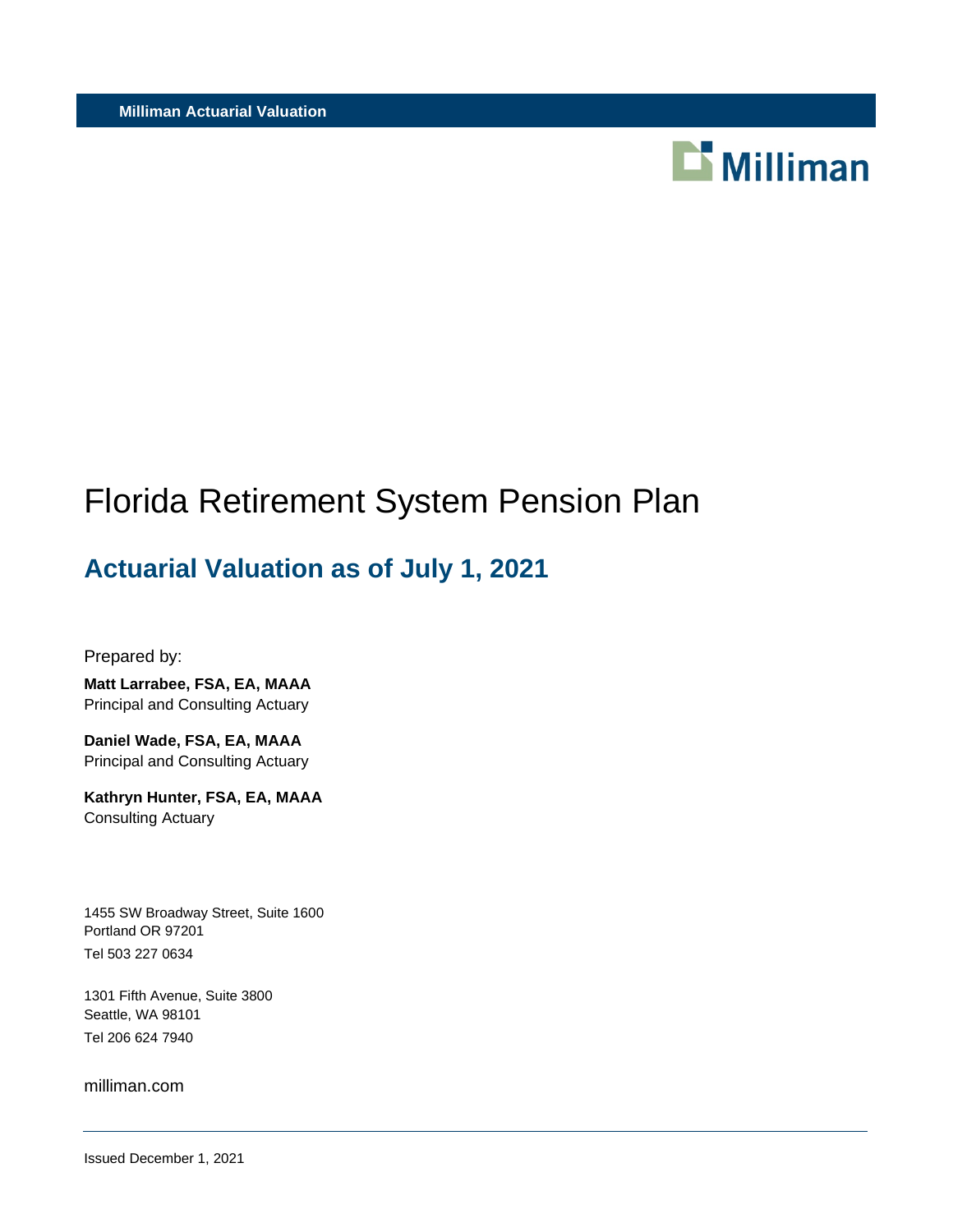

# Florida Retirement System Pension Plan

# **Actuarial Valuation as of July 1, 2021**

Prepared by:

**Matt Larrabee, FSA, EA, MAAA** Principal and Consulting Actuary

**Daniel Wade, FSA, EA, MAAA** Principal and Consulting Actuary

**Kathryn Hunter, FSA, EA, MAAA** Consulting Actuary

1455 SW Broadway Street, Suite 1600 Portland OR 97201 Tel 503 227 0634

1301 Fifth Avenue, Suite 3800 Seattle, WA 98101 Tel 206 624 7940

milliman.com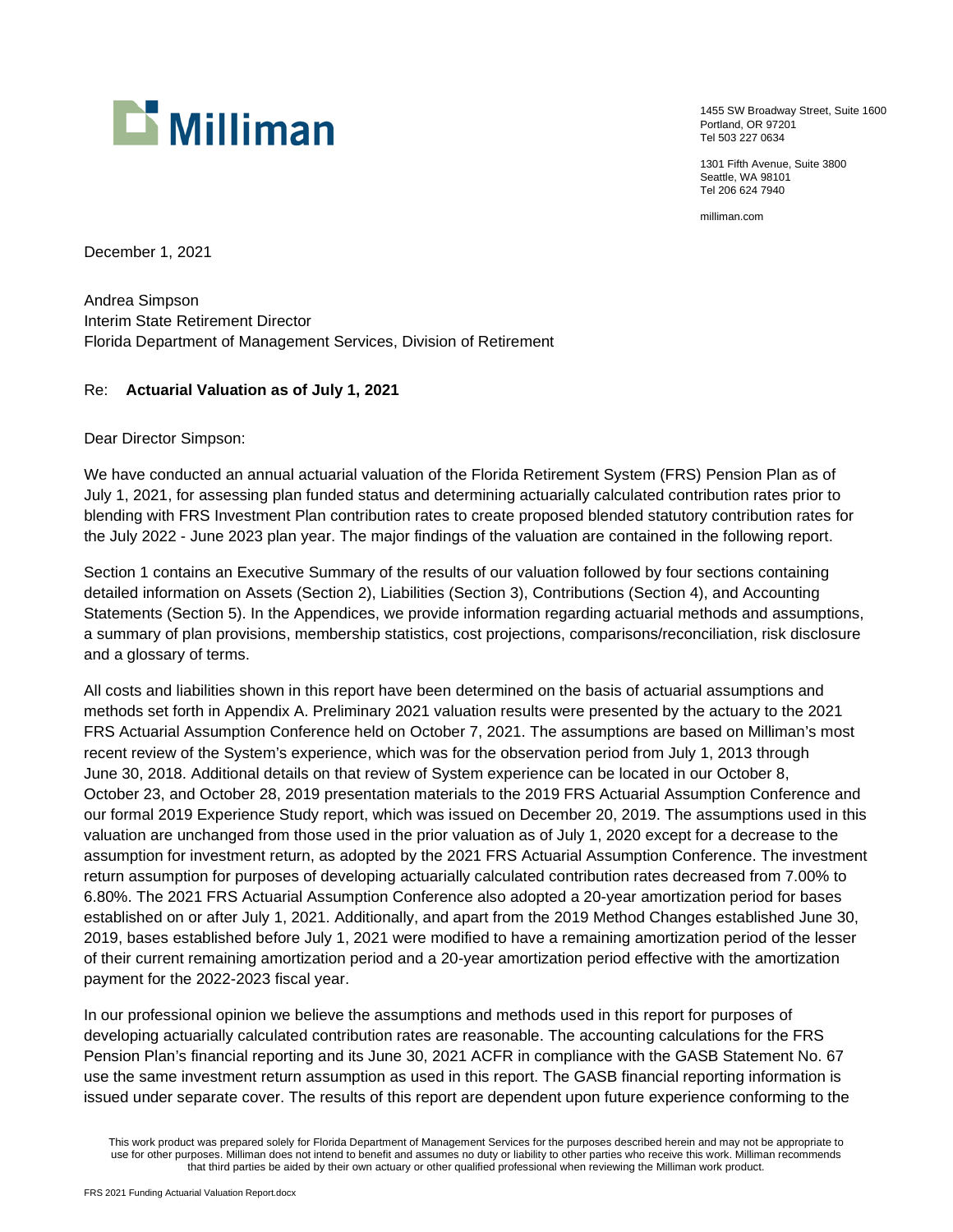

1455 SW Broadway Street, Suite 1600 Portland, OR 97201 Tel 503 227 0634

1301 Fifth Avenue, Suite 3800 Seattle, WA 98101 Tel 206 624 7940

milliman.com

December 1, 2021

Andrea Simpson Interim State Retirement Director Florida Department of Management Services, Division of Retirement

#### Re: **Actuarial Valuation as of July 1, 2021**

Dear Director Simpson:

We have conducted an annual actuarial valuation of the Florida Retirement System (FRS) Pension Plan as of July 1, 2021, for assessing plan funded status and determining actuarially calculated contribution rates prior to blending with FRS Investment Plan contribution rates to create proposed blended statutory contribution rates for the July 2022 - June 2023 plan year. The major findings of the valuation are contained in the following report.

Section 1 contains an Executive Summary of the results of our valuation followed by four sections containing detailed information on Assets (Section 2), Liabilities (Section 3), Contributions (Section 4), and Accounting Statements (Section 5). In the Appendices, we provide information regarding actuarial methods and assumptions, a summary of plan provisions, membership statistics, cost projections, comparisons/reconciliation, risk disclosure and a glossary of terms.

All costs and liabilities shown in this report have been determined on the basis of actuarial assumptions and methods set forth in Appendix A. Preliminary 2021 valuation results were presented by the actuary to the 2021 FRS Actuarial Assumption Conference held on October 7, 2021. The assumptions are based on Milliman's most recent review of the System's experience, which was for the observation period from July 1, 2013 through June 30, 2018. Additional details on that review of System experience can be located in our October 8, October 23, and October 28, 2019 presentation materials to the 2019 FRS Actuarial Assumption Conference and our formal 2019 Experience Study report, which was issued on December 20, 2019. The assumptions used in this valuation are unchanged from those used in the prior valuation as of July 1, 2020 except for a decrease to the assumption for investment return, as adopted by the 2021 FRS Actuarial Assumption Conference. The investment return assumption for purposes of developing actuarially calculated contribution rates decreased from 7.00% to 6.80%. The 2021 FRS Actuarial Assumption Conference also adopted a 20-year amortization period for bases established on or after July 1, 2021. Additionally, and apart from the 2019 Method Changes established June 30, 2019, bases established before July 1, 2021 were modified to have a remaining amortization period of the lesser of their current remaining amortization period and a 20-year amortization period effective with the amortization payment for the 2022-2023 fiscal year.

In our professional opinion we believe the assumptions and methods used in this report for purposes of developing actuarially calculated contribution rates are reasonable. The accounting calculations for the FRS Pension Plan's financial reporting and its June 30, 2021 ACFR in compliance with the GASB Statement No. 67 use the same investment return assumption as used in this report. The GASB financial reporting information is issued under separate cover. The results of this report are dependent upon future experience conforming to the

This work product was prepared solely for Florida Department of Management Services for the purposes described herein and may not be appropriate to use for other purposes. Milliman does not intend to benefit and assumes no duty or liability to other parties who receive this work. Milliman recommends that third parties be aided by their own actuary or other qualified professional when reviewing the Milliman work product.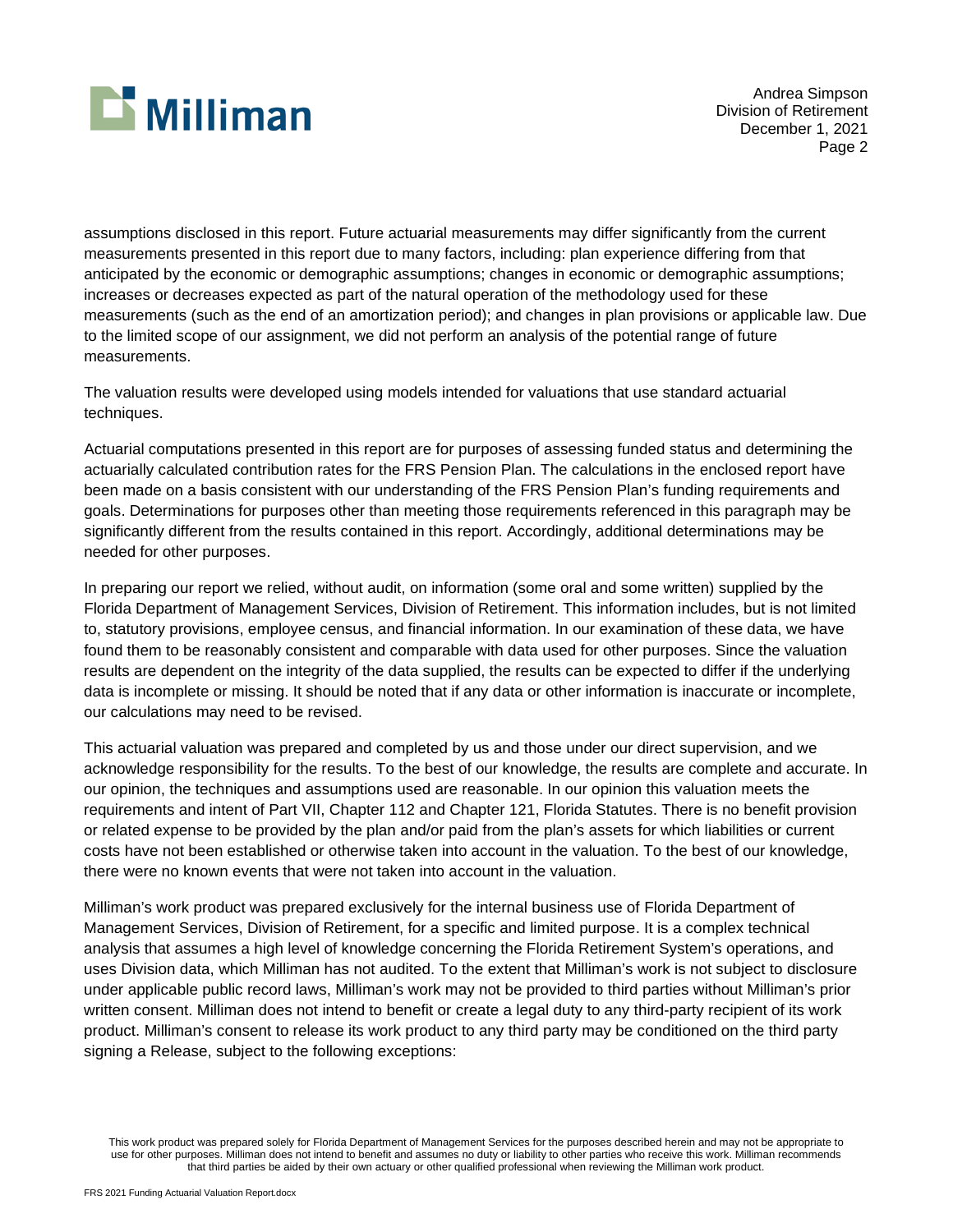

Andrea Simpson Division of Retirement December 1, 2021 Page 2

assumptions disclosed in this report. Future actuarial measurements may differ significantly from the current measurements presented in this report due to many factors, including: plan experience differing from that anticipated by the economic or demographic assumptions; changes in economic or demographic assumptions; increases or decreases expected as part of the natural operation of the methodology used for these measurements (such as the end of an amortization period); and changes in plan provisions or applicable law. Due to the limited scope of our assignment, we did not perform an analysis of the potential range of future measurements.

The valuation results were developed using models intended for valuations that use standard actuarial techniques.

Actuarial computations presented in this report are for purposes of assessing funded status and determining the actuarially calculated contribution rates for the FRS Pension Plan. The calculations in the enclosed report have been made on a basis consistent with our understanding of the FRS Pension Plan's funding requirements and goals. Determinations for purposes other than meeting those requirements referenced in this paragraph may be significantly different from the results contained in this report. Accordingly, additional determinations may be needed for other purposes.

In preparing our report we relied, without audit, on information (some oral and some written) supplied by the Florida Department of Management Services, Division of Retirement. This information includes, but is not limited to, statutory provisions, employee census, and financial information. In our examination of these data, we have found them to be reasonably consistent and comparable with data used for other purposes. Since the valuation results are dependent on the integrity of the data supplied, the results can be expected to differ if the underlying data is incomplete or missing. It should be noted that if any data or other information is inaccurate or incomplete, our calculations may need to be revised.

This actuarial valuation was prepared and completed by us and those under our direct supervision, and we acknowledge responsibility for the results. To the best of our knowledge, the results are complete and accurate. In our opinion, the techniques and assumptions used are reasonable. In our opinion this valuation meets the requirements and intent of Part VII, Chapter 112 and Chapter 121, Florida Statutes. There is no benefit provision or related expense to be provided by the plan and/or paid from the plan's assets for which liabilities or current costs have not been established or otherwise taken into account in the valuation. To the best of our knowledge, there were no known events that were not taken into account in the valuation.

Milliman's work product was prepared exclusively for the internal business use of Florida Department of Management Services, Division of Retirement, for a specific and limited purpose. It is a complex technical analysis that assumes a high level of knowledge concerning the Florida Retirement System's operations, and uses Division data, which Milliman has not audited. To the extent that Milliman's work is not subject to disclosure under applicable public record laws, Milliman's work may not be provided to third parties without Milliman's prior written consent. Milliman does not intend to benefit or create a legal duty to any third-party recipient of its work product. Milliman's consent to release its work product to any third party may be conditioned on the third party signing a Release, subject to the following exceptions:

This work product was prepared solely for Florida Department of Management Services for the purposes described herein and may not be appropriate to use for other purposes. Milliman does not intend to benefit and assumes no duty or liability to other parties who receive this work. Milliman recommends that third parties be aided by their own actuary or other qualified professional when reviewing the Milliman work product.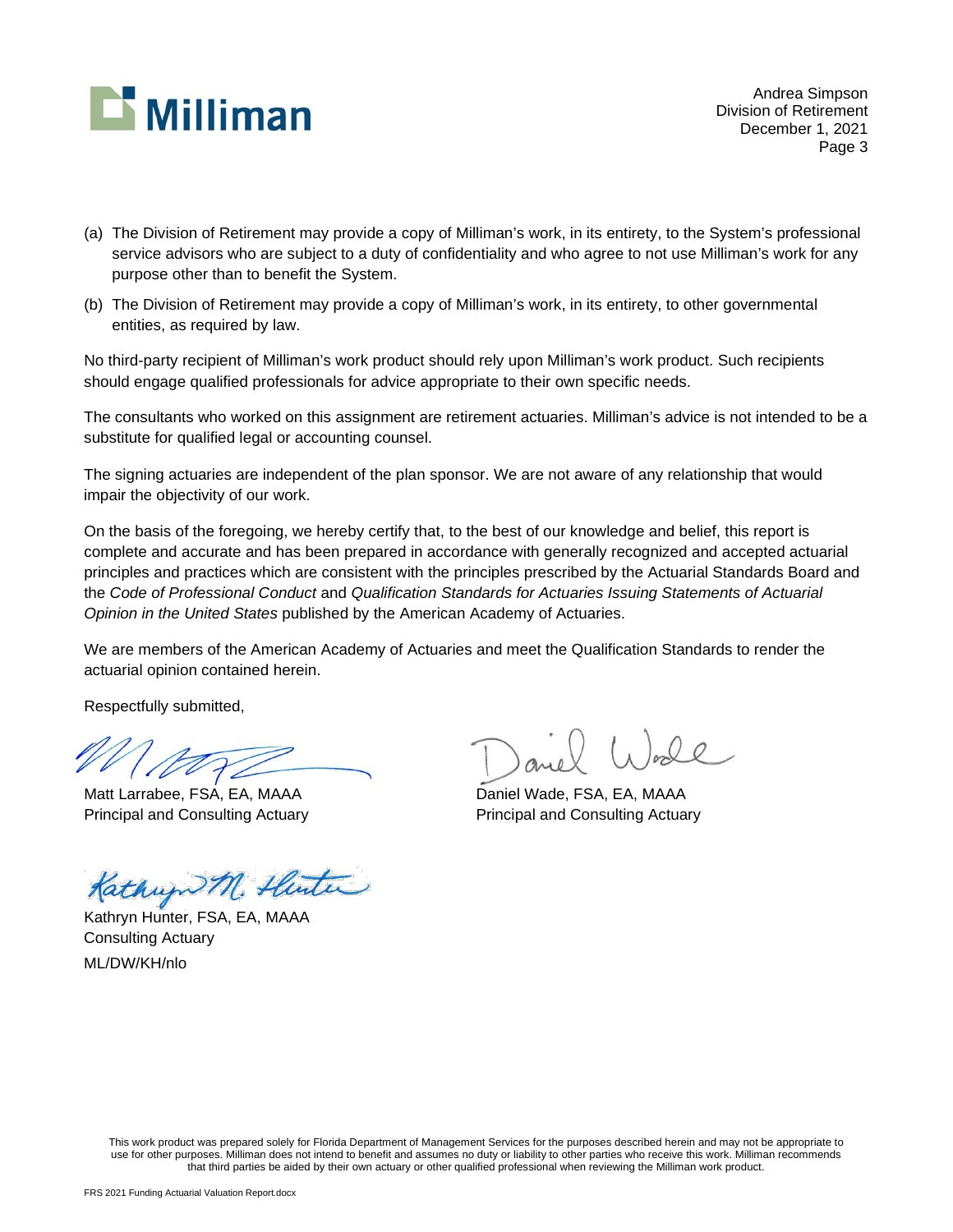

Andrea Simpson Division of Retirement December 1, 2021 Page 3

- (a) The Division of Retirement may provide a copy of Milliman's work, in its entirety, to the System's professional service advisors who are subject to a duty of confidentiality and who agree to not use Milliman's work for any purpose other than to benefit the System.
- (b) The Division of Retirement may provide a copy of Milliman's work, in its entirety, to other governmental entities, as required by law.

No third-party recipient of Milliman's work product should rely upon Milliman's work product. Such recipients should engage qualified professionals for advice appropriate to their own specific needs.

The consultants who worked on this assignment are retirement actuaries. Milliman's advice is not intended to be a substitute for qualified legal or accounting counsel.

The signing actuaries are independent of the plan sponsor. We are not aware of any relationship that would impair the objectivity of our work.

On the basis of the foregoing, we hereby certify that, to the best of our knowledge and belief, this report is complete and accurate and has been prepared in accordance with generally recognized and accepted actuarial principles and practices which are consistent with the principles prescribed by the Actuarial Standards Board and the *Code of Professional Conduct* and *Qualification Standards for Actuaries Issuing Statements of Actuarial Opinion in the United States* published by the American Academy of Actuaries.

We are members of the American Academy of Actuaries and meet the Qualification Standards to render the actuarial opinion contained herein.

Respectfully submitted,

Matt Larrabee, FSA, EA, MAAA Daniel Wade, FSA, EA, MAAA

Kathup M. Hunter

Kathryn Hunter, FSA, EA, MAAA Consulting Actuary ML/DW/KH/nlo

Principal and Consulting Actuary **Principal and Consulting Actuary** Principal and Consulting Actuary

This work product was prepared solely for Florida Department of Management Services for the purposes described herein and may not be appropriate to use for other purposes. Milliman does not intend to benefit and assumes no duty or liability to other parties who receive this work. Milliman recommends that third parties be aided by their own actuary or other qualified professional when reviewing the Milliman work product.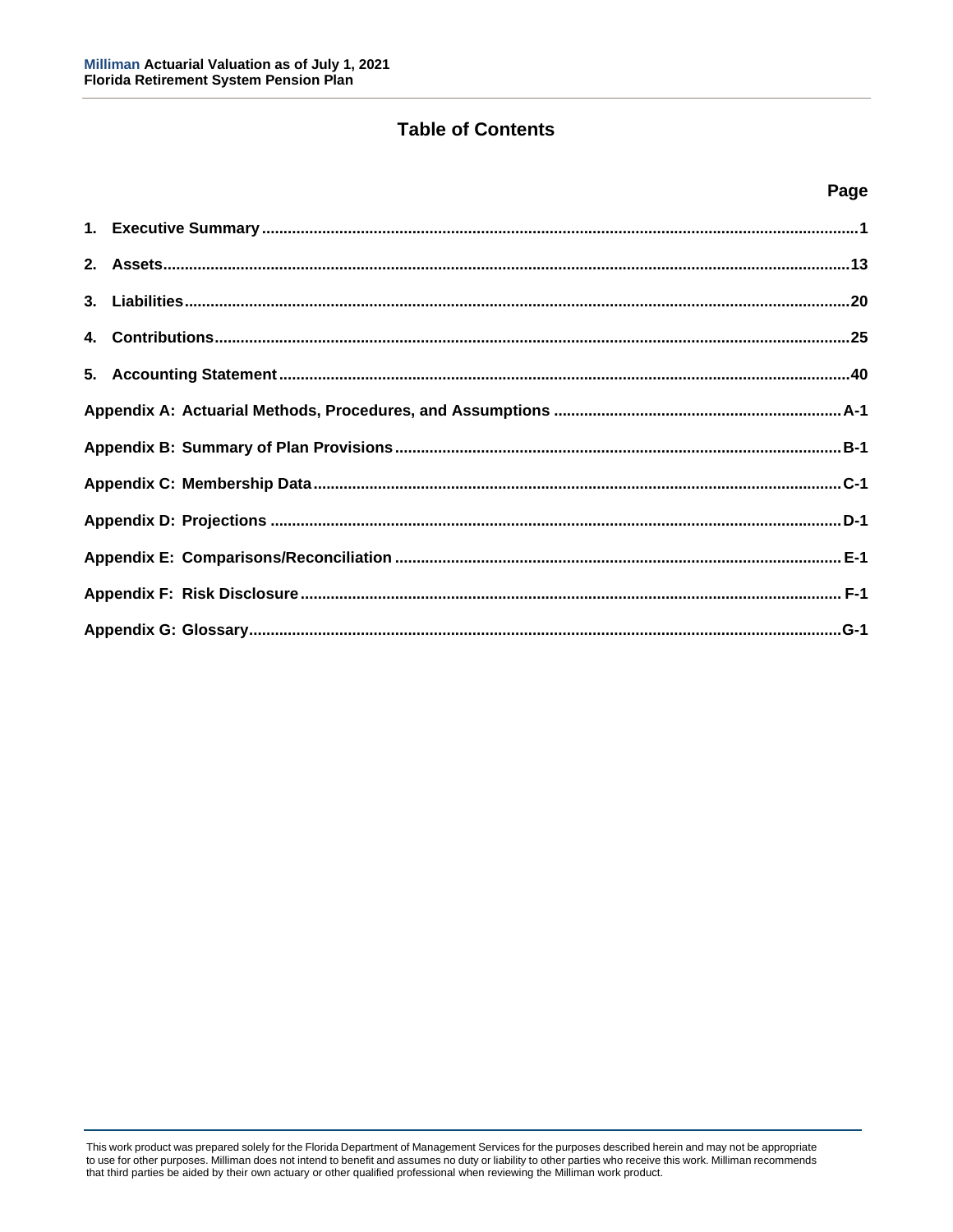# **Table of Contents**

### **Page**

This work product was prepared solely for the Florida Department of Management Services for the purposes described herein and may not be appropriate to use for other purposes. Milliman does not intend to benefit and assumes no duty or liability to other parties who receive this work. Milliman recommends that third parties be aided by their own actuary or other qualified professional when reviewing the Milliman work product.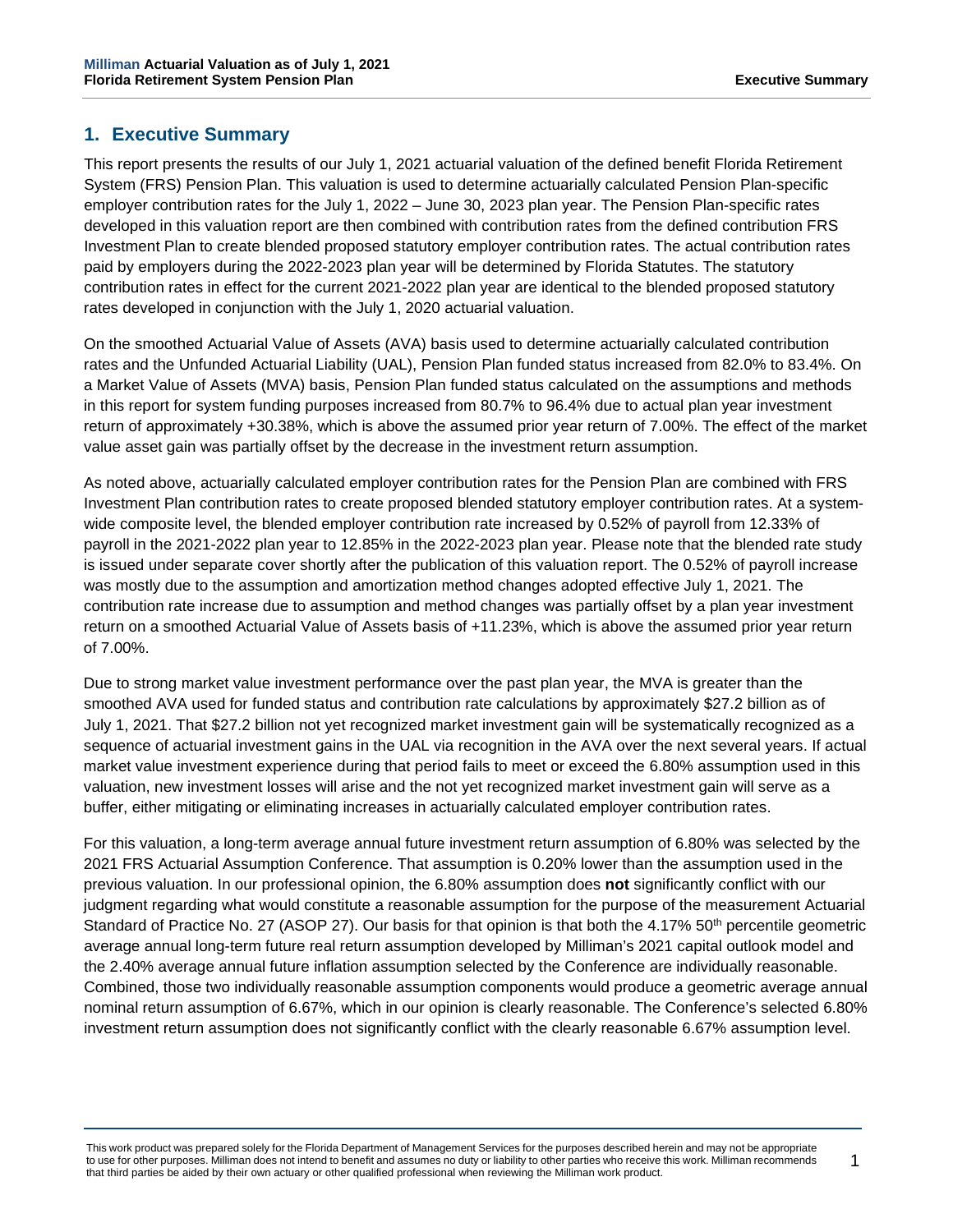# <span id="page-5-0"></span>**1. Executive Summary**

This report presents the results of our July 1, 2021 actuarial valuation of the defined benefit Florida Retirement System (FRS) Pension Plan. This valuation is used to determine actuarially calculated Pension Plan-specific employer contribution rates for the July 1, 2022 – June 30, 2023 plan year. The Pension Plan-specific rates developed in this valuation report are then combined with contribution rates from the defined contribution FRS Investment Plan to create blended proposed statutory employer contribution rates. The actual contribution rates paid by employers during the 2022-2023 plan year will be determined by Florida Statutes. The statutory contribution rates in effect for the current 2021-2022 plan year are identical to the blended proposed statutory rates developed in conjunction with the July 1, 2020 actuarial valuation.

On the smoothed Actuarial Value of Assets (AVA) basis used to determine actuarially calculated contribution rates and the Unfunded Actuarial Liability (UAL), Pension Plan funded status increased from 82.0% to 83.4%. On a Market Value of Assets (MVA) basis, Pension Plan funded status calculated on the assumptions and methods in this report for system funding purposes increased from 80.7% to 96.4% due to actual plan year investment return of approximately +30.38%, which is above the assumed prior year return of 7.00%. The effect of the market value asset gain was partially offset by the decrease in the investment return assumption.

As noted above, actuarially calculated employer contribution rates for the Pension Plan are combined with FRS Investment Plan contribution rates to create proposed blended statutory employer contribution rates. At a systemwide composite level, the blended employer contribution rate increased by 0.52% of payroll from 12.33% of payroll in the 2021-2022 plan year to 12.85% in the 2022-2023 plan year. Please note that the blended rate study is issued under separate cover shortly after the publication of this valuation report. The 0.52% of payroll increase was mostly due to the assumption and amortization method changes adopted effective July 1, 2021. The contribution rate increase due to assumption and method changes was partially offset by a plan year investment return on a smoothed Actuarial Value of Assets basis of +11.23%, which is above the assumed prior year return of 7.00%.

Due to strong market value investment performance over the past plan year, the MVA is greater than the smoothed AVA used for funded status and contribution rate calculations by approximately \$27.2 billion as of July 1, 2021. That \$27.2 billion not yet recognized market investment gain will be systematically recognized as a sequence of actuarial investment gains in the UAL via recognition in the AVA over the next several years. If actual market value investment experience during that period fails to meet or exceed the 6.80% assumption used in this valuation, new investment losses will arise and the not yet recognized market investment gain will serve as a buffer, either mitigating or eliminating increases in actuarially calculated employer contribution rates.

For this valuation, a long-term average annual future investment return assumption of 6.80% was selected by the 2021 FRS Actuarial Assumption Conference. That assumption is 0.20% lower than the assumption used in the previous valuation. In our professional opinion, the 6.80% assumption does **not** significantly conflict with our judgment regarding what would constitute a reasonable assumption for the purpose of the measurement Actuarial Standard of Practice No. 27 (ASOP 27). Our basis for that opinion is that both the 4.17% 50<sup>th</sup> percentile geometric average annual long-term future real return assumption developed by Milliman's 2021 capital outlook model and the 2.40% average annual future inflation assumption selected by the Conference are individually reasonable. Combined, those two individually reasonable assumption components would produce a geometric average annual nominal return assumption of 6.67%, which in our opinion is clearly reasonable. The Conference's selected 6.80% investment return assumption does not significantly conflict with the clearly reasonable 6.67% assumption level.

This work product was prepared solely for the Florida Department of Management Services for the purposes described herein and may not be appropriate to use for other purposes. Milliman does not intend to benefit and assumes no duty or liability to other parties who receive this work. Milliman recommends that third parties be aided by their own actuary or other qualified professional when reviewing the Milliman work product.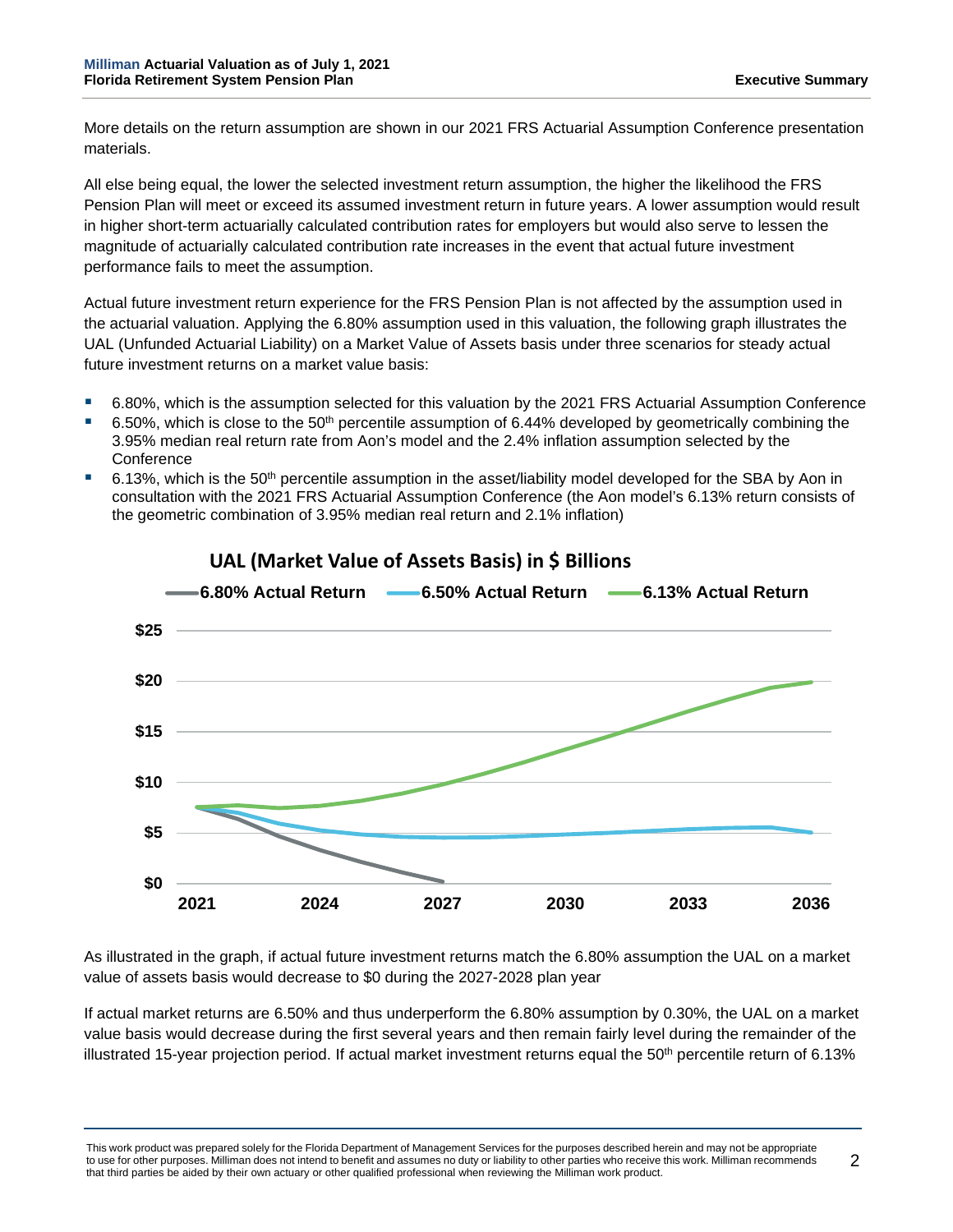More details on the return assumption are shown in our 2021 FRS Actuarial Assumption Conference presentation materials.

All else being equal, the lower the selected investment return assumption, the higher the likelihood the FRS Pension Plan will meet or exceed its assumed investment return in future years. A lower assumption would result in higher short-term actuarially calculated contribution rates for employers but would also serve to lessen the magnitude of actuarially calculated contribution rate increases in the event that actual future investment performance fails to meet the assumption.

Actual future investment return experience for the FRS Pension Plan is not affected by the assumption used in the actuarial valuation. Applying the 6.80% assumption used in this valuation, the following graph illustrates the UAL (Unfunded Actuarial Liability) on a Market Value of Assets basis under three scenarios for steady actual future investment returns on a market value basis:

- 6.80%, which is the assumption selected for this valuation by the 2021 FRS Actuarial Assumption Conference
- 6.50%, which is close to the 50<sup>th</sup> percentile assumption of 6.44% developed by geometrically combining the 3.95% median real return rate from Aon's model and the 2.4% inflation assumption selected by the **Conference**
- 6.13%, which is the 50<sup>th</sup> percentile assumption in the asset/liability model developed for the SBA by Aon in consultation with the 2021 FRS Actuarial Assumption Conference (the Aon model's 6.13% return consists of the geometric combination of 3.95% median real return and 2.1% inflation)



# **UAL (Market Value of Assets Basis) in \$ Billions**

As illustrated in the graph, if actual future investment returns match the 6.80% assumption the UAL on a market value of assets basis would decrease to \$0 during the 2027-2028 plan year

If actual market returns are 6.50% and thus underperform the 6.80% assumption by 0.30%, the UAL on a market value basis would decrease during the first several years and then remain fairly level during the remainder of the illustrated 15-year projection period. If actual market investment returns equal the  $50<sup>th</sup>$  percentile return of 6.13%

This work product was prepared solely for the Florida Department of Management Services for the purposes described herein and may not be appropriate to use for other purposes. Milliman does not intend to benefit and assumes no duty or liability to other parties who receive this work. Milliman recommends that third parties be aided by their own actuary or other qualified professional when reviewing the Milliman work product.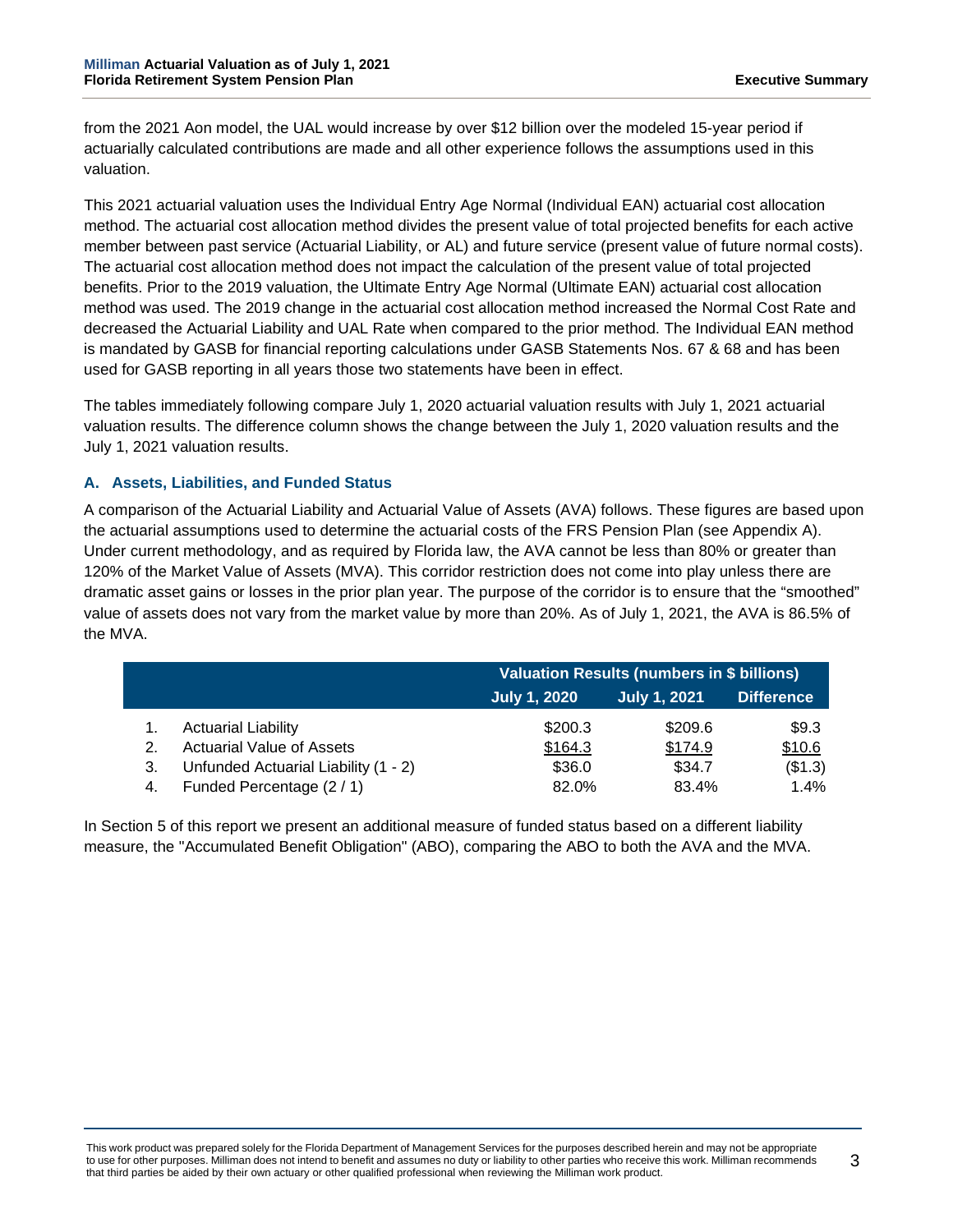from the 2021 Aon model, the UAL would increase by over \$12 billion over the modeled 15-year period if actuarially calculated contributions are made and all other experience follows the assumptions used in this valuation.

This 2021 actuarial valuation uses the Individual Entry Age Normal (Individual EAN) actuarial cost allocation method. The actuarial cost allocation method divides the present value of total projected benefits for each active member between past service (Actuarial Liability, or AL) and future service (present value of future normal costs). The actuarial cost allocation method does not impact the calculation of the present value of total projected benefits. Prior to the 2019 valuation, the Ultimate Entry Age Normal (Ultimate EAN) actuarial cost allocation method was used. The 2019 change in the actuarial cost allocation method increased the Normal Cost Rate and decreased the Actuarial Liability and UAL Rate when compared to the prior method. The Individual EAN method is mandated by GASB for financial reporting calculations under GASB Statements Nos. 67 & 68 and has been used for GASB reporting in all years those two statements have been in effect.

The tables immediately following compare July 1, 2020 actuarial valuation results with July 1, 2021 actuarial valuation results. The difference column shows the change between the July 1, 2020 valuation results and the July 1, 2021 valuation results.

### **A. Assets, Liabilities, and Funded Status**

A comparison of the Actuarial Liability and Actuarial Value of Assets (AVA) follows. These figures are based upon the actuarial assumptions used to determine the actuarial costs of the FRS Pension Plan (see Appendix A). Under current methodology, and as required by Florida law, the AVA cannot be less than 80% or greater than 120% of the Market Value of Assets (MVA). This corridor restriction does not come into play unless there are dramatic asset gains or losses in the prior plan year. The purpose of the corridor is to ensure that the "smoothed" value of assets does not vary from the market value by more than 20%. As of July 1, 2021, the AVA is 86.5% of the MVA.

|    |                                      | <b>Valuation Results (numbers in \$ billions)</b> |                     |                   |  |  |  |
|----|--------------------------------------|---------------------------------------------------|---------------------|-------------------|--|--|--|
|    |                                      | <b>July 1, 2020</b>                               | <b>July 1, 2021</b> | <b>Difference</b> |  |  |  |
|    | <b>Actuarial Liability</b>           | \$200.3                                           | \$209.6             | \$9.3             |  |  |  |
|    | <b>Actuarial Value of Assets</b>     | \$164.3                                           | \$174.9             | \$10.6            |  |  |  |
| 3. | Unfunded Actuarial Liability (1 - 2) | \$36.0                                            | \$34.7              | (\$1.3)           |  |  |  |
| 4. | Funded Percentage (2/1)              | 82.0%                                             | 83.4%               | 1.4%              |  |  |  |

In Section 5 of this report we present an additional measure of funded status based on a different liability measure, the "Accumulated Benefit Obligation" (ABO), comparing the ABO to both the AVA and the MVA.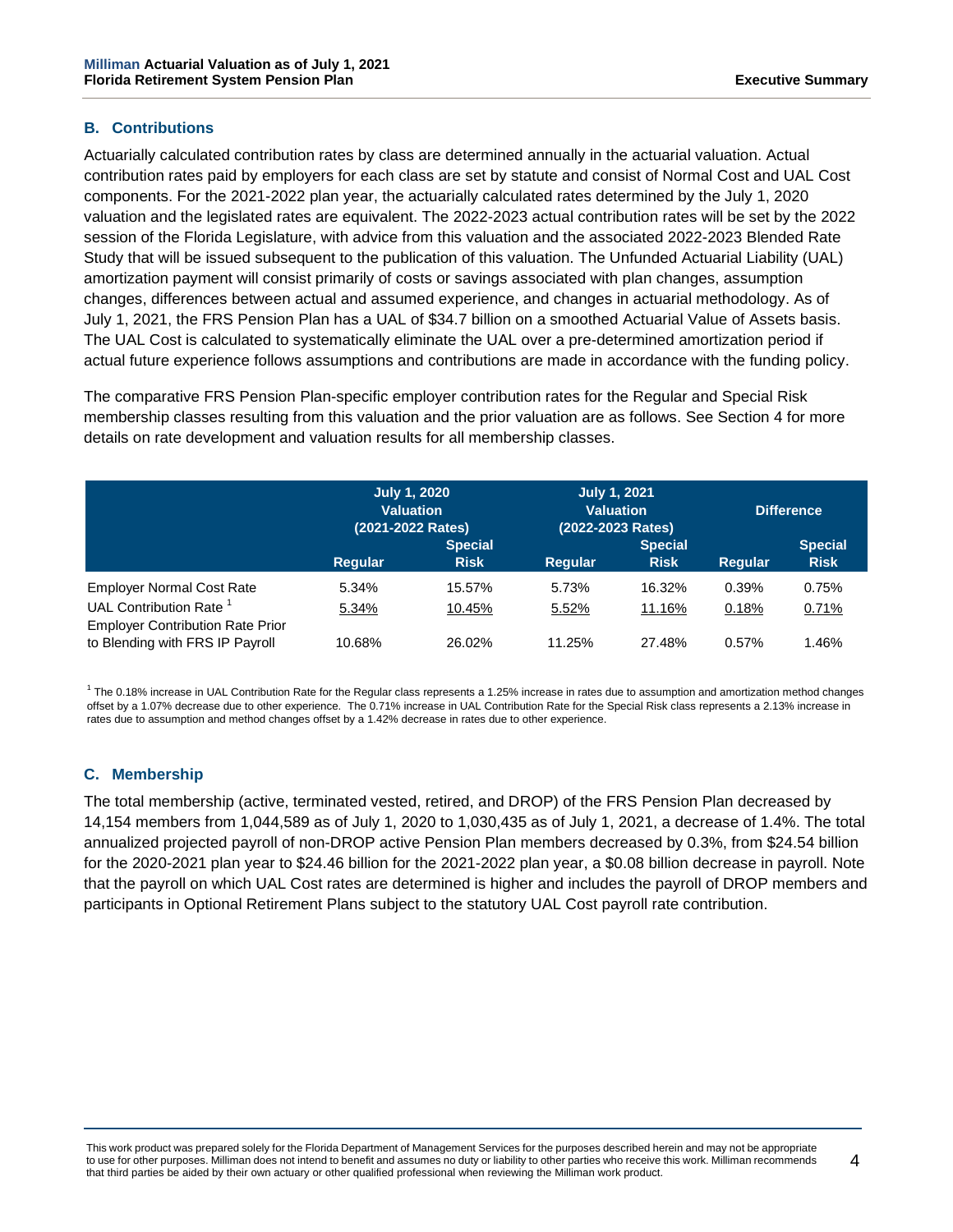### **B. Contributions**

Actuarially calculated contribution rates by class are determined annually in the actuarial valuation. Actual contribution rates paid by employers for each class are set by statute and consist of Normal Cost and UAL Cost components. For the 2021-2022 plan year, the actuarially calculated rates determined by the July 1, 2020 valuation and the legislated rates are equivalent. The 2022-2023 actual contribution rates will be set by the 2022 session of the Florida Legislature, with advice from this valuation and the associated 2022-2023 Blended Rate Study that will be issued subsequent to the publication of this valuation. The Unfunded Actuarial Liability (UAL) amortization payment will consist primarily of costs or savings associated with plan changes, assumption changes, differences between actual and assumed experience, and changes in actuarial methodology. As of July 1, 2021, the FRS Pension Plan has a UAL of \$34.7 billion on a smoothed Actuarial Value of Assets basis. The UAL Cost is calculated to systematically eliminate the UAL over a pre-determined amortization period if actual future experience follows assumptions and contributions are made in accordance with the funding policy.

The comparative FRS Pension Plan-specific employer contribution rates for the Regular and Special Risk membership classes resulting from this valuation and the prior valuation are as follows. See Section 4 for more details on rate development and valuation results for all membership classes.

|                                                                            | <b>July 1, 2020</b><br><b>Valuation</b><br>(2021-2022 Rates) |                               | <b>July 1, 2021</b><br><b>Valuation</b><br>(2022-2023 Rates) |                               | <b>Difference</b> |                               |  |
|----------------------------------------------------------------------------|--------------------------------------------------------------|-------------------------------|--------------------------------------------------------------|-------------------------------|-------------------|-------------------------------|--|
|                                                                            | Regular                                                      | <b>Special</b><br><b>Risk</b> | Regular                                                      | <b>Special</b><br><b>Risk</b> | Regular           | <b>Special</b><br><b>Risk</b> |  |
| <b>Employer Normal Cost Rate</b><br>UAL Contribution Rate <sup>1</sup>     | 5.34%<br>5.34%                                               | 15.57%<br>10.45%              | 5.73%<br>5.52%                                               | 16.32%<br>11.16%              | 0.39%<br>0.18%    | 0.75%<br>0.71%                |  |
| <b>Employer Contribution Rate Prior</b><br>to Blending with FRS IP Payroll | 10.68%                                                       | 26.02%                        | 11.25%                                                       | 27.48%                        | 0.57%             | 1.46%                         |  |

 $^1$  The 0.18% increase in UAL Contribution Rate for the Regular class represents a 1.25% increase in rates due to assumption and amortization method changes offset by a 1.07% decrease due to other experience. The 0.71% increase in UAL Contribution Rate for the Special Risk class represents a 2.13% increase in rates due to assumption and method changes offset by a 1.42% decrease in rates due to other experience.

### **C. Membership**

The total membership (active, terminated vested, retired, and DROP) of the FRS Pension Plan decreased by 14,154 members from 1,044,589 as of July 1, 2020 to 1,030,435 as of July 1, 2021, a decrease of 1.4%. The total annualized projected payroll of non-DROP active Pension Plan members decreased by 0.3%, from \$24.54 billion for the 2020-2021 plan year to \$24.46 billion for the 2021-2022 plan year, a \$0.08 billion decrease in payroll. Note that the payroll on which UAL Cost rates are determined is higher and includes the payroll of DROP members and participants in Optional Retirement Plans subject to the statutory UAL Cost payroll rate contribution.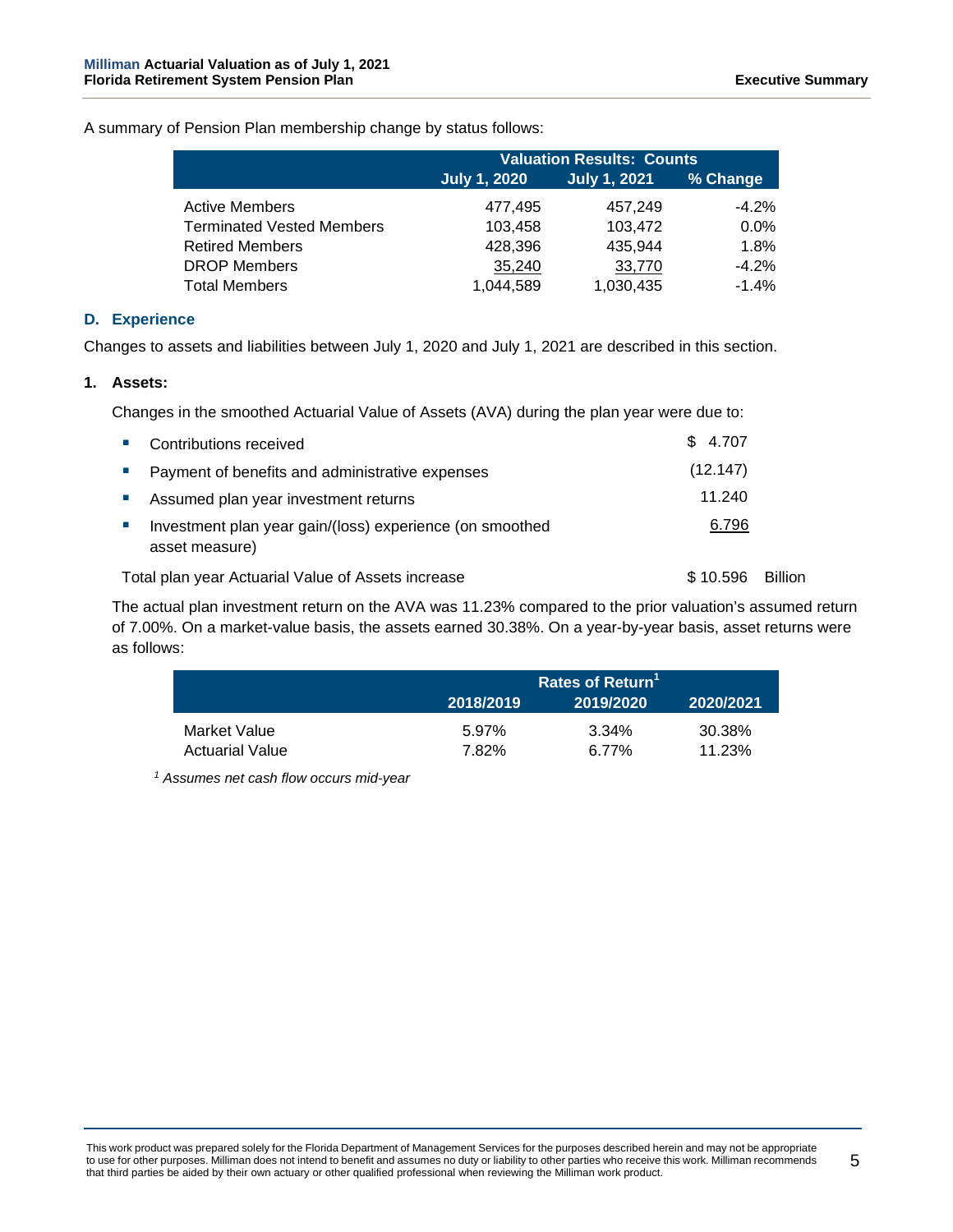A summary of Pension Plan membership change by status follows:

|                                  | <b>Valuation Results: Counts</b>                       |           |          |  |  |  |
|----------------------------------|--------------------------------------------------------|-----------|----------|--|--|--|
|                                  | <b>July 1, 2021</b><br>% Change<br><b>July 1, 2020</b> |           |          |  |  |  |
| <b>Active Members</b>            | 477,495                                                | 457.249   | $-4.2\%$ |  |  |  |
| <b>Terminated Vested Members</b> | 103,458                                                | 103,472   | $0.0\%$  |  |  |  |
| <b>Retired Members</b>           | 428,396                                                | 435.944   | 1.8%     |  |  |  |
| <b>DROP Members</b>              | 35,240                                                 | 33,770    | $-4.2\%$ |  |  |  |
| <b>Total Members</b>             | 1,044,589                                              | 1,030,435 | $-1.4%$  |  |  |  |

### **D. Experience**

Changes to assets and liabilities between July 1, 2020 and July 1, 2021 are described in this section.

#### **1. Assets:**

Changes in the smoothed Actuarial Value of Assets (AVA) during the plan year were due to:

|                             | • Contributions received                                                   | \$4.707  |                |
|-----------------------------|----------------------------------------------------------------------------|----------|----------------|
| <b>College</b>              | Payment of benefits and administrative expenses                            | (12.147) |                |
| and the                     | Assumed plan year investment returns                                       | 11.240   |                |
| $\mathcal{L}_{\mathcal{A}}$ | Investment plan year gain/(loss) experience (on smoothed<br>asset measure) | 6.796    |                |
|                             | Total plan year Actuarial Value of Assets increase                         | \$10.596 | <b>Billion</b> |

The actual plan investment return on the AVA was 11.23% compared to the prior valuation's assumed return of 7.00%. On a market-value basis, the assets earned 30.38%. On a year-by-year basis, asset returns were as follows:

|                                        | Rates of Return <sup>1</sup> |                |                  |  |  |  |
|----------------------------------------|------------------------------|----------------|------------------|--|--|--|
|                                        | 2018/2019                    | 2019/2020      | 2020/2021        |  |  |  |
| Market Value<br><b>Actuarial Value</b> | 5.97%<br>7.82%               | 3.34%<br>6.77% | 30.38%<br>11.23% |  |  |  |

*<sup>1</sup> Assumes net cash flow occurs mid-year*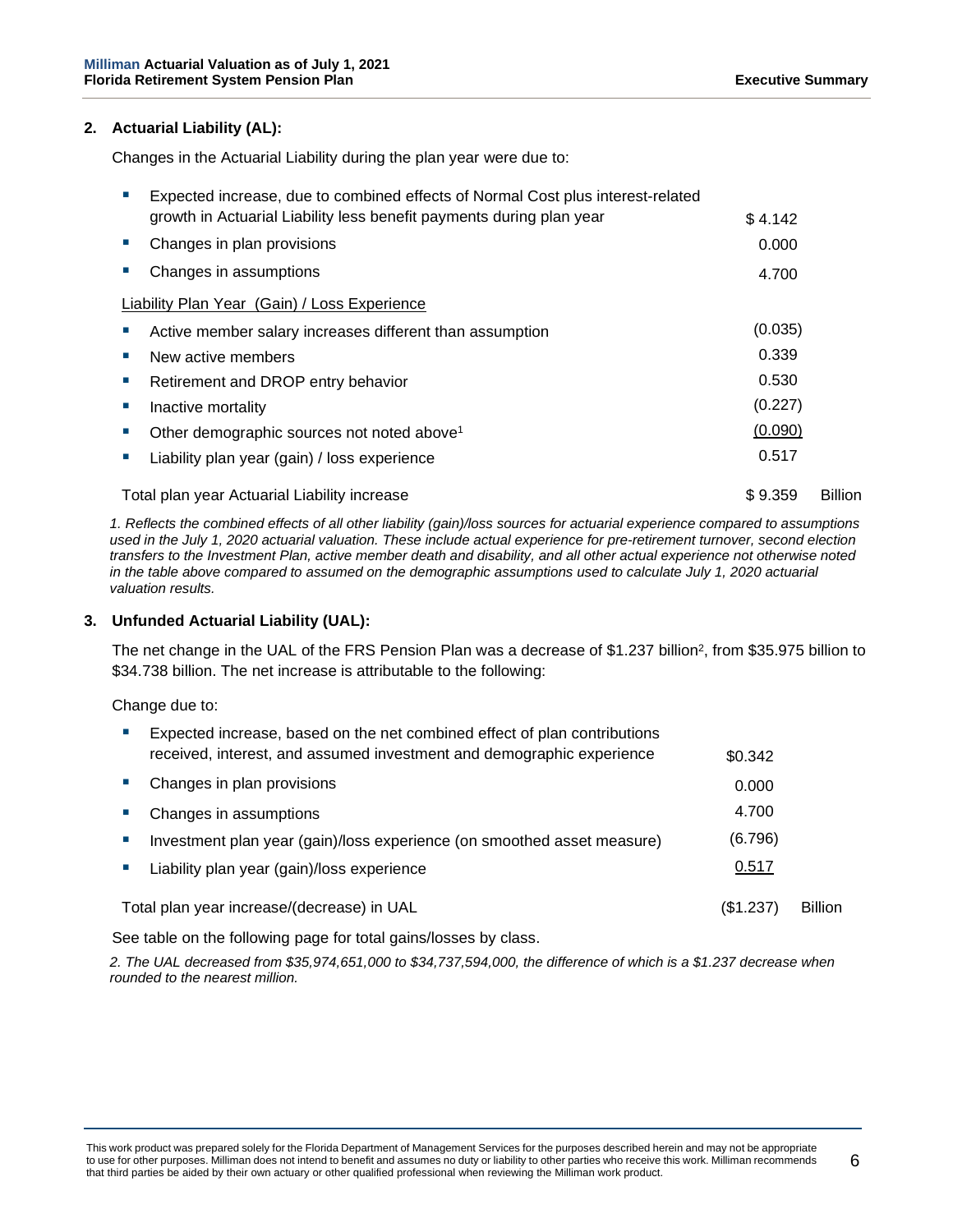### **2. Actuarial Liability (AL):**

Changes in the Actuarial Liability during the plan year were due to:

|    | Expected increase, due to combined effects of Normal Cost plus interest-related |         |                |
|----|---------------------------------------------------------------------------------|---------|----------------|
|    | growth in Actuarial Liability less benefit payments during plan year            | \$4.142 |                |
| ш  | Changes in plan provisions                                                      | 0.000   |                |
|    | Changes in assumptions                                                          | 4.700   |                |
|    | <b>Liability Plan Year (Gain) / Loss Experience</b>                             |         |                |
|    | Active member salary increases different than assumption                        | (0.035) |                |
|    | New active members                                                              | 0.339   |                |
| ш  | Retirement and DROP entry behavior                                              | 0.530   |                |
|    | Inactive mortality                                                              | (0.227) |                |
|    | Other demographic sources not noted above <sup>1</sup>                          | (0.090) |                |
| ×. | Liability plan year (gain) / loss experience                                    | 0.517   |                |
|    | Total plan year Actuarial Liability increase                                    | \$9.359 | <b>Billion</b> |

*1. Reflects the combined effects of all other liability (gain)/loss sources for actuarial experience compared to assumptions used in the July 1, 2020 actuarial valuation. These include actual experience for pre-retirement turnover, second election transfers to the Investment Plan, active member death and disability, and all other actual experience not otherwise noted in the table above compared to assumed on the demographic assumptions used to calculate July 1, 2020 actuarial valuation results.*

#### **3. Unfunded Actuarial Liability (UAL):**

The net change in the UAL of the FRS Pension Plan was a decrease of \$1.237 billion<sup>2</sup>, from \$35.975 billion to \$34.738 billion. The net increase is attributable to the following:

Change due to:

| Expected increase, based on the net combined effect of plan contributions<br>received, interest, and assumed investment and demographic experience | \$0.342   |                |
|----------------------------------------------------------------------------------------------------------------------------------------------------|-----------|----------------|
| Changes in plan provisions                                                                                                                         | 0.000     |                |
| Changes in assumptions                                                                                                                             | 4.700     |                |
| Investment plan year (gain)/loss experience (on smoothed asset measure)                                                                            | (6.796)   |                |
| Liability plan year (gain)/loss experience                                                                                                         | 0.517     |                |
| Total plan year increase/(decrease) in UAL                                                                                                         | (\$1.237) | <b>Billion</b> |

See table on the following page for total gains/losses by class.

*2. The UAL decreased from \$35,974,651,000 to \$34,737,594,000, the difference of which is a \$1.237 decrease when rounded to the nearest million.*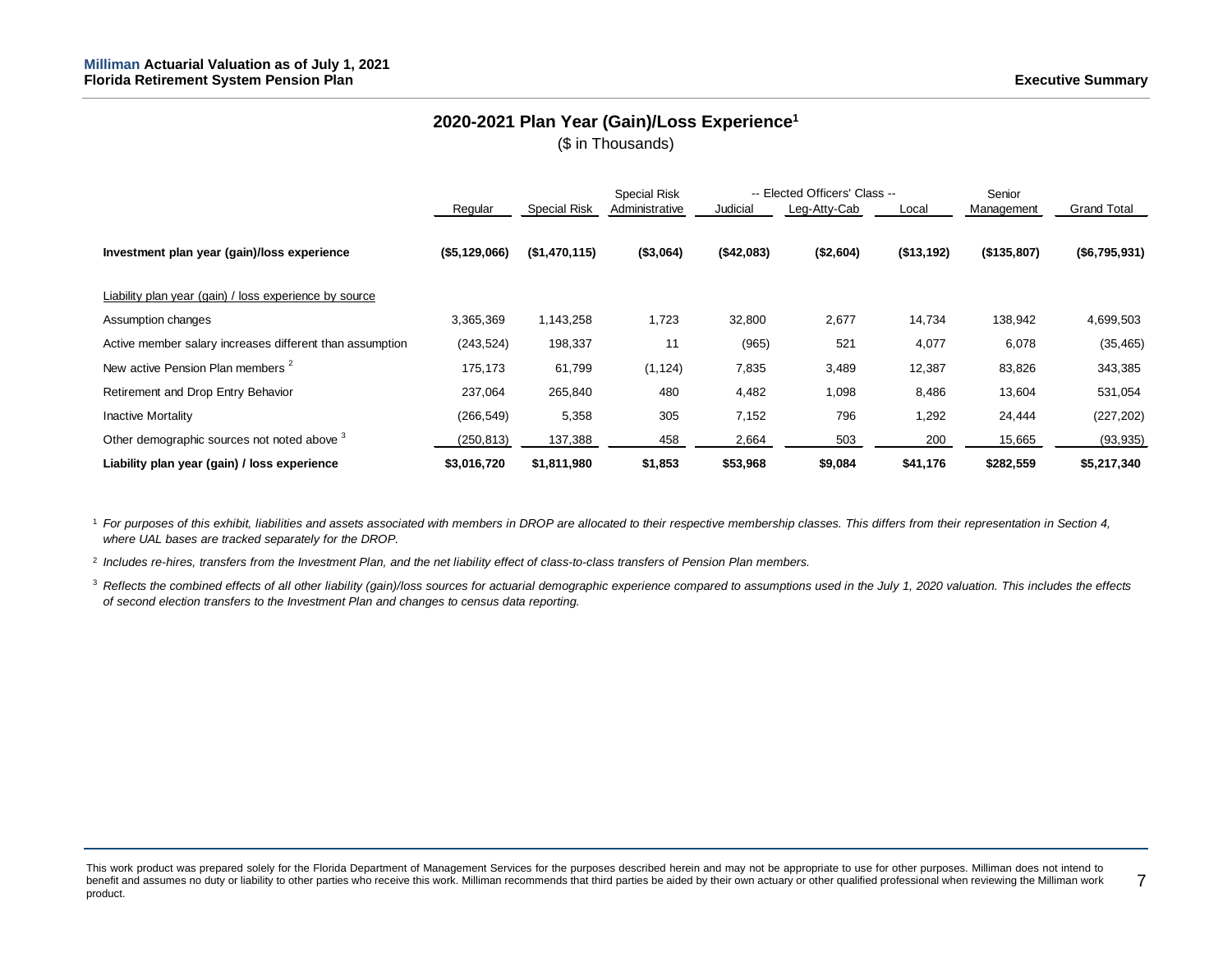## **2020-2021 Plan Year (Gain)/Loss Experience1**

(\$ in Thousands)

|                                                          |               |                     | <b>Special Risk</b> |            | -- Elected Officers' Class -- |            | Senior      |                    |
|----------------------------------------------------------|---------------|---------------------|---------------------|------------|-------------------------------|------------|-------------|--------------------|
|                                                          | Regular       | <b>Special Risk</b> | Administrative      | Judicial   | Leg-Atty-Cab                  | Local      | Management  | <b>Grand Total</b> |
| Investment plan year (gain)/loss experience              | (\$5,129,066) | (\$1,470,115)       | ( \$3,064)          | (\$42,083) | (\$2,604)                     | (\$13,192) | (\$135,807) | (\$6,795,931)      |
| Liability plan year (gain) / loss experience by source   |               |                     |                     |            |                               |            |             |                    |
| Assumption changes                                       | 3,365,369     | 1,143,258           | 1,723               | 32,800     | 2,677                         | 14,734     | 138,942     | 4,699,503          |
| Active member salary increases different than assumption | (243, 524)    | 198,337             | 11                  | (965)      | 521                           | 4,077      | 6,078       | (35, 465)          |
| New active Pension Plan members <sup>2</sup>             | 175,173       | 61,799              | (1, 124)            | 7,835      | 3,489                         | 12,387     | 83,826      | 343,385            |
| Retirement and Drop Entry Behavior                       | 237,064       | 265,840             | 480                 | 4,482      | 1,098                         | 8,486      | 13,604      | 531,054            |
| <b>Inactive Mortality</b>                                | (266, 549)    | 5,358               | 305                 | 7,152      | 796                           | 1,292      | 24,444      | (227, 202)         |
| Other demographic sources not noted above 3              | (250, 813)    | 137,388             | 458                 | 2,664      | 503                           | 200        | 15,665      | (93, 935)          |
| Liability plan year (gain) / loss experience             | \$3,016,720   | \$1,811,980         | \$1,853             | \$53,968   | \$9,084                       | \$41,176   | \$282,559   | \$5,217,340        |

<sup>1</sup> For purposes of this exhibit, liabilities and assets associated with members in DROP are allocated to their respective membership classes. This differs from their representation in Section 4, *where UAL bases are tracked separately for the DROP.*

<sup>2</sup> *Includes re-hires, transfers from the Investment Plan, and the net liability effect of class-to-class transfers of Pension Plan members.*

<sup>3</sup> Reflects the combined effects of all other liability (gain)/loss sources for actuarial demographic experience compared to assumptions used in the July 1, 2020 valuation. This includes the effects *of second election transfers to the Investment Plan and changes to census data reporting.* 

This work product was prepared solely for the Florida Department of Management Services for the purposes described herein and may not be appropriate to use for other purposes. Milliman does not intend to benefit and assumes no duty or liability to other parties who receive this work. Milliman recommends that third parties be aided by their own actuary or other qualified professional when reviewing the Milliman work product. 7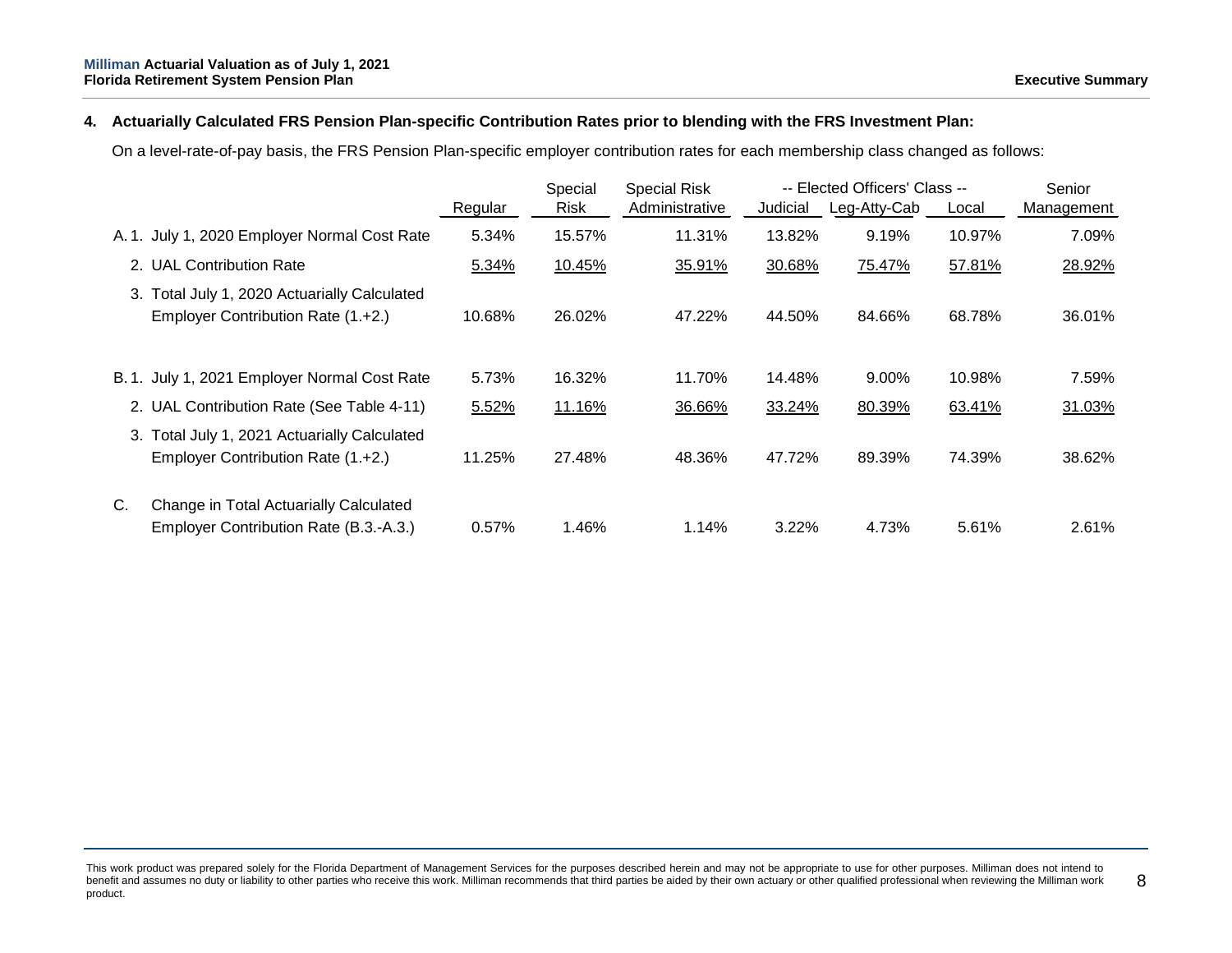### **4. Actuarially Calculated FRS Pension Plan-specific Contribution Rates prior to blending with the FRS Investment Plan:**

On a level-rate-of-pay basis, the FRS Pension Plan-specific employer contribution rates for each membership class changed as follows:

|    |                                                                                    |         | Special<br><b>Special Risk</b> |                | -- Elected Officers' Class -- |              |        | Senior     |
|----|------------------------------------------------------------------------------------|---------|--------------------------------|----------------|-------------------------------|--------------|--------|------------|
|    |                                                                                    | Regular | <b>Risk</b>                    | Administrative | Judicial                      | Leg-Atty-Cab | Local  | Management |
|    | A. 1. July 1, 2020 Employer Normal Cost Rate                                       | 5.34%   | 15.57%                         | 11.31%         | 13.82%                        | 9.19%        | 10.97% | 7.09%      |
|    | 2. UAL Contribution Rate                                                           | 5.34%   | 10.45%                         | 35.91%         | 30.68%                        | 75.47%       | 57.81% | 28.92%     |
|    | 3. Total July 1, 2020 Actuarially Calculated<br>Employer Contribution Rate (1.+2.) | 10.68%  | 26.02%                         | 47.22%         | 44.50%                        | 84.66%       | 68.78% | 36.01%     |
|    | B. 1. July 1, 2021 Employer Normal Cost Rate                                       | 5.73%   | 16.32%                         | 11.70%         | 14.48%                        | 9.00%        | 10.98% | 7.59%      |
|    | 2. UAL Contribution Rate (See Table 4-11)                                          | 5.52%   | 11.16%                         | 36.66%         | 33.24%                        | 80.39%       | 63.41% | 31.03%     |
|    | 3. Total July 1, 2021 Actuarially Calculated<br>Employer Contribution Rate (1.+2.) | 11.25%  | 27.48%                         | 48.36%         | 47.72%                        | 89.39%       | 74.39% | 38.62%     |
| C. | Change in Total Actuarially Calculated<br>Employer Contribution Rate (B.3.-A.3.)   | 0.57%   | 1.46%                          | 1.14%          | 3.22%                         | 4.73%        | 5.61%  | 2.61%      |

This work product was prepared solely for the Florida Department of Management Services for the purposes described herein and may not be appropriate to use for other purposes. Milliman does not intend to benefit and assumes no duty or liability to other parties who receive this work. Milliman recommends that third parties be aided by their own actuary or other qualified professional when reviewing the Milliman work product. 8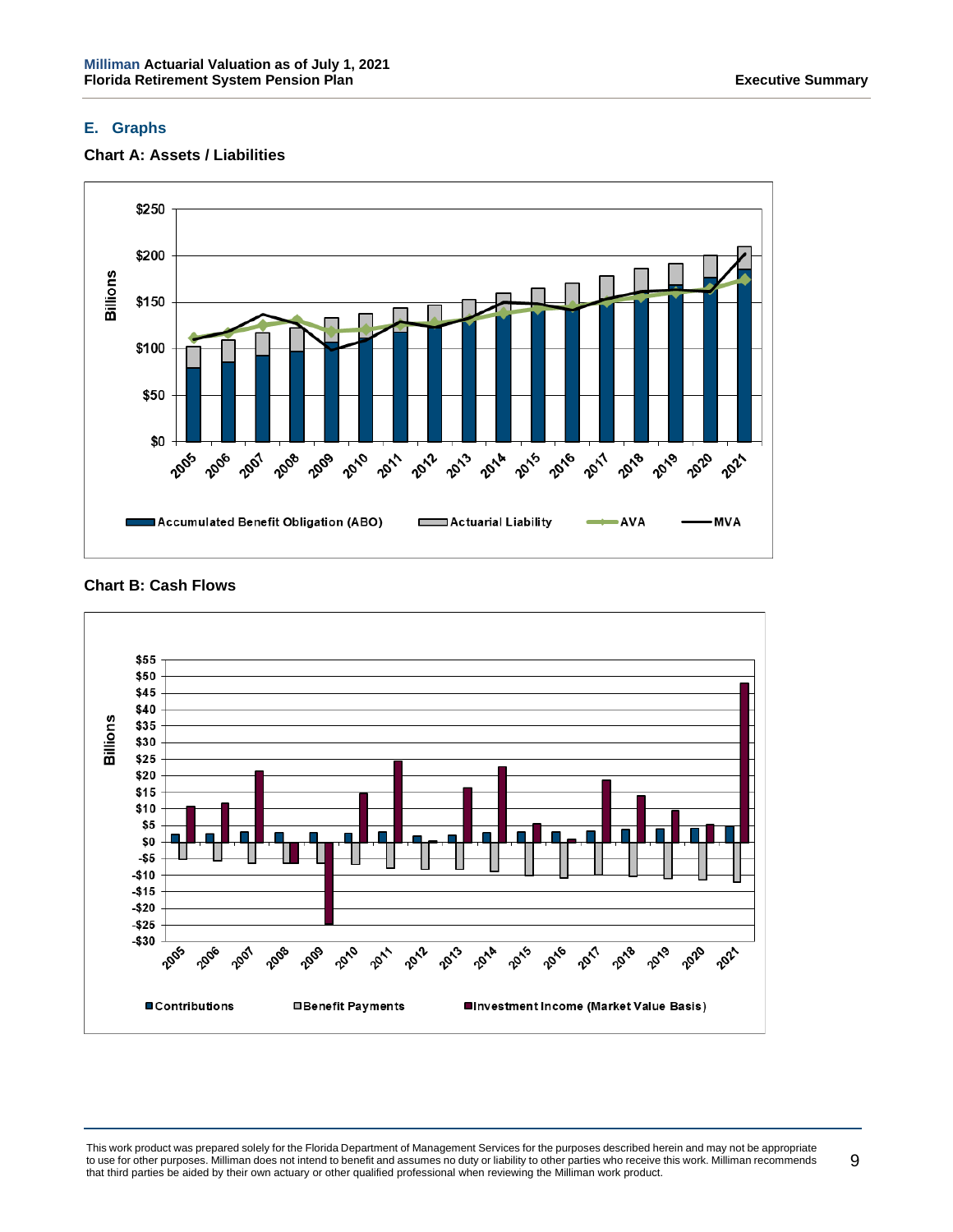### **E. Graphs**





**Chart B: Cash Flows**



This work product was prepared solely for the Florida Department of Management Services for the purposes described herein and may not be appropriate to use for other purposes. Milliman does not intend to benefit and assumes no duty or liability to other parties who receive this work. Milliman recommends that third parties be aided by their own actuary or other qualified professional when reviewing the Milliman work product.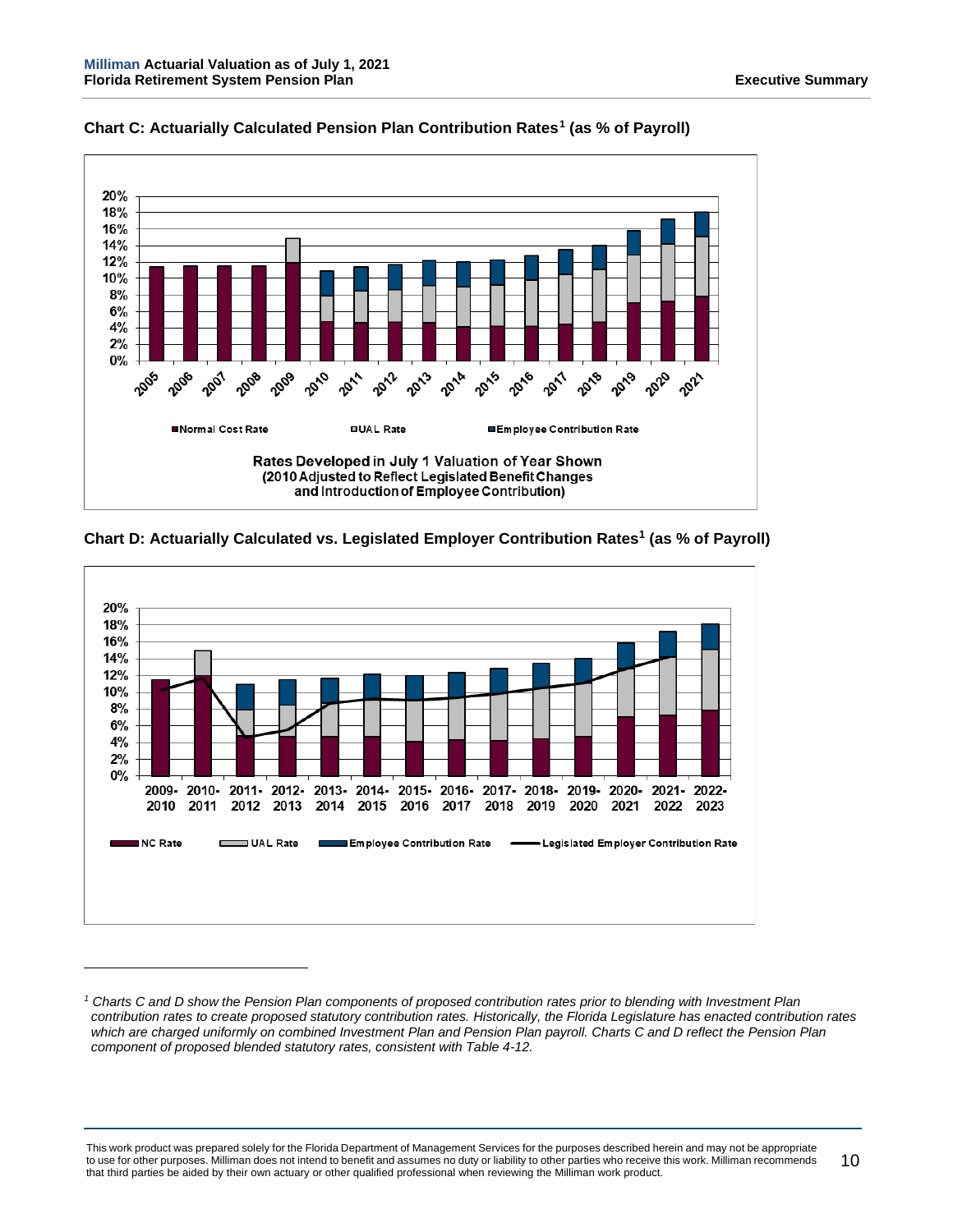

**Chart C: Actuarially Calculated Pension Plan Contribution Rates[1](#page-14-0) (as % of Payroll)**





<span id="page-14-0"></span>*<sup>1</sup> Charts C and D show the Pension Plan components of proposed contribution rates prior to blending with Investment Plan contribution rates to create proposed statutory contribution rates. Historically, the Florida Legislature has enacted contribution rates which are charged uniformly on combined Investment Plan and Pension Plan payroll. Charts C and D reflect the Pension Plan component of proposed blended statutory rates, consistent with Table 4-12.* 

This work product was prepared solely for the Florida Department of Management Services for the purposes described herein and may not be appropriate to use for other purposes. Milliman does not intend to benefit and assumes no duty or liability to other parties who receive this work. Milliman recommends that third parties be aided by their own actuary or other qualified professional when reviewing the Milliman work product. 10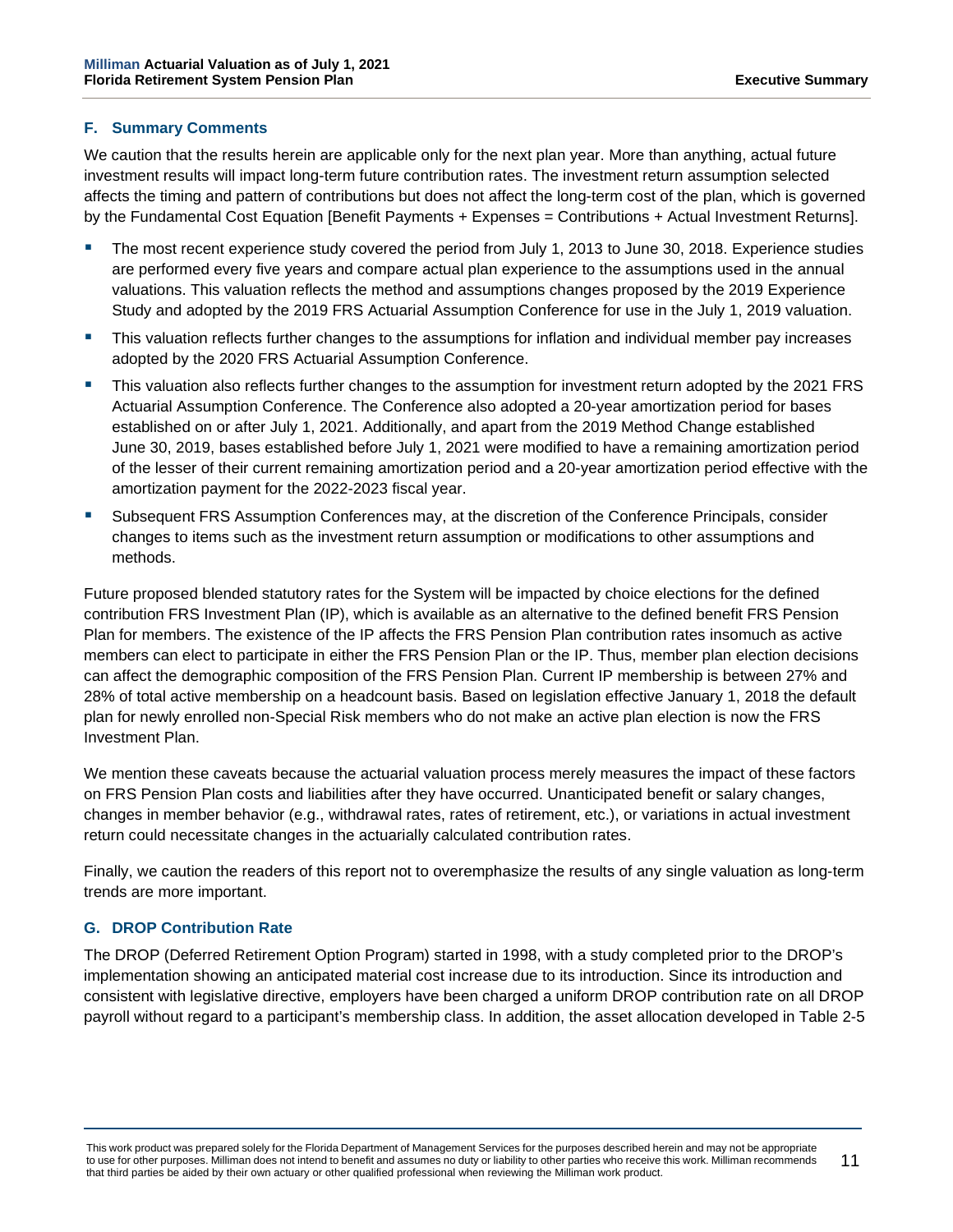### **F. Summary Comments**

We caution that the results herein are applicable only for the next plan year. More than anything, actual future investment results will impact long-term future contribution rates. The investment return assumption selected affects the timing and pattern of contributions but does not affect the long-term cost of the plan, which is governed by the Fundamental Cost Equation [Benefit Payments + Expenses = Contributions + Actual Investment Returns].

- The most recent experience study covered the period from July 1, 2013 to June 30, 2018. Experience studies are performed every five years and compare actual plan experience to the assumptions used in the annual valuations. This valuation reflects the method and assumptions changes proposed by the 2019 Experience Study and adopted by the 2019 FRS Actuarial Assumption Conference for use in the July 1, 2019 valuation.
- This valuation reflects further changes to the assumptions for inflation and individual member pay increases adopted by the 2020 FRS Actuarial Assumption Conference.
- This valuation also reflects further changes to the assumption for investment return adopted by the 2021 FRS Actuarial Assumption Conference. The Conference also adopted a 20-year amortization period for bases established on or after July 1, 2021. Additionally, and apart from the 2019 Method Change established June 30, 2019, bases established before July 1, 2021 were modified to have a remaining amortization period of the lesser of their current remaining amortization period and a 20-year amortization period effective with the amortization payment for the 2022-2023 fiscal year.
- Subsequent FRS Assumption Conferences may, at the discretion of the Conference Principals, consider changes to items such as the investment return assumption or modifications to other assumptions and methods.

Future proposed blended statutory rates for the System will be impacted by choice elections for the defined contribution FRS Investment Plan (IP), which is available as an alternative to the defined benefit FRS Pension Plan for members. The existence of the IP affects the FRS Pension Plan contribution rates insomuch as active members can elect to participate in either the FRS Pension Plan or the IP. Thus, member plan election decisions can affect the demographic composition of the FRS Pension Plan. Current IP membership is between 27% and 28% of total active membership on a headcount basis. Based on legislation effective January 1, 2018 the default plan for newly enrolled non-Special Risk members who do not make an active plan election is now the FRS Investment Plan.

We mention these caveats because the actuarial valuation process merely measures the impact of these factors on FRS Pension Plan costs and liabilities after they have occurred. Unanticipated benefit or salary changes, changes in member behavior (e.g., withdrawal rates, rates of retirement, etc.), or variations in actual investment return could necessitate changes in the actuarially calculated contribution rates.

Finally, we caution the readers of this report not to overemphasize the results of any single valuation as long-term trends are more important.

### **G. DROP Contribution Rate**

The DROP (Deferred Retirement Option Program) started in 1998, with a study completed prior to the DROP's implementation showing an anticipated material cost increase due to its introduction. Since its introduction and consistent with legislative directive, employers have been charged a uniform DROP contribution rate on all DROP payroll without regard to a participant's membership class. In addition, the asset allocation developed in Table 2-5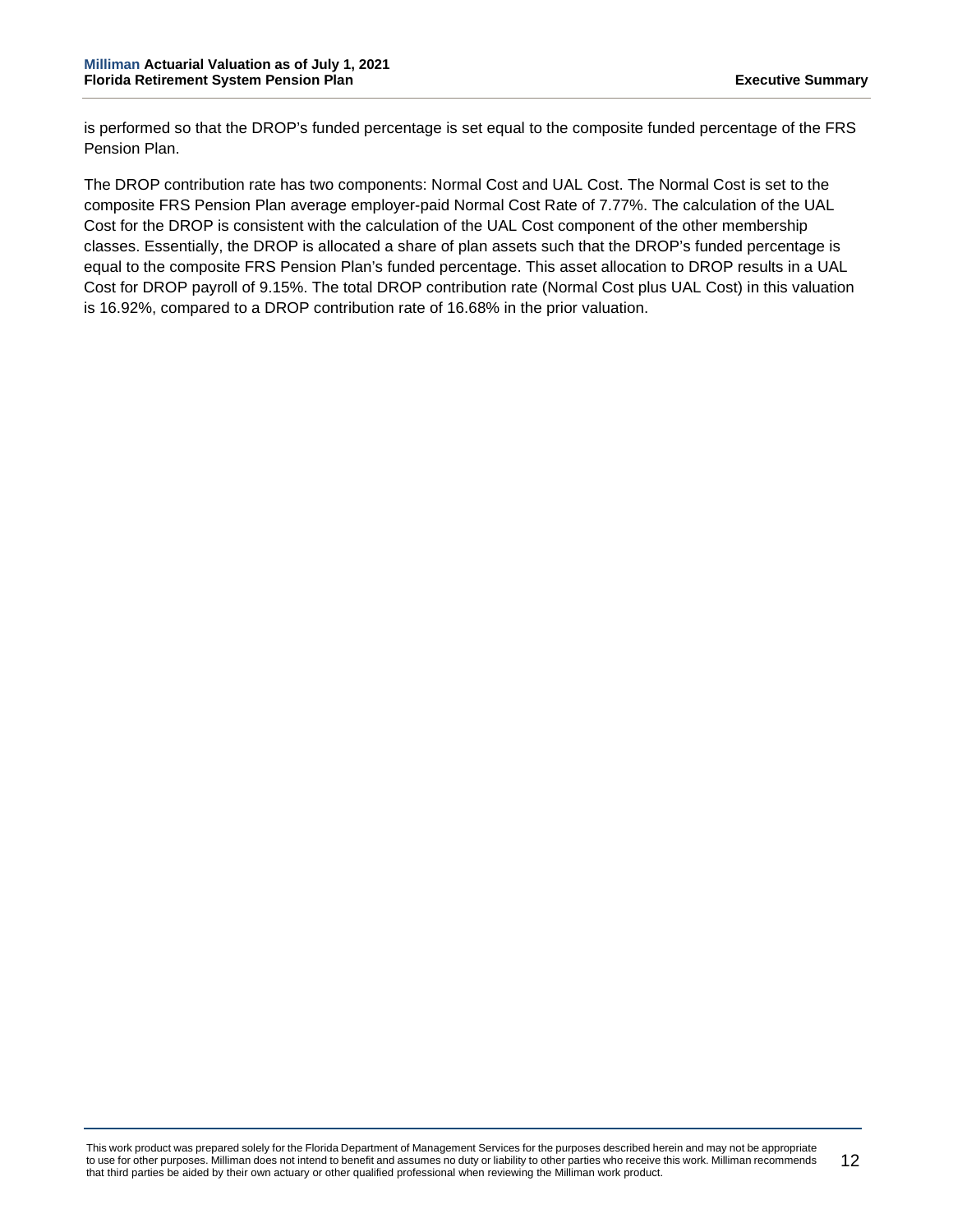is performed so that the DROP's funded percentage is set equal to the composite funded percentage of the FRS Pension Plan.

The DROP contribution rate has two components: Normal Cost and UAL Cost. The Normal Cost is set to the composite FRS Pension Plan average employer-paid Normal Cost Rate of 7.77%. The calculation of the UAL Cost for the DROP is consistent with the calculation of the UAL Cost component of the other membership classes. Essentially, the DROP is allocated a share of plan assets such that the DROP's funded percentage is equal to the composite FRS Pension Plan's funded percentage. This asset allocation to DROP results in a UAL Cost for DROP payroll of 9.15%. The total DROP contribution rate (Normal Cost plus UAL Cost) in this valuation is 16.92%, compared to a DROP contribution rate of 16.68% in the prior valuation.

This work product was prepared solely for the Florida Department of Management Services for the purposes described herein and may not be appropriate to use for other purposes. Milliman does not intend to benefit and assumes no duty or liability to other parties who receive this work. Milliman recommends that third parties be aided by their own actuary or other qualified professional when reviewing the Milliman work product. 12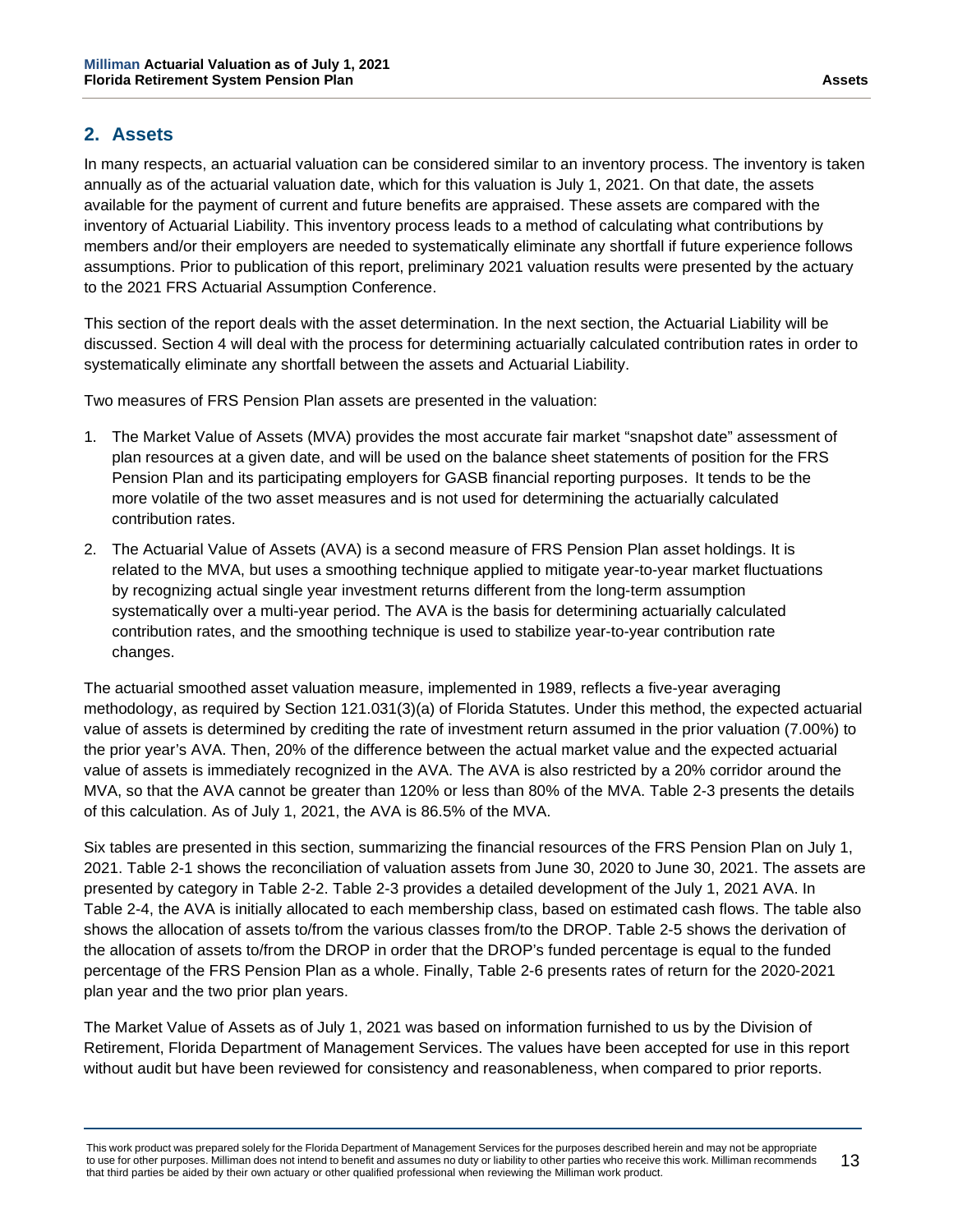# <span id="page-17-0"></span>**2. Assets**

In many respects, an actuarial valuation can be considered similar to an inventory process. The inventory is taken annually as of the actuarial valuation date, which for this valuation is July 1, 2021. On that date, the assets available for the payment of current and future benefits are appraised. These assets are compared with the inventory of Actuarial Liability. This inventory process leads to a method of calculating what contributions by members and/or their employers are needed to systematically eliminate any shortfall if future experience follows assumptions. Prior to publication of this report, preliminary 2021 valuation results were presented by the actuary to the 2021 FRS Actuarial Assumption Conference.

This section of the report deals with the asset determination. In the next section, the Actuarial Liability will be discussed. Section 4 will deal with the process for determining actuarially calculated contribution rates in order to systematically eliminate any shortfall between the assets and Actuarial Liability.

Two measures of FRS Pension Plan assets are presented in the valuation:

- 1. The Market Value of Assets (MVA) provides the most accurate fair market "snapshot date" assessment of plan resources at a given date, and will be used on the balance sheet statements of position for the FRS Pension Plan and its participating employers for GASB financial reporting purposes. It tends to be the more volatile of the two asset measures and is not used for determining the actuarially calculated contribution rates.
- 2. The Actuarial Value of Assets (AVA) is a second measure of FRS Pension Plan asset holdings. It is related to the MVA, but uses a smoothing technique applied to mitigate year-to-year market fluctuations by recognizing actual single year investment returns different from the long-term assumption systematically over a multi-year period. The AVA is the basis for determining actuarially calculated contribution rates, and the smoothing technique is used to stabilize year-to-year contribution rate changes.

The actuarial smoothed asset valuation measure, implemented in 1989, reflects a five-year averaging methodology, as required by Section 121.031(3)(a) of Florida Statutes. Under this method, the expected actuarial value of assets is determined by crediting the rate of investment return assumed in the prior valuation (7.00%) to the prior year's AVA. Then, 20% of the difference between the actual market value and the expected actuarial value of assets is immediately recognized in the AVA. The AVA is also restricted by a 20% corridor around the MVA, so that the AVA cannot be greater than 120% or less than 80% of the MVA. Table 2-3 presents the details of this calculation. As of July 1, 2021, the AVA is 86.5% of the MVA.

Six tables are presented in this section, summarizing the financial resources of the FRS Pension Plan on July 1, 2021. Table 2-1 shows the reconciliation of valuation assets from June 30, 2020 to June 30, 2021. The assets are presented by category in Table 2-2. Table 2-3 provides a detailed development of the July 1, 2021 AVA. In Table 2-4, the AVA is initially allocated to each membership class, based on estimated cash flows. The table also shows the allocation of assets to/from the various classes from/to the DROP. Table 2-5 shows the derivation of the allocation of assets to/from the DROP in order that the DROP's funded percentage is equal to the funded percentage of the FRS Pension Plan as a whole. Finally, Table 2-6 presents rates of return for the 2020-2021 plan year and the two prior plan years.

The Market Value of Assets as of July 1, 2021 was based on information furnished to us by the Division of Retirement, Florida Department of Management Services. The values have been accepted for use in this report without audit but have been reviewed for consistency and reasonableness, when compared to prior reports.

This work product was prepared solely for the Florida Department of Management Services for the purposes described herein and may not be appropriate to use for other purposes. Milliman does not intend to benefit and assumes no duty or liability to other parties who receive this work. Milliman recommends that third parties be aided by their own actuary or other qualified professional when reviewing the Milliman work product. 13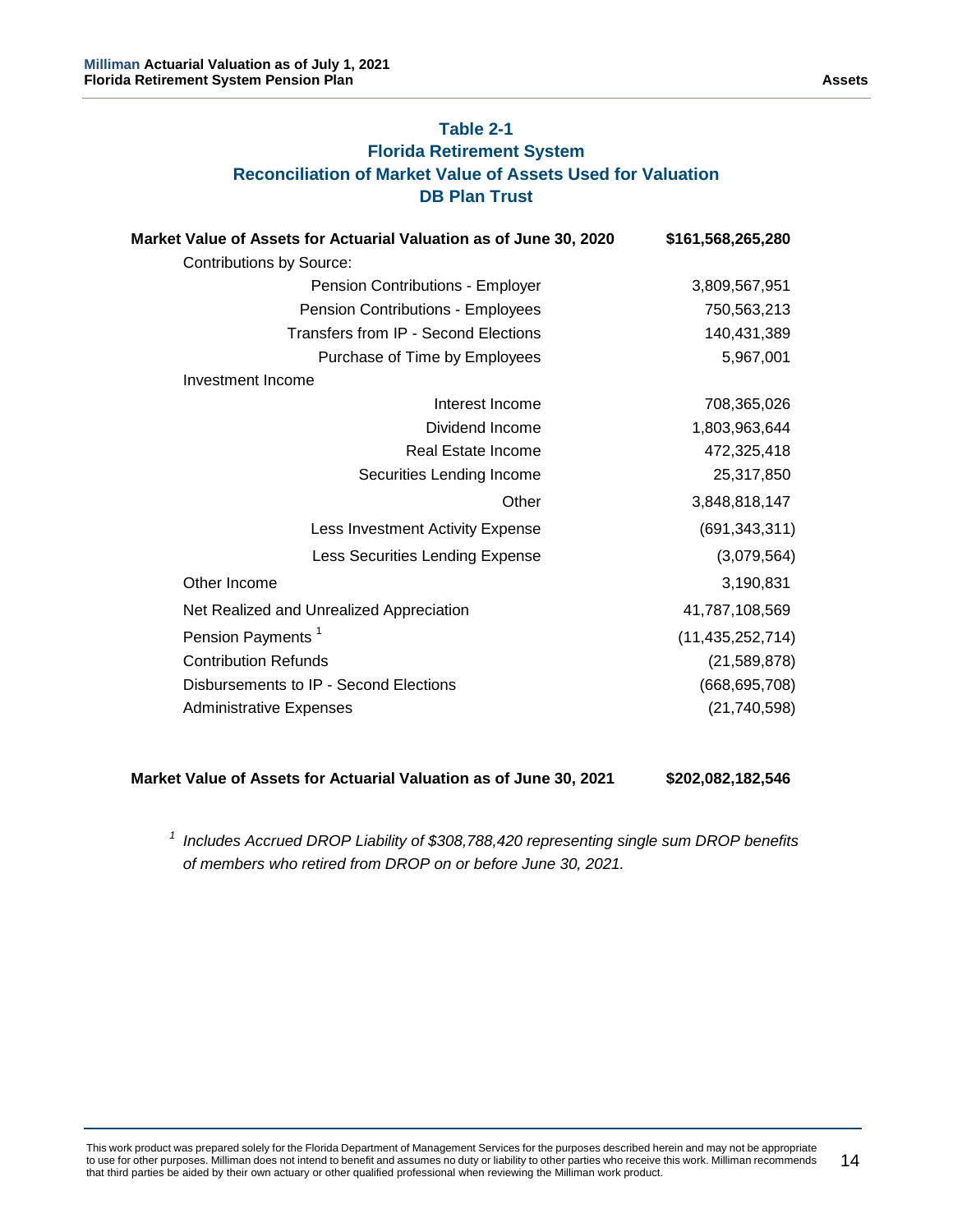# **Table 2-1 Florida Retirement System Reconciliation of Market Value of Assets Used for Valuation DB Plan Trust**

| Market Value of Assets for Actuarial Valuation as of June 30, 2020 | \$161,568,265,280   |
|--------------------------------------------------------------------|---------------------|
| <b>Contributions by Source:</b>                                    |                     |
| Pension Contributions - Employer                                   | 3,809,567,951       |
| Pension Contributions - Employees                                  | 750,563,213         |
| Transfers from IP - Second Elections                               | 140,431,389         |
| Purchase of Time by Employees                                      | 5,967,001           |
| Investment Income                                                  |                     |
| Interest Income                                                    | 708,365,026         |
| Dividend Income                                                    | 1,803,963,644       |
| Real Estate Income                                                 | 472,325,418         |
| Securities Lending Income                                          | 25,317,850          |
| Other                                                              | 3,848,818,147       |
| Less Investment Activity Expense                                   | (691, 343, 311)     |
| Less Securities Lending Expense                                    | (3,079,564)         |
| Other Income                                                       | 3,190,831           |
| Net Realized and Unrealized Appreciation                           | 41,787,108,569      |
| Pension Payments <sup>1</sup>                                      | (11, 435, 252, 714) |
| <b>Contribution Refunds</b>                                        | (21, 589, 878)      |
| Disbursements to IP - Second Elections                             | (668, 695, 708)     |
| <b>Administrative Expenses</b>                                     | (21, 740, 598)      |

### **Market Value of Assets for Actuarial Valuation as of June 30, 2021 \$202,082,182,546**

*<sup>1</sup> Includes Accrued DROP Liability of \$308,788,420 representing single sum DROP benefits of members who retired from DROP on or before June 30, 2021.*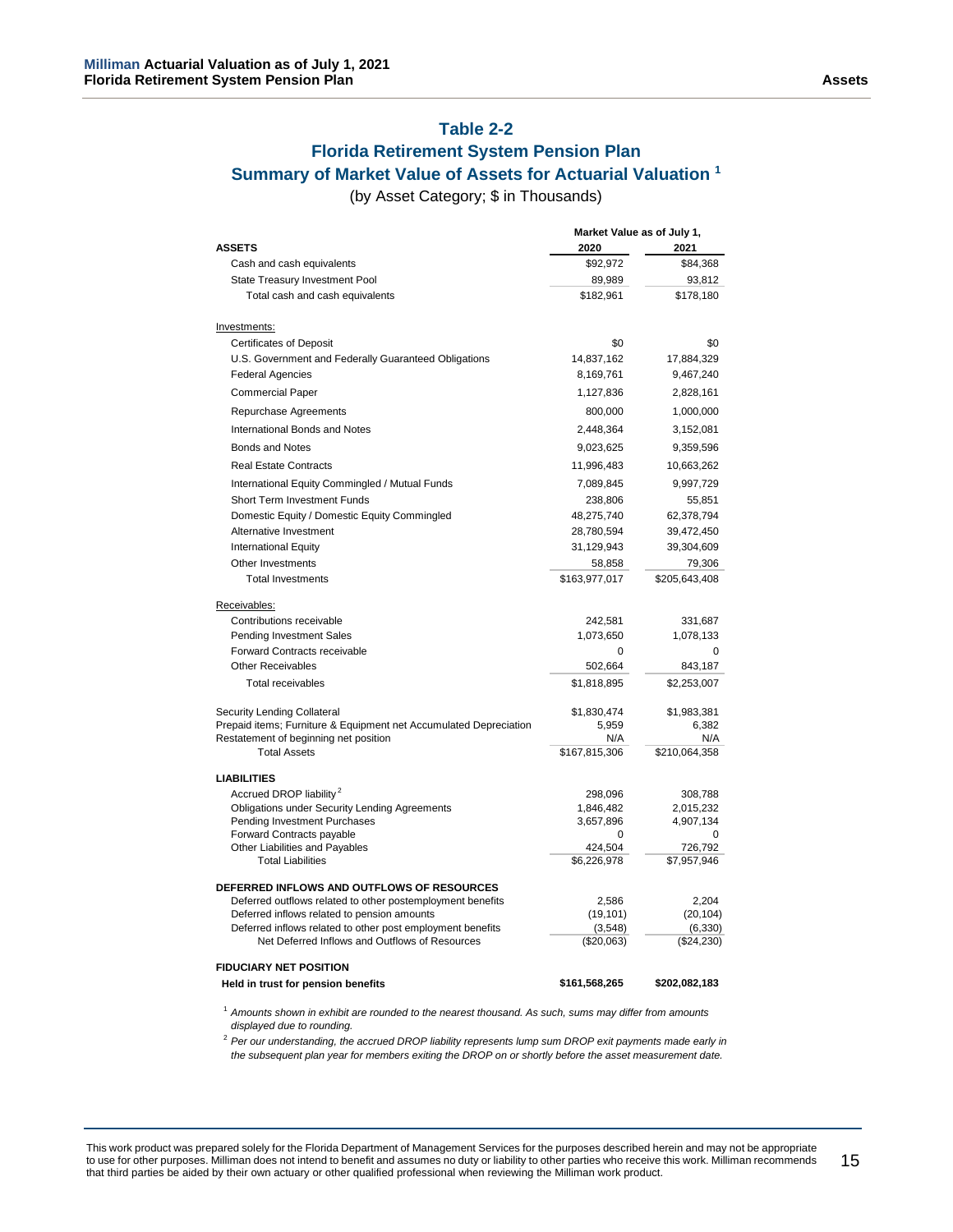## **Table 2-2**

### **Florida Retirement System Pension Plan Summary of Market Value of Assets for Actuarial Valuation <sup>1</sup>**

(by Asset Category; \$ in Thousands)

|                                                                                                           | Market Value as of July 1, |                        |
|-----------------------------------------------------------------------------------------------------------|----------------------------|------------------------|
| <b>ASSETS</b>                                                                                             | 2020                       | 2021                   |
| Cash and cash equivalents                                                                                 | \$92,972                   | \$84,368               |
| State Treasury Investment Pool                                                                            | 89,989                     | 93,812                 |
| Total cash and cash equivalents                                                                           | \$182,961                  | \$178,180              |
| Investments:                                                                                              |                            |                        |
| <b>Certificates of Deposit</b>                                                                            | \$0                        | \$0                    |
| U.S. Government and Federally Guaranteed Obligations                                                      | 14,837,162                 | 17,884,329             |
| <b>Federal Agencies</b>                                                                                   | 8,169,761                  | 9,467,240              |
| <b>Commercial Paper</b>                                                                                   | 1,127,836                  | 2,828,161              |
| <b>Repurchase Agreements</b>                                                                              | 800,000                    | 1,000,000              |
| International Bonds and Notes                                                                             | 2,448,364                  | 3,152,081              |
| Bonds and Notes                                                                                           | 9,023,625                  | 9,359,596              |
| <b>Real Estate Contracts</b>                                                                              | 11,996,483                 | 10,663,262             |
| International Equity Commingled / Mutual Funds                                                            | 7,089,845                  | 9,997,729              |
| Short Term Investment Funds                                                                               | 238,806                    | 55,851                 |
| Domestic Equity / Domestic Equity Commingled                                                              | 48,275,740                 | 62,378,794             |
| Alternative Investment                                                                                    | 28,780,594                 | 39,472,450             |
| <b>International Equity</b>                                                                               | 31,129,943                 | 39,304,609             |
| Other Investments                                                                                         | 58,858                     | 79,306                 |
| <b>Total Investments</b>                                                                                  | \$163,977,017              | \$205,643,408          |
|                                                                                                           |                            |                        |
| Receivables:<br>Contributions receivable                                                                  | 242,581                    |                        |
|                                                                                                           | 1,073,650                  | 331,687<br>1,078,133   |
| Pending Investment Sales<br><b>Forward Contracts receivable</b>                                           | 0                          | 0                      |
| <b>Other Receivables</b>                                                                                  | 502,664                    | 843,187                |
| <b>Total receivables</b>                                                                                  | \$1,818,895                |                        |
|                                                                                                           |                            | \$2,253,007            |
| Security Lending Collateral                                                                               | \$1,830,474                | \$1,983,381            |
| Prepaid items; Furniture & Equipment net Accumulated Depreciation                                         | 5,959                      | 6,382                  |
| Restatement of beginning net position                                                                     | N/A                        | N/A                    |
| <b>Total Assets</b>                                                                                       | \$167,815,306              | \$210,064,358          |
| LIABILITIES                                                                                               |                            |                        |
| Accrued DROP liability <sup>2</sup>                                                                       | 298,096                    | 308,788                |
| Obligations under Security Lending Agreements                                                             | 1,846,482                  | 2,015,232              |
| Pending Investment Purchases                                                                              | 3,657,896                  | 4,907,134              |
| Forward Contracts payable                                                                                 | 0                          |                        |
| Other Liabilities and Payables<br><b>Total Liabilities</b>                                                | 424,504<br>\$6,226,978     | 726,792<br>\$7,957,946 |
|                                                                                                           |                            |                        |
| <b>DEFERRED INFLOWS AND OUTFLOWS OF RESOURCES</b>                                                         |                            |                        |
| Deferred outflows related to other postemployment benefits                                                | 2,586                      | 2,204                  |
| Deferred inflows related to pension amounts<br>Deferred inflows related to other post employment benefits | (19, 101)<br>(3, 548)      | (20, 104)<br>(6, 330)  |
| Net Deferred Inflows and Outflows of Resources                                                            | (\$20,063)                 | (\$24,230)             |
| <b>FIDUCIARY NET POSITION</b>                                                                             |                            |                        |
| Held in trust for pension benefits                                                                        | \$161,568,265              | \$202,082,183          |
|                                                                                                           |                            |                        |

<sup>1</sup> *Amounts shown in exhibit are rounded to the nearest thousand. As such, sums may differ from amounts displayed due to rounding.*

<sup>2</sup> *Per our understanding, the accrued DROP liability represents lump sum DROP exit payments made early in the subsequent plan year for members exiting the DROP on or shortly before the asset measurement date.*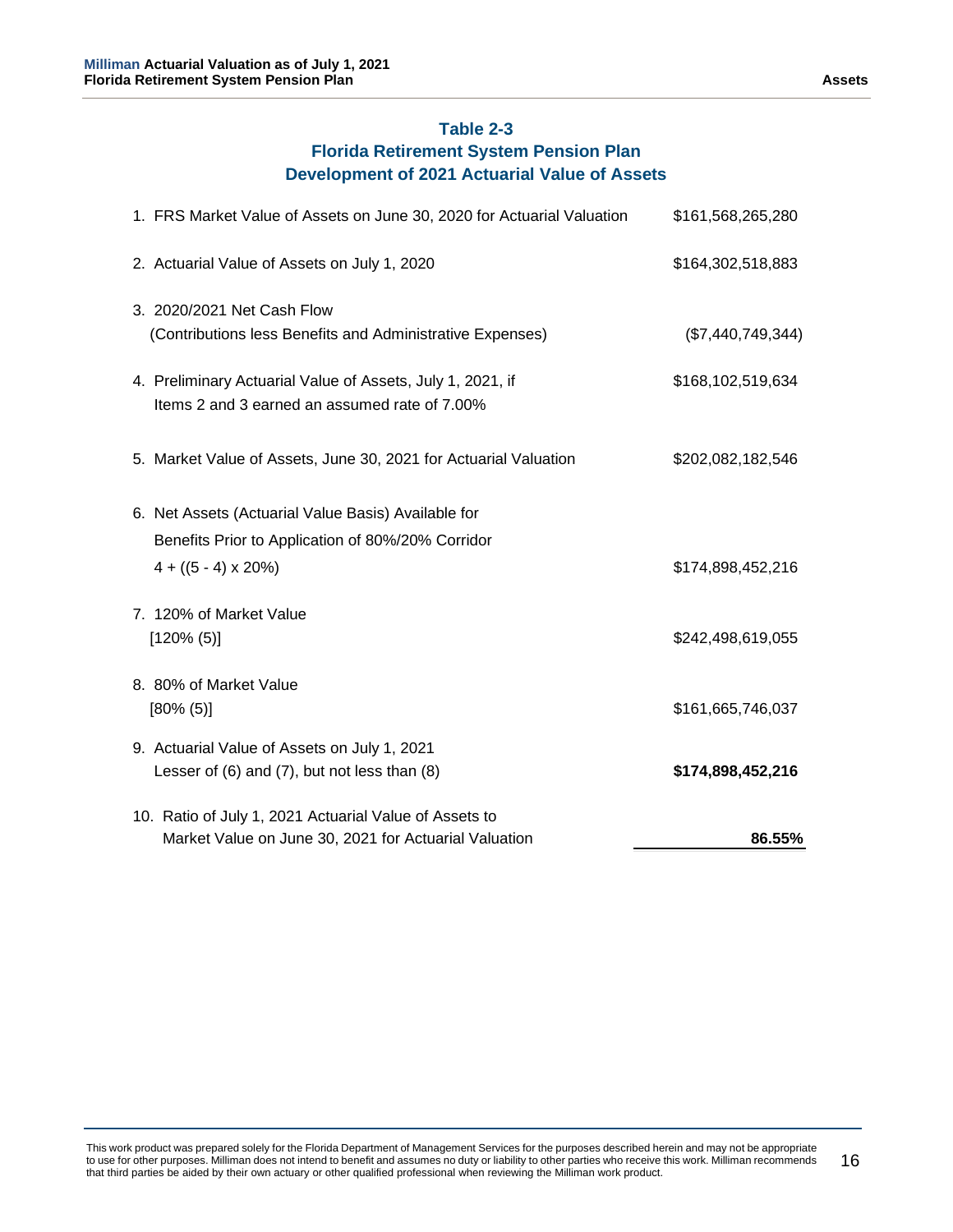# **Table 2-3**

# **Florida Retirement System Pension Plan Development of 2021 Actuarial Value of Assets**

| 1. FRS Market Value of Assets on June 30, 2020 for Actuarial Valuation | \$161,568,265,280 |
|------------------------------------------------------------------------|-------------------|
| 2. Actuarial Value of Assets on July 1, 2020                           | \$164,302,518,883 |
| 3. 2020/2021 Net Cash Flow                                             |                   |
| (Contributions less Benefits and Administrative Expenses)              | (\$7,440,749,344) |
| 4. Preliminary Actuarial Value of Assets, July 1, 2021, if             | \$168,102,519,634 |
| Items 2 and 3 earned an assumed rate of 7.00%                          |                   |
| 5. Market Value of Assets, June 30, 2021 for Actuarial Valuation       | \$202,082,182,546 |
|                                                                        |                   |
| 6. Net Assets (Actuarial Value Basis) Available for                    |                   |
| Benefits Prior to Application of 80%/20% Corridor                      |                   |
| $4 + ((5 - 4) \times 20\%)$                                            | \$174,898,452,216 |
| 7. 120% of Market Value                                                |                   |
| $[120\% (5)]$                                                          | \$242,498,619,055 |
| 8. 80% of Market Value                                                 |                   |
| $[80\% (5)]$                                                           | \$161,665,746,037 |
| 9. Actuarial Value of Assets on July 1, 2021                           |                   |
| Lesser of $(6)$ and $(7)$ , but not less than $(8)$                    | \$174,898,452,216 |
| 10. Ratio of July 1, 2021 Actuarial Value of Assets to                 |                   |
| Market Value on June 30, 2021 for Actuarial Valuation                  | 86.55%            |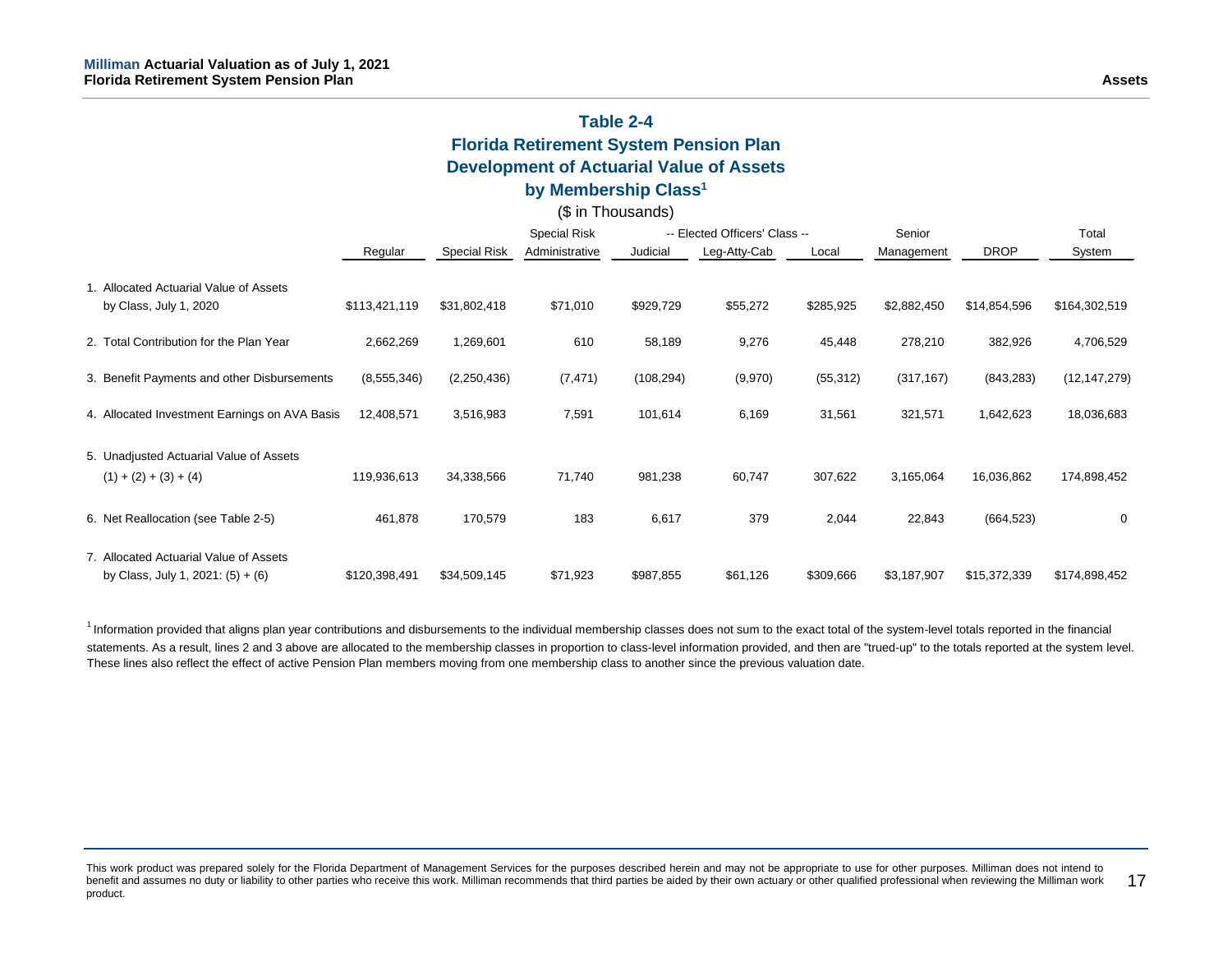# **Table 2-4 Florida Retirement System Pension Plan Development of Actuarial Value of Assets**

## **by Membership Class1**

### (\$ in Thousands)

|                                                                               |               |                     | <b>Special Risk</b> | -- Elected Officers' Class -- |              | Senior    |             | Total        |                |
|-------------------------------------------------------------------------------|---------------|---------------------|---------------------|-------------------------------|--------------|-----------|-------------|--------------|----------------|
|                                                                               | Regular       | <b>Special Risk</b> | Administrative      | Judicial                      | Leg-Atty-Cab | Local     | Management  | <b>DROP</b>  | System         |
| 1. Allocated Actuarial Value of Assets<br>by Class, July 1, 2020              | \$113,421,119 | \$31,802,418        | \$71,010            | \$929,729                     | \$55,272     | \$285,925 | \$2,882,450 | \$14,854,596 | \$164,302,519  |
| 2. Total Contribution for the Plan Year                                       | 2,662,269     | 1,269,601           | 610                 | 58,189                        | 9,276        | 45,448    | 278,210     | 382,926      | 4,706,529      |
| 3. Benefit Payments and other Disbursements                                   | (8, 555, 346) | (2,250,436)         | (7, 471)            | (108, 294)                    | (9,970)      | (55, 312) | (317, 167)  | (843, 283)   | (12, 147, 279) |
| 4. Allocated Investment Earnings on AVA Basis                                 | 12,408,571    | 3,516,983           | 7,591               | 101,614                       | 6,169        | 31,561    | 321,571     | 1,642,623    | 18,036,683     |
| 5. Unadjusted Actuarial Value of Assets<br>$(1) + (2) + (3) + (4)$            | 119,936,613   | 34,338,566          | 71,740              | 981,238                       | 60,747       | 307,622   | 3,165,064   | 16,036,862   | 174,898,452    |
| 6. Net Reallocation (see Table 2-5)                                           | 461,878       | 170,579             | 183                 | 6,617                         | 379          | 2,044     | 22,843      | (664, 523)   | 0              |
| 7. Allocated Actuarial Value of Assets<br>by Class, July 1, 2021: $(5) + (6)$ | \$120,398,491 | \$34,509,145        | \$71,923            | \$987,855                     | \$61,126     | \$309,666 | \$3,187,907 | \$15,372,339 | \$174,898,452  |

<sup>1</sup> Information provided that aligns plan year contributions and disbursements to the individual membership classes does not sum to the exact total of the system-level totals reported in the financial statements. As a result, lines 2 and 3 above are allocated to the membership classes in proportion to class-level information provided, and then are "trued-up" to the totals reported at the system level. These lines also reflect the effect of active Pension Plan members moving from one membership class to another since the previous valuation date.

This work product was prepared solely for the Florida Department of Management Services for the purposes described herein and may not be appropriate to use for other purposes. Milliman does not intend to benefit and assumes no duty or liability to other parties who receive this work. Milliman recommends that third parties be aided by their own actuary or other qualified professional when reviewing the Milliman work product. 17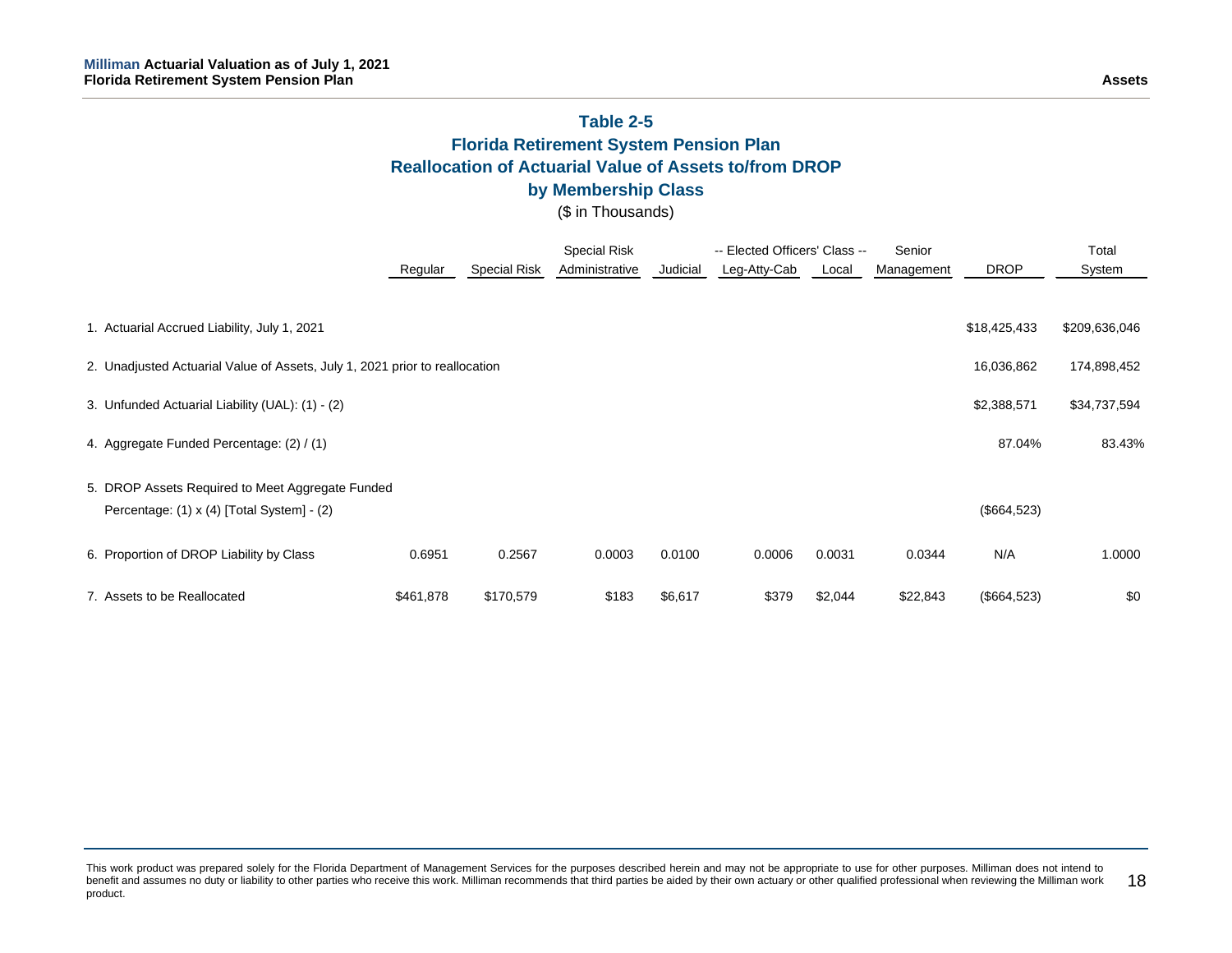# **Table 2-5 Florida Retirement System Pension Plan Reallocation of Actuarial Value of Assets to/from DROP by Membership Class**

(\$ in Thousands)

|                                                                             |           |                     | <b>Special Risk</b> |          | -- Elected Officers' Class -- |         | Senior     |              | Total         |  |
|-----------------------------------------------------------------------------|-----------|---------------------|---------------------|----------|-------------------------------|---------|------------|--------------|---------------|--|
|                                                                             | Regular   | <b>Special Risk</b> | Administrative      | Judicial | Leg-Atty-Cab                  | Local   | Management | <b>DROP</b>  | System        |  |
|                                                                             |           |                     |                     |          |                               |         |            |              |               |  |
| 1. Actuarial Accrued Liability, July 1, 2021                                |           |                     |                     |          |                               |         |            | \$18,425,433 | \$209,636,046 |  |
| 2. Unadjusted Actuarial Value of Assets, July 1, 2021 prior to reallocation |           |                     |                     |          |                               |         |            | 16,036,862   | 174,898,452   |  |
| 3. Unfunded Actuarial Liability (UAL): (1) - (2)                            |           |                     |                     |          |                               |         |            | \$2,388,571  | \$34,737,594  |  |
| 4. Aggregate Funded Percentage: (2) / (1)                                   |           |                     |                     |          |                               |         |            | 87.04%       | 83.43%        |  |
| 5. DROP Assets Required to Meet Aggregate Funded                            |           |                     |                     |          |                               |         |            |              |               |  |
| Percentage: (1) x (4) [Total System] - (2)                                  |           |                     |                     |          |                               |         |            | (\$664,523)  |               |  |
| 6. Proportion of DROP Liability by Class                                    | 0.6951    | 0.2567              | 0.0003              | 0.0100   | 0.0006                        | 0.0031  | 0.0344     | N/A          | 1.0000        |  |
| 7. Assets to be Reallocated                                                 | \$461,878 | \$170,579           | \$183               | \$6,617  | \$379                         | \$2,044 | \$22,843   | (\$664,523)  | \$0           |  |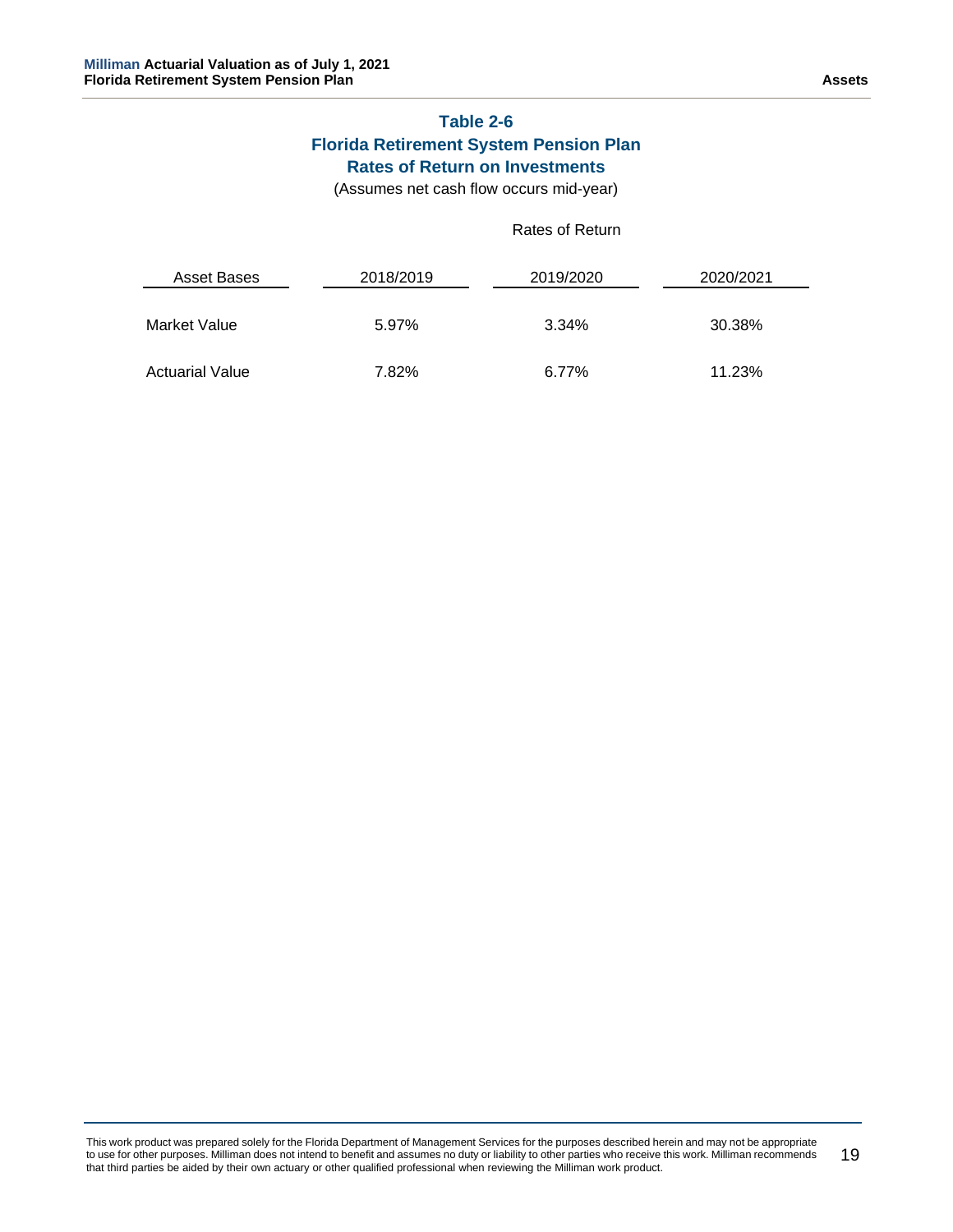# **Table 2-6 Florida Retirement System Pension Plan Rates of Return on Investments**

(Assumes net cash flow occurs mid-year)

### Rates of Return

| Asset Bases            | 2018/2019 | 2019/2020 | 2020/2021 |
|------------------------|-----------|-----------|-----------|
| Market Value           | 5.97%     | 3.34%     | 30.38%    |
| <b>Actuarial Value</b> | 7.82%     | 6.77%     | 11.23%    |

This work product was prepared solely for the Florida Department of Management Services for the purposes described herein and may not be appropriate to use for other purposes. Milliman does not intend to benefit and assumes no duty or liability to other parties who receive this work. Milliman recommends that third parties be aided by their own actuary or other qualified professional when reviewing the Milliman work product. 19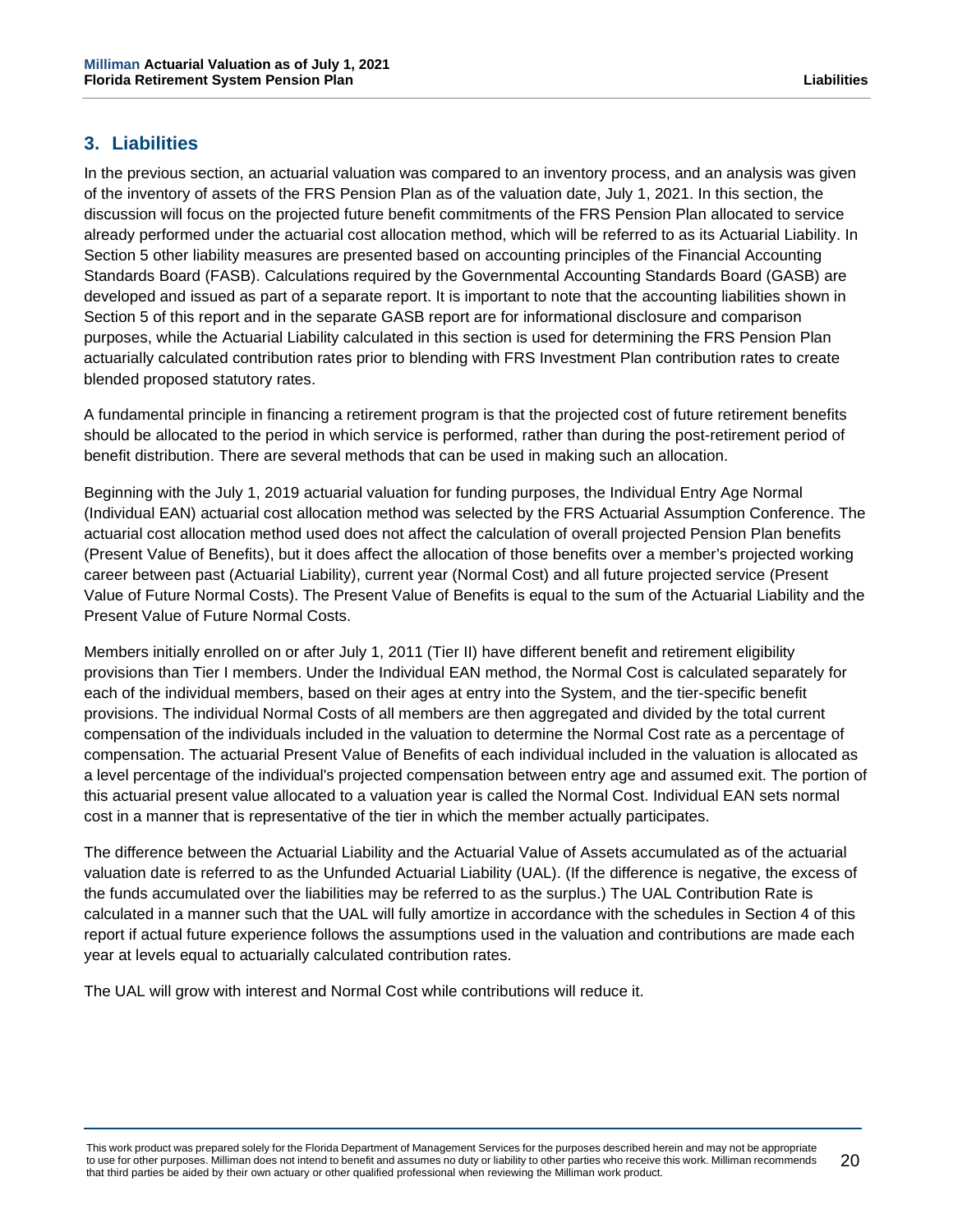# <span id="page-24-0"></span>**3. Liabilities**

In the previous section, an actuarial valuation was compared to an inventory process, and an analysis was given of the inventory of assets of the FRS Pension Plan as of the valuation date, July 1, 2021. In this section, the discussion will focus on the projected future benefit commitments of the FRS Pension Plan allocated to service already performed under the actuarial cost allocation method, which will be referred to as its Actuarial Liability. In Section 5 other liability measures are presented based on accounting principles of the Financial Accounting Standards Board (FASB). Calculations required by the Governmental Accounting Standards Board (GASB) are developed and issued as part of a separate report. It is important to note that the accounting liabilities shown in Section 5 of this report and in the separate GASB report are for informational disclosure and comparison purposes, while the Actuarial Liability calculated in this section is used for determining the FRS Pension Plan actuarially calculated contribution rates prior to blending with FRS Investment Plan contribution rates to create blended proposed statutory rates.

A fundamental principle in financing a retirement program is that the projected cost of future retirement benefits should be allocated to the period in which service is performed, rather than during the post-retirement period of benefit distribution. There are several methods that can be used in making such an allocation.

Beginning with the July 1, 2019 actuarial valuation for funding purposes, the Individual Entry Age Normal (Individual EAN) actuarial cost allocation method was selected by the FRS Actuarial Assumption Conference. The actuarial cost allocation method used does not affect the calculation of overall projected Pension Plan benefits (Present Value of Benefits), but it does affect the allocation of those benefits over a member's projected working career between past (Actuarial Liability), current year (Normal Cost) and all future projected service (Present Value of Future Normal Costs). The Present Value of Benefits is equal to the sum of the Actuarial Liability and the Present Value of Future Normal Costs.

Members initially enrolled on or after July 1, 2011 (Tier II) have different benefit and retirement eligibility provisions than Tier I members. Under the Individual EAN method, the Normal Cost is calculated separately for each of the individual members, based on their ages at entry into the System, and the tier-specific benefit provisions. The individual Normal Costs of all members are then aggregated and divided by the total current compensation of the individuals included in the valuation to determine the Normal Cost rate as a percentage of compensation. The actuarial Present Value of Benefits of each individual included in the valuation is allocated as a level percentage of the individual's projected compensation between entry age and assumed exit. The portion of this actuarial present value allocated to a valuation year is called the Normal Cost. Individual EAN sets normal cost in a manner that is representative of the tier in which the member actually participates.

The difference between the Actuarial Liability and the Actuarial Value of Assets accumulated as of the actuarial valuation date is referred to as the Unfunded Actuarial Liability (UAL). (If the difference is negative, the excess of the funds accumulated over the liabilities may be referred to as the surplus.) The UAL Contribution Rate is calculated in a manner such that the UAL will fully amortize in accordance with the schedules in Section 4 of this report if actual future experience follows the assumptions used in the valuation and contributions are made each year at levels equal to actuarially calculated contribution rates.

The UAL will grow with interest and Normal Cost while contributions will reduce it.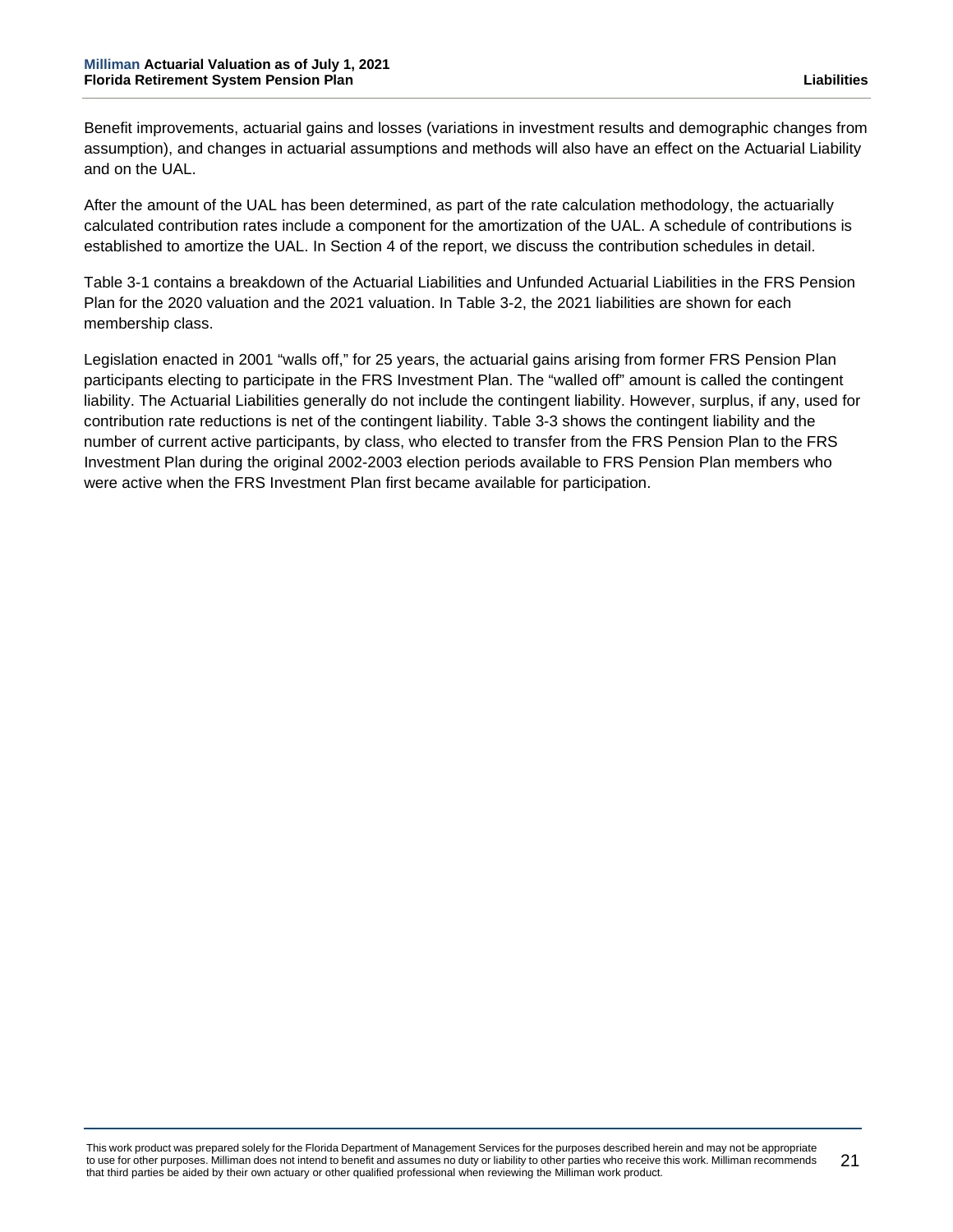Benefit improvements, actuarial gains and losses (variations in investment results and demographic changes from assumption), and changes in actuarial assumptions and methods will also have an effect on the Actuarial Liability and on the UAL.

After the amount of the UAL has been determined, as part of the rate calculation methodology, the actuarially calculated contribution rates include a component for the amortization of the UAL. A schedule of contributions is established to amortize the UAL. In Section 4 of the report, we discuss the contribution schedules in detail.

Table 3-1 contains a breakdown of the Actuarial Liabilities and Unfunded Actuarial Liabilities in the FRS Pension Plan for the 2020 valuation and the 2021 valuation. In Table 3-2, the 2021 liabilities are shown for each membership class.

Legislation enacted in 2001 "walls off," for 25 years, the actuarial gains arising from former FRS Pension Plan participants electing to participate in the FRS Investment Plan. The "walled off" amount is called the contingent liability. The Actuarial Liabilities generally do not include the contingent liability. However, surplus, if any, used for contribution rate reductions is net of the contingent liability. Table 3-3 shows the contingent liability and the number of current active participants, by class, who elected to transfer from the FRS Pension Plan to the FRS Investment Plan during the original 2002-2003 election periods available to FRS Pension Plan members who were active when the FRS Investment Plan first became available for participation.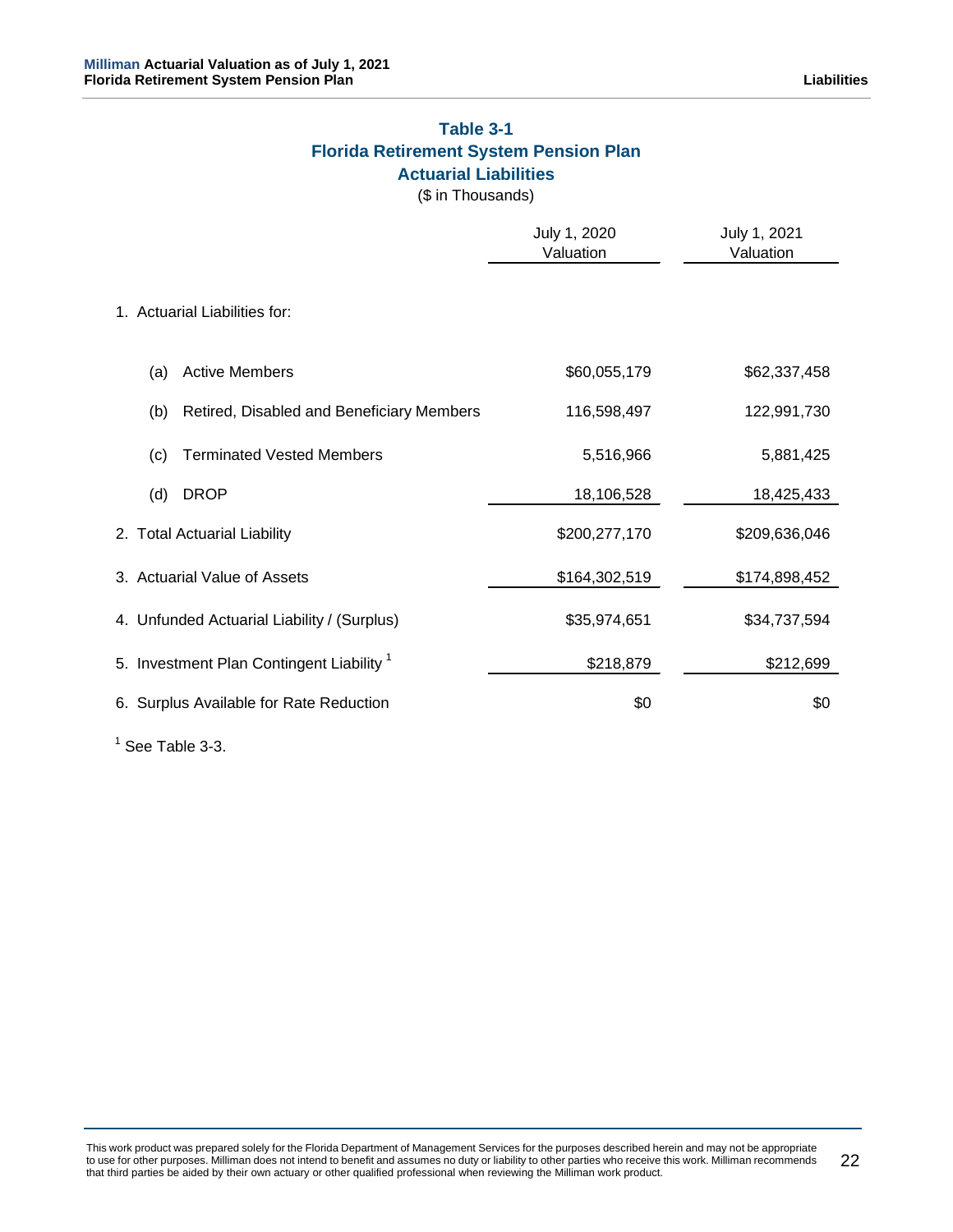# **Table 3-1 Florida Retirement System Pension Plan Actuarial Liabilities**

(\$ in Thousands)

|                                                      | July 1, 2020<br>Valuation | July 1, 2021<br>Valuation |
|------------------------------------------------------|---------------------------|---------------------------|
| 1. Actuarial Liabilities for:                        |                           |                           |
| <b>Active Members</b><br>(a)                         | \$60,055,179              | \$62,337,458              |
| Retired, Disabled and Beneficiary Members<br>(b)     | 116,598,497               | 122,991,730               |
| <b>Terminated Vested Members</b><br>(c)              | 5,516,966                 | 5,881,425                 |
| <b>DROP</b><br>(d)                                   | 18,106,528                | 18,425,433                |
| 2. Total Actuarial Liability                         | \$200,277,170             | \$209,636,046             |
| 3. Actuarial Value of Assets                         | \$164,302,519             | \$174,898,452             |
| 4. Unfunded Actuarial Liability / (Surplus)          | \$35,974,651              | \$34,737,594              |
| 5. Investment Plan Contingent Liability <sup>1</sup> | \$218,879                 | \$212,699                 |
| 6. Surplus Available for Rate Reduction              | \$0                       | \$0                       |

 $<sup>1</sup>$  See Table 3-3.</sup>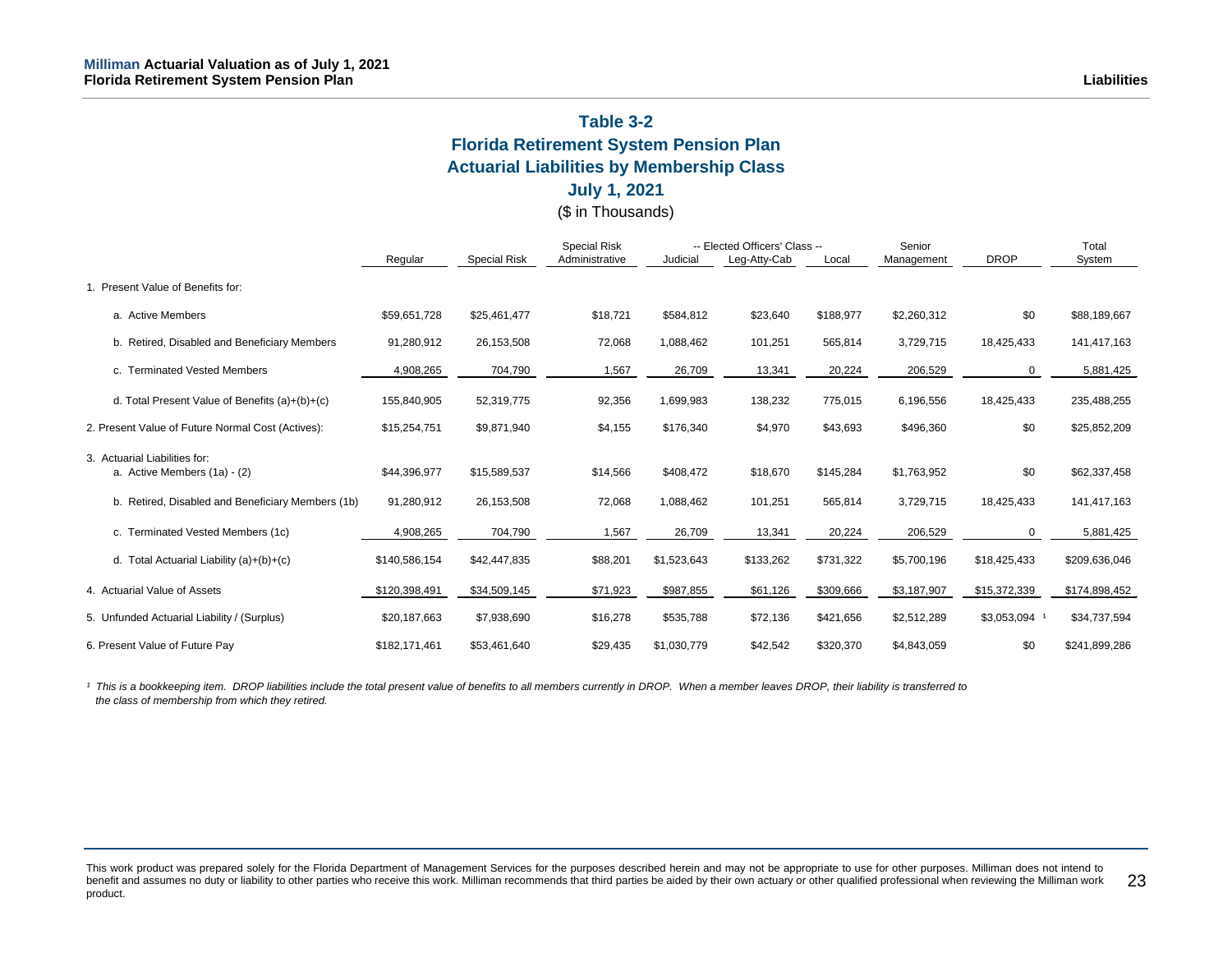# **Table 3-2 Florida Retirement System Pension Plan Actuarial Liabilities by Membership Class**

# **July 1, 2021**

(\$ in Thousands)

|                                                      |               |                     | <b>Special Risk</b> |             | -- Elected Officers' Class -- |           | Senior      |              | Total         |
|------------------------------------------------------|---------------|---------------------|---------------------|-------------|-------------------------------|-----------|-------------|--------------|---------------|
|                                                      | Regular       | <b>Special Risk</b> | Administrative      | Judicial    | Leg-Atty-Cab                  | Local     | Management  | <b>DROP</b>  | System        |
| 1. Present Value of Benefits for:                    |               |                     |                     |             |                               |           |             |              |               |
| a. Active Members                                    | \$59,651,728  | \$25,461,477        | \$18,721            | \$584,812   | \$23,640                      | \$188,977 | \$2,260,312 | \$0          | \$88,189,667  |
| b. Retired, Disabled and Beneficiary Members         | 91,280,912    | 26,153,508          | 72,068              | 1,088,462   | 101,251                       | 565,814   | 3,729,715   | 18,425,433   | 141,417,163   |
| <b>Terminated Vested Members</b><br>c.               | 4,908,265     | 704,790             | 1,567               | 26,709      | 13,341                        | 20,224    | 206,529     | 0            | 5,881,425     |
| d. Total Present Value of Benefits $(a)+(b)+(c)$     | 155,840,905   | 52,319,775          | 92,356              | 1,699,983   | 138,232                       | 775,015   | 6,196,556   | 18,425,433   | 235,488,255   |
| 2. Present Value of Future Normal Cost (Actives):    | \$15,254,751  | \$9,871,940         | \$4,155             | \$176,340   | \$4,970                       | \$43,693  | \$496,360   | \$0          | \$25,852,209  |
| 3. Actuarial Liabilities for:                        |               |                     |                     |             |                               |           |             |              |               |
| a. Active Members (1a) - (2)                         | \$44,396,977  | \$15,589,537        | \$14,566            | \$408,472   | \$18,670                      | \$145,284 | \$1,763,952 | \$0          | \$62,337,458  |
| Retired, Disabled and Beneficiary Members (1b)<br>b. | 91,280,912    | 26,153,508          | 72,068              | 1,088,462   | 101,251                       | 565,814   | 3,729,715   | 18,425,433   | 141,417,163   |
| c. Terminated Vested Members (1c)                    | 4,908,265     | 704,790             | 1,567               | 26,709      | 13,341                        | 20,224    | 206,529     | 0            | 5,881,425     |
| d. Total Actuarial Liability (a)+(b)+(c)             | \$140,586,154 | \$42,447,835        | \$88,201            | \$1,523,643 | \$133,262                     | \$731,322 | \$5,700,196 | \$18,425,433 | \$209,636,046 |
| 4. Actuarial Value of Assets                         | \$120,398,491 | \$34,509,145        | \$71,923            | \$987,855   | \$61,126                      | \$309,666 | \$3,187,907 | \$15,372,339 | \$174,898,452 |
| 5. Unfunded Actuarial Liability / (Surplus)          | \$20,187,663  | \$7,938,690         | \$16,278            | \$535,788   | \$72,136                      | \$421,656 | \$2,512,289 | \$3,053,094  | \$34,737,594  |
| 6. Present Value of Future Pay                       | \$182,171,461 | \$53,461,640        | \$29,435            | \$1,030,779 | \$42,542                      | \$320,370 | \$4,843,059 | \$0          | \$241,899,286 |

*¹ This is a bookkeeping item. DROP liabilities include the total present value of benefits to all members currently in DROP. When a member leaves DROP, their liability is transferred to the class of membership from which they retired.*

This work product was prepared solely for the Florida Department of Management Services for the purposes described herein and may not be appropriate to use for other purposes. Milliman does not intend to benefit and assumes no duty or liability to other parties who receive this work. Milliman recommends that third parties be aided by their own actuary or other qualified professional when reviewing the Milliman work product. 23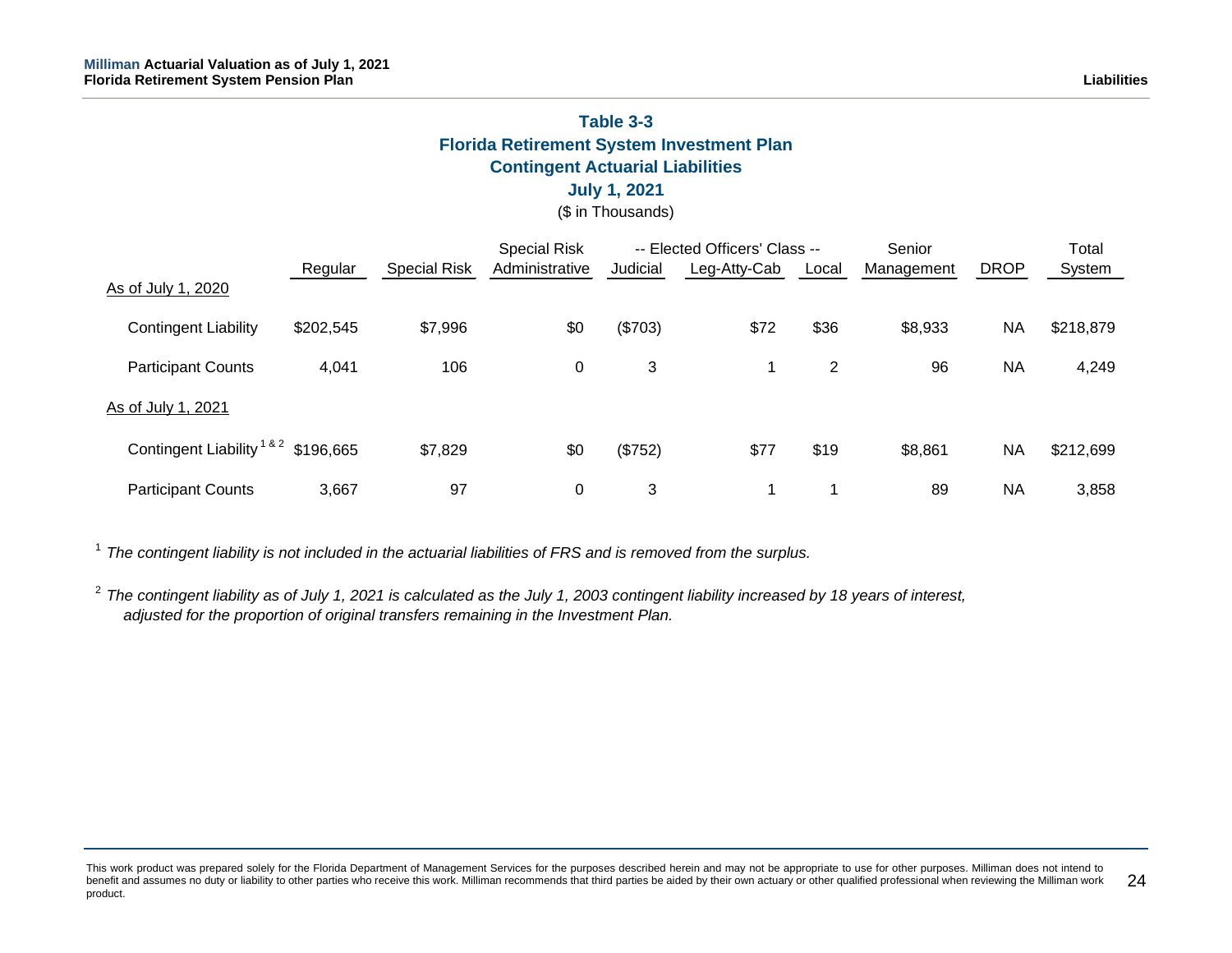# **Table 3-3 Florida Retirement System Investment Plan Contingent Actuarial Liabilities**

# **July 1, 2021**

(\$ in Thousands)

|                                         |           |                     | <b>Special Risk</b> |          | -- Elected Officers' Class -- |       | Senior     | Total       |           |
|-----------------------------------------|-----------|---------------------|---------------------|----------|-------------------------------|-------|------------|-------------|-----------|
|                                         | Regular   | <b>Special Risk</b> | Administrative      | Judicial | Leg-Atty-Cab                  | Local | Management | <b>DROP</b> | System    |
| As of July 1, 2020                      |           |                     |                     |          |                               |       |            |             |           |
| <b>Contingent Liability</b>             | \$202,545 | \$7,996             | \$0                 | (\$703)  | \$72                          | \$36  | \$8,933    | <b>NA</b>   | \$218,879 |
| <b>Participant Counts</b>               | 4,041     | 106                 | 0                   | 3        |                               | 2     | 96         | <b>NA</b>   | 4,249     |
| As of July 1, 2021                      |           |                     |                     |          |                               |       |            |             |           |
| Contingent Liability <sup>1&amp;2</sup> | \$196,665 | \$7,829             | \$0                 | (\$752)  | \$77                          | \$19  | \$8,861    | <b>NA</b>   | \$212,699 |
| <b>Participant Counts</b>               | 3,667     | 97                  | 0                   | 3        |                               | и     | 89         | <b>NA</b>   | 3,858     |

<sup>1</sup> The contingent liability is not included in the actuarial liabilities of FRS and is removed from the surplus.

<sup>2</sup> *The contingent liability as of July 1, 2021 is calculated as the July 1, 2003 contingent liability increased by 18 years of interest, adjusted for the proportion of original transfers remaining in the Investment Plan.*

This work product was prepared solely for the Florida Department of Management Services for the purposes described herein and may not be appropriate to use for other purposes. Milliman does not intend to benefit and assumes no duty or liability to other parties who receive this work. Milliman recommends that third parties be aided by their own actuary or other qualified professional when reviewing the Milliman work product. 24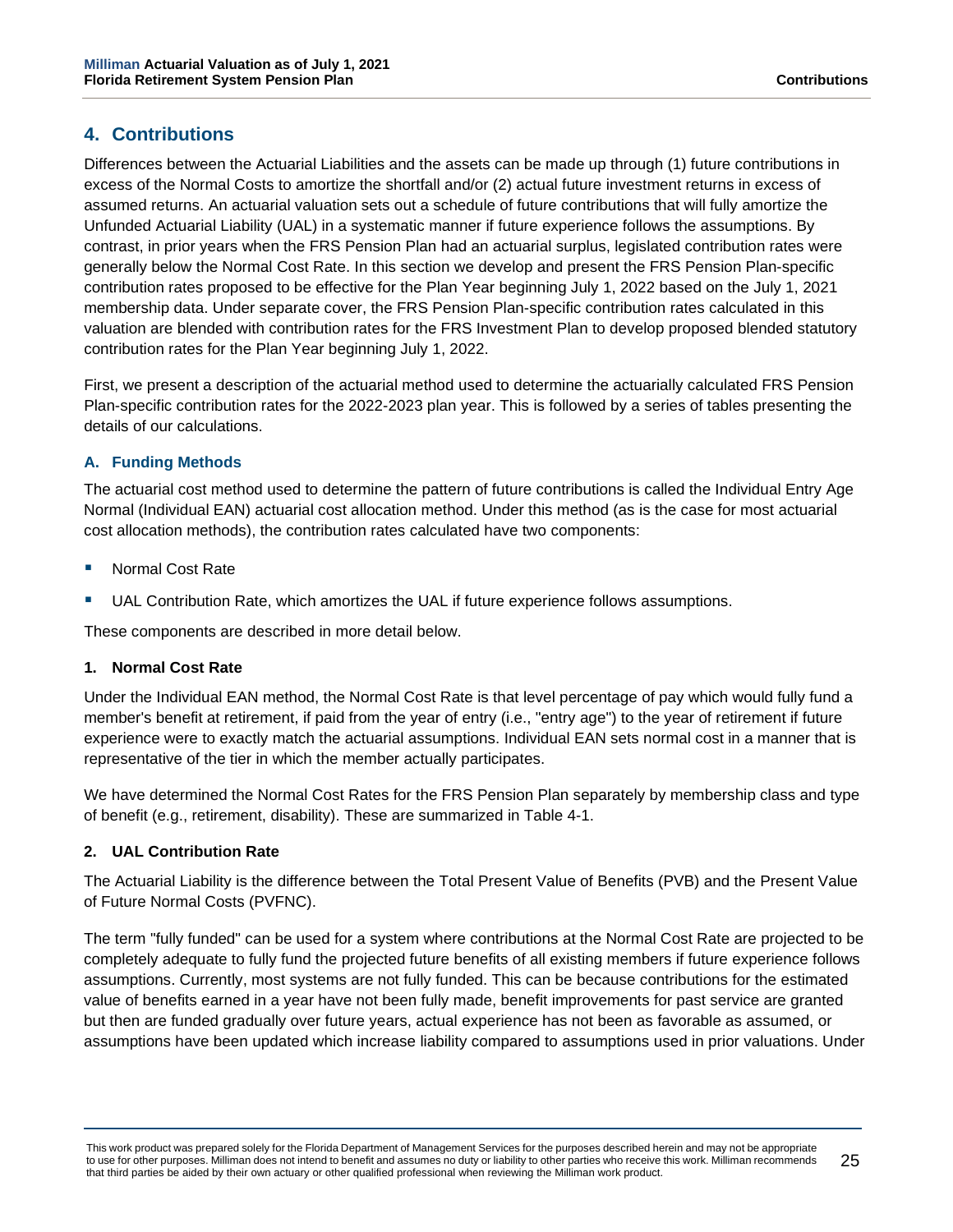# <span id="page-29-0"></span>**4. Contributions**

Differences between the Actuarial Liabilities and the assets can be made up through (1) future contributions in excess of the Normal Costs to amortize the shortfall and/or (2) actual future investment returns in excess of assumed returns. An actuarial valuation sets out a schedule of future contributions that will fully amortize the Unfunded Actuarial Liability (UAL) in a systematic manner if future experience follows the assumptions. By contrast, in prior years when the FRS Pension Plan had an actuarial surplus, legislated contribution rates were generally below the Normal Cost Rate. In this section we develop and present the FRS Pension Plan-specific contribution rates proposed to be effective for the Plan Year beginning July 1, 2022 based on the July 1, 2021 membership data. Under separate cover, the FRS Pension Plan-specific contribution rates calculated in this valuation are blended with contribution rates for the FRS Investment Plan to develop proposed blended statutory contribution rates for the Plan Year beginning July 1, 2022.

First, we present a description of the actuarial method used to determine the actuarially calculated FRS Pension Plan-specific contribution rates for the 2022-2023 plan year. This is followed by a series of tables presenting the details of our calculations.

### **A. Funding Methods**

The actuarial cost method used to determine the pattern of future contributions is called the Individual Entry Age Normal (Individual EAN) actuarial cost allocation method. Under this method (as is the case for most actuarial cost allocation methods), the contribution rates calculated have two components:

- Normal Cost Rate
- UAL Contribution Rate, which amortizes the UAL if future experience follows assumptions.

These components are described in more detail below.

### **1. Normal Cost Rate**

Under the Individual EAN method, the Normal Cost Rate is that level percentage of pay which would fully fund a member's benefit at retirement, if paid from the year of entry (i.e., "entry age") to the year of retirement if future experience were to exactly match the actuarial assumptions. Individual EAN sets normal cost in a manner that is representative of the tier in which the member actually participates.

We have determined the Normal Cost Rates for the FRS Pension Plan separately by membership class and type of benefit (e.g., retirement, disability). These are summarized in Table 4-1.

### **2. UAL Contribution Rate**

The Actuarial Liability is the difference between the Total Present Value of Benefits (PVB) and the Present Value of Future Normal Costs (PVFNC).

The term "fully funded" can be used for a system where contributions at the Normal Cost Rate are projected to be completely adequate to fully fund the projected future benefits of all existing members if future experience follows assumptions. Currently, most systems are not fully funded. This can be because contributions for the estimated value of benefits earned in a year have not been fully made, benefit improvements for past service are granted but then are funded gradually over future years, actual experience has not been as favorable as assumed, or assumptions have been updated which increase liability compared to assumptions used in prior valuations. Under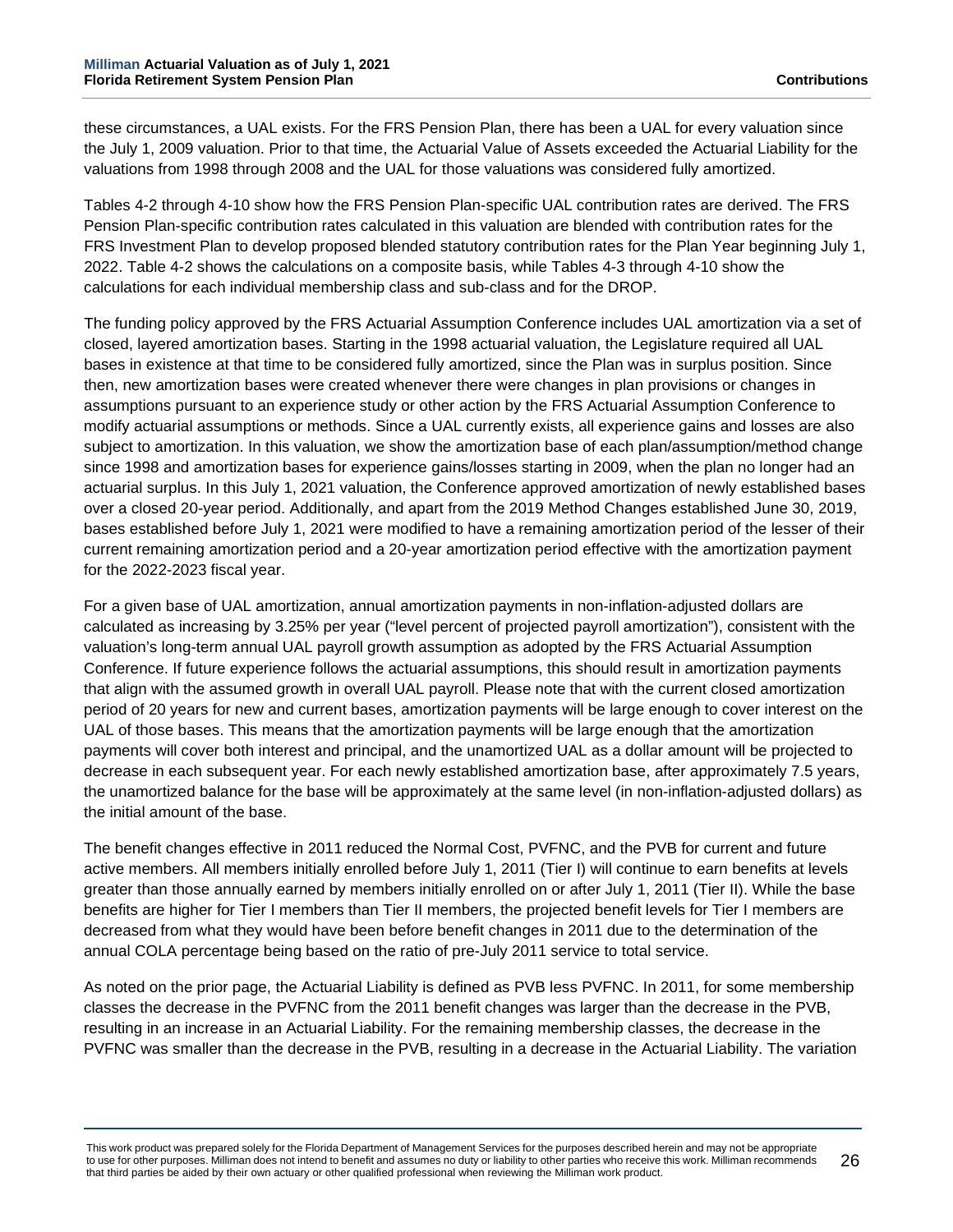these circumstances, a UAL exists. For the FRS Pension Plan, there has been a UAL for every valuation since the July 1, 2009 valuation. Prior to that time, the Actuarial Value of Assets exceeded the Actuarial Liability for the valuations from 1998 through 2008 and the UAL for those valuations was considered fully amortized.

Tables 4-2 through 4-10 show how the FRS Pension Plan-specific UAL contribution rates are derived. The FRS Pension Plan-specific contribution rates calculated in this valuation are blended with contribution rates for the FRS Investment Plan to develop proposed blended statutory contribution rates for the Plan Year beginning July 1, 2022. Table 4-2 shows the calculations on a composite basis, while Tables 4-3 through 4-10 show the calculations for each individual membership class and sub-class and for the DROP.

The funding policy approved by the FRS Actuarial Assumption Conference includes UAL amortization via a set of closed, layered amortization bases. Starting in the 1998 actuarial valuation, the Legislature required all UAL bases in existence at that time to be considered fully amortized, since the Plan was in surplus position. Since then, new amortization bases were created whenever there were changes in plan provisions or changes in assumptions pursuant to an experience study or other action by the FRS Actuarial Assumption Conference to modify actuarial assumptions or methods. Since a UAL currently exists, all experience gains and losses are also subject to amortization. In this valuation, we show the amortization base of each plan/assumption/method change since 1998 and amortization bases for experience gains/losses starting in 2009, when the plan no longer had an actuarial surplus. In this July 1, 2021 valuation, the Conference approved amortization of newly established bases over a closed 20-year period. Additionally, and apart from the 2019 Method Changes established June 30, 2019, bases established before July 1, 2021 were modified to have a remaining amortization period of the lesser of their current remaining amortization period and a 20-year amortization period effective with the amortization payment for the 2022-2023 fiscal year.

For a given base of UAL amortization, annual amortization payments in non-inflation-adjusted dollars are calculated as increasing by 3.25% per year ("level percent of projected payroll amortization"), consistent with the valuation's long-term annual UAL payroll growth assumption as adopted by the FRS Actuarial Assumption Conference. If future experience follows the actuarial assumptions, this should result in amortization payments that align with the assumed growth in overall UAL payroll. Please note that with the current closed amortization period of 20 years for new and current bases, amortization payments will be large enough to cover interest on the UAL of those bases. This means that the amortization payments will be large enough that the amortization payments will cover both interest and principal, and the unamortized UAL as a dollar amount will be projected to decrease in each subsequent year. For each newly established amortization base, after approximately 7.5 years, the unamortized balance for the base will be approximately at the same level (in non-inflation-adjusted dollars) as the initial amount of the base.

The benefit changes effective in 2011 reduced the Normal Cost, PVFNC, and the PVB for current and future active members. All members initially enrolled before July 1, 2011 (Tier I) will continue to earn benefits at levels greater than those annually earned by members initially enrolled on or after July 1, 2011 (Tier II). While the base benefits are higher for Tier I members than Tier II members, the projected benefit levels for Tier I members are decreased from what they would have been before benefit changes in 2011 due to the determination of the annual COLA percentage being based on the ratio of pre-July 2011 service to total service.

As noted on the prior page, the Actuarial Liability is defined as PVB less PVFNC. In 2011, for some membership classes the decrease in the PVFNC from the 2011 benefit changes was larger than the decrease in the PVB, resulting in an increase in an Actuarial Liability. For the remaining membership classes, the decrease in the PVFNC was smaller than the decrease in the PVB, resulting in a decrease in the Actuarial Liability. The variation

This work product was prepared solely for the Florida Department of Management Services for the purposes described herein and may not be appropriate to use for other purposes. Milliman does not intend to benefit and assumes no duty or liability to other parties who receive this work. Milliman recommends that third parties be aided by their own actuary or other qualified professional when reviewing the Milliman work product. 26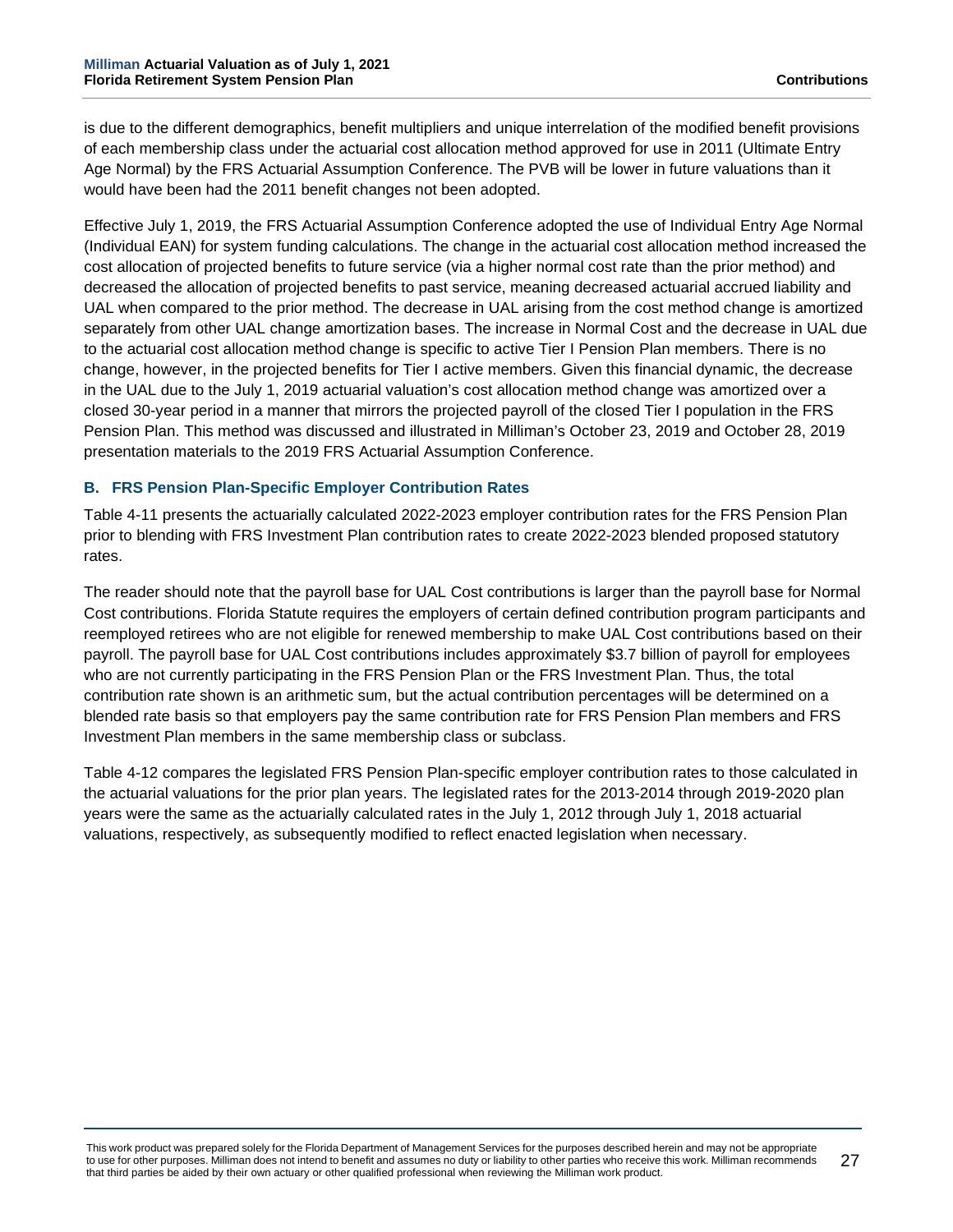is due to the different demographics, benefit multipliers and unique interrelation of the modified benefit provisions of each membership class under the actuarial cost allocation method approved for use in 2011 (Ultimate Entry Age Normal) by the FRS Actuarial Assumption Conference. The PVB will be lower in future valuations than it would have been had the 2011 benefit changes not been adopted.

Effective July 1, 2019, the FRS Actuarial Assumption Conference adopted the use of Individual Entry Age Normal (Individual EAN) for system funding calculations. The change in the actuarial cost allocation method increased the cost allocation of projected benefits to future service (via a higher normal cost rate than the prior method) and decreased the allocation of projected benefits to past service, meaning decreased actuarial accrued liability and UAL when compared to the prior method. The decrease in UAL arising from the cost method change is amortized separately from other UAL change amortization bases. The increase in Normal Cost and the decrease in UAL due to the actuarial cost allocation method change is specific to active Tier I Pension Plan members. There is no change, however, in the projected benefits for Tier I active members. Given this financial dynamic, the decrease in the UAL due to the July 1, 2019 actuarial valuation's cost allocation method change was amortized over a closed 30-year period in a manner that mirrors the projected payroll of the closed Tier I population in the FRS Pension Plan. This method was discussed and illustrated in Milliman's October 23, 2019 and October 28, 2019 presentation materials to the 2019 FRS Actuarial Assumption Conference.

### **B. FRS Pension Plan-Specific Employer Contribution Rates**

Table 4-11 presents the actuarially calculated 2022-2023 employer contribution rates for the FRS Pension Plan prior to blending with FRS Investment Plan contribution rates to create 2022-2023 blended proposed statutory rates.

The reader should note that the payroll base for UAL Cost contributions is larger than the payroll base for Normal Cost contributions. Florida Statute requires the employers of certain defined contribution program participants and reemployed retirees who are not eligible for renewed membership to make UAL Cost contributions based on their payroll. The payroll base for UAL Cost contributions includes approximately \$3.7 billion of payroll for employees who are not currently participating in the FRS Pension Plan or the FRS Investment Plan. Thus, the total contribution rate shown is an arithmetic sum, but the actual contribution percentages will be determined on a blended rate basis so that employers pay the same contribution rate for FRS Pension Plan members and FRS Investment Plan members in the same membership class or subclass.

Table 4-12 compares the legislated FRS Pension Plan-specific employer contribution rates to those calculated in the actuarial valuations for the prior plan years. The legislated rates for the 2013-2014 through 2019-2020 plan years were the same as the actuarially calculated rates in the July 1, 2012 through July 1, 2018 actuarial valuations, respectively, as subsequently modified to reflect enacted legislation when necessary.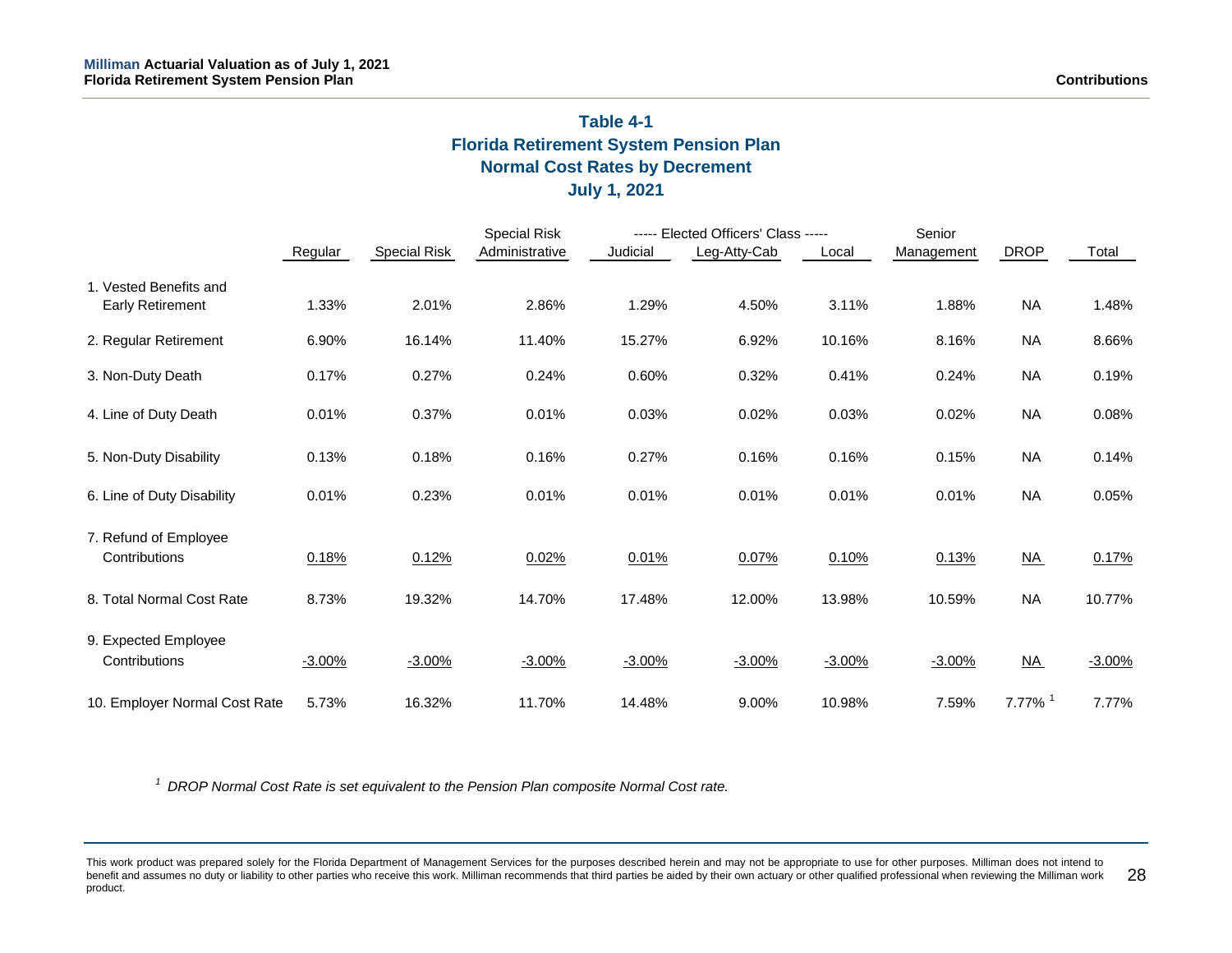# **Table 4-1 Florida Retirement System Pension Plan Normal Cost Rates by Decrement July 1, 2021**

|                                                   | Regular  | Special Risk | <b>Special Risk</b><br>Administrative | Judicial | ----- Elected Officers' Class -----<br>Leg-Atty-Cab | Local    | Senior<br>Management | <b>DROP</b>               | Total    |
|---------------------------------------------------|----------|--------------|---------------------------------------|----------|-----------------------------------------------------|----------|----------------------|---------------------------|----------|
| 1. Vested Benefits and<br><b>Early Retirement</b> | 1.33%    | 2.01%        | 2.86%                                 | 1.29%    | 4.50%                                               | 3.11%    | 1.88%                | <b>NA</b>                 | 1.48%    |
| 2. Regular Retirement                             | 6.90%    | 16.14%       | 11.40%                                | 15.27%   | 6.92%                                               | 10.16%   | 8.16%                | <b>NA</b>                 | 8.66%    |
| 3. Non-Duty Death                                 | 0.17%    | 0.27%        | 0.24%                                 | 0.60%    | 0.32%                                               | 0.41%    | 0.24%                | <b>NA</b>                 | 0.19%    |
| 4. Line of Duty Death                             | 0.01%    | 0.37%        | 0.01%                                 | 0.03%    | 0.02%                                               | 0.03%    | 0.02%                | <b>NA</b>                 | 0.08%    |
| 5. Non-Duty Disability                            | 0.13%    | 0.18%        | 0.16%                                 | 0.27%    | 0.16%                                               | 0.16%    | 0.15%                | <b>NA</b>                 | 0.14%    |
| 6. Line of Duty Disability                        | 0.01%    | 0.23%        | 0.01%                                 | 0.01%    | 0.01%                                               | 0.01%    | 0.01%                | <b>NA</b>                 | 0.05%    |
| 7. Refund of Employee<br>Contributions            | 0.18%    | 0.12%        | 0.02%                                 | 0.01%    | 0.07%                                               | 0.10%    | 0.13%                | $\underline{\mathsf{NA}}$ | 0.17%    |
| 8. Total Normal Cost Rate                         | 8.73%    | 19.32%       | 14.70%                                | 17.48%   | 12.00%                                              | 13.98%   | 10.59%               | <b>NA</b>                 | 10.77%   |
| 9. Expected Employee<br>Contributions             | $-3.00%$ | $-3.00%$     | $-3.00%$                              | $-3.00%$ | $-3.00%$                                            | $-3.00%$ | $-3.00%$             | <u>NA</u>                 | $-3.00%$ |
| 10. Employer Normal Cost Rate                     | 5.73%    | 16.32%       | 11.70%                                | 14.48%   | 9.00%                                               | 10.98%   | 7.59%                | $7.77\%$ <sup>1</sup>     | 7.77%    |

*<sup>1</sup> DROP Normal Cost Rate is set equivalent to the Pension Plan composite Normal Cost rate.*

This work product was prepared solely for the Florida Department of Management Services for the purposes described herein and may not be appropriate to use for other purposes. Milliman does not intend to benefit and assumes no duty or liability to other parties who receive this work. Milliman recommends that third parties be aided by their own actuary or other qualified professional when reviewing the Milliman work product. 28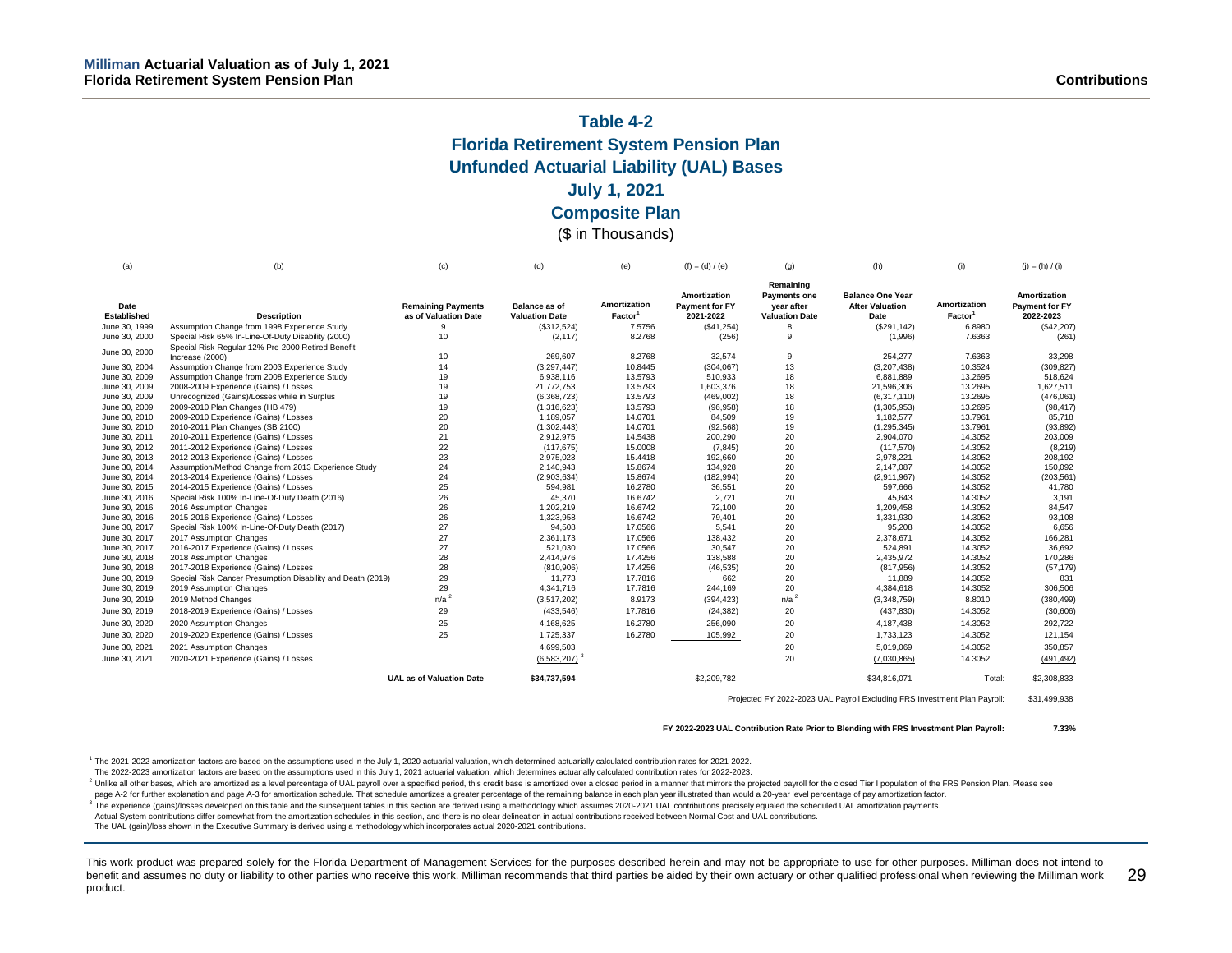# **Table 4-2 Florida Retirement System Pension Plan Unfunded Actuarial Liability (UAL) Bases July 1, 2021 Composite Plan**

### (\$ in Thousands)

| (a)                            | (b)                                                                  | (c)                             | (d)                   | (e)                 | $(f) = (d) / (e)$                            | (g)                                            | (h)                                               | (i)                 | $(j) = (h) / (i)$              |
|--------------------------------|----------------------------------------------------------------------|---------------------------------|-----------------------|---------------------|----------------------------------------------|------------------------------------------------|---------------------------------------------------|---------------------|--------------------------------|
| Date                           |                                                                      | <b>Remaining Payments</b>       | <b>Balance as of</b>  | Amortization        | <b>Amortization</b><br><b>Payment for FY</b> | Remaining<br><b>Payments one</b><br>vear after | <b>Balance One Year</b><br><b>After Valuation</b> | Amortization        | Amortization<br>Payment for FY |
| Established                    | <b>Description</b>                                                   | as of Valuation Date            | <b>Valuation Date</b> | Factor <sup>1</sup> | 2021-2022                                    | <b>Valuation Date</b>                          | Date                                              | Factor <sup>1</sup> | 2022-2023                      |
| June 30, 1999                  | Assumption Change from 1998 Experience Study                         | 9                               | (\$312,524)           | 7.5756              | (S41, 254)                                   | 8                                              | (\$291, 142)                                      | 6.8980              | (\$42,207)                     |
| June 30, 2000                  | Special Risk 65% In-Line-Of-Duty Disability (2000)                   | 10                              | (2, 117)              | 8.2768              | (256)                                        | 9                                              | (1,996)                                           | 7.6363              | (261)                          |
| June 30, 2000                  | Special Risk-Regular 12% Pre-2000 Retired Benefit<br>Increase (2000) | 10                              | 269.607               | 8.2768              | 32,574                                       |                                                | 254.277                                           | 7.6363              | 33.298                         |
| June 30, 2004                  | Assumption Change from 2003 Experience Study                         | 14                              | (3,297,447)           | 10.8445             | (304, 067)                                   | 9<br>13                                        | (3,207,438)                                       | 10.3524             | (309, 827)                     |
| June 30, 2009                  | Assumption Change from 2008 Experience Study                         | 19                              | 6,938,116             | 13.5793             | 510,933                                      | 18                                             | 6,881,889                                         | 13.2695             | 518.624                        |
| June 30, 2009                  | 2008-2009 Experience (Gains) / Losses                                | 19                              | 21,772,753            | 13.5793             | 1,603,376                                    | 18                                             | 21,596,306                                        | 13.2695             | 1,627,511                      |
| June 30, 2009                  | Unrecognized (Gains)/Losses while in Surplus                         | 19                              | (6,368,723)           | 13.5793             | (469,002)                                    | 18                                             | (6,317,110)                                       | 13.2695             | (476,061)                      |
| June 30, 2009                  | 2009-2010 Plan Changes (HB 479)                                      | 19                              | (1,316,623)           | 13.5793             | (96, 958)                                    | 18                                             | (1,305,953)                                       | 13.2695             | (98, 417)                      |
| June 30, 2010                  | 2009-2010 Experience (Gains) / Losses                                | 20                              | 1,189,057             | 14.0701             | 84,509                                       | 19                                             | 1,182,577                                         | 13.7961             | 85,718                         |
| June 30, 2010                  | 2010-2011 Plan Changes (SB 2100)                                     | 20                              | (1,302,443)           | 14.0701             | (92, 568)                                    | 19                                             | (1, 295, 345)                                     | 13.7961             | (93, 892)                      |
| June 30, 2011                  | 2010-2011 Experience (Gains) / Losses                                | 21                              | 2,912,975             | 14.5438             | 200,290                                      | 20                                             | 2,904,070                                         | 14.3052             | 203,009                        |
| June 30, 2012                  | 2011-2012 Experience (Gains) / Losses                                | 22                              | (117, 675)            | 15.0008             | (7, 845)                                     | 20                                             | (117,570)                                         | 14.3052             | (8,219)                        |
| June 30, 2013                  | 2012-2013 Experience (Gains) / Losses                                | 23                              | 2,975,023             | 15.4418             | 192,660                                      | 20                                             | 2,978,221                                         | 14.3052             | 208,192                        |
| June 30, 2014                  | Assumption/Method Change from 2013 Experience Study                  | 24                              | 2,140,943             | 15.8674             | 134,928                                      | 20                                             | 2,147,087                                         | 14.3052             | 150,092                        |
| June 30, 2014                  | 2013-2014 Experience (Gains) / Losses                                | 24                              | (2,903,634)           | 15.8674             | (182, 994)                                   | 20                                             | (2,911,967)                                       | 14.3052             | (203, 561)                     |
| June 30, 2015                  | 2014-2015 Experience (Gains) / Losses                                | 25                              | 594,981               | 16.2780             | 36,551                                       | 20                                             | 597,666                                           | 14.3052             | 41,780                         |
| June 30, 2016                  | Special Risk 100% In-Line-Of-Duty Death (2016)                       | 26                              | 45,370                | 16.6742             | 2.721                                        | 20                                             | 45.643                                            | 14.3052             | 3,191                          |
| June 30, 2016                  | 2016 Assumption Changes                                              | 26                              | 1,202,219             | 16.6742             | 72,100                                       | 20                                             | 1,209,458                                         | 14.3052             | 84,547                         |
| June 30, 2016                  | 2015-2016 Experience (Gains) / Losses                                | 26                              | 1,323,958             | 16.6742             | 79,401                                       | 20                                             | 1,331,930                                         | 14.3052             | 93,108                         |
| June 30, 2017                  | Special Risk 100% In-Line-Of-Duty Death (2017)                       | 27                              | 94,508                | 17.0566             | 5,541                                        | 20                                             | 95,208                                            | 14.3052             | 6,656                          |
| June 30, 2017                  | 2017 Assumption Changes                                              | 27                              | 2,361,173             | 17.0566             | 138,432                                      | 20                                             | 2,378,671                                         | 14.3052             | 166,281                        |
| June 30, 2017<br>June 30, 2018 | 2016-2017 Experience (Gains) / Losses<br>2018 Assumption Changes     | 27<br>28                        | 521,030<br>2,414,976  | 17.0566<br>17.4256  | 30,547<br>138,588                            | 20                                             | 524,891<br>2,435,972                              | 14.3052<br>14.3052  | 36,692<br>170,286              |
| June 30, 2018                  | 2017-2018 Experience (Gains) / Losses                                | 28                              | (810, 906)            | 17.4256             | (46, 535)                                    | 20<br>20                                       | (817, 956)                                        | 14.3052             | (57, 179)                      |
| June 30, 2019                  | Special Risk Cancer Presumption Disability and Death (2019)          | 29                              | 11.773                | 17,7816             | 662                                          | 20                                             | 11.889                                            | 14.3052             | 831                            |
| June 30, 2019                  | 2019 Assumption Changes                                              | 29                              | 4,341,716             | 17.7816             | 244,169                                      | 20                                             | 4,384,618                                         | 14.3052             | 306,506                        |
| June 30, 2019                  | 2019 Method Changes                                                  | n/a <sup>2</sup>                | (3,517,202)           | 8.9173              |                                              | n/a <sup>2</sup>                               | (3,348,759)                                       | 8.8010              | (380, 499)                     |
|                                |                                                                      |                                 |                       |                     | (394, 423)                                   |                                                |                                                   |                     |                                |
| June 30, 2019                  | 2018-2019 Experience (Gains) / Losses                                | 29                              | (433,546)             | 17.7816             | (24, 382)                                    | 20                                             | (437, 830)                                        | 14.3052             | (30, 606)                      |
| June 30, 2020                  | 2020 Assumption Changes                                              | 25                              | 4,168,625             | 16.2780             | 256,090                                      | 20                                             | 4,187,438                                         | 14.3052             | 292,722                        |
| June 30, 2020                  | 2019-2020 Experience (Gains) / Losses                                | 25                              | 1,725,337             | 16.2780             | 105,992                                      | 20                                             | 1,733,123                                         | 14.3052             | 121,154                        |
| June 30, 2021                  | 2021 Assumption Changes                                              |                                 | 4,699,503             |                     |                                              | 20                                             | 5,019,069                                         | 14.3052             | 350.857                        |
| June 30, 2021                  | 2020-2021 Experience (Gains) / Losses                                |                                 | $(6,583,207)^3$       |                     |                                              | 20                                             | (7,030,865)                                       | 14.3052             | (491, 492)                     |
|                                |                                                                      | <b>UAL as of Valuation Date</b> | \$34.737.594          |                     | \$2,209,782                                  |                                                | \$34,816,071                                      | Total:              | \$2,308,833                    |

Projected FY 2022-2023 UAL Payroll Excluding FRS Investment Plan Payroll: \$31,499,938

**FY 2022-2023 UAL Contribution Rate Prior to Blending with FRS Investment Plan Payroll: 7.33%**

<sup>1</sup> The 2021-2022 amortization factors are based on the assumptions used in the July 1, 2020 actuarial valuation, which determined actuarially calculated contribution rates for 2021-2022.

The 2022-2023 amortization factors are based on the assumptions used in this July 1, 2021 actuarial valuation, which determines actuarially calculated contribution rates for 2022-2023.

<sup>2</sup> Unlike all other bases, which are amortized as a level percentage of UAL payroll over a specified period, this credit base is amortized over a closed period in a manner that mirrors the projected payroll for the closed

page A-2 for further explanation and page A-3 for amortization schedule. That schedule amortizes a greater percentage of the remaining balance in each plan year illustrated than would a 20-year level percentage of pay amor

<sup>3</sup> The experience (gains)/losses developed on this table and the subsequent tables in this section are derived using a methodology which assumes 2020-2021 UAL contributions precisely equaled the scheduled UAL amortization

Actual System contributions differ somewhat from the amortization schedules in this section, and there is no clear delineation in actual contributions received between Normal Cost and UAL contributions.

The UAL (gain)/loss shown in the Executive Summary is derived using a methodology which incorporates actual 2020-2021 contributions.

This work product was prepared solely for the Florida Department of Management Services for the purposes described herein and may not be appropriate to use for other purposes. Milliman does not intend to benefit and assumes no duty or liability to other parties who receive this work. Milliman recommends that third parties be aided by their own actuary or other qualified professional when reviewing the Milliman work product. 29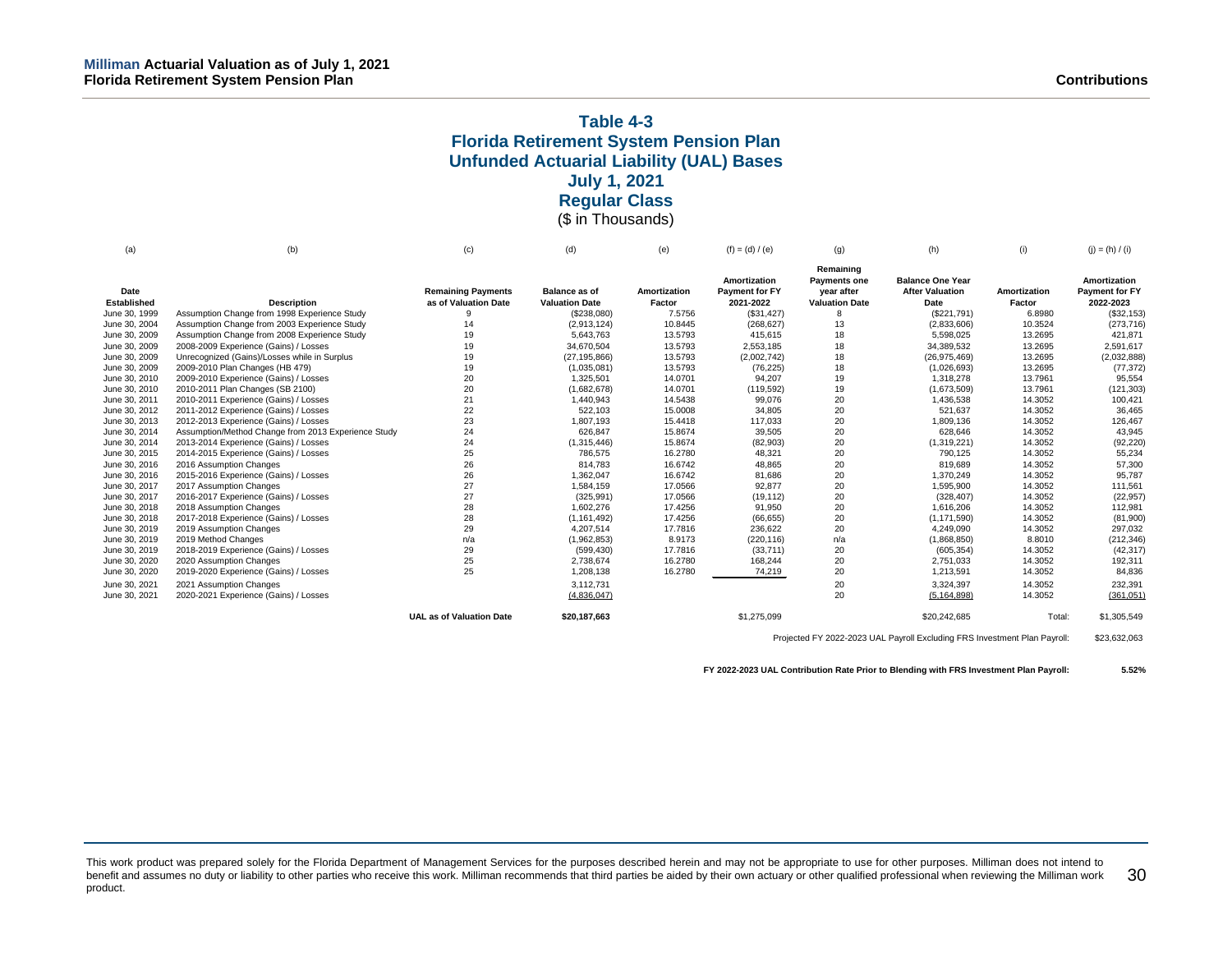### **Table 4-3 Florida Retirement System Pension Plan Unfunded Actuarial Liability (UAL) Bases July 1, 2021 Regular Class** (\$ in Thousands)

(a) (b) (c) (d) (e) (f) = (d) / (e) (g) (h) (i) (j) = (h) / (i) **Date Established Description**<br>June 30, 1999 Assumption Change from 1998 Expe **Remaining Payments as of Valuation Date Balance as of Valuation Date Amortization Factor**<br>7.5756 **Amortization Payment for FY 2021-2022 Remaining Payments one year after Valuation Date Balance One Year After Valuation Date**<br>(\$221,791) **Amortization Factor**<br>6.8980 **Amortization Payment for FY 2022-2023** Assumption Change from 1998 Experience Study 9 9 (\$238,080) 7.5756 (\$31,427) 8 (\$221,791) 6.8980 (\$32,153)<br>Assumption Change from 2003 Experience Study 14 14 (2013.124) 10.8445 (268.627) 13 (2.833.606) 10.3524 (273.716) June 30, 2004 Assumption Change from 2003 Experience Study June 30, 2009 Assumption Change from 2008 Experience Study 19 19 5,643,763 13.5793 415,615 18 5,598,025 13.2695 421,871<br>June 30, 2009 2008-2009 Experience (Gains) / Losses 19 34,670,504 34,670,504 13.5793 2,553,185 18 34,3 June 30, 2009 2008-2009 Experience (Gains) / Losses 19 34,670,504 13.5793 2,553,185 18 34,389,532 13.2695 2,591,617 June 30, 2009 Unrecognized (Gains)/Losses while in Surplus 19 (27,195,866) (2,195,866) 13.5793 (2,002,742) 18 (26,975,469) 13.2695 (2,032,888) 13.2695 (2,032,888) 13.2695 (2,032,888) 13.2695 (2,032,888) 13.2695 (77,372) 1 June 30, 2009 2009-2010 Plan Changes (HB 479) 19 (1,035,081) 13.5793 (76,225) 18 (1,026,693) 13.2695 (77,372) 2009-2010 Experience (Gains) / Losses 20 20 1,325,501 14.0701 14.0701 14.0701 94, 207 1,325,561 14.0701 95,654<br>20 16 1682 1788 14.0701 95,554,2796 14.0701 95,554 14.0701 95,554 June 30, 2010 2010-2011 Plan Changes (SB 2100) 20 (1,682,678) 14.0701 (119,592) 19 (1,673,509) 13.7961 (121,303) June 30, 2011 2010-2011 Experience (Gains) / Losses 21 1,440,943 14.5438 99,076 20 1,436,538 14.3052 100,421 June 30, 2012 2011-2012 Experience (Gains) / Losses 22 522,103 15.0008 34,805 20 521,637 14.3052 36,465 June 30, 2013 2012-2013 Experience (Gains) / Losses 126,467 23 1,807,193 15.4418 117,033 20 1,809,136 14.3052 126,467<br>June 30, 2014 Assumption/Method Change from 2013 Experience Study 24 626,847 15.8674 39,505 20 628,646 Assumption/Method Change from 2013 Experience Study 24 626,847<br>2013-2014 Experience (Gains) / Losses 24 24 (1.315.446) June 30, 2014 2013-2014 Experience (Gains) / Losses 24 (1,315,446) 15.8674 (82,903) 20 (1,319,221) 14.3052 (92,220) June 30, 2015 2014-2015 Experience (Gains) / Losses 25 786,575 16.2780 48,321 20 790,125 14.3052 55,234 June 30, 2016 2016 Assumption Changes 16.6742 48,865 57,300 June 30, 2016 2015-2016 Experience (Gains) / Losses 26 1,362,047 16.6742 81,686 20 1,370,249 14.3052 95,787 June 30, 2017 2017 Assumption Changes 1,584,159 17.0566 20 111,561 June 30, 2017 2016-2017 Experience (Gains) / Losses 27 (325,991) 17.0566 (19,112) 20 (328,407) 14.3052 (22,957) June 30, 2018 2018 Assumption Changes 28 1,602,276 17.4256 91,950 20 1,616,206 14.3052 112,981 June 30, 2018 2017-2018 Experience (Gains) / Losses 28 (1,161,492) 17.4256 (66,655) 20 (1,171,590) 14.3052 (81,900) June 30, 2019 2019 Assumption Changes 29 4,207,514 17.7816 236,622 20 4,249,090 14.3052 297,032 June 30, 2019 2019 Method Changes n/a (1,962,853) 8.9173 (220,116) n/a (1,868,850) 8.8010 (212,346) June 30, 2019 2018-2019 Experience (Gains) / Losses 29 (599,430) 17.7816 (33,711) 20 (605,354) 14.3052 (42,317) June 30, 2020 2020 Assumption Changes 25 2,738,674 16.2780 168,244 20 2,751,033 14.3052 192,311 2019-2020 Experience (Gains) / Losses June 30, 2021 2021 Assumption Changes 3,112,731 20 3,324,397 14.3052 232,391 June 30, 2021 2020-2021 Experience (Gains) / Losses (361,051) (4,836,047) (4,836,047) 20 (5,164,898) 14.3052 (361,051) **UAL as of Valuation Date \$20.187.663 \$1,275,099** \$1,275,099 **\$20,242,685** Total: \$1,305,549

Projected FY 2022-2023 UAL Payroll Excluding FRS Investment Plan Payroll: \$23,632,063

**FY 2022-2023 UAL Contribution Rate Prior to Blending with FRS Investment Plan Payroll: 5.52%**

This work product was prepared solely for the Florida Department of Management Services for the purposes described herein and may not be appropriate to use for other purposes. Milliman does not intend to benefit and assumes no duty or liability to other parties who receive this work. Milliman recommends that third parties be aided by their own actuary or other qualified professional when reviewing the Milliman work product. 30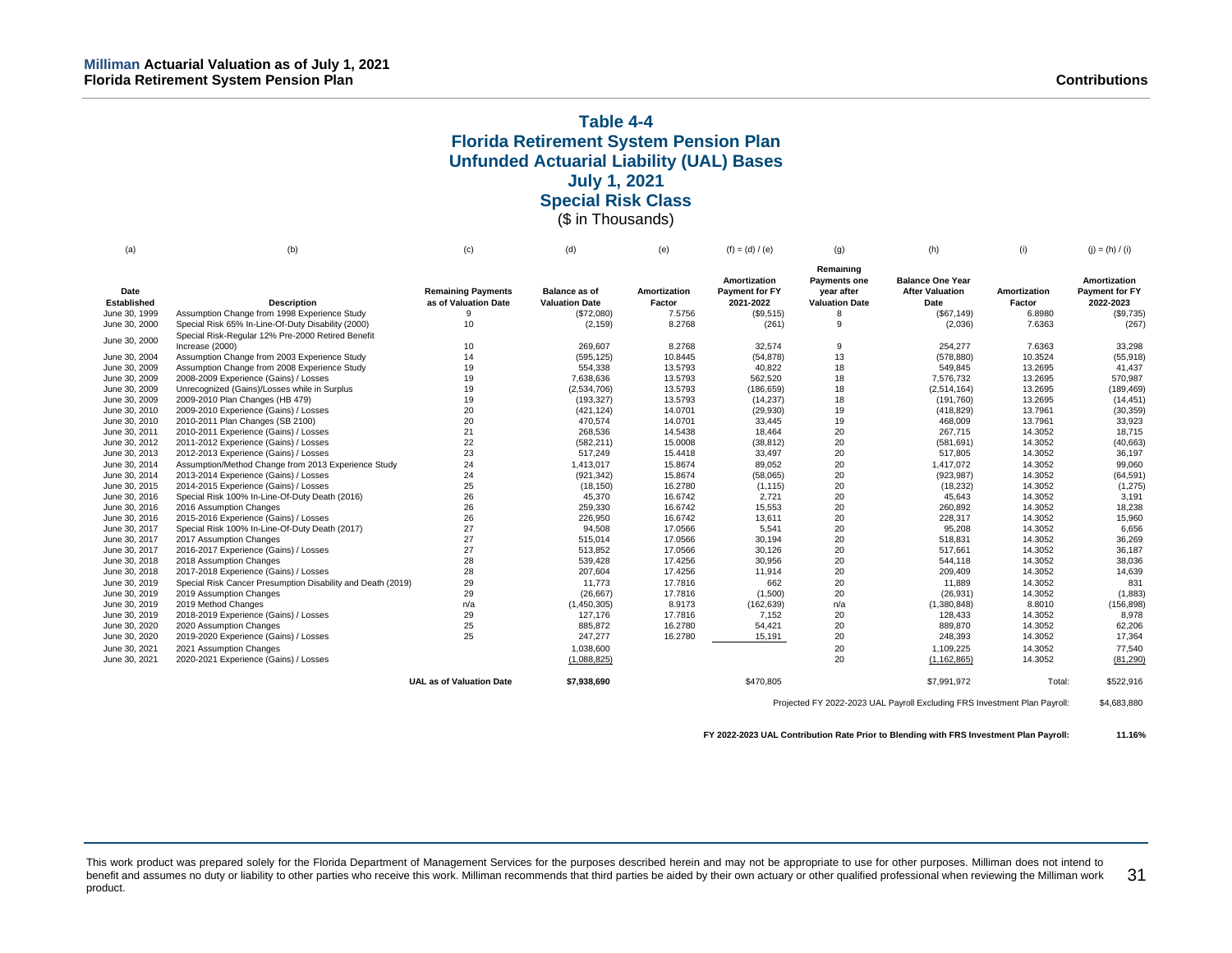### **Table 4-4 Florida Retirement System Pension Plan Unfunded Actuarial Liability (UAL) Bases July 1, 2021 Special Risk Class** (\$ in Thousands)

| (a)                | (b)                                                         | (c)                             | (d)                   | (e)          | $(f) = (d) / (e)$              | (g)                                            | (h)                                               | (i)          | $(j) = (h) / (i)$              |
|--------------------|-------------------------------------------------------------|---------------------------------|-----------------------|--------------|--------------------------------|------------------------------------------------|---------------------------------------------------|--------------|--------------------------------|
| Date               |                                                             | <b>Remaining Payments</b>       | <b>Balance as of</b>  | Amortization | Amortization<br>Payment for FY | Remaining<br><b>Payments one</b><br>vear after | <b>Balance One Year</b><br><b>After Valuation</b> | Amortization | Amortization<br>Payment for FY |
| <b>Established</b> | <b>Description</b>                                          | as of Valuation Date            | <b>Valuation Date</b> | Factor       | 2021-2022                      | <b>Valuation Date</b>                          | Date                                              | Factor       | 2022-2023                      |
| June 30, 1999      | Assumption Change from 1998 Experience Study                | 9                               | (\$72,080)            | 7.5756       | (\$9,515)                      |                                                | (\$67,149)                                        | 6.8980       | (\$9,735)                      |
| June 30, 2000      | Special Risk 65% In-Line-Of-Duty Disability (2000)          | 10                              | (2, 159)              | 8.2768       | (261)                          | 9                                              | (2,036)                                           | 7.6363       | (267)                          |
|                    | Special Risk-Regular 12% Pre-2000 Retired Benefit           |                                 |                       |              |                                |                                                |                                                   |              |                                |
| June 30, 2000      | Increase (2000)                                             | 10                              | 269,607               | 8.2768       | 32.574                         | 9                                              | 254.277                                           | 7.6363       | 33,298                         |
| June 30, 2004      | Assumption Change from 2003 Experience Study                | 14                              | (595, 125)            | 10.8445      | (54, 878)                      | 13                                             | (578, 880)                                        | 10.3524      | (55, 918)                      |
| June 30, 2009      | Assumption Change from 2008 Experience Study                | 19                              | 554,338               | 13.5793      | 40,822                         | 18                                             | 549,845                                           | 13.2695      | 41,437                         |
| June 30, 2009      | 2008-2009 Experience (Gains) / Losses                       | 19                              | 7,638,636             | 13.5793      | 562,520                        | 18                                             | 7,576,732                                         | 13.2695      | 570,987                        |
| June 30, 2009      | Unrecognized (Gains)/Losses while in Surplus                | 19                              | (2,534,706)           | 13.5793      | (186, 659)                     | 18                                             | (2,514,164)                                       | 13.2695      | (189, 469)                     |
| June 30, 2009      | 2009-2010 Plan Changes (HB 479)                             | 19                              | (193, 327)            | 13.5793      | (14, 237)                      | 18                                             | (191, 760)                                        | 13.2695      | (14, 451)                      |
| June 30, 2010      | 2009-2010 Experience (Gains) / Losses                       | 20                              | (421, 124)            | 14.0701      | (29, 930)                      | 19                                             | (418, 829)                                        | 13.7961      | (30, 359)                      |
| June 30, 2010      | 2010-2011 Plan Changes (SB 2100)                            | 20                              | 470,574               | 14.0701      | 33,445                         | 19                                             | 468,009                                           | 13.7961      | 33,923                         |
| June 30, 2011      | 2010-2011 Experience (Gains) / Losses                       | 21                              | 268,536               | 14.5438      | 18.464                         | 20                                             | 267.715                                           | 14.3052      | 18,715                         |
| June 30, 2012      | 2011-2012 Experience (Gains) / Losses                       | 22                              | (582, 211)            | 15.0008      | (38, 812)                      | 20                                             | (581, 691)                                        | 14.3052      | (40, 663)                      |
| June 30, 2013      | 2012-2013 Experience (Gains) / Losses                       | 23                              | 517,249               | 15.4418      | 33,497                         | 20                                             | 517,805                                           | 14.3052      | 36,197                         |
| June 30, 2014      | Assumption/Method Change from 2013 Experience Study         | 24                              | 1,413,017             | 15.8674      | 89,052                         | 20                                             | 1,417,072                                         | 14.3052      | 99,060                         |
| June 30, 2014      | 2013-2014 Experience (Gains) / Losses                       | 24                              | (921, 342)            | 15.8674      | (58,065)                       | 20                                             | (923, 987)                                        | 14.3052      | (64, 591)                      |
| June 30, 2015      | 2014-2015 Experience (Gains) / Losses                       | 25                              | (18, 150)             | 16.2780      | (1, 115)                       | 20                                             | (18, 232)                                         | 14.3052      | (1, 275)                       |
| June 30, 2016      | Special Risk 100% In-Line-Of-Duty Death (2016)              | 26                              | 45,370                | 16.6742      | 2,721                          | 20                                             | 45,643                                            | 14.3052      | 3,191                          |
| June 30, 2016      | 2016 Assumption Changes                                     | 26                              | 259,330               | 16.6742      | 15,553                         | 20                                             | 260,892                                           | 14.3052      | 18,238                         |
| June 30, 2016      | 2015-2016 Experience (Gains) / Losses                       | 26                              | 226,950               | 16.6742      | 13,611                         | 20                                             | 228,317                                           | 14.3052      | 15,960                         |
| June 30, 2017      | Special Risk 100% In-Line-Of-Duty Death (2017)              | 27                              | 94,508                | 17.0566      | 5,541                          | 20                                             | 95,208                                            | 14.3052      | 6,656                          |
| June 30, 2017      | 2017 Assumption Changes                                     | 27                              | 515,014               | 17.0566      | 30,194                         | 20                                             | 518,831                                           | 14.3052      | 36,269                         |
| June 30, 2017      | 2016-2017 Experience (Gains) / Losses                       | 27                              | 513,852               | 17.0566      | 30,126                         | 20                                             | 517.661                                           | 14.3052      | 36,187                         |
| June 30, 2018      | 2018 Assumption Changes                                     | 28                              | 539,428               | 17.4256      | 30,956                         | 20                                             | 544,118                                           | 14.3052      | 38,036                         |
| June 30, 2018      | 2017-2018 Experience (Gains) / Losses                       | 28                              | 207,604               | 17.4256      | 11,914                         | 20                                             | 209,409                                           | 14.3052      | 14,639                         |
| June 30, 2019      | Special Risk Cancer Presumption Disability and Death (2019) | 29                              | 11,773                | 17.7816      | 662                            | 20                                             | 11,889                                            | 14.3052      | 831                            |
| June 30, 2019      | 2019 Assumption Changes                                     | 29                              | (26, 667)             | 17.7816      | (1,500)                        | 20                                             | (26, 931)                                         | 14.3052      | (1,883)                        |
| June 30, 2019      | 2019 Method Changes                                         | n/a                             | (1,450,305)           | 8.9173       | (162, 639)                     | n/a                                            | (1,380,848)                                       | 8.8010       | (156, 898)                     |
| June 30, 2019      | 2018-2019 Experience (Gains) / Losses                       | 29                              | 127,176               | 17.7816      | 7,152                          | 20                                             | 128,433                                           | 14.3052      | 8,978                          |
| June 30, 2020      | 2020 Assumption Changes                                     | 25                              | 885,872               | 16.2780      | 54,421                         | 20                                             | 889,870                                           | 14.3052      | 62,206                         |
| June 30, 2020      | 2019-2020 Experience (Gains) / Losses                       | 25                              | 247,277               | 16.2780      | 15,191                         | 20                                             | 248,393                                           | 14.3052      | 17,364                         |
| June 30, 2021      | 2021 Assumption Changes                                     |                                 | 1,038,600             |              |                                | 20                                             | 1.109.225                                         | 14.3052      | 77.540                         |
| June 30, 2021      | 2020-2021 Experience (Gains) / Losses                       |                                 | (1,088,825)           |              |                                | 20                                             | (1, 162, 865)                                     | 14.3052      | (81, 290)                      |
|                    |                                                             | <b>UAL as of Valuation Date</b> | \$7,938,690           |              | \$470,805                      |                                                | \$7.991.972                                       | Total:       | \$522,916                      |

Projected FY 2022-2023 UAL Payroll Excluding FRS Investment Plan Payroll: \$4,683,880

**FY 2022-2023 UAL Contribution Rate Prior to Blending with FRS Investment Plan Payroll: 11.16%**

This work product was prepared solely for the Florida Department of Management Services for the purposes described herein and may not be appropriate to use for other purposes. Milliman does not intend to benefit and assumes no duty or liability to other parties who receive this work. Milliman recommends that third parties be aided by their own actuary or other qualified professional when reviewing the Milliman work product. 31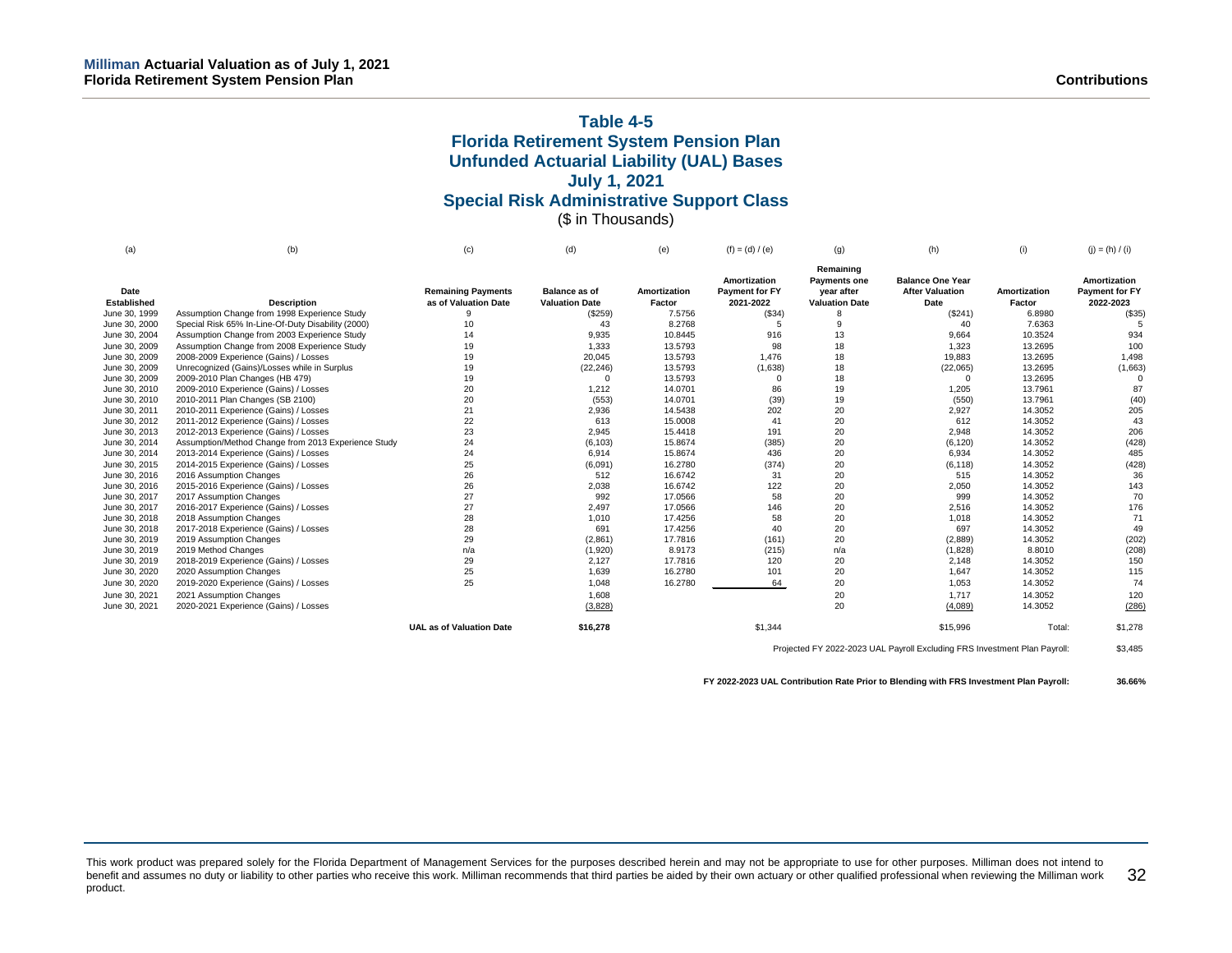# **Table 4-5 Florida Retirement System Pension Plan Unfunded Actuarial Liability (UAL) Bases July 1, 2021 Special Risk Administrative Support Class** (\$ in Thousands)

| (a)                        | (b)                                                 | (c)                                               | (d)                                           | (e)                    | $(f) = (d) / (e)$                           | (q)                                                                     | (h)                                                       | (i)                    | $(j) = (h) / (i)$                                  |
|----------------------------|-----------------------------------------------------|---------------------------------------------------|-----------------------------------------------|------------------------|---------------------------------------------|-------------------------------------------------------------------------|-----------------------------------------------------------|------------------------|----------------------------------------------------|
| Date<br><b>Established</b> | <b>Description</b>                                  | <b>Remaining Payments</b><br>as of Valuation Date | <b>Balance as of</b><br><b>Valuation Date</b> | Amortization<br>Factor | Amortization<br>Payment for FY<br>2021-2022 | Remaining<br><b>Payments one</b><br>year after<br><b>Valuation Date</b> | <b>Balance One Year</b><br><b>After Valuation</b><br>Date | Amortization<br>Factor | Amortization<br><b>Payment for FY</b><br>2022-2023 |
| June 30, 1999              | Assumption Change from 1998 Experience Study        |                                                   | (\$259)                                       | 7.5756                 | (\$34)                                      |                                                                         | (\$241)                                                   | 6.8980                 | (\$35)                                             |
| June 30, 2000              | Special Risk 65% In-Line-Of-Duty Disability (2000)  | 10                                                | 43                                            | 8.2768                 | 5                                           | 9                                                                       | 40                                                        | 7.6363                 |                                                    |
| June 30, 2004              | Assumption Change from 2003 Experience Study        | 14                                                | 9,935                                         | 10.8445                | 916                                         | 13                                                                      | 9.664                                                     | 10.3524                | 934                                                |
| June 30, 2009              | Assumption Change from 2008 Experience Study        | 19                                                | 1,333                                         | 13.5793                | 98                                          | 18                                                                      | 1,323                                                     | 13.2695                | 100                                                |
| June 30, 2009              | 2008-2009 Experience (Gains) / Losses               | 19                                                | 20,045                                        | 13.5793                | 1,476                                       | 18                                                                      | 19,883                                                    | 13.2695                | 1,498                                              |
| June 30, 2009              | Unrecognized (Gains)/Losses while in Surplus        | 19                                                | (22, 246)                                     | 13.5793                | (1,638)                                     | 18                                                                      | (22,065)                                                  | 13.2695                | (1,663)                                            |
| June 30, 2009              | 2009-2010 Plan Changes (HB 479)                     | 19                                                | $\Omega$                                      | 13.5793                |                                             | 18                                                                      | $\Omega$                                                  | 13.2695                |                                                    |
| June 30, 2010              | 2009-2010 Experience (Gains) / Losses               | 20                                                | 1,212                                         | 14.0701                | 86                                          | 19                                                                      | 1,205                                                     | 13.7961                | 87                                                 |
| June 30, 2010              | 2010-2011 Plan Changes (SB 2100)                    | 20                                                | (553)                                         | 14.0701                | (39)                                        | 19                                                                      | (550)                                                     | 13.7961                | (40)                                               |
| June 30, 2011              | 2010-2011 Experience (Gains) / Losses               | 21                                                | 2,936                                         | 14.5438                | 202                                         | 20                                                                      | 2,927                                                     | 14.3052                | 205                                                |
| June 30, 2012              | 2011-2012 Experience (Gains) / Losses               | 22                                                | 613                                           | 15.0008                | 41                                          | 20                                                                      | 612                                                       | 14.3052                | 43                                                 |
| June 30, 2013              | 2012-2013 Experience (Gains) / Losses               | 23                                                | 2,945                                         | 15.4418                | 191                                         | 20                                                                      | 2,948                                                     | 14.3052                | 206                                                |
| June 30, 2014              | Assumption/Method Change from 2013 Experience Study | 24                                                | (6, 103)                                      | 15.8674                | (385)                                       | 20                                                                      | (6, 120)                                                  | 14.3052                | (428)                                              |
| June 30, 2014              | 2013-2014 Experience (Gains) / Losses               | 24                                                | 6,914                                         | 15.8674                | 436                                         | 20                                                                      | 6,934                                                     | 14.3052                | 485                                                |
| June 30, 2015              | 2014-2015 Experience (Gains) / Losses               | 25                                                | (6,091)                                       | 16.2780                | (374)                                       | 20                                                                      | (6, 118)                                                  | 14.3052                | (428)                                              |
| June 30, 2016              | 2016 Assumption Changes                             | 26                                                | 512                                           | 16.6742                | 31                                          | 20                                                                      | 515                                                       | 14.3052                | 36                                                 |
| June 30, 2016              | 2015-2016 Experience (Gains) / Losses               | 26                                                | 2,038                                         | 16.6742                | 122                                         | 20                                                                      | 2,050                                                     | 14.3052                | 143                                                |
| June 30, 2017              | 2017 Assumption Changes                             | 27                                                | 992                                           | 17.0566                | 58                                          | 20                                                                      | 999                                                       | 14.3052                | 70                                                 |
| June 30, 2017              | 2016-2017 Experience (Gains) / Losses               | 27                                                | 2,497                                         | 17.0566                | 146                                         | 20                                                                      | 2,516                                                     | 14.3052                | 176                                                |
| June 30, 2018              | 2018 Assumption Changes                             | 28                                                | 1,010                                         | 17.4256                | 58                                          | 20                                                                      | 1,018                                                     | 14.3052                | 71                                                 |
| June 30, 2018              | 2017-2018 Experience (Gains) / Losses               | 28                                                | 691                                           | 17.4256                | 40                                          | 20                                                                      | 697                                                       | 14.3052                | 49                                                 |
| June 30, 2019              | 2019 Assumption Changes                             | 29                                                | (2,861)                                       | 17.7816                | (161)                                       | 20                                                                      | (2,889)                                                   | 14.3052                | (202)                                              |
| June 30, 2019              | 2019 Method Changes                                 | n/a                                               | (1,920)                                       | 8.9173                 | (215)                                       | n/a                                                                     | (1,828)                                                   | 8.8010                 | (208)                                              |
| June 30, 2019              | 2018-2019 Experience (Gains) / Losses               | 29                                                | 2,127                                         | 17.7816                | 120                                         | 20                                                                      | 2,148                                                     | 14.3052                | 150                                                |
| June 30, 2020              | 2020 Assumption Changes                             | 25                                                | 1,639                                         | 16.2780                | 101                                         | 20                                                                      | 1,647                                                     | 14.3052                | 115                                                |
| June 30, 2020              | 2019-2020 Experience (Gains) / Losses               | 25                                                | 1,048                                         | 16.2780                | 64                                          | 20                                                                      | 1,053                                                     | 14.3052                | 74                                                 |
| June 30, 2021              | 2021 Assumption Changes                             |                                                   | 1,608                                         |                        |                                             | 20                                                                      | 1,717                                                     | 14.3052                | 120                                                |
| June 30, 2021              | 2020-2021 Experience (Gains) / Losses               |                                                   | (3,828)                                       |                        |                                             | 20                                                                      | (4,089)                                                   | 14.3052                | (286)                                              |
|                            |                                                     | <b>UAL as of Valuation Date</b>                   | \$16,278                                      |                        | \$1,344                                     |                                                                         | \$15,996                                                  | Total:                 | \$1,278                                            |

Projected FY 2022-2023 UAL Payroll Excluding FRS Investment Plan Payroll: \$3,485

**FY 2022-2023 UAL Contribution Rate Prior to Blending with FRS Investment Plan Payroll: 36.66%**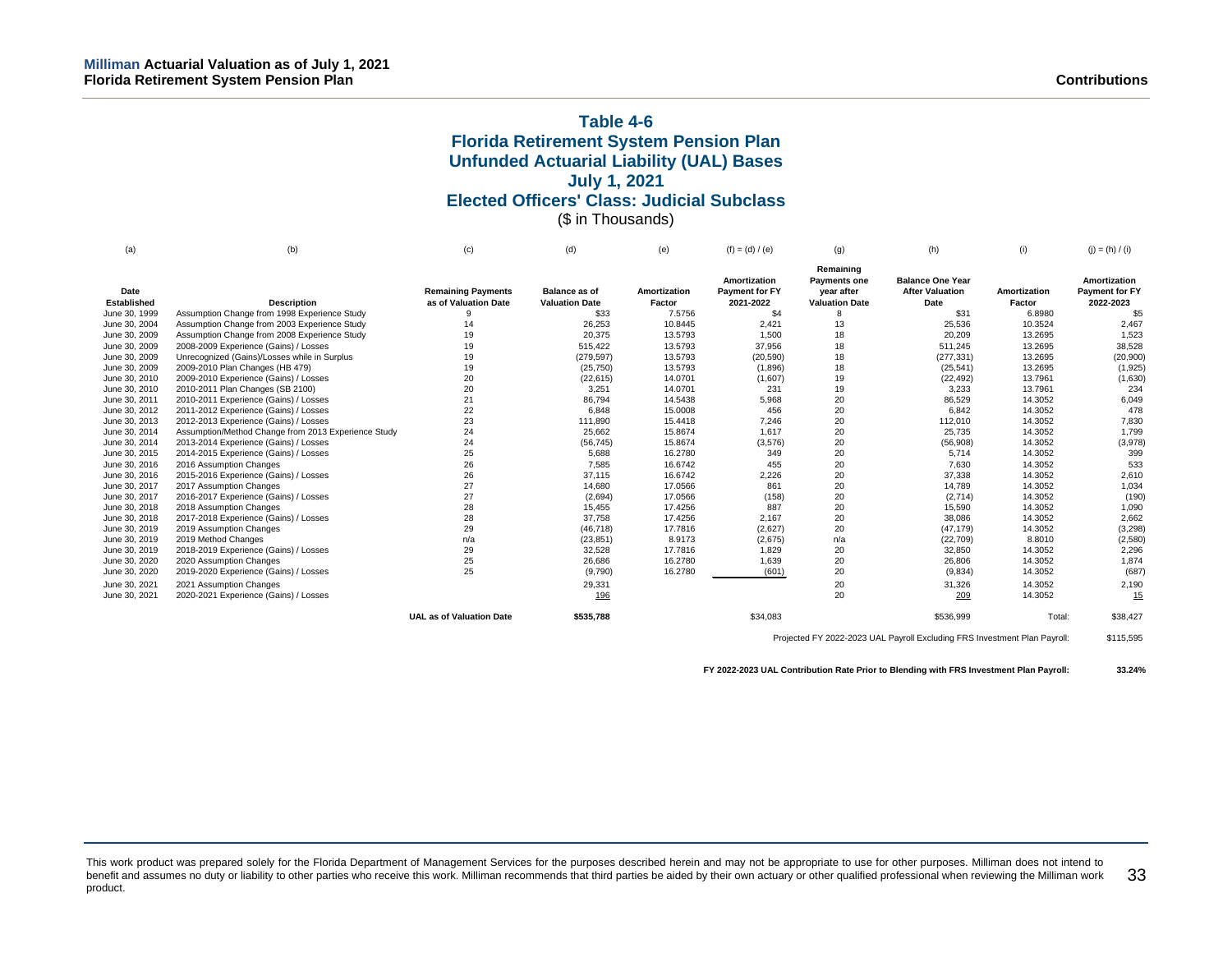# **Table 4-6 Florida Retirement System Pension Plan Unfunded Actuarial Liability (UAL) Bases July 1, 2021 Elected Officers' Class: Judicial Subclass** (\$ in Thousands)

| (a)                 | (b)                                                 | (c)                                               | (d)                                           | (e)                    | $(f) = (d) / (e)$                           | (q)                                                                     | (h)                                                       | (i)                    | $(i) = (h) / (i)$                           |
|---------------------|-----------------------------------------------------|---------------------------------------------------|-----------------------------------------------|------------------------|---------------------------------------------|-------------------------------------------------------------------------|-----------------------------------------------------------|------------------------|---------------------------------------------|
| Date<br>Established | <b>Description</b>                                  | <b>Remaining Payments</b><br>as of Valuation Date | <b>Balance as of</b><br><b>Valuation Date</b> | Amortization<br>Factor | Amortization<br>Payment for FY<br>2021-2022 | Remaining<br><b>Payments one</b><br>year after<br><b>Valuation Date</b> | <b>Balance One Year</b><br><b>After Valuation</b><br>Date | Amortization<br>Factor | Amortization<br>Payment for FY<br>2022-2023 |
| June 30, 1999       | Assumption Change from 1998 Experience Study        |                                                   | \$33                                          | 7.5756                 | \$4                                         |                                                                         | \$31                                                      | 6.8980                 | \$5                                         |
| June 30, 2004       | Assumption Change from 2003 Experience Study        | 14                                                | 26,253                                        | 10.8445                | 2,421                                       | 13                                                                      | 25,536                                                    | 10.3524                | 2,467                                       |
| June 30, 2009       | Assumption Change from 2008 Experience Study        | 19                                                | 20,375                                        | 13.5793                | 1.500                                       | 18                                                                      | 20,209                                                    | 13.2695                | 1,523                                       |
| June 30, 2009       | 2008-2009 Experience (Gains) / Losses               | 19                                                | 515,422                                       | 13.5793                | 37,956                                      | 18                                                                      | 511.245                                                   | 13.2695                | 38,528                                      |
| June 30, 2009       | Unrecognized (Gains)/Losses while in Surplus        | 19                                                | (279.597)                                     | 13.5793                | (20, 590)                                   | 18                                                                      | (277, 331)                                                | 13.2695                | (20,900)                                    |
| June 30, 2009       | 2009-2010 Plan Changes (HB 479)                     | 19                                                | (25, 750)                                     | 13.5793                | (1,896)                                     | 18                                                                      | (25, 541)                                                 | 13.2695                | (1,925)                                     |
| June 30, 2010       | 2009-2010 Experience (Gains) / Losses               | 20                                                | (22, 615)                                     | 14.0701                | (1,607)                                     | 19                                                                      | (22, 492)                                                 | 13.7961                | (1,630)                                     |
| June 30, 2010       | 2010-2011 Plan Changes (SB 2100)                    | 20                                                | 3,251                                         | 14.0701                | 231                                         | 19                                                                      | 3,233                                                     | 13.7961                | 234                                         |
| June 30, 2011       | 2010-2011 Experience (Gains) / Losses               | 21                                                | 86,794                                        | 14.5438                | 5,968                                       | 20                                                                      | 86,529                                                    | 14.3052                | 6,049                                       |
| June 30, 2012       | 2011-2012 Experience (Gains) / Losses               | 22                                                | 6,848                                         | 15.0008                | 456                                         | 20                                                                      | 6,842                                                     | 14.3052                | 478                                         |
| June 30, 2013       | 2012-2013 Experience (Gains) / Losses               | 23                                                | 111,890                                       | 15.4418                | 7,246                                       | 20                                                                      | 112,010                                                   | 14.3052                | 7,830                                       |
| June 30, 2014       | Assumption/Method Change from 2013 Experience Study | 24                                                | 25.662                                        | 15.8674                | 1.617                                       | 20                                                                      | 25,735                                                    | 14.3052                | 1.799                                       |
| June 30, 2014       | 2013-2014 Experience (Gains) / Losses               | 24                                                | (56, 745)                                     | 15.8674                | (3,576)                                     | 20                                                                      | (56,908)                                                  | 14.3052                | (3,978)                                     |
| June 30, 2015       | 2014-2015 Experience (Gains) / Losses               | 25                                                | 5,688                                         | 16.2780                | 349                                         | 20                                                                      | 5,714                                                     | 14.3052                | 399                                         |
| June 30, 2016       | 2016 Assumption Changes                             | 26                                                | 7,585                                         | 16.6742                | 455                                         | 20                                                                      | 7,630                                                     | 14.3052                | 533                                         |
| June 30, 2016       | 2015-2016 Experience (Gains) / Losses               | 26                                                | 37,115                                        | 16.6742                | 2,226                                       | 20                                                                      | 37,338                                                    | 14.3052                | 2,610                                       |
| June 30, 2017       | 2017 Assumption Changes                             | 27                                                | 14.680                                        | 17.0566                | 861                                         | 20                                                                      | 14,789                                                    | 14.3052                | 1,034                                       |
| June 30, 2017       | 2016-2017 Experience (Gains) / Losses               | 27                                                | (2,694)                                       | 17.0566                | (158)                                       | 20                                                                      | (2,714)                                                   | 14.3052                | (190)                                       |
| June 30, 2018       | 2018 Assumption Changes                             | 28                                                | 15.455                                        | 17.4256                | 887                                         | 20                                                                      | 15,590                                                    | 14.3052                | 1,090                                       |
| June 30, 2018       | 2017-2018 Experience (Gains) / Losses               | 28                                                | 37.758                                        | 17.4256                | 2.167                                       | 20                                                                      | 38,086                                                    | 14.3052                | 2.662                                       |
| June 30, 2019       | 2019 Assumption Changes                             | 29                                                | (46, 718)                                     | 17.7816                | (2,627)                                     | 20                                                                      | (47, 179)                                                 | 14.3052                | (3,298)                                     |
| June 30, 2019       | 2019 Method Changes                                 | n/a                                               | (23, 851)                                     | 8.9173                 | (2,675)                                     | n/a                                                                     | (22, 709)                                                 | 8.8010                 | (2,580)                                     |
| June 30, 2019       | 2018-2019 Experience (Gains) / Losses               | 29                                                | 32,528                                        | 17.7816                | 1,829                                       | 20                                                                      | 32,850                                                    | 14.3052                | 2,296                                       |
| June 30, 2020       | 2020 Assumption Changes                             | 25                                                | 26,686                                        | 16.2780                | 1,639                                       | 20                                                                      | 26,806                                                    | 14.3052                | 1,874                                       |
| June 30, 2020       | 2019-2020 Experience (Gains) / Losses               | 25                                                | (9,790)                                       | 16.2780                | (601)                                       | 20                                                                      | (9,834)                                                   | 14.3052                | (687)                                       |
| June 30, 2021       | 2021 Assumption Changes                             |                                                   | 29,331                                        |                        |                                             | 20                                                                      | 31,326                                                    | 14.3052                | 2,190                                       |
| June 30, 2021       | 2020-2021 Experience (Gains) / Losses               |                                                   | 196                                           |                        |                                             | 20                                                                      | 209                                                       | 14.3052                | 15                                          |
|                     |                                                     | <b>UAL as of Valuation Date</b>                   | \$535,788                                     |                        | \$34,083                                    |                                                                         | \$536,999                                                 | Total:                 | \$38,427                                    |

Projected FY 2022-2023 UAL Payroll Excluding FRS Investment Plan Payroll: \$115,595

**FY 2022-2023 UAL Contribution Rate Prior to Blending with FRS Investment Plan Payroll: 33.24%**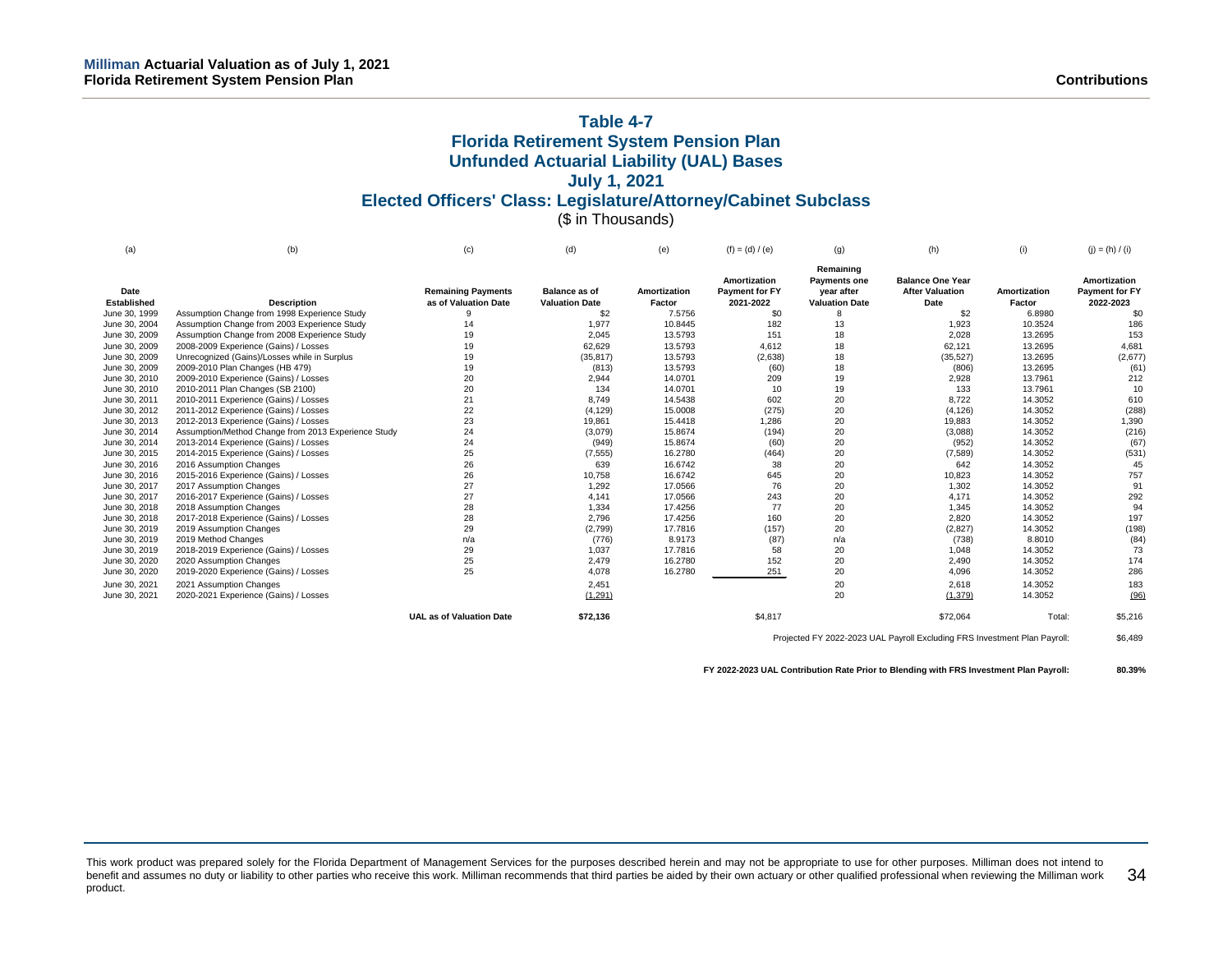# **Table 4-7 Florida Retirement System Pension Plan Unfunded Actuarial Liability (UAL) Bases July 1, 2021 Elected Officers' Class: Legislature/Attorney/Cabinet Subclass** (\$ in Thousands)

| (a)                        | (b)                                                 | (c)                                               | (d)                                           | (e)                    | $(f) = (d) / (e)$                           | (q)                                                                     | (h)                                                       | (i)                    | $(i) = (h) / (i)$                                  |
|----------------------------|-----------------------------------------------------|---------------------------------------------------|-----------------------------------------------|------------------------|---------------------------------------------|-------------------------------------------------------------------------|-----------------------------------------------------------|------------------------|----------------------------------------------------|
| Date<br><b>Established</b> | <b>Description</b>                                  | <b>Remaining Payments</b><br>as of Valuation Date | <b>Balance as of</b><br><b>Valuation Date</b> | Amortization<br>Factor | Amortization<br>Payment for FY<br>2021-2022 | Remaining<br><b>Payments one</b><br>vear after<br><b>Valuation Date</b> | <b>Balance One Year</b><br><b>After Valuation</b><br>Date | Amortization<br>Factor | Amortization<br><b>Payment for FY</b><br>2022-2023 |
| June 30, 1999              | Assumption Change from 1998 Experience Study        | 9                                                 | \$2                                           | 7.5756                 | \$0                                         |                                                                         | \$2                                                       | 6.8980                 | \$0                                                |
| June 30, 2004              | Assumption Change from 2003 Experience Study        | 14                                                | 1,977                                         | 10.8445                | 182                                         | 13                                                                      | 1,923                                                     | 10.3524                | 186                                                |
| June 30, 2009              | Assumption Change from 2008 Experience Study        | 19                                                | 2,045                                         | 13.5793                | 151                                         | 18                                                                      | 2,028                                                     | 13.2695                | 153                                                |
| June 30, 2009              | 2008-2009 Experience (Gains) / Losses               | 19                                                | 62,629                                        | 13.5793                | 4,612                                       | 18                                                                      | 62,121                                                    | 13.2695                | 4,681                                              |
| June 30, 2009              | Unrecognized (Gains)/Losses while in Surplus        | 19                                                | (35, 817)                                     | 13.5793                | (2,638)                                     | 18                                                                      | (35, 527)                                                 | 13.2695                | (2,677)                                            |
| June 30, 2009              | 2009-2010 Plan Changes (HB 479)                     | 19                                                | (813)                                         | 13.5793                | (60)                                        | 18                                                                      | (806)                                                     | 13.2695                | (61)                                               |
| June 30, 2010              | 2009-2010 Experience (Gains) / Losses               | 20                                                | 2,944                                         | 14.0701                | 209                                         | 19                                                                      | 2,928                                                     | 13.7961                | 212                                                |
| June 30, 2010              | 2010-2011 Plan Changes (SB 2100)                    | 20                                                | 134                                           | 14.0701                | 10                                          | 19                                                                      | 133                                                       | 13.7961                | 10                                                 |
| June 30, 2011              | 2010-2011 Experience (Gains) / Losses               | 21                                                | 8.749                                         | 14.5438                | 602                                         | 20                                                                      | 8,722                                                     | 14.3052                | 610                                                |
| June 30, 2012              | 2011-2012 Experience (Gains) / Losses               | 22                                                | (4, 129)                                      | 15.0008                | (275)                                       | 20                                                                      | (4, 126)                                                  | 14.3052                | (288)                                              |
| June 30, 2013              | 2012-2013 Experience (Gains) / Losses               | 23                                                | 19,861                                        | 15.4418                | 1.286                                       | 20                                                                      | 19,883                                                    | 14.3052                | 1,390                                              |
| June 30, 2014              | Assumption/Method Change from 2013 Experience Study | 24                                                | (3,079)                                       | 15.8674                | (194)                                       | 20                                                                      | (3,088)                                                   | 14.3052                | (216)                                              |
| June 30, 2014              | 2013-2014 Experience (Gains) / Losses               | 24                                                | (949)                                         | 15.8674                | (60)                                        | 20                                                                      | (952)                                                     | 14.3052                | (67)                                               |
| June 30, 2015              | 2014-2015 Experience (Gains) / Losses               | 25                                                | (7, 555)                                      | 16.2780                | (464)                                       | 20                                                                      | (7,589)                                                   | 14.3052                | (531)                                              |
| June 30, 2016              | 2016 Assumption Changes                             | 26                                                | 639                                           | 16.6742                | 38                                          | 20                                                                      | 642                                                       | 14.3052                | 45                                                 |
| June 30, 2016              | 2015-2016 Experience (Gains) / Losses               | 26                                                | 10,758                                        | 16.6742                | 645                                         | 20                                                                      | 10,823                                                    | 14.3052                | 757                                                |
| June 30, 2017              | 2017 Assumption Changes                             | 27                                                | 1,292                                         | 17.0566                | 76                                          | 20                                                                      | 1,302                                                     | 14.3052                | 91                                                 |
| June 30, 2017              | 2016-2017 Experience (Gains) / Losses               | 27                                                | 4,141                                         | 17.0566                | 243                                         | 20                                                                      | 4.171                                                     | 14.3052                | 292                                                |
| June 30, 2018              | 2018 Assumption Changes                             | 28                                                | 1,334                                         | 17.4256                | 77                                          | 20                                                                      | 1.345                                                     | 14.3052                | 94                                                 |
| June 30, 2018              | 2017-2018 Experience (Gains) / Losses               | 28                                                | 2.796                                         | 17.4256                | 160                                         | 20                                                                      | 2,820                                                     | 14.3052                | 197                                                |
| June 30, 2019              | 2019 Assumption Changes                             | 29                                                | (2,799)                                       | 17.7816                | (157)                                       | 20                                                                      | (2,827)                                                   | 14.3052                | (198)                                              |
| June 30, 2019              | 2019 Method Changes                                 | n/a                                               | (776)                                         | 8.9173                 | (87)                                        | n/a                                                                     | (738)                                                     | 8.8010                 | (84)                                               |
| June 30, 2019              | 2018-2019 Experience (Gains) / Losses               | 29                                                | 1,037                                         | 17.7816                | 58                                          | 20                                                                      | 1,048                                                     | 14.3052                | 73                                                 |
| June 30, 2020              | 2020 Assumption Changes                             | 25                                                | 2,479                                         | 16.2780                | 152                                         | 20                                                                      | 2,490                                                     | 14.3052                | 174                                                |
| June 30, 2020              | 2019-2020 Experience (Gains) / Losses               | 25                                                | 4,078                                         | 16.2780                | 251                                         | 20                                                                      | 4,096                                                     | 14.3052                | 286                                                |
| June 30, 2021              | 2021 Assumption Changes                             |                                                   | 2.451                                         |                        |                                             | 20                                                                      | 2,618                                                     | 14.3052                | 183                                                |
| June 30, 2021              | 2020-2021 Experience (Gains) / Losses               |                                                   | (1, 291)                                      |                        |                                             | 20                                                                      | (1, 379)                                                  | 14.3052                | (96)                                               |
|                            |                                                     | <b>UAL as of Valuation Date</b>                   | \$72,136                                      |                        | \$4,817                                     |                                                                         | \$72,064                                                  | Total:                 | \$5,216                                            |

Projected FY 2022-2023 UAL Payroll Excluding FRS Investment Plan Payroll: \$6,489

**FY 2022-2023 UAL Contribution Rate Prior to Blending with FRS Investment Plan Payroll: 80.39%**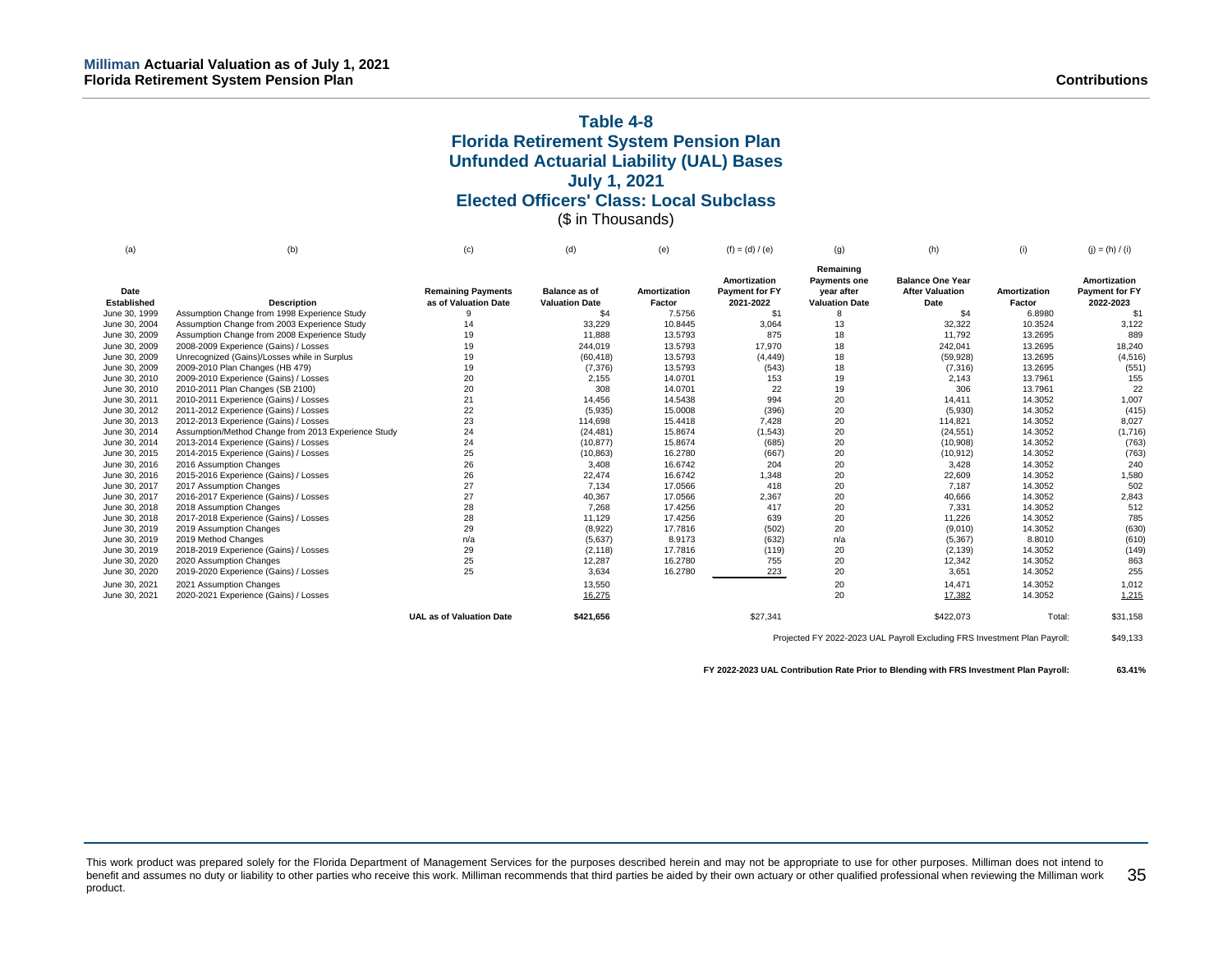# **Table 4-8 Florida Retirement System Pension Plan Unfunded Actuarial Liability (UAL) Bases July 1, 2021 Elected Officers' Class: Local Subclass** (\$ in Thousands)

| (a)                 | (b)                                                 | (c)                                               | (d)                                           | (e)                    | $(f) = (d) / (e)$                           | (q)                                                                     | (h)                                                       | (i)                    | $(j) = (h) / (i)$                           |
|---------------------|-----------------------------------------------------|---------------------------------------------------|-----------------------------------------------|------------------------|---------------------------------------------|-------------------------------------------------------------------------|-----------------------------------------------------------|------------------------|---------------------------------------------|
| Date<br>Established | <b>Description</b>                                  | <b>Remaining Payments</b><br>as of Valuation Date | <b>Balance as of</b><br><b>Valuation Date</b> | Amortization<br>Factor | Amortization<br>Payment for FY<br>2021-2022 | Remaining<br><b>Payments one</b><br>year after<br><b>Valuation Date</b> | <b>Balance One Year</b><br><b>After Valuation</b><br>Date | Amortization<br>Factor | Amortization<br>Payment for FY<br>2022-2023 |
| June 30, 1999       | Assumption Change from 1998 Experience Study        | 9                                                 | \$4                                           | 7.5756                 | \$1                                         |                                                                         | \$4                                                       | 6.8980                 | \$1                                         |
| June 30, 2004       | Assumption Change from 2003 Experience Study        | 14                                                | 33,229                                        | 10.8445                | 3,064                                       | 13                                                                      | 32,322                                                    | 10.3524                | 3,122                                       |
| June 30, 2009       | Assumption Change from 2008 Experience Study        | 19                                                | 11,888                                        | 13.5793                | 875                                         | 18                                                                      | 11,792                                                    | 13.2695                | 889                                         |
| June 30, 2009       | 2008-2009 Experience (Gains) / Losses               | 19                                                | 244,019                                       | 13.5793                | 17,970                                      | 18                                                                      | 242,041                                                   | 13.2695                | 18,240                                      |
| June 30, 2009       | Unrecognized (Gains)/Losses while in Surplus        | 19                                                | (60, 418)                                     | 13.5793                | (4, 449)                                    | 18                                                                      | (59, 928)                                                 | 13.2695                | (4, 516)                                    |
| June 30, 2009       | 2009-2010 Plan Changes (HB 479)                     | 19                                                | (7, 376)                                      | 13.5793                | (543)                                       | 18                                                                      | (7, 316)                                                  | 13.2695                | (551)                                       |
| June 30, 2010       | 2009-2010 Experience (Gains) / Losses               | 20                                                | 2,155                                         | 14.0701                | 153                                         | 19                                                                      | 2,143                                                     | 13.7961                | 155                                         |
| June 30, 2010       | 2010-2011 Plan Changes (SB 2100)                    | 20                                                | 308                                           | 14.0701                | 22                                          | 19                                                                      | 306                                                       | 13.7961                | 22                                          |
| June 30, 2011       | 2010-2011 Experience (Gains) / Losses               | 21                                                | 14,456                                        | 14.5438                | 994                                         | 20                                                                      | 14,411                                                    | 14.3052                | 1,007                                       |
| June 30, 2012       | 2011-2012 Experience (Gains) / Losses               | 22                                                | (5,935)                                       | 15.0008                | (396)                                       | 20                                                                      | (5,930)                                                   | 14.3052                | (415)                                       |
| June 30, 2013       | 2012-2013 Experience (Gains) / Losses               | 23                                                | 114,698                                       | 15.4418                | 7,428                                       | 20                                                                      | 114,821                                                   | 14.3052                | 8,027                                       |
| June 30, 2014       | Assumption/Method Change from 2013 Experience Study | 24                                                | (24, 481)                                     | 15.8674                | (1, 543)                                    | 20                                                                      | (24, 551)                                                 | 14.3052                | (1,716)                                     |
| June 30, 2014       | 2013-2014 Experience (Gains) / Losses               | 24                                                | (10, 877)                                     | 15.8674                | (685)                                       | 20                                                                      | (10,908)                                                  | 14.3052                | (763)                                       |
| June 30, 2015       | 2014-2015 Experience (Gains) / Losses               | 25                                                | (10, 863)                                     | 16.2780                | (667)                                       | 20                                                                      | (10, 912)                                                 | 14.3052                | (763)                                       |
| June 30, 2016       | 2016 Assumption Changes                             | 26                                                | 3,408                                         | 16.6742                | 204                                         | 20                                                                      | 3,428                                                     | 14.3052                | 240                                         |
| June 30, 2016       | 2015-2016 Experience (Gains) / Losses               | 26                                                | 22,474                                        | 16.6742                | 1,348                                       | 20                                                                      | 22,609                                                    | 14.3052                | 1,580                                       |
| June 30, 2017       | 2017 Assumption Changes                             | 27                                                | 7,134                                         | 17.0566                | 418                                         | 20                                                                      | 7,187                                                     | 14.3052                | 502                                         |
| June 30, 2017       | 2016-2017 Experience (Gains) / Losses               | 27                                                | 40,367                                        | 17.0566                | 2,367                                       | 20                                                                      | 40,666                                                    | 14.3052                | 2,843                                       |
| June 30, 2018       | 2018 Assumption Changes                             | 28                                                | 7.268                                         | 17.4256                | 417                                         | 20                                                                      | 7,331                                                     | 14.3052                | 512                                         |
| June 30, 2018       | 2017-2018 Experience (Gains) / Losses               | 28                                                | 11,129                                        | 17.4256                | 639                                         | 20                                                                      | 11,226                                                    | 14.3052                | 785                                         |
| June 30, 2019       | 2019 Assumption Changes                             | 29                                                | (8,922)                                       | 17.7816                | (502)                                       | 20                                                                      | (9,010)                                                   | 14.3052                | (630)                                       |
| June 30, 2019       | 2019 Method Changes                                 | n/a                                               | (5,637)                                       | 8.9173                 | (632)                                       | n/a                                                                     | (5, 367)                                                  | 8.8010                 | (610)                                       |
| June 30, 2019       | 2018-2019 Experience (Gains) / Losses               | 29                                                | (2, 118)                                      | 17.7816                | (119)                                       | 20                                                                      | (2, 139)                                                  | 14.3052                | (149)                                       |
| June 30, 2020       | 2020 Assumption Changes                             | 25                                                | 12,287                                        | 16.2780                | 755                                         | 20                                                                      | 12,342                                                    | 14.3052                | 863                                         |
| June 30, 2020       | 2019-2020 Experience (Gains) / Losses               | 25                                                | 3,634                                         | 16.2780                | 223                                         | 20                                                                      | 3,651                                                     | 14.3052                | 255                                         |
| June 30, 2021       | 2021 Assumption Changes                             |                                                   | 13,550                                        |                        |                                             | 20                                                                      | 14,471                                                    | 14.3052                | 1,012                                       |
| June 30, 2021       | 2020-2021 Experience (Gains) / Losses               |                                                   | 16,275                                        |                        |                                             | 20                                                                      | 17,382                                                    | 14.3052                | 1,215                                       |
|                     |                                                     | <b>UAL as of Valuation Date</b>                   | \$421,656                                     |                        | \$27,341                                    |                                                                         | \$422,073                                                 | Total:                 | \$31,158                                    |

Projected FY 2022-2023 UAL Payroll Excluding FRS Investment Plan Payroll: \$49,133

**FY 2022-2023 UAL Contribution Rate Prior to Blending with FRS Investment Plan Payroll: 63.41%**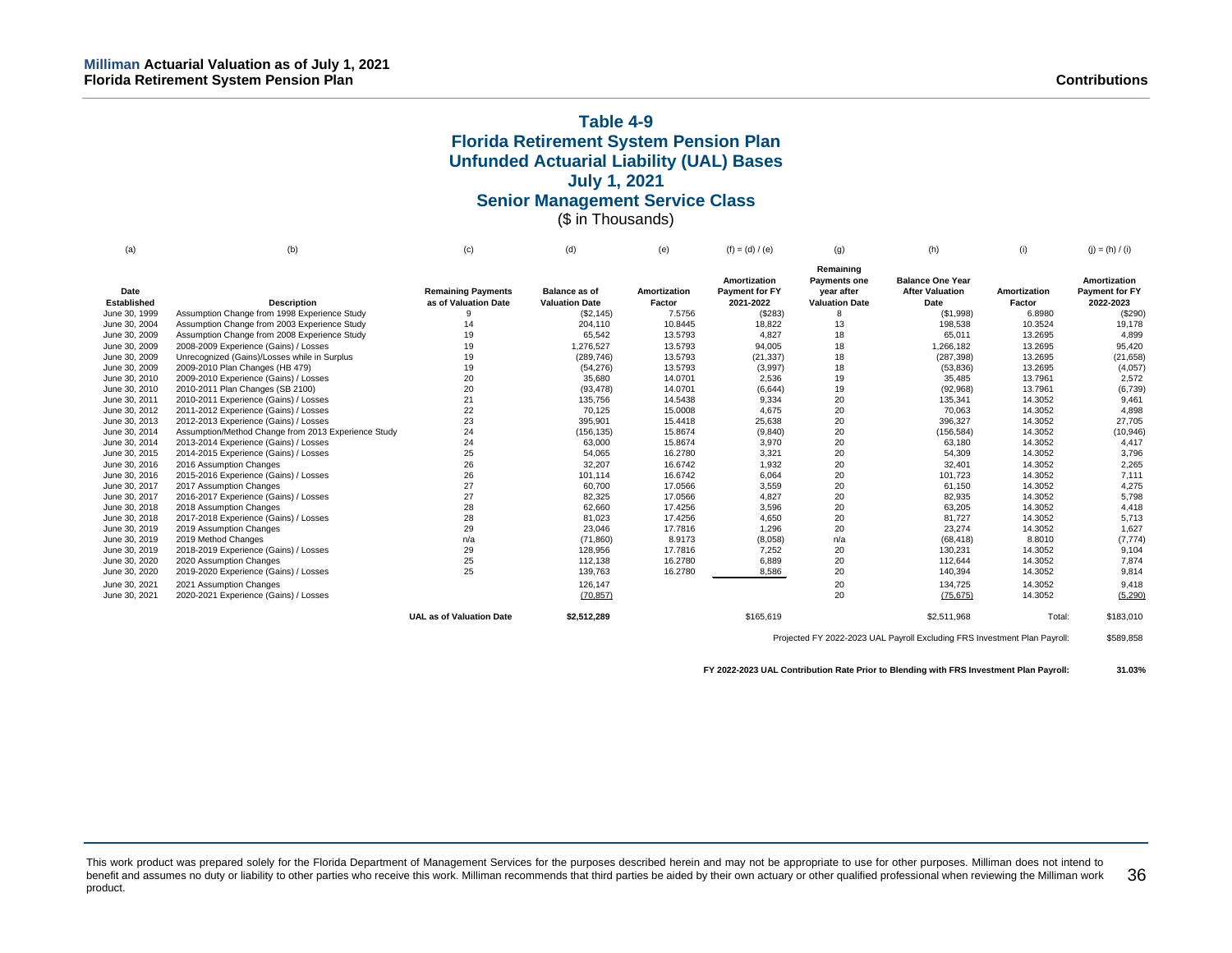# **Table 4-9 Florida Retirement System Pension Plan Unfunded Actuarial Liability (UAL) Bases July 1, 2021 Senior Management Service Class** (\$ in Thousands)

| (a)                 | (b)                                                 | (c)                                               | (d)                                           | (e)                    | $(f) = (d) / (e)$                                  | (q)                                                                     | (h)                                                       | (i)                    | $(i) = (h) / (i)$                           |
|---------------------|-----------------------------------------------------|---------------------------------------------------|-----------------------------------------------|------------------------|----------------------------------------------------|-------------------------------------------------------------------------|-----------------------------------------------------------|------------------------|---------------------------------------------|
| Date<br>Established | <b>Description</b>                                  | <b>Remaining Payments</b><br>as of Valuation Date | <b>Balance as of</b><br><b>Valuation Date</b> | Amortization<br>Factor | Amortization<br><b>Payment for FY</b><br>2021-2022 | Remaining<br><b>Payments one</b><br>year after<br><b>Valuation Date</b> | <b>Balance One Year</b><br><b>After Valuation</b><br>Date | Amortization<br>Factor | Amortization<br>Payment for FY<br>2022-2023 |
| June 30, 1999       | Assumption Change from 1998 Experience Study        | 9                                                 | (\$2,145)                                     | 7.5756                 | (\$283)                                            |                                                                         | (\$1,998)                                                 | 6.8980                 | (\$290)                                     |
| June 30, 2004       | Assumption Change from 2003 Experience Study        | 14                                                | 204,110                                       | 10.8445                | 18,822                                             | 13                                                                      | 198,538                                                   | 10.3524                | 19,178                                      |
| June 30, 2009       | Assumption Change from 2008 Experience Study        | 19                                                | 65,542                                        | 13.5793                | 4,827                                              | 18                                                                      | 65,011                                                    | 13.2695                | 4,899                                       |
| June 30, 2009       | 2008-2009 Experience (Gains) / Losses               | 19                                                | 1,276,527                                     | 13.5793                | 94,005                                             | 18                                                                      | 1,266,182                                                 | 13.2695                | 95,420                                      |
| June 30, 2009       | Unrecognized (Gains)/Losses while in Surplus        | 19                                                | (289, 746)                                    | 13.5793                | (21, 337)                                          | 18                                                                      | (287, 398)                                                | 13.2695                | (21, 658)                                   |
| June 30, 2009       | 2009-2010 Plan Changes (HB 479)                     | 19                                                | (54, 276)                                     | 13.5793                | (3,997)                                            | 18                                                                      | (53, 836)                                                 | 13.2695                | (4,057)                                     |
| June 30, 2010       | 2009-2010 Experience (Gains) / Losses               | 20                                                | 35,680                                        | 14.0701                | 2,536                                              | 19                                                                      | 35,485                                                    | 13.7961                | 2,572                                       |
| June 30, 2010       | 2010-2011 Plan Changes (SB 2100)                    | 20                                                | (93, 478)                                     | 14.0701                | (6,644)                                            | 19                                                                      | (92,968)                                                  | 13.7961                | (6,739)                                     |
| June 30, 2011       | 2010-2011 Experience (Gains) / Losses               | 21                                                | 135,756                                       | 14.5438                | 9,334                                              | 20                                                                      | 135,341                                                   | 14.3052                | 9,461                                       |
| June 30, 2012       | 2011-2012 Experience (Gains) / Losses               | 22                                                | 70,125                                        | 15.0008                | 4,675                                              | 20                                                                      | 70,063                                                    | 14.3052                | 4,898                                       |
| June 30, 2013       | 2012-2013 Experience (Gains) / Losses               | 23                                                | 395,901                                       | 15.4418                | 25,638                                             | 20                                                                      | 396,327                                                   | 14.3052                | 27,705                                      |
| June 30, 2014       | Assumption/Method Change from 2013 Experience Study | 24                                                | (156, 135)                                    | 15.8674                | (9, 840)                                           | 20                                                                      | (156, 584)                                                | 14.3052                | (10, 946)                                   |
| June 30, 2014       | 2013-2014 Experience (Gains) / Losses               | 24                                                | 63,000                                        | 15.8674                | 3,970                                              | 20                                                                      | 63,180                                                    | 14.3052                | 4,417                                       |
| June 30, 2015       | 2014-2015 Experience (Gains) / Losses               | 25                                                | 54,065                                        | 16.2780                | 3,321                                              | 20                                                                      | 54,309                                                    | 14.3052                | 3,796                                       |
| June 30, 2016       | 2016 Assumption Changes                             | 26                                                | 32,207                                        | 16.6742                | 1,932                                              | 20                                                                      | 32,401                                                    | 14.3052                | 2,265                                       |
| June 30, 2016       | 2015-2016 Experience (Gains) / Losses               | 26                                                | 101,114                                       | 16.6742                | 6,064                                              | 20                                                                      | 101,723                                                   | 14.3052                | 7,111                                       |
| June 30, 2017       | 2017 Assumption Changes                             | 27                                                | 60,700                                        | 17.0566                | 3,559                                              | 20                                                                      | 61,150                                                    | 14.3052                | 4,275                                       |
| June 30, 2017       | 2016-2017 Experience (Gains) / Losses               | 27                                                | 82,325                                        | 17.0566                | 4,827                                              | 20                                                                      | 82,935                                                    | 14.3052                | 5,798                                       |
| June 30, 2018       | 2018 Assumption Changes                             | 28                                                | 62,660                                        | 17.4256                | 3,596                                              | 20                                                                      | 63,205                                                    | 14.3052                | 4,418                                       |
| June 30, 2018       | 2017-2018 Experience (Gains) / Losses               | 28                                                | 81,023                                        | 17.4256                | 4,650                                              | 20                                                                      | 81,727                                                    | 14.3052                | 5,713                                       |
| June 30, 2019       | 2019 Assumption Changes                             | 29                                                | 23,046                                        | 17.7816                | 1,296                                              | 20                                                                      | 23,274                                                    | 14.3052                | 1,627                                       |
| June 30, 2019       | 2019 Method Changes                                 | n/a                                               | (71, 860)                                     | 8.9173                 | (8,058)                                            | n/a                                                                     | (68, 418)                                                 | 8.8010                 | (7, 774)                                    |
| June 30, 2019       | 2018-2019 Experience (Gains) / Losses               | 29                                                | 128,956                                       | 17.7816                | 7,252                                              | 20                                                                      | 130,231                                                   | 14.3052                | 9,104                                       |
| June 30, 2020       | 2020 Assumption Changes                             | 25                                                | 112,138                                       | 16.2780                | 6,889                                              | 20                                                                      | 112,644                                                   | 14.3052                | 7,874                                       |
| June 30, 2020       | 2019-2020 Experience (Gains) / Losses               | 25                                                | 139,763                                       | 16.2780                | 8,586                                              | 20                                                                      | 140,394                                                   | 14.3052                | 9,814                                       |
| June 30, 2021       | 2021 Assumption Changes                             |                                                   | 126,147                                       |                        |                                                    | 20                                                                      | 134,725                                                   | 14.3052                | 9,418                                       |
| June 30, 2021       | 2020-2021 Experience (Gains) / Losses               |                                                   | (70, 857)                                     |                        |                                                    | 20                                                                      | (75, 675)                                                 | 14.3052                | (5, 290)                                    |
|                     |                                                     | <b>UAL as of Valuation Date</b>                   | \$2,512,289                                   |                        | \$165,619                                          |                                                                         | \$2,511,968                                               | Total:                 | \$183,010                                   |

Projected FY 2022-2023 UAL Payroll Excluding FRS Investment Plan Payroll: \$589,858

**FY 2022-2023 UAL Contribution Rate Prior to Blending with FRS Investment Plan Payroll: 31.03%**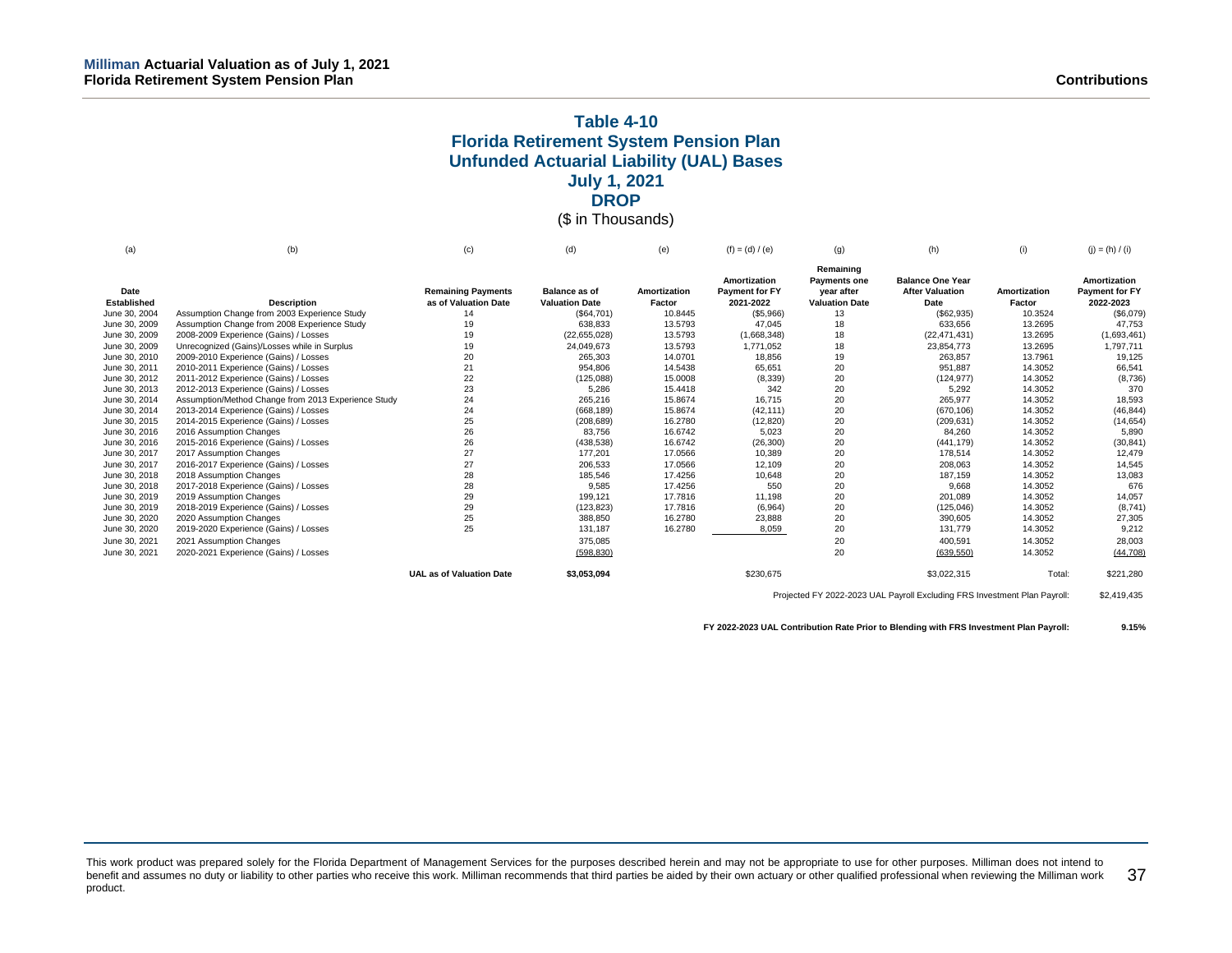# **Table 4-10 Florida Retirement System Pension Plan Unfunded Actuarial Liability (UAL) Bases July 1, 2021 DROP**

# (\$ in Thousands)

| (a)           | (b)                                                 | (c)                             | (d)                   | (e)          | $(f) = (d) / (e)$     | (q)                   | (h)                     | (i)          | $(j) = (h) / (i)$ |
|---------------|-----------------------------------------------------|---------------------------------|-----------------------|--------------|-----------------------|-----------------------|-------------------------|--------------|-------------------|
|               |                                                     |                                 |                       |              |                       | Remaining             |                         |              |                   |
|               |                                                     |                                 |                       |              | Amortization          | <b>Payments one</b>   | <b>Balance One Year</b> |              | Amortization      |
| Date          |                                                     | <b>Remaining Payments</b>       | <b>Balance as of</b>  | Amortization | <b>Payment for FY</b> | year after            | <b>After Valuation</b>  | Amortization | Payment for FY    |
| Established   | <b>Description</b>                                  | as of Valuation Date            | <b>Valuation Date</b> | Factor       | 2021-2022             | <b>Valuation Date</b> | Date                    | Factor       | 2022-2023         |
| June 30, 2004 | Assumption Change from 2003 Experience Study        | 14                              | (\$64,701)            | 10.8445      | (\$5,966)             | 13                    | (\$62,935)              | 10.3524      | (\$6,079)         |
| June 30, 2009 | Assumption Change from 2008 Experience Study        | 19                              | 638,833               | 13.5793      | 47,045                | 18                    | 633,656                 | 13.2695      | 47,753            |
| June 30, 2009 | 2008-2009 Experience (Gains) / Losses               | 19                              | (22,655,028)          | 13.5793      | (1,668,348)           | 18                    | (22, 471, 431)          | 13.2695      | (1,693,461)       |
| June 30, 2009 | Unrecognized (Gains)/Losses while in Surplus        | 19                              | 24,049,673            | 13.5793      | 1,771,052             | 18                    | 23,854,773              | 13.2695      | 1,797,711         |
| June 30, 2010 | 2009-2010 Experience (Gains) / Losses               | 20                              | 265,303               | 14.0701      | 18,856                | 19                    | 263.857                 | 13.7961      | 19,125            |
| June 30, 2011 | 2010-2011 Experience (Gains) / Losses               | 21                              | 954,806               | 14.5438      | 65,651                | 20                    | 951,887                 | 14.3052      | 66,541            |
| June 30, 2012 | 2011-2012 Experience (Gains) / Losses               | 22                              | (125,088)             | 15.0008      | (8, 339)              | 20                    | (124, 977)              | 14.3052      | (8,736)           |
| June 30, 2013 | 2012-2013 Experience (Gains) / Losses               | 23                              | 5,286                 | 15.4418      | 342                   | 20                    | 5,292                   | 14.3052      | 370               |
| June 30, 2014 | Assumption/Method Change from 2013 Experience Study | 24                              | 265,216               | 15.8674      | 16.715                | 20                    | 265.977                 | 14.3052      | 18.593            |
| June 30, 2014 | 2013-2014 Experience (Gains) / Losses               | 24                              | (668, 189)            | 15.8674      | (42, 111)             | 20                    | (670, 106)              | 14.3052      | (46, 844)         |
| June 30, 2015 | 2014-2015 Experience (Gains) / Losses               | 25                              | (208, 689)            | 16.2780      | (12, 820)             | 20                    | (209, 631)              | 14.3052      | (14, 654)         |
| June 30, 2016 | 2016 Assumption Changes                             | 26                              | 83,756                | 16.6742      | 5,023                 | 20                    | 84,260                  | 14.3052      | 5,890             |
| June 30, 2016 | 2015-2016 Experience (Gains) / Losses               | 26                              | (438, 538)            | 16.6742      | (26, 300)             | 20                    | (441, 179)              | 14.3052      | (30, 841)         |
| June 30, 2017 | 2017 Assumption Changes                             | 27                              | 177,201               | 17.0566      | 10,389                | 20                    | 178,514                 | 14.3052      | 12.479            |
| June 30, 2017 | 2016-2017 Experience (Gains) / Losses               | 27                              | 206,533               | 17.0566      | 12,109                | 20                    | 208,063                 | 14.3052      | 14,545            |
| June 30, 2018 | 2018 Assumption Changes                             | 28                              | 185,546               | 17.4256      | 10,648                | 20                    | 187,159                 | 14.3052      | 13,083            |
| June 30, 2018 | 2017-2018 Experience (Gains) / Losses               | 28                              | 9,585                 | 17.4256      | 550                   | 20                    | 9,668                   | 14.3052      | 676               |
| June 30, 2019 | 2019 Assumption Changes                             | 29                              | 199,121               | 17.7816      | 11.198                | 20                    | 201,089                 | 14.3052      | 14.057            |
| June 30, 2019 | 2018-2019 Experience (Gains) / Losses               | 29                              | (123, 823)            | 17.7816      | (6,964)               | 20                    | (125, 046)              | 14.3052      | (8,741)           |
| June 30, 2020 | 2020 Assumption Changes                             | 25                              | 388,850               | 16.2780      | 23,888                | 20                    | 390,605                 | 14.3052      | 27,305            |
| June 30, 2020 | 2019-2020 Experience (Gains) / Losses               | 25                              | 131,187               | 16.2780      | 8,059                 | 20                    | 131,779                 | 14.3052      | 9,212             |
| June 30, 2021 | 2021 Assumption Changes                             |                                 | 375,085               |              |                       | 20                    | 400,591                 | 14.3052      | 28,003            |
| June 30, 2021 | 2020-2021 Experience (Gains) / Losses               |                                 | (598, 830)            |              |                       | 20                    | (639, 550)              | 14.3052      | (44, 708)         |
|               |                                                     | <b>UAL as of Valuation Date</b> | \$3,053,094           |              | \$230,675             |                       | \$3,022,315             | Total:       | \$221,280         |

Projected FY 2022-2023 UAL Payroll Excluding FRS Investment Plan Payroll: \$2,419,435

**FY 2022-2023 UAL Contribution Rate Prior to Blending with FRS Investment Plan Payroll: 9.15%**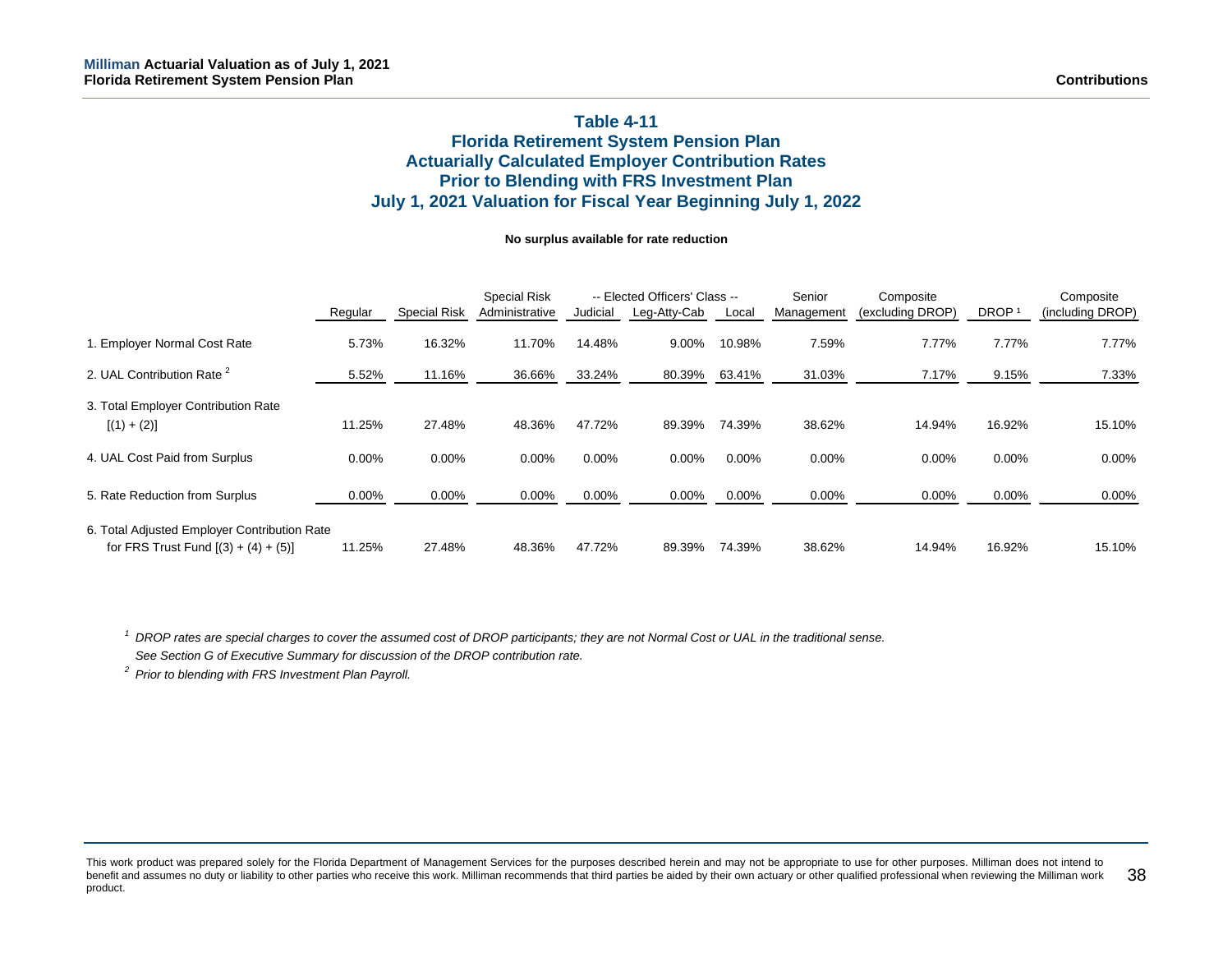# **Table 4-11 Florida Retirement System Pension Plan Actuarially Calculated Employer Contribution Rates Prior to Blending with FRS Investment Plan July 1, 2021 Valuation for Fiscal Year Beginning July 1, 2022**

#### **No surplus available for rate reduction**

|                                                                                        |          |                     | <b>Special Risk</b> |          | -- Elected Officers' Class -- |          | Senior<br>Composite |                  |                   | Composite        |
|----------------------------------------------------------------------------------------|----------|---------------------|---------------------|----------|-------------------------------|----------|---------------------|------------------|-------------------|------------------|
|                                                                                        | Regular  | <b>Special Risk</b> | Administrative      | Judicial | Leg-Atty-Cab                  | Local    | Management          | (excluding DROP) | DROP <sup>1</sup> | (including DROP) |
| 1. Employer Normal Cost Rate                                                           | 5.73%    | 16.32%              | 11.70%              | 14.48%   | 9.00%                         | 10.98%   | 7.59%               | 7.77%            | 7.77%             | 7.77%            |
| 2. UAL Contribution Rate <sup>2</sup>                                                  | 5.52%    | 11.16%              | 36.66%              | 33.24%   | 80.39%                        | 63.41%   | 31.03%              | 7.17%            | 9.15%             | 7.33%            |
| 3. Total Employer Contribution Rate<br>$[(1) + (2)]$                                   | 11.25%   | 27.48%              | 48.36%              | 47.72%   | 89.39%                        | 74.39%   | 38.62%              | 14.94%           | 16.92%            | 15.10%           |
| 4. UAL Cost Paid from Surplus                                                          | 0.00%    | 0.00%               | $0.00\%$            | 0.00%    | 0.00%                         | 0.00%    | 0.00%               | $0.00\%$         | 0.00%             | $0.00\%$         |
| 5. Rate Reduction from Surplus                                                         | $0.00\%$ | $0.00\%$            | $0.00\%$            | 0.00%    | $0.00\%$                      | $0.00\%$ | 0.00%               | $0.00\%$         | 0.00%             | $0.00\%$         |
| 6. Total Adjusted Employer Contribution Rate<br>for FRS Trust Fund $[(3) + (4) + (5)]$ | 11.25%   | 27.48%              | 48.36%              | 47.72%   | 89.39%                        | 74.39%   | 38.62%              | 14.94%           | 16.92%            | 15.10%           |

*<sup>1</sup> DROP rates are special charges to cover the assumed cost of DROP participants; they are not Normal Cost or UAL in the traditional sense.*

*See Section G of Executive Summary for discussion of the DROP contribution rate.*

*<sup>2</sup> Prior to blending with FRS Investment Plan Payroll.*

This work product was prepared solely for the Florida Department of Management Services for the purposes described herein and may not be appropriate to use for other purposes. Milliman does not intend to benefit and assumes no duty or liability to other parties who receive this work. Milliman recommends that third parties be aided by their own actuary or other qualified professional when reviewing the Milliman work product. 38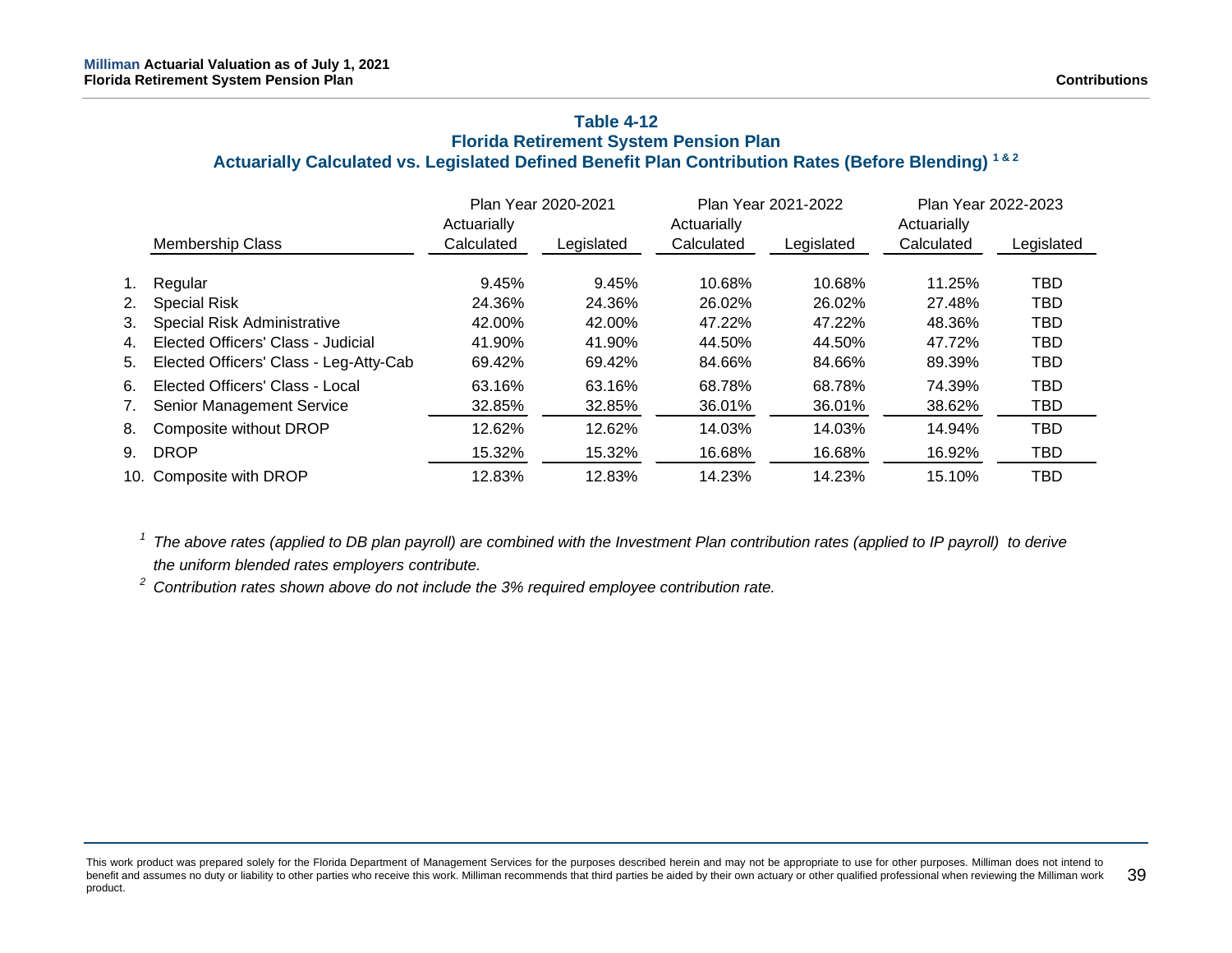# **Table 4-12 Florida Retirement System Pension Plan Actuarially Calculated vs. Legislated Defined Benefit Plan Contribution Rates (Before Blending) 1 & 2**

|    |                                        |             | Plan Year 2020-2021 |             | Plan Year 2021-2022 | Plan Year 2022-2023 |            |
|----|----------------------------------------|-------------|---------------------|-------------|---------------------|---------------------|------------|
|    |                                        | Actuarially |                     | Actuarially |                     | Actuarially         |            |
|    | <b>Membership Class</b>                | Calculated  | Legislated          | Calculated  | Legislated          | Calculated          | Legislated |
| 1. | Regular                                | 9.45%       | 9.45%               | 10.68%      | 10.68%              | 11.25%              | TBD        |
| 2. | <b>Special Risk</b>                    | 24.36%      | 24.36%              | 26.02%      | 26.02%              | 27.48%              | TBD        |
| 3. | <b>Special Risk Administrative</b>     | 42.00%      | 42.00%              | 47.22%      | 47.22%              | 48.36%              | TBD        |
| 4. | Elected Officers' Class - Judicial     | 41.90%      | 41.90%              | 44.50%      | 44.50%              | 47.72%              | TBD        |
| 5. | Elected Officers' Class - Leg-Atty-Cab | 69.42%      | 69.42%              | 84.66%      | 84.66%              | 89.39%              | TBD        |
| 6. | Elected Officers' Class - Local        | 63.16%      | 63.16%              | 68.78%      | 68.78%              | 74.39%              | <b>TBD</b> |
| 7. | <b>Senior Management Service</b>       | 32.85%      | 32.85%              | 36.01%      | 36.01%              | 38.62%              | TBD        |
| 8. | Composite without DROP                 | 12.62%      | 12.62%              | 14.03%      | 14.03%              | 14.94%              | <b>TBD</b> |
|    | 9. DROP                                | 15.32%      | 15.32%              | 16.68%      | 16.68%              | 16.92%              | TBD        |
|    | 10. Composite with DROP                | 12.83%      | 12.83%              | 14.23%      | 14.23%              | 15.10%              | TBD        |

*<sup>1</sup> The above rates (applied to DB plan payroll) are combined with the Investment Plan contribution rates (applied to IP payroll) to derive the uniform blended rates employers contribute.*

*<sup>2</sup> Contribution rates shown above do not include the 3% required employee contribution rate.*

This work product was prepared solely for the Florida Department of Management Services for the purposes described herein and may not be appropriate to use for other purposes. Milliman does not intend to benefit and assumes no duty or liability to other parties who receive this work. Milliman recommends that third parties be aided by their own actuary or other qualified professional when reviewing the Milliman work product. 39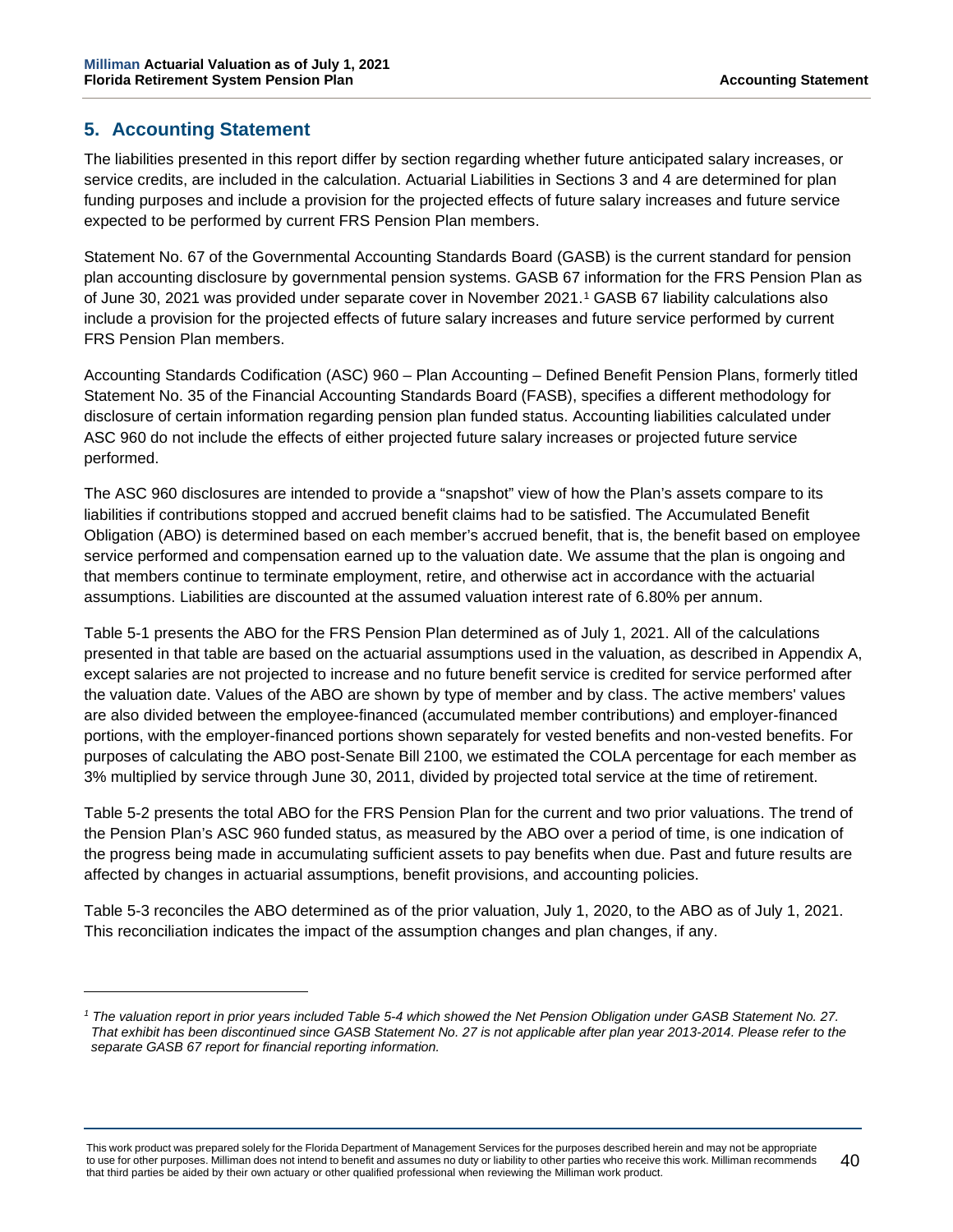# **5. Accounting Statement**

The liabilities presented in this report differ by section regarding whether future anticipated salary increases, or service credits, are included in the calculation. Actuarial Liabilities in Sections 3 and 4 are determined for plan funding purposes and include a provision for the projected effects of future salary increases and future service expected to be performed by current FRS Pension Plan members.

Statement No. 67 of the Governmental Accounting Standards Board (GASB) is the current standard for pension plan accounting disclosure by governmental pension systems. GASB 67 information for the FRS Pension Plan as of June 30, 2021 was provided under separate cover in November 2021.[1](#page-44-0) GASB 67 liability calculations also include a provision for the projected effects of future salary increases and future service performed by current FRS Pension Plan members.

Accounting Standards Codification (ASC) 960 – Plan Accounting – Defined Benefit Pension Plans, formerly titled Statement No. 35 of the Financial Accounting Standards Board (FASB), specifies a different methodology for disclosure of certain information regarding pension plan funded status. Accounting liabilities calculated under ASC 960 do not include the effects of either projected future salary increases or projected future service performed.

The ASC 960 disclosures are intended to provide a "snapshot" view of how the Plan's assets compare to its liabilities if contributions stopped and accrued benefit claims had to be satisfied. The Accumulated Benefit Obligation (ABO) is determined based on each member's accrued benefit, that is, the benefit based on employee service performed and compensation earned up to the valuation date. We assume that the plan is ongoing and that members continue to terminate employment, retire, and otherwise act in accordance with the actuarial assumptions. Liabilities are discounted at the assumed valuation interest rate of 6.80% per annum.

Table 5-1 presents the ABO for the FRS Pension Plan determined as of July 1, 2021. All of the calculations presented in that table are based on the actuarial assumptions used in the valuation, as described in Appendix A, except salaries are not projected to increase and no future benefit service is credited for service performed after the valuation date. Values of the ABO are shown by type of member and by class. The active members' values are also divided between the employee-financed (accumulated member contributions) and employer-financed portions, with the employer-financed portions shown separately for vested benefits and non-vested benefits. For purposes of calculating the ABO post-Senate Bill 2100, we estimated the COLA percentage for each member as 3% multiplied by service through June 30, 2011, divided by projected total service at the time of retirement.

Table 5-2 presents the total ABO for the FRS Pension Plan for the current and two prior valuations. The trend of the Pension Plan's ASC 960 funded status, as measured by the ABO over a period of time, is one indication of the progress being made in accumulating sufficient assets to pay benefits when due. Past and future results are affected by changes in actuarial assumptions, benefit provisions, and accounting policies.

Table 5-3 reconciles the ABO determined as of the prior valuation, July 1, 2020, to the ABO as of July 1, 2021. This reconciliation indicates the impact of the assumption changes and plan changes, if any.

<span id="page-44-0"></span>*<sup>1</sup> The valuation report in prior years included Table 5-4 which showed the Net Pension Obligation under GASB Statement No. 27. That exhibit has been discontinued since GASB Statement No. 27 is not applicable after plan year 2013-2014. Please refer to the separate GASB 67 report for financial reporting information.*

This work product was prepared solely for the Florida Department of Management Services for the purposes described herein and may not be appropriate to use for other purposes. Milliman does not intend to benefit and assumes no duty or liability to other parties who receive this work. Milliman recommends that third parties be aided by their own actuary or other qualified professional when reviewing the Milliman work product. 40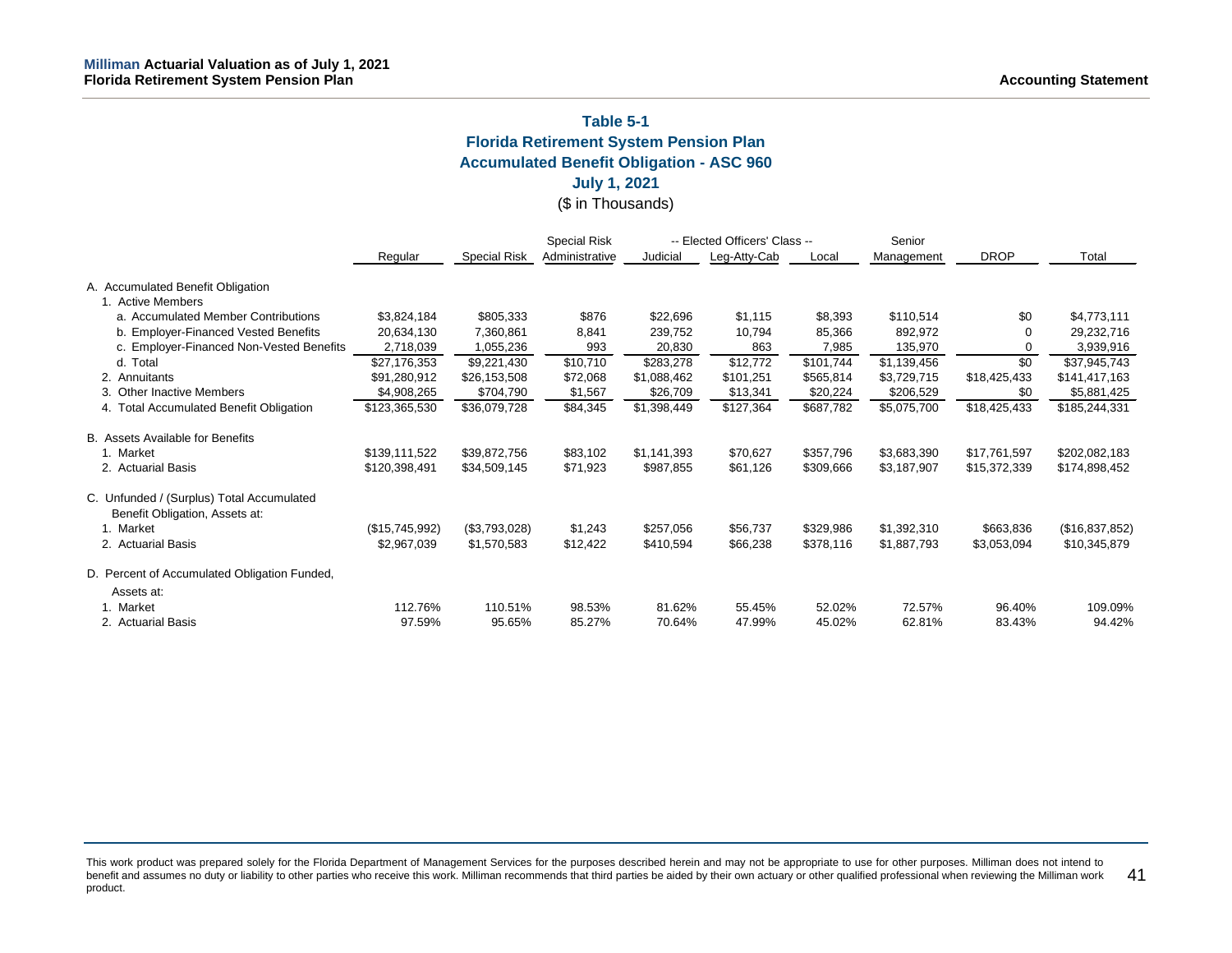# **Table 5-1**

**Florida Retirement System Pension Plan**

**Accumulated Benefit Obligation - ASC 960**

# **July 1, 2021**

# (\$ in Thousands)

|                                              |                |                     | <b>Special Risk</b> | -- Elected Officers' Class -- |              |           | Senior      |              |                |
|----------------------------------------------|----------------|---------------------|---------------------|-------------------------------|--------------|-----------|-------------|--------------|----------------|
|                                              | Regular        | <b>Special Risk</b> | Administrative      | Judicial                      | Leg-Atty-Cab | Local     | Management  | <b>DROP</b>  | Total          |
| A. Accumulated Benefit Obligation            |                |                     |                     |                               |              |           |             |              |                |
| 1. Active Members                            |                |                     |                     |                               |              |           |             |              |                |
| a. Accumulated Member Contributions          | \$3,824,184    | \$805,333           | \$876               | \$22,696                      | \$1,115      | \$8,393   | \$110,514   | \$0          | \$4,773,111    |
| b. Employer-Financed Vested Benefits         | 20,634,130     | 7,360,861           | 8,841               | 239,752                       | 10,794       | 85,366    | 892,972     | ∩            | 29,232,716     |
| c. Employer-Financed Non-Vested Benefits     | 2,718,039      | 1,055,236           | 993                 | 20,830                        | 863          | 7,985     | 135,970     | 0            | 3,939,916      |
| d. Total                                     | \$27,176,353   | \$9,221,430         | \$10,710            | \$283,278                     | \$12,772     | \$101,744 | \$1,139,456 | \$0          | \$37,945,743   |
| 2. Annuitants                                | \$91,280,912   | \$26,153,508        | \$72,068            | \$1,088,462                   | \$101,251    | \$565,814 | \$3,729,715 | \$18,425,433 | \$141,417,163  |
| 3. Other Inactive Members                    | \$4,908,265    | \$704,790           | \$1,567             | \$26,709                      | \$13,341     | \$20,224  | \$206,529   | \$0          | \$5,881,425    |
| 4. Total Accumulated Benefit Obligation      | \$123,365,530  | \$36,079,728        | \$84,345            | \$1,398,449                   | \$127,364    | \$687,782 | \$5,075,700 | \$18,425,433 | \$185,244,331  |
| B. Assets Available for Benefits             |                |                     |                     |                               |              |           |             |              |                |
| 1. Market                                    | \$139,111,522  | \$39,872,756        | \$83,102            | \$1,141,393                   | \$70,627     | \$357,796 | \$3,683,390 | \$17,761,597 | \$202,082,183  |
| 2. Actuarial Basis                           | \$120,398,491  | \$34,509,145        | \$71,923            | \$987,855                     | \$61,126     | \$309,666 | \$3,187,907 | \$15,372,339 | \$174,898,452  |
| C. Unfunded / (Surplus) Total Accumulated    |                |                     |                     |                               |              |           |             |              |                |
| Benefit Obligation, Assets at:               |                |                     |                     |                               |              |           |             |              |                |
| 1. Market                                    | (\$15,745,992) | (\$3,793,028)       | \$1,243             | \$257,056                     | \$56,737     | \$329,986 | \$1,392,310 | \$663,836    | (\$16,837,852) |
| 2. Actuarial Basis                           | \$2,967,039    | \$1,570,583         | \$12,422            | \$410,594                     | \$66,238     | \$378,116 | \$1,887,793 | \$3,053,094  | \$10,345,879   |
| D. Percent of Accumulated Obligation Funded, |                |                     |                     |                               |              |           |             |              |                |
| Assets at:                                   |                |                     |                     |                               |              |           |             |              |                |
| 1. Market                                    | 112.76%        | 110.51%             | 98.53%              | 81.62%                        | 55.45%       | 52.02%    | 72.57%      | 96.40%       | 109.09%        |
| 2. Actuarial Basis                           | 97.59%         | 95.65%              | 85.27%              | 70.64%                        | 47.99%       | 45.02%    | 62.81%      | 83.43%       | 94.42%         |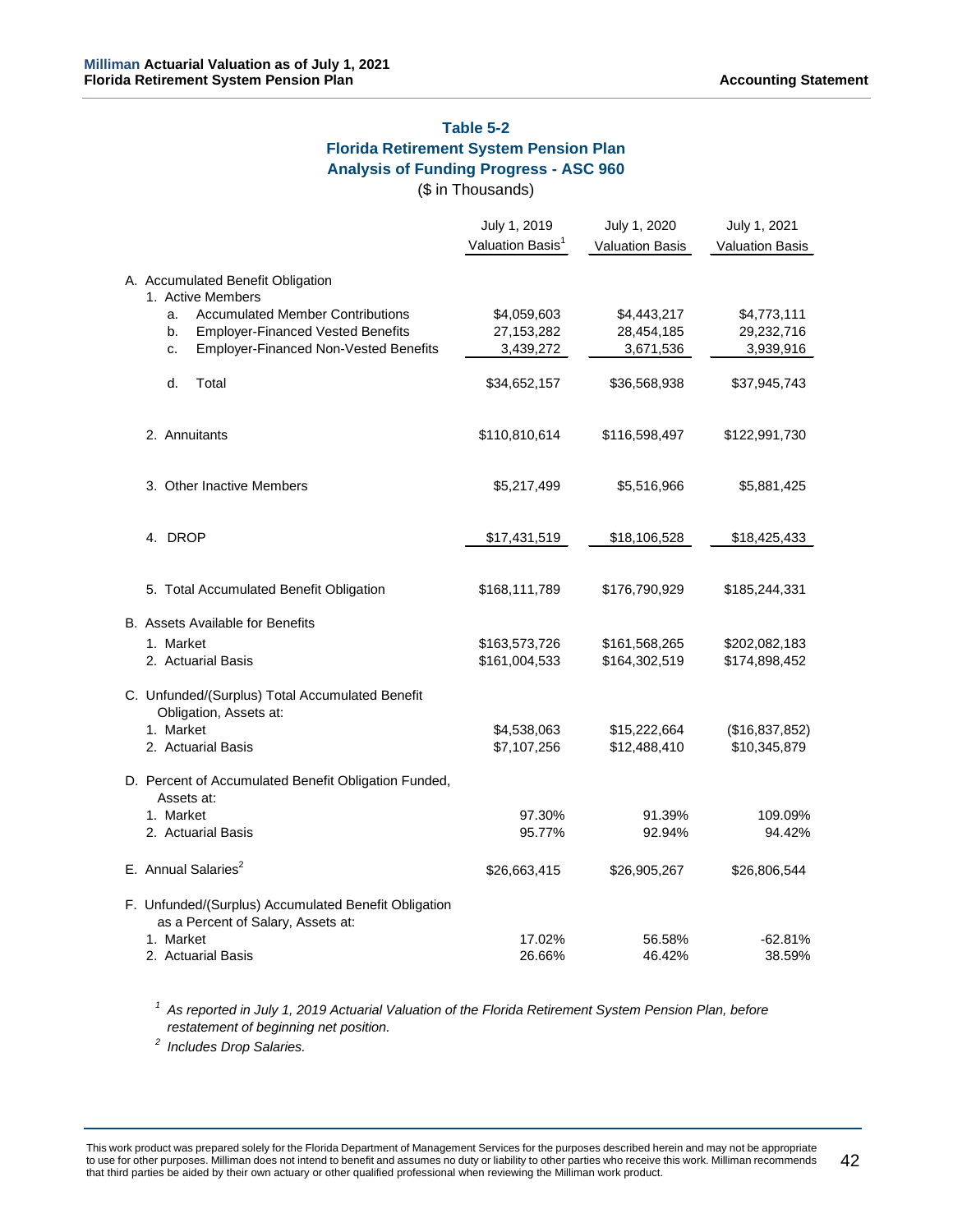# **Table 5-2 Florida Retirement System Pension Plan Analysis of Funding Progress - ASC 960**

(\$ in Thousands)

|  |                                                                                            | July 1, 2019<br>Valuation Basis <sup>1</sup> | July 1, 2020           | July 1, 2021           |
|--|--------------------------------------------------------------------------------------------|----------------------------------------------|------------------------|------------------------|
|  |                                                                                            |                                              | <b>Valuation Basis</b> | <b>Valuation Basis</b> |
|  | A. Accumulated Benefit Obligation<br>1. Active Members                                     |                                              |                        |                        |
|  | <b>Accumulated Member Contributions</b><br>a.                                              | \$4,059,603                                  | \$4,443,217            | \$4,773,111            |
|  | <b>Employer-Financed Vested Benefits</b><br>b.                                             | 27, 153, 282                                 | 28,454,185             | 29,232,716             |
|  | <b>Employer-Financed Non-Vested Benefits</b><br>c.                                         | 3,439,272                                    | 3,671,536              | 3,939,916              |
|  | d.<br>Total                                                                                | \$34,652,157                                 | \$36,568,938           | \$37,945,743           |
|  | 2. Annuitants                                                                              | \$110,810,614                                | \$116,598,497          | \$122,991,730          |
|  | 3. Other Inactive Members                                                                  | \$5,217,499                                  | \$5,516,966            | \$5,881,425            |
|  | 4. DROP                                                                                    | \$17,431,519                                 | \$18,106,528           | \$18,425,433           |
|  | 5. Total Accumulated Benefit Obligation                                                    | \$168,111,789                                | \$176,790,929          | \$185,244,331          |
|  | B. Assets Available for Benefits                                                           |                                              |                        |                        |
|  | 1. Market                                                                                  | \$163,573,726                                | \$161,568,265          | \$202,082,183          |
|  | 2. Actuarial Basis                                                                         | \$161,004,533                                | \$164,302,519          | \$174,898,452          |
|  | C. Unfunded/(Surplus) Total Accumulated Benefit<br>Obligation, Assets at:                  |                                              |                        |                        |
|  | 1. Market                                                                                  | \$4,538,063                                  | \$15,222,664           | (\$16,837,852)         |
|  | 2. Actuarial Basis                                                                         | \$7,107,256                                  | \$12,488,410           | \$10,345,879           |
|  | D. Percent of Accumulated Benefit Obligation Funded,<br>Assets at:                         |                                              |                        |                        |
|  | 1. Market                                                                                  | 97.30%                                       | 91.39%                 | 109.09%                |
|  | 2. Actuarial Basis                                                                         | 95.77%                                       | 92.94%                 | 94.42%                 |
|  | E. Annual Salaries <sup>2</sup>                                                            | \$26,663,415                                 | \$26,905,267           | \$26,806,544           |
|  | F. Unfunded/(Surplus) Accumulated Benefit Obligation<br>as a Percent of Salary, Assets at: |                                              |                        |                        |
|  | 1. Market                                                                                  | 17.02%                                       | 56.58%                 | $-62.81%$              |
|  | 2. Actuarial Basis                                                                         | 26.66%                                       | 46.42%                 | 38.59%                 |

*<sup>1</sup> As reported in July 1, 2019 Actuarial Valuation of the Florida Retirement System Pension Plan, before restatement of beginning net position.*

*<sup>2</sup> Includes Drop Salaries.*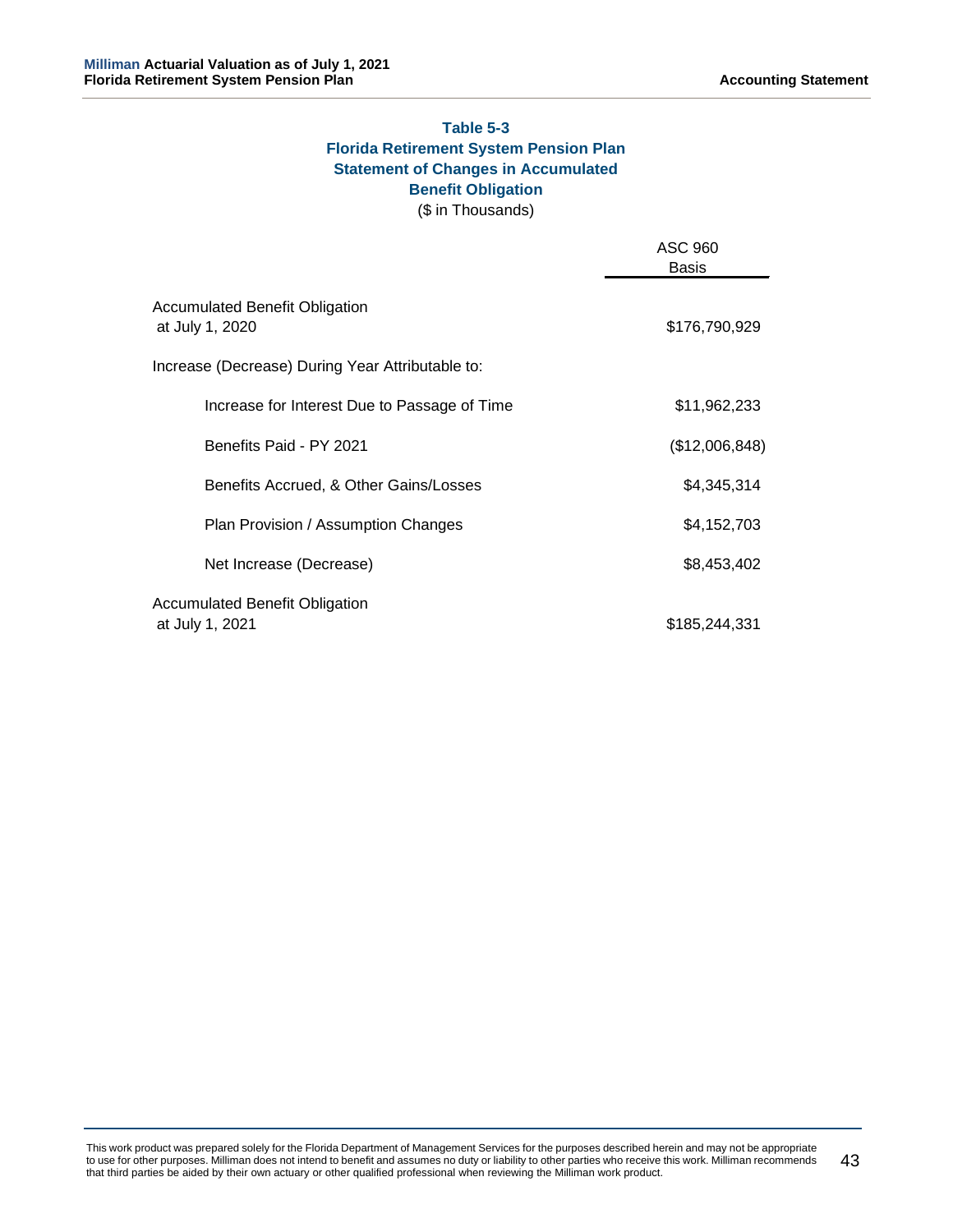# **Table 5-3 Florida Retirement System Pension Plan Statement of Changes in Accumulated Benefit Obligation**

(\$ in Thousands)

|                                                          | ASC 960<br><b>Basis</b> |
|----------------------------------------------------------|-------------------------|
| Accumulated Benefit Obligation<br>at July 1, 2020        | \$176,790,929           |
| Increase (Decrease) During Year Attributable to:         |                         |
| Increase for Interest Due to Passage of Time             | \$11,962,233            |
| Benefits Paid - PY 2021                                  | (\$12,006,848)          |
| Benefits Accrued, & Other Gains/Losses                   | \$4,345,314             |
| Plan Provision / Assumption Changes                      | \$4,152,703             |
| Net Increase (Decrease)                                  | \$8,453,402             |
| <b>Accumulated Benefit Obligation</b><br>at July 1, 2021 | \$185,244,331           |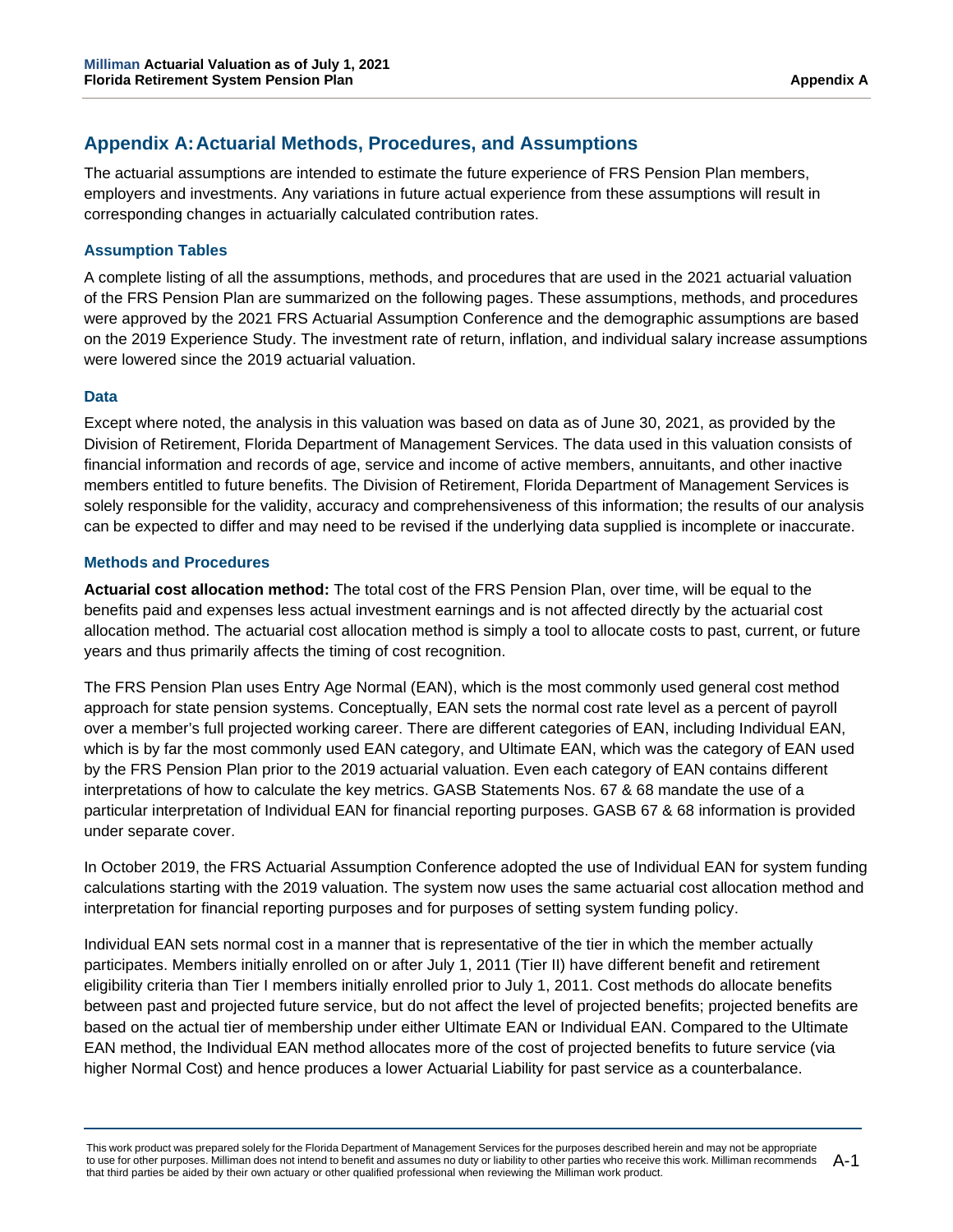# **Appendix A:Actuarial Methods, Procedures, and Assumptions**

The actuarial assumptions are intended to estimate the future experience of FRS Pension Plan members, employers and investments. Any variations in future actual experience from these assumptions will result in corresponding changes in actuarially calculated contribution rates.

# **Assumption Tables**

A complete listing of all the assumptions, methods, and procedures that are used in the 2021 actuarial valuation of the FRS Pension Plan are summarized on the following pages. These assumptions, methods, and procedures were approved by the 2021 FRS Actuarial Assumption Conference and the demographic assumptions are based on the 2019 Experience Study. The investment rate of return, inflation, and individual salary increase assumptions were lowered since the 2019 actuarial valuation.

# **Data**

Except where noted, the analysis in this valuation was based on data as of June 30, 2021, as provided by the Division of Retirement, Florida Department of Management Services. The data used in this valuation consists of financial information and records of age, service and income of active members, annuitants, and other inactive members entitled to future benefits. The Division of Retirement, Florida Department of Management Services is solely responsible for the validity, accuracy and comprehensiveness of this information; the results of our analysis can be expected to differ and may need to be revised if the underlying data supplied is incomplete or inaccurate.

## **Methods and Procedures**

**Actuarial cost allocation method:** The total cost of the FRS Pension Plan, over time, will be equal to the benefits paid and expenses less actual investment earnings and is not affected directly by the actuarial cost allocation method. The actuarial cost allocation method is simply a tool to allocate costs to past, current, or future years and thus primarily affects the timing of cost recognition.

The FRS Pension Plan uses Entry Age Normal (EAN), which is the most commonly used general cost method approach for state pension systems. Conceptually, EAN sets the normal cost rate level as a percent of payroll over a member's full projected working career. There are different categories of EAN, including Individual EAN, which is by far the most commonly used EAN category, and Ultimate EAN, which was the category of EAN used by the FRS Pension Plan prior to the 2019 actuarial valuation. Even each category of EAN contains different interpretations of how to calculate the key metrics. GASB Statements Nos. 67 & 68 mandate the use of a particular interpretation of Individual EAN for financial reporting purposes. GASB 67 & 68 information is provided under separate cover.

In October 2019, the FRS Actuarial Assumption Conference adopted the use of Individual EAN for system funding calculations starting with the 2019 valuation. The system now uses the same actuarial cost allocation method and interpretation for financial reporting purposes and for purposes of setting system funding policy.

Individual EAN sets normal cost in a manner that is representative of the tier in which the member actually participates. Members initially enrolled on or after July 1, 2011 (Tier II) have different benefit and retirement eligibility criteria than Tier I members initially enrolled prior to July 1, 2011. Cost methods do allocate benefits between past and projected future service, but do not affect the level of projected benefits; projected benefits are based on the actual tier of membership under either Ultimate EAN or Individual EAN. Compared to the Ultimate EAN method, the Individual EAN method allocates more of the cost of projected benefits to future service (via higher Normal Cost) and hence produces a lower Actuarial Liability for past service as a counterbalance.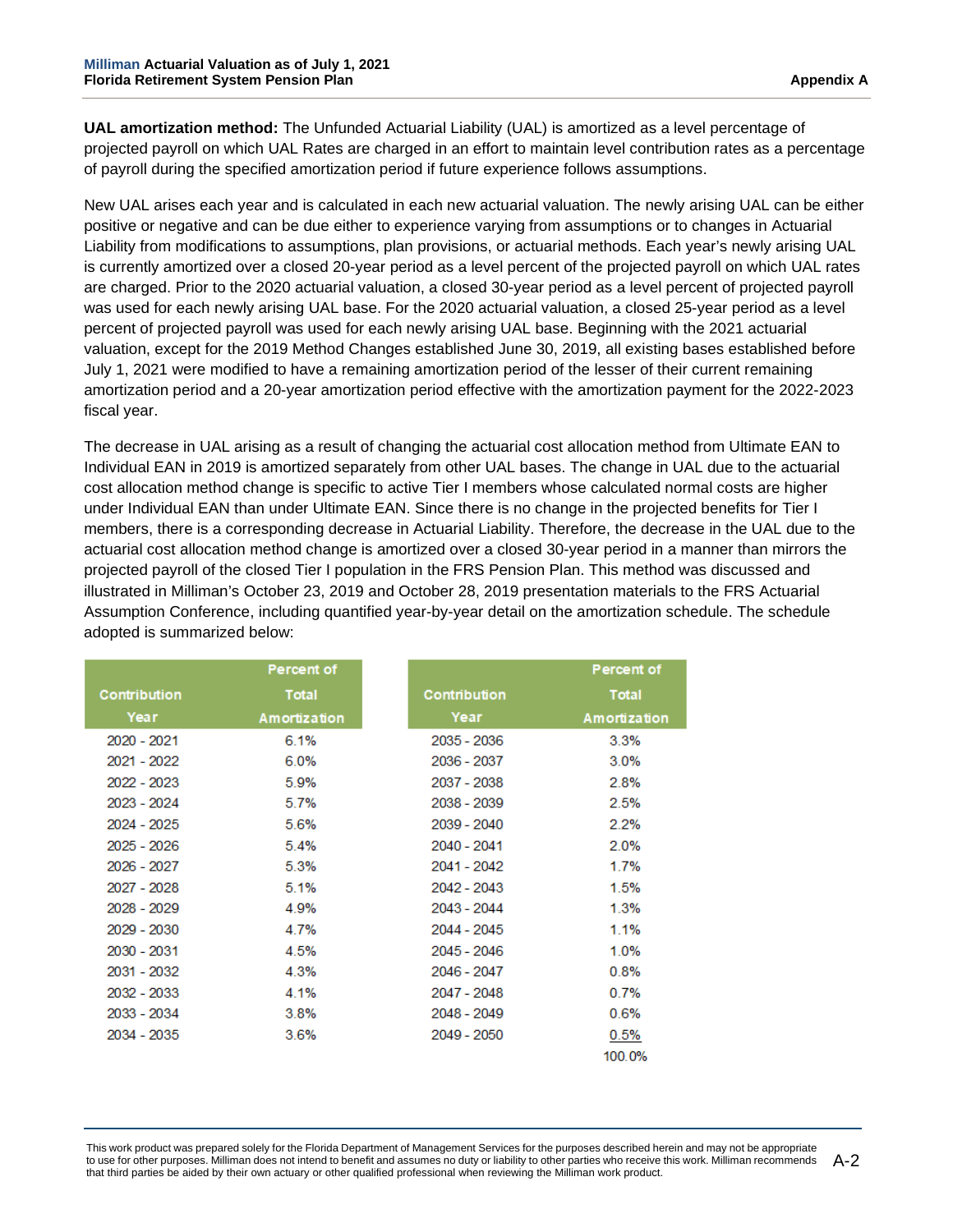**UAL amortization method:** The Unfunded Actuarial Liability (UAL) is amortized as a level percentage of projected payroll on which UAL Rates are charged in an effort to maintain level contribution rates as a percentage of payroll during the specified amortization period if future experience follows assumptions.

New UAL arises each year and is calculated in each new actuarial valuation. The newly arising UAL can be either positive or negative and can be due either to experience varying from assumptions or to changes in Actuarial Liability from modifications to assumptions, plan provisions, or actuarial methods. Each year's newly arising UAL is currently amortized over a closed 20-year period as a level percent of the projected payroll on which UAL rates are charged. Prior to the 2020 actuarial valuation, a closed 30-year period as a level percent of projected payroll was used for each newly arising UAL base. For the 2020 actuarial valuation, a closed 25-year period as a level percent of projected payroll was used for each newly arising UAL base. Beginning with the 2021 actuarial valuation, except for the 2019 Method Changes established June 30, 2019, all existing bases established before July 1, 2021 were modified to have a remaining amortization period of the lesser of their current remaining amortization period and a 20-year amortization period effective with the amortization payment for the 2022-2023 fiscal year.

The decrease in UAL arising as a result of changing the actuarial cost allocation method from Ultimate EAN to Individual EAN in 2019 is amortized separately from other UAL bases. The change in UAL due to the actuarial cost allocation method change is specific to active Tier I members whose calculated normal costs are higher under Individual EAN than under Ultimate EAN. Since there is no change in the projected benefits for Tier I members, there is a corresponding decrease in Actuarial Liability. Therefore, the decrease in the UAL due to the actuarial cost allocation method change is amortized over a closed 30-year period in a manner than mirrors the projected payroll of the closed Tier I population in the FRS Pension Plan. This method was discussed and illustrated in Milliman's October 23, 2019 and October 28, 2019 presentation materials to the FRS Actuarial Assumption Conference, including quantified year-by-year detail on the amortization schedule. The schedule adopted is summarized below:

|              | <b>Percent of</b> |              | Percent of   |
|--------------|-------------------|--------------|--------------|
|              |                   |              |              |
| Contribution | <b>Total</b>      | Contribution | <b>Total</b> |
| Year         | Amortization      | Year         | Amortization |
| 2020 - 2021  | 6.1%              | 2035 - 2036  | 3.3%         |
| 2021 - 2022  | 6.0%              | 2036 - 2037  | 3.0%         |
| 2022 - 2023  | 5.9%              | 2037 - 2038  | 2.8%         |
| 2023 - 2024  | 5.7%              | 2038 - 2039  | 2.5%         |
| 2024 - 2025  | 5.6%              | 2039 - 2040  | 2.2%         |
| 2025 - 2026  | 5.4%              | 2040 - 2041  | 2.0%         |
| 2026 - 2027  | 5.3%              | 2041 - 2042  | 1.7%         |
| 2027 - 2028  | 5.1%              | 2042 - 2043  | 1.5%         |
| 2028 - 2029  | 4.9%              | 2043 - 2044  | 1.3%         |
| 2029 - 2030  | 4.7%              | 2044 - 2045  | 1.1%         |
| 2030 - 2031  | 4.5%              | 2045 - 2046  | 1.0%         |
| 2031 - 2032  | 4.3%              | 2046 - 2047  | 0.8%         |
| 2032 - 2033  | 4.1%              | 2047 - 2048  | 0.7%         |
| 2033 - 2034  | 3.8%              | 2048 - 2049  | 0.6%         |
| 2034 - 2035  | 3.6%              | 2049 - 2050  | 0.5%         |
|              |                   |              | 100.0%       |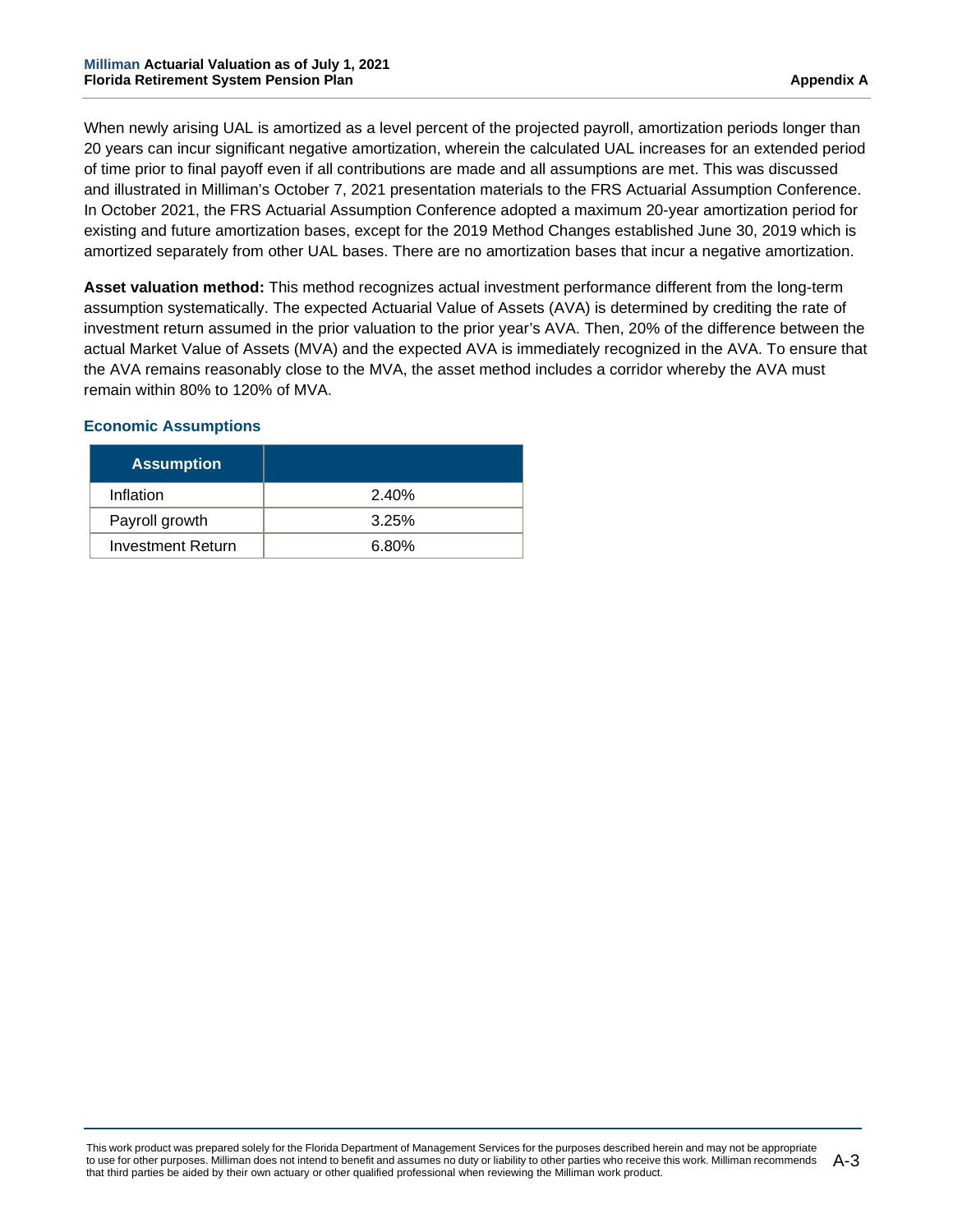When newly arising UAL is amortized as a level percent of the projected payroll, amortization periods longer than 20 years can incur significant negative amortization, wherein the calculated UAL increases for an extended period of time prior to final payoff even if all contributions are made and all assumptions are met. This was discussed and illustrated in Milliman's October 7, 2021 presentation materials to the FRS Actuarial Assumption Conference. In October 2021, the FRS Actuarial Assumption Conference adopted a maximum 20-year amortization period for existing and future amortization bases, except for the 2019 Method Changes established June 30, 2019 which is amortized separately from other UAL bases. There are no amortization bases that incur a negative amortization.

**Asset valuation method:** This method recognizes actual investment performance different from the long-term assumption systematically. The expected Actuarial Value of Assets (AVA) is determined by crediting the rate of investment return assumed in the prior valuation to the prior year's AVA. Then, 20% of the difference between the actual Market Value of Assets (MVA) and the expected AVA is immediately recognized in the AVA. To ensure that the AVA remains reasonably close to the MVA, the asset method includes a corridor whereby the AVA must remain within 80% to 120% of MVA.

# **Economic Assumptions**

| <b>Assumption</b>        |       |
|--------------------------|-------|
| Inflation                | 2.40% |
| Payroll growth           | 3.25% |
| <b>Investment Return</b> | 6.80% |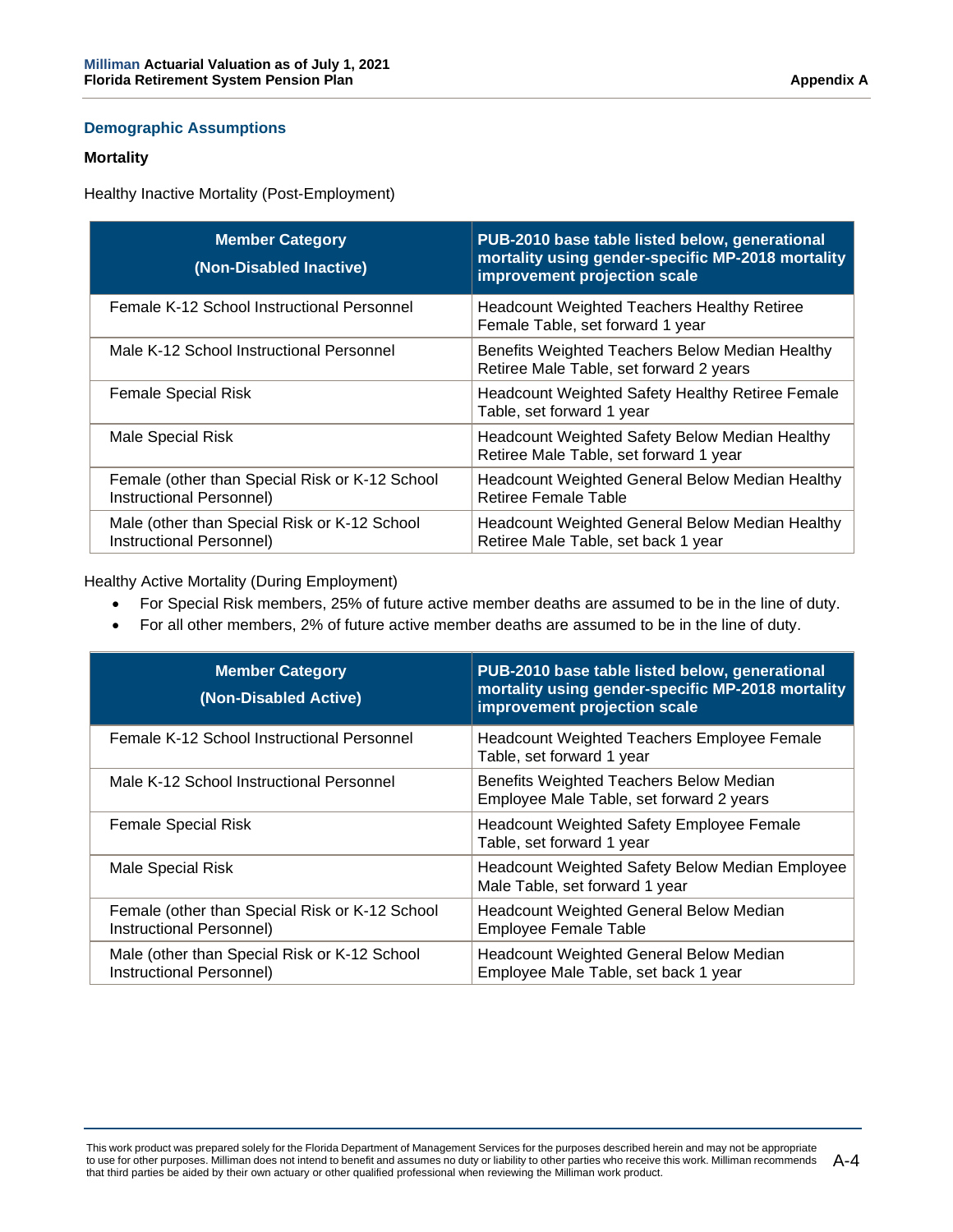# **Demographic Assumptions**

#### **Mortality**

Healthy Inactive Mortality (Post-Employment)

| <b>Member Category</b><br>(Non-Disabled Inactive)                          | PUB-2010 base table listed below, generational<br>mortality using gender-specific MP-2018 mortality<br>improvement projection scale |
|----------------------------------------------------------------------------|-------------------------------------------------------------------------------------------------------------------------------------|
| Female K-12 School Instructional Personnel                                 | <b>Headcount Weighted Teachers Healthy Retiree</b><br>Female Table, set forward 1 year                                              |
| Male K-12 School Instructional Personnel                                   | Benefits Weighted Teachers Below Median Healthy<br>Retiree Male Table, set forward 2 years                                          |
| <b>Female Special Risk</b>                                                 | <b>Headcount Weighted Safety Healthy Retiree Female</b><br>Table, set forward 1 year                                                |
| Male Special Risk                                                          | <b>Headcount Weighted Safety Below Median Healthy</b><br>Retiree Male Table, set forward 1 year                                     |
| Female (other than Special Risk or K-12 School<br>Instructional Personnel) | <b>Headcount Weighted General Below Median Healthy</b><br>Retiree Female Table                                                      |
| Male (other than Special Risk or K-12 School<br>Instructional Personnel)   | <b>Headcount Weighted General Below Median Healthy</b><br>Retiree Male Table, set back 1 year                                       |

Healthy Active Mortality (During Employment)

- For Special Risk members, 25% of future active member deaths are assumed to be in the line of duty.
- For all other members, 2% of future active member deaths are assumed to be in the line of duty.

| <b>Member Category</b><br>(Non-Disabled Active)                            | PUB-2010 base table listed below, generational<br>mortality using gender-specific MP-2018 mortality<br>improvement projection scale |
|----------------------------------------------------------------------------|-------------------------------------------------------------------------------------------------------------------------------------|
| Female K-12 School Instructional Personnel                                 | <b>Headcount Weighted Teachers Employee Female</b><br>Table, set forward 1 year                                                     |
| Male K-12 School Instructional Personnel                                   | Benefits Weighted Teachers Below Median<br>Employee Male Table, set forward 2 years                                                 |
| <b>Female Special Risk</b>                                                 | Headcount Weighted Safety Employee Female<br>Table, set forward 1 year                                                              |
| Male Special Risk                                                          | <b>Headcount Weighted Safety Below Median Employee</b><br>Male Table, set forward 1 year                                            |
| Female (other than Special Risk or K-12 School<br>Instructional Personnel) | <b>Headcount Weighted General Below Median</b><br><b>Employee Female Table</b>                                                      |
| Male (other than Special Risk or K-12 School<br>Instructional Personnel)   | <b>Headcount Weighted General Below Median</b><br>Employee Male Table, set back 1 year                                              |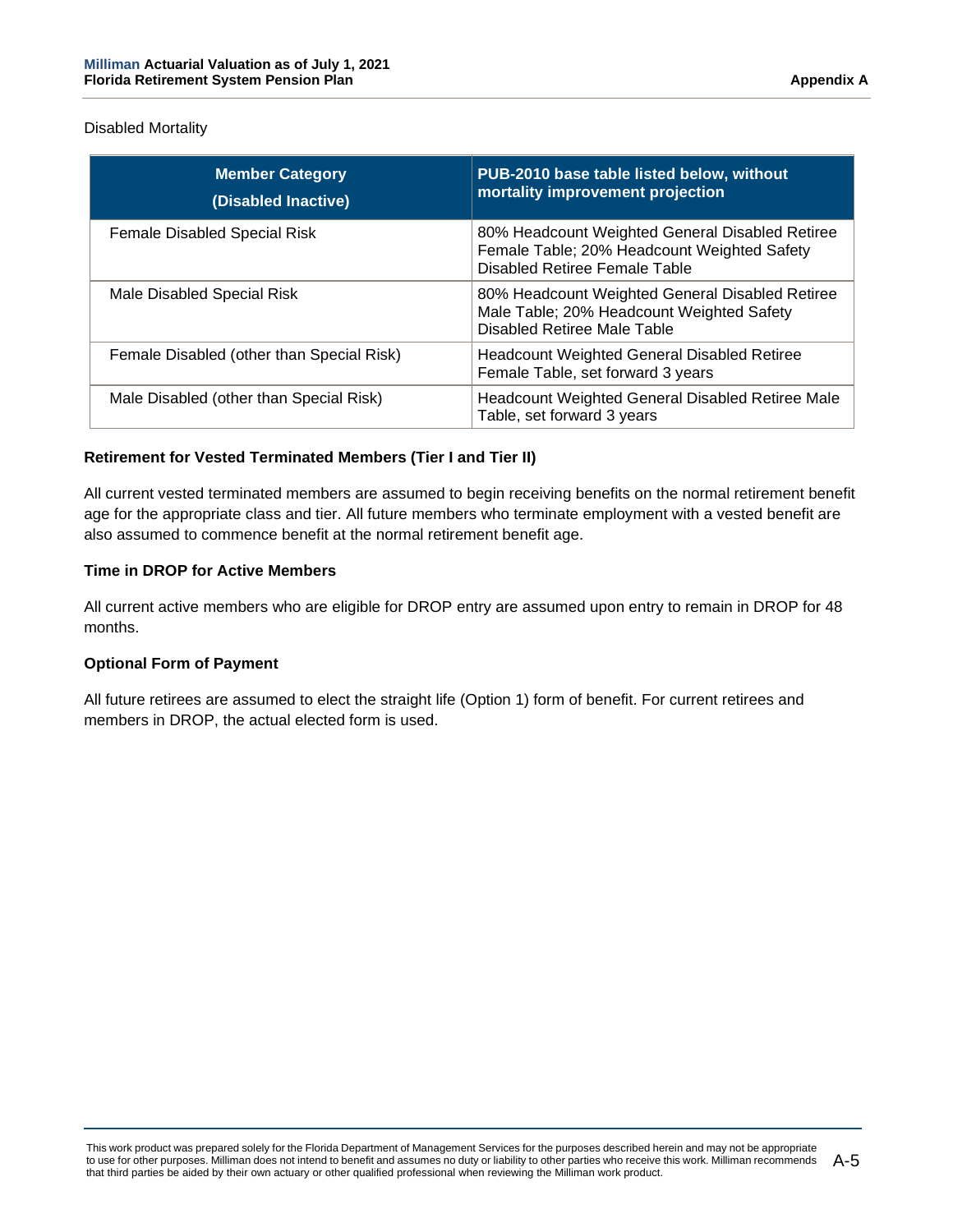Disabled Mortality

| <b>Member Category</b><br>(Disabled Inactive) | PUB-2010 base table listed below, without<br>mortality improvement projection                                                   |
|-----------------------------------------------|---------------------------------------------------------------------------------------------------------------------------------|
| <b>Female Disabled Special Risk</b>           | 80% Headcount Weighted General Disabled Retiree<br>Female Table; 20% Headcount Weighted Safety<br>Disabled Retiree Female Table |
| Male Disabled Special Risk                    | 80% Headcount Weighted General Disabled Retiree<br>Male Table; 20% Headcount Weighted Safety<br>Disabled Retiree Male Table     |
| Female Disabled (other than Special Risk)     | <b>Headcount Weighted General Disabled Retiree</b><br>Female Table, set forward 3 years                                         |
| Male Disabled (other than Special Risk)       | Headcount Weighted General Disabled Retiree Male<br>Table, set forward 3 years                                                  |

# **Retirement for Vested Terminated Members (Tier I and Tier II)**

All current vested terminated members are assumed to begin receiving benefits on the normal retirement benefit age for the appropriate class and tier. All future members who terminate employment with a vested benefit are also assumed to commence benefit at the normal retirement benefit age.

# **Time in DROP for Active Members**

All current active members who are eligible for DROP entry are assumed upon entry to remain in DROP for 48 months.

# **Optional Form of Payment**

All future retirees are assumed to elect the straight life (Option 1) form of benefit. For current retirees and members in DROP, the actual elected form is used.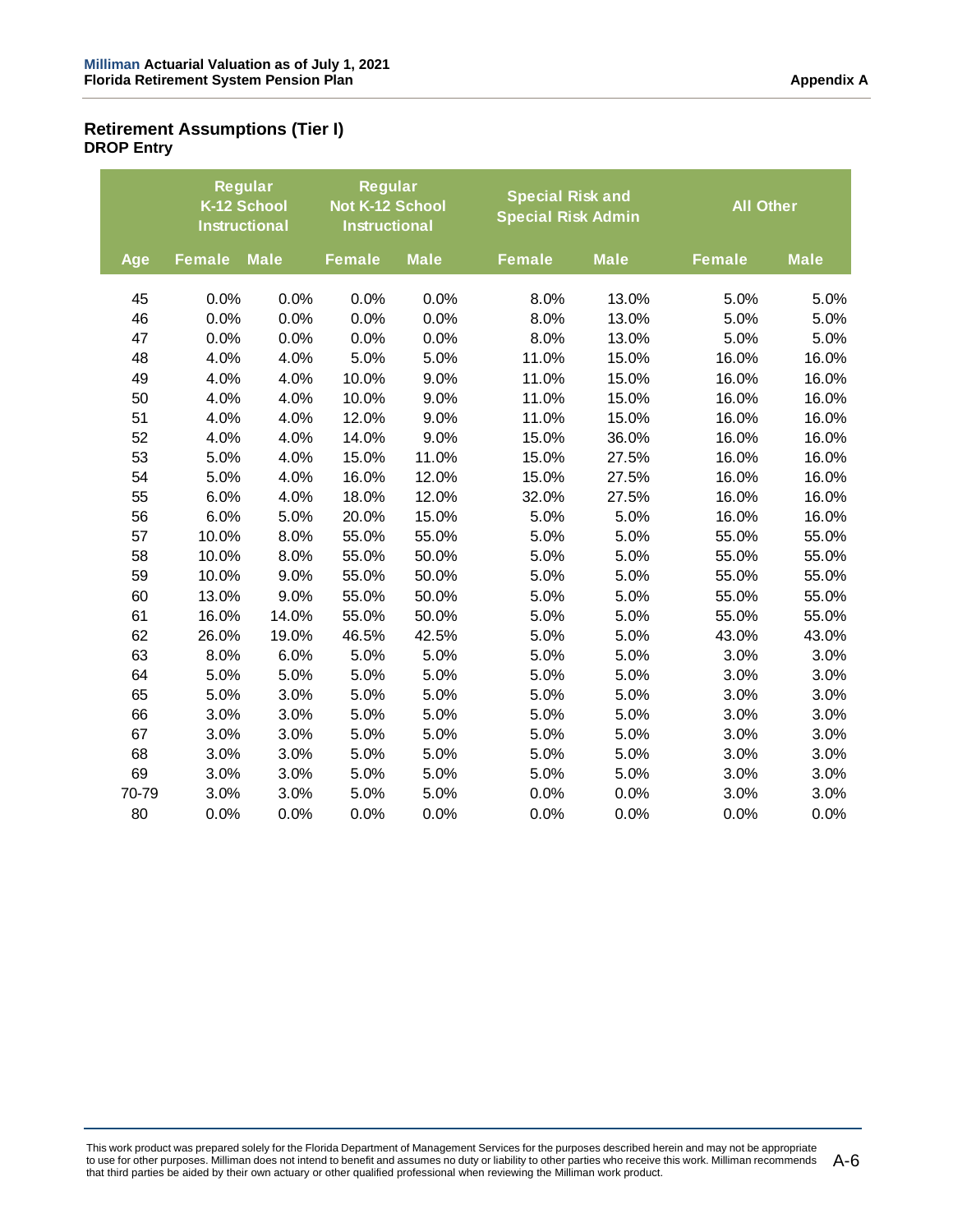# **Retirement Assumptions (Tier I) DROP Entry**

|       | <b>Instructional</b> | Regular<br>K-12 School | Regular<br>Not K-12 School<br><b>Instructional</b> |             |               | <b>Special Risk and</b><br><b>Special Risk Admin</b> |               | <b>All Other</b> |  |
|-------|----------------------|------------------------|----------------------------------------------------|-------------|---------------|------------------------------------------------------|---------------|------------------|--|
| Age   | <b>Female</b>        | <b>Male</b>            | <b>Female</b>                                      | <b>Male</b> | <b>Female</b> | <b>Male</b>                                          | <b>Female</b> | <b>Male</b>      |  |
| 45    | 0.0%                 | 0.0%                   | 0.0%                                               | 0.0%        | 8.0%          | 13.0%                                                | 5.0%          | 5.0%             |  |
| 46    | 0.0%                 | 0.0%                   | 0.0%                                               | 0.0%        | 8.0%          | 13.0%                                                | 5.0%          | 5.0%             |  |
| 47    | 0.0%                 | 0.0%                   | 0.0%                                               | 0.0%        | 8.0%          | 13.0%                                                | 5.0%          | 5.0%             |  |
| 48    | 4.0%                 | 4.0%                   | 5.0%                                               | 5.0%        | 11.0%         | 15.0%                                                | 16.0%         | 16.0%            |  |
| 49    | 4.0%                 | 4.0%                   | 10.0%                                              | 9.0%        | 11.0%         | 15.0%                                                | 16.0%         | 16.0%            |  |
| 50    | 4.0%                 | 4.0%                   | 10.0%                                              | 9.0%        | 11.0%         | 15.0%                                                | 16.0%         | 16.0%            |  |
| 51    | 4.0%                 | 4.0%                   | 12.0%                                              | 9.0%        | 11.0%         | 15.0%                                                | 16.0%         | 16.0%            |  |
| 52    | 4.0%                 | 4.0%                   | 14.0%                                              | 9.0%        | 15.0%         | 36.0%                                                | 16.0%         | 16.0%            |  |
| 53    | 5.0%                 | 4.0%                   | 15.0%                                              | 11.0%       | 15.0%         | 27.5%                                                | 16.0%         | 16.0%            |  |
| 54    | 5.0%                 | 4.0%                   | 16.0%                                              | 12.0%       | 15.0%         | 27.5%                                                | 16.0%         | 16.0%            |  |
| 55    | 6.0%                 | 4.0%                   | 18.0%                                              | 12.0%       | 32.0%         | 27.5%                                                | 16.0%         | 16.0%            |  |
| 56    | 6.0%                 | 5.0%                   | 20.0%                                              | 15.0%       | 5.0%          | 5.0%                                                 | 16.0%         | 16.0%            |  |
| 57    | 10.0%                | 8.0%                   | 55.0%                                              | 55.0%       | 5.0%          | 5.0%                                                 | 55.0%         | 55.0%            |  |
| 58    | 10.0%                | 8.0%                   | 55.0%                                              | 50.0%       | 5.0%          | 5.0%                                                 | 55.0%         | 55.0%            |  |
| 59    | 10.0%                | 9.0%                   | 55.0%                                              | 50.0%       | 5.0%          | 5.0%                                                 | 55.0%         | 55.0%            |  |
| 60    | 13.0%                | 9.0%                   | 55.0%                                              | 50.0%       | 5.0%          | 5.0%                                                 | 55.0%         | 55.0%            |  |
| 61    | 16.0%                | 14.0%                  | 55.0%                                              | 50.0%       | 5.0%          | 5.0%                                                 | 55.0%         | 55.0%            |  |
| 62    | 26.0%                | 19.0%                  | 46.5%                                              | 42.5%       | 5.0%          | 5.0%                                                 | 43.0%         | 43.0%            |  |
| 63    | 8.0%                 | 6.0%                   | 5.0%                                               | 5.0%        | 5.0%          | 5.0%                                                 | 3.0%          | 3.0%             |  |
| 64    | 5.0%                 | 5.0%                   | 5.0%                                               | 5.0%        | 5.0%          | 5.0%                                                 | 3.0%          | 3.0%             |  |
| 65    | 5.0%                 | 3.0%                   | 5.0%                                               | 5.0%        | 5.0%          | 5.0%                                                 | 3.0%          | 3.0%             |  |
| 66    | 3.0%                 | 3.0%                   | 5.0%                                               | 5.0%        | 5.0%          | 5.0%                                                 | 3.0%          | 3.0%             |  |
| 67    | 3.0%                 | 3.0%                   | 5.0%                                               | 5.0%        | 5.0%          | 5.0%                                                 | 3.0%          | 3.0%             |  |
| 68    | 3.0%                 | 3.0%                   | 5.0%                                               | 5.0%        | 5.0%          | 5.0%                                                 | 3.0%          | 3.0%             |  |
| 69    | 3.0%                 | 3.0%                   | 5.0%                                               | 5.0%        | 5.0%          | 5.0%                                                 | 3.0%          | 3.0%             |  |
| 70-79 | 3.0%                 | 3.0%                   | 5.0%                                               | 5.0%        | 0.0%          | 0.0%                                                 | 3.0%          | 3.0%             |  |
| 80    | 0.0%                 | 0.0%                   | 0.0%                                               | 0.0%        | 0.0%          | 0.0%                                                 | 0.0%          | 0.0%             |  |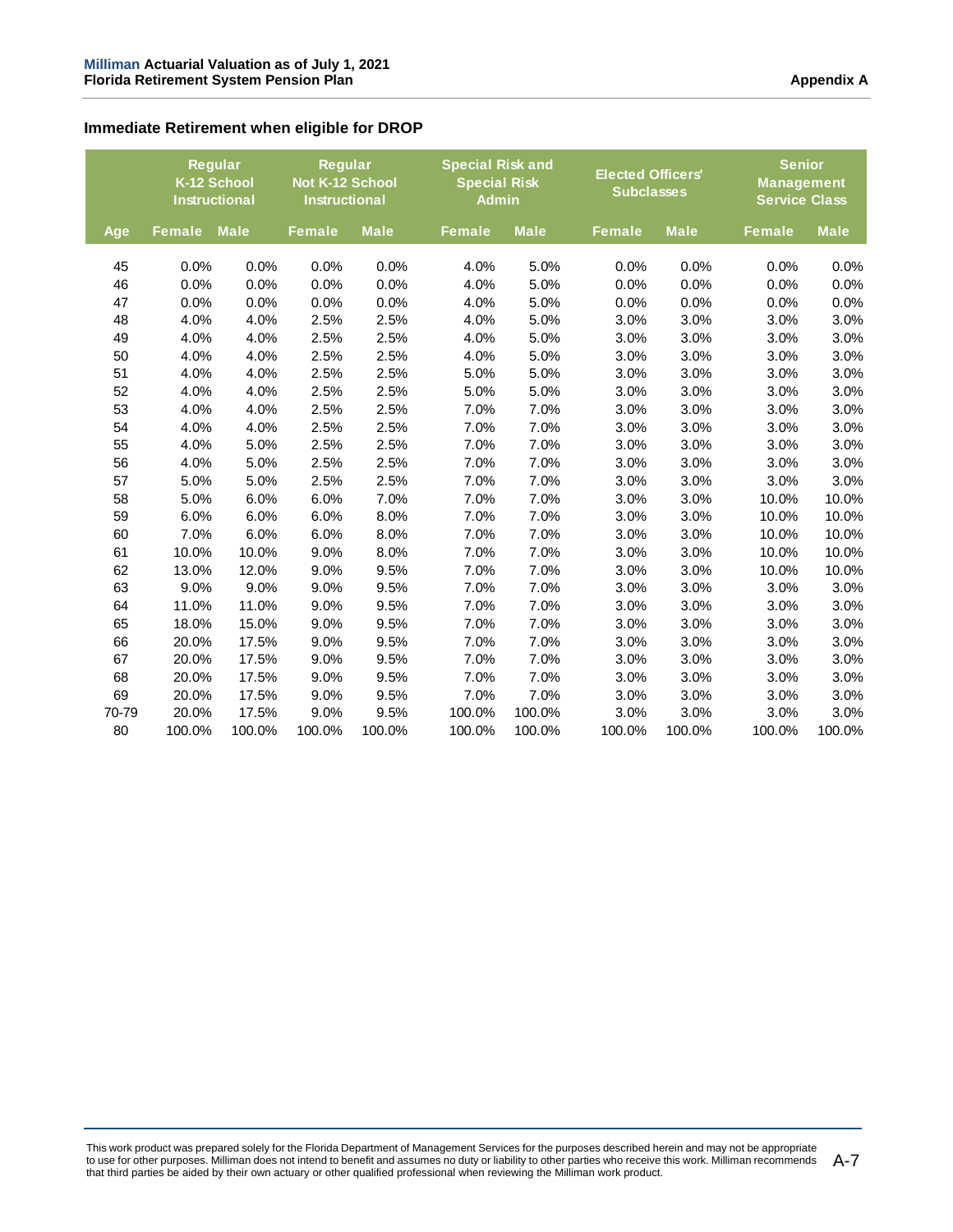## **Immediate Retirement when eligible for DROP**

|       |               | <b>Reqular</b><br>K-12 School<br><b>Instructional</b> |               | <b>Reqular</b><br>Not K-12 School<br><b>Instructional</b> |               | <b>Special Risk and</b><br><b>Special Risk</b><br><b>Admin</b> | <b>Elected Officers'</b><br><b>Subclasses</b> |             | <b>Senior</b><br><b>Management</b><br><b>Service Class</b> |             |
|-------|---------------|-------------------------------------------------------|---------------|-----------------------------------------------------------|---------------|----------------------------------------------------------------|-----------------------------------------------|-------------|------------------------------------------------------------|-------------|
| Age   | <b>Female</b> | <b>Male</b>                                           | <b>Female</b> | <b>Male</b>                                               | <b>Female</b> | <b>Male</b>                                                    | <b>Female</b>                                 | <b>Male</b> | <b>Female</b>                                              | <b>Male</b> |
| 45    | 0.0%          | 0.0%                                                  | 0.0%          | 0.0%                                                      | 4.0%          | 5.0%                                                           | 0.0%                                          | 0.0%        | 0.0%                                                       | 0.0%        |
| 46    | 0.0%          | 0.0%                                                  | 0.0%          | 0.0%                                                      | 4.0%          | 5.0%                                                           | 0.0%                                          | 0.0%        | 0.0%                                                       | 0.0%        |
| 47    | 0.0%          | 0.0%                                                  | 0.0%          | 0.0%                                                      | 4.0%          | 5.0%                                                           | 0.0%                                          | 0.0%        | 0.0%                                                       | 0.0%        |
| 48    | 4.0%          | 4.0%                                                  | 2.5%          | 2.5%                                                      | 4.0%          | 5.0%                                                           | 3.0%                                          | 3.0%        | 3.0%                                                       | 3.0%        |
| 49    | 4.0%          | 4.0%                                                  | 2.5%          | 2.5%                                                      | 4.0%          | 5.0%                                                           | 3.0%                                          | 3.0%        | 3.0%                                                       | 3.0%        |
| 50    | 4.0%          | 4.0%                                                  | 2.5%          | 2.5%                                                      | 4.0%          | 5.0%                                                           | 3.0%                                          | 3.0%        | 3.0%                                                       | 3.0%        |
| 51    | 4.0%          | 4.0%                                                  | 2.5%          | 2.5%                                                      | 5.0%          | 5.0%                                                           | 3.0%                                          | 3.0%        | 3.0%                                                       | 3.0%        |
| 52    | 4.0%          | 4.0%                                                  | 2.5%          | 2.5%                                                      | 5.0%          | 5.0%                                                           | 3.0%                                          | 3.0%        | 3.0%                                                       | 3.0%        |
| 53    | 4.0%          | 4.0%                                                  | 2.5%          | 2.5%                                                      | 7.0%          | 7.0%                                                           | 3.0%                                          | 3.0%        | 3.0%                                                       | 3.0%        |
| 54    | 4.0%          | 4.0%                                                  | 2.5%          | 2.5%                                                      | 7.0%          | 7.0%                                                           | 3.0%                                          | 3.0%        | 3.0%                                                       | 3.0%        |
| 55    | 4.0%          | 5.0%                                                  | 2.5%          | 2.5%                                                      | 7.0%          | 7.0%                                                           | 3.0%                                          | 3.0%        | 3.0%                                                       | 3.0%        |
| 56    | 4.0%          | 5.0%                                                  | 2.5%          | 2.5%                                                      | 7.0%          | 7.0%                                                           | 3.0%                                          | 3.0%        | 3.0%                                                       | 3.0%        |
| 57    | 5.0%          | 5.0%                                                  | 2.5%          | 2.5%                                                      | 7.0%          | 7.0%                                                           | 3.0%                                          | 3.0%        | 3.0%                                                       | 3.0%        |
| 58    | 5.0%          | 6.0%                                                  | 6.0%          | 7.0%                                                      | 7.0%          | 7.0%                                                           | 3.0%                                          | 3.0%        | 10.0%                                                      | 10.0%       |
| 59    | 6.0%          | 6.0%                                                  | 6.0%          | 8.0%                                                      | 7.0%          | 7.0%                                                           | 3.0%                                          | 3.0%        | 10.0%                                                      | 10.0%       |
| 60    | 7.0%          | 6.0%                                                  | 6.0%          | 8.0%                                                      | 7.0%          | 7.0%                                                           | 3.0%                                          | 3.0%        | 10.0%                                                      | 10.0%       |
| 61    | 10.0%         | 10.0%                                                 | 9.0%          | 8.0%                                                      | 7.0%          | 7.0%                                                           | 3.0%                                          | 3.0%        | 10.0%                                                      | 10.0%       |
| 62    | 13.0%         | 12.0%                                                 | 9.0%          | 9.5%                                                      | 7.0%          | 7.0%                                                           | 3.0%                                          | 3.0%        | 10.0%                                                      | 10.0%       |
| 63    | 9.0%          | 9.0%                                                  | 9.0%          | 9.5%                                                      | 7.0%          | 7.0%                                                           | 3.0%                                          | 3.0%        | 3.0%                                                       | 3.0%        |
| 64    | 11.0%         | 11.0%                                                 | 9.0%          | 9.5%                                                      | 7.0%          | 7.0%                                                           | 3.0%                                          | 3.0%        | 3.0%                                                       | 3.0%        |
| 65    | 18.0%         | 15.0%                                                 | 9.0%          | 9.5%                                                      | 7.0%          | 7.0%                                                           | 3.0%                                          | 3.0%        | 3.0%                                                       | 3.0%        |
| 66    | 20.0%         | 17.5%                                                 | 9.0%          | 9.5%                                                      | 7.0%          | 7.0%                                                           | 3.0%                                          | 3.0%        | 3.0%                                                       | 3.0%        |
| 67    | 20.0%         | 17.5%                                                 | 9.0%          | 9.5%                                                      | 7.0%          | 7.0%                                                           | 3.0%                                          | 3.0%        | 3.0%                                                       | 3.0%        |
| 68    | 20.0%         | 17.5%                                                 | 9.0%          | 9.5%                                                      | 7.0%          | 7.0%                                                           | 3.0%                                          | 3.0%        | 3.0%                                                       | 3.0%        |
| 69    | 20.0%         | 17.5%                                                 | 9.0%          | 9.5%                                                      | 7.0%          | 7.0%                                                           | 3.0%                                          | 3.0%        | 3.0%                                                       | 3.0%        |
| 70-79 | 20.0%         | 17.5%                                                 | 9.0%          | 9.5%                                                      | 100.0%        | 100.0%                                                         | 3.0%                                          | 3.0%        | 3.0%                                                       | 3.0%        |
| 80    | 100.0%        | 100.0%                                                | 100.0%        | 100.0%                                                    | 100.0%        | 100.0%                                                         | 100.0%                                        | 100.0%      | 100.0%                                                     | 100.0%      |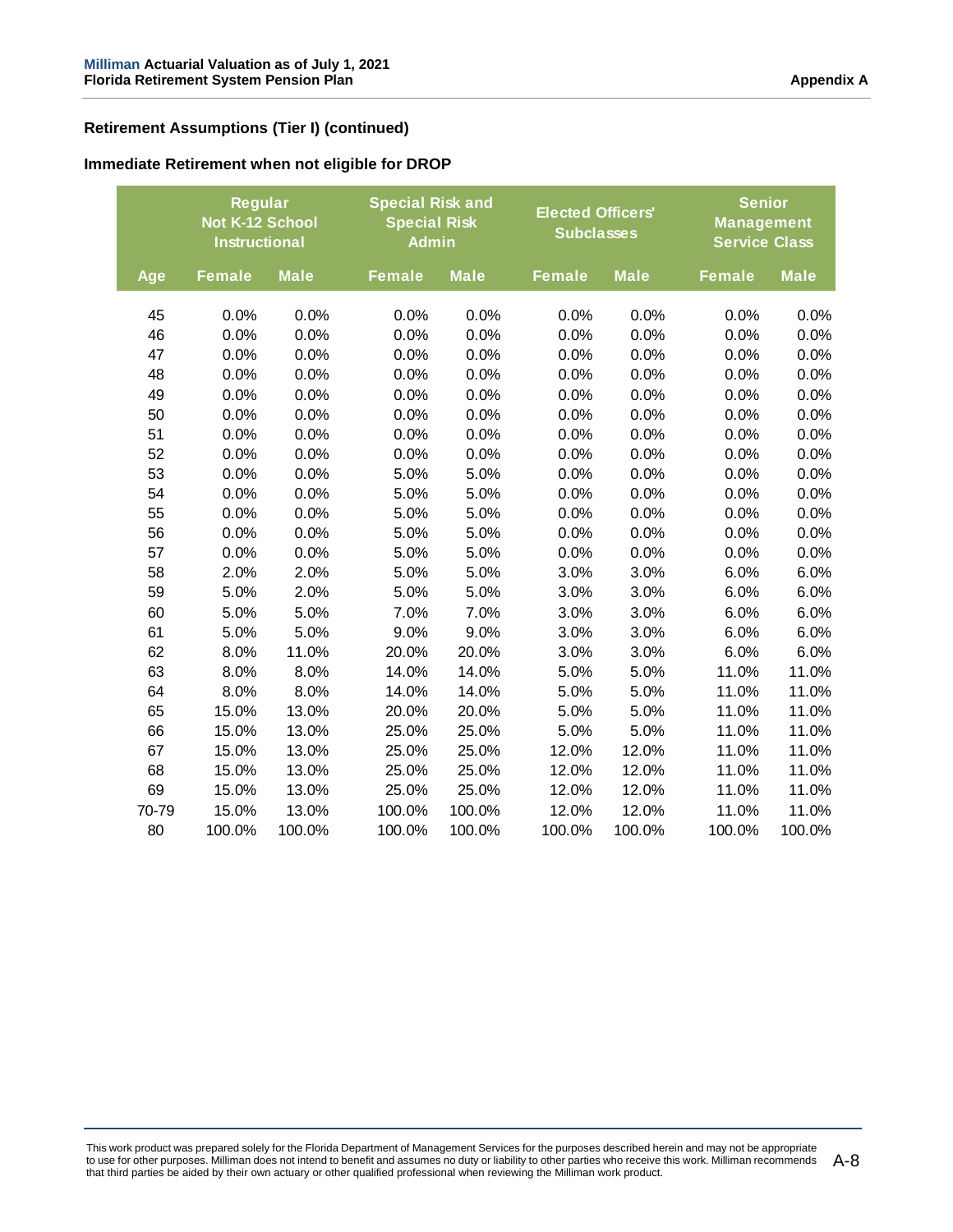# **Retirement Assumptions (Tier I) (continued)**

#### **Immediate Retirement when not eligible for DROP**

|       | <b>Regular</b><br>Not K-12 School<br><b>Instructional</b> |             |               | <b>Special Risk and</b><br><b>Special Risk</b><br><b>Admin</b> |               | <b>Elected Officers'</b><br><b>Subclasses</b> |               | <b>Senior</b><br><b>Management</b><br><b>Service Class</b> |  |
|-------|-----------------------------------------------------------|-------------|---------------|----------------------------------------------------------------|---------------|-----------------------------------------------|---------------|------------------------------------------------------------|--|
| Age   | <b>Female</b>                                             | <b>Male</b> | <b>Female</b> | <b>Male</b>                                                    | <b>Female</b> | <b>Male</b>                                   | <b>Female</b> | <b>Male</b>                                                |  |
| 45    | 0.0%                                                      | 0.0%        | 0.0%          | 0.0%                                                           | 0.0%          | 0.0%                                          | 0.0%          | 0.0%                                                       |  |
| 46    | 0.0%                                                      | 0.0%        | 0.0%          | 0.0%                                                           | 0.0%          | 0.0%                                          | 0.0%          | 0.0%                                                       |  |
| 47    | 0.0%                                                      | 0.0%        | 0.0%          | 0.0%                                                           | 0.0%          | 0.0%                                          | 0.0%          | 0.0%                                                       |  |
| 48    | 0.0%                                                      | 0.0%        | 0.0%          | 0.0%                                                           | 0.0%          | 0.0%                                          | 0.0%          | 0.0%                                                       |  |
| 49    | 0.0%                                                      | 0.0%        | 0.0%          | 0.0%                                                           | 0.0%          | 0.0%                                          | 0.0%          | 0.0%                                                       |  |
| 50    | 0.0%                                                      | 0.0%        | 0.0%          | 0.0%                                                           | 0.0%          | 0.0%                                          | 0.0%          | 0.0%                                                       |  |
| 51    | 0.0%                                                      | 0.0%        | 0.0%          | 0.0%                                                           | 0.0%          | 0.0%                                          | 0.0%          | 0.0%                                                       |  |
| 52    | 0.0%                                                      | 0.0%        | 0.0%          | 0.0%                                                           | 0.0%          | 0.0%                                          | 0.0%          | 0.0%                                                       |  |
| 53    | 0.0%                                                      | 0.0%        | 5.0%          | 5.0%                                                           | 0.0%          | 0.0%                                          | 0.0%          | 0.0%                                                       |  |
| 54    | 0.0%                                                      | 0.0%        | 5.0%          | 5.0%                                                           | 0.0%          | 0.0%                                          | 0.0%          | 0.0%                                                       |  |
| 55    | 0.0%                                                      | 0.0%        | 5.0%          | 5.0%                                                           | 0.0%          | 0.0%                                          | 0.0%          | 0.0%                                                       |  |
| 56    | 0.0%                                                      | 0.0%        | 5.0%          | 5.0%                                                           | 0.0%          | 0.0%                                          | 0.0%          | 0.0%                                                       |  |
| 57    | 0.0%                                                      | 0.0%        | 5.0%          | 5.0%                                                           | 0.0%          | 0.0%                                          | 0.0%          | 0.0%                                                       |  |
| 58    | 2.0%                                                      | 2.0%        | 5.0%          | 5.0%                                                           | 3.0%          | 3.0%                                          | 6.0%          | 6.0%                                                       |  |
| 59    | 5.0%                                                      | 2.0%        | 5.0%          | 5.0%                                                           | 3.0%          | 3.0%                                          | 6.0%          | 6.0%                                                       |  |
| 60    | 5.0%                                                      | 5.0%        | 7.0%          | 7.0%                                                           | 3.0%          | 3.0%                                          | 6.0%          | 6.0%                                                       |  |
| 61    | 5.0%                                                      | 5.0%        | 9.0%          | 9.0%                                                           | 3.0%          | 3.0%                                          | 6.0%          | 6.0%                                                       |  |
| 62    | 8.0%                                                      | 11.0%       | 20.0%         | 20.0%                                                          | 3.0%          | 3.0%                                          | 6.0%          | 6.0%                                                       |  |
| 63    | 8.0%                                                      | 8.0%        | 14.0%         | 14.0%                                                          | 5.0%          | 5.0%                                          | 11.0%         | 11.0%                                                      |  |
| 64    | 8.0%                                                      | 8.0%        | 14.0%         | 14.0%                                                          | 5.0%          | 5.0%                                          | 11.0%         | 11.0%                                                      |  |
| 65    | 15.0%                                                     | 13.0%       | 20.0%         | 20.0%                                                          | 5.0%          | 5.0%                                          | 11.0%         | 11.0%                                                      |  |
| 66    | 15.0%                                                     | 13.0%       | 25.0%         | 25.0%                                                          | 5.0%          | 5.0%                                          | 11.0%         | 11.0%                                                      |  |
| 67    | 15.0%                                                     | 13.0%       | 25.0%         | 25.0%                                                          | 12.0%         | 12.0%                                         | 11.0%         | 11.0%                                                      |  |
| 68    | 15.0%                                                     | 13.0%       | 25.0%         | 25.0%                                                          | 12.0%         | 12.0%                                         | 11.0%         | 11.0%                                                      |  |
| 69    | 15.0%                                                     | 13.0%       | 25.0%         | 25.0%                                                          | 12.0%         | 12.0%                                         | 11.0%         | 11.0%                                                      |  |
| 70-79 | 15.0%                                                     | 13.0%       | 100.0%        | 100.0%                                                         | 12.0%         | 12.0%                                         | 11.0%         | 11.0%                                                      |  |
| 80    | 100.0%                                                    | 100.0%      | 100.0%        | 100.0%                                                         | 100.0%        | 100.0%                                        | 100.0%        | 100.0%                                                     |  |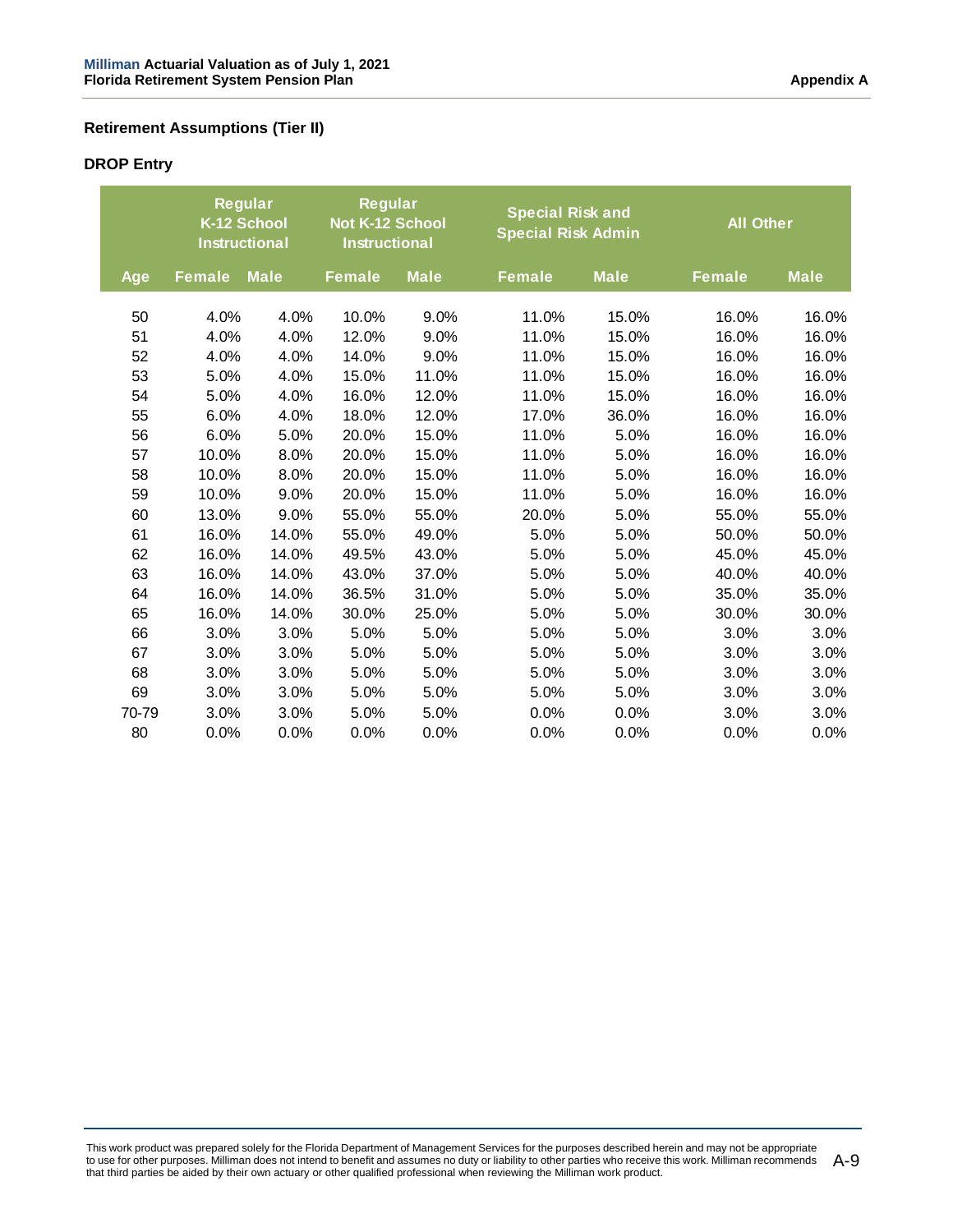## **Retirement Assumptions (Tier II)**

# **DROP Entry**

|       |               | <b>Regular</b><br>K-12 School<br><b>Instructional</b> |               | <b>Regular</b><br>Not K-12 School<br><b>Instructional</b> | <b>Special Risk and</b><br><b>Special Risk Admin</b> |             | <b>All Other</b> |             |
|-------|---------------|-------------------------------------------------------|---------------|-----------------------------------------------------------|------------------------------------------------------|-------------|------------------|-------------|
| Age   | <b>Female</b> | <b>Male</b>                                           | <b>Female</b> | <b>Male</b>                                               | <b>Female</b>                                        | <b>Male</b> | <b>Female</b>    | <b>Male</b> |
| 50    | 4.0%          | 4.0%                                                  | 10.0%         | 9.0%                                                      | 11.0%                                                | 15.0%       | 16.0%            | 16.0%       |
| 51    | 4.0%          | 4.0%                                                  | 12.0%         | 9.0%                                                      | 11.0%                                                | 15.0%       | 16.0%            | 16.0%       |
| 52    | 4.0%          | 4.0%                                                  | 14.0%         | 9.0%                                                      | 11.0%                                                | 15.0%       | 16.0%            | 16.0%       |
| 53    | 5.0%          | 4.0%                                                  | 15.0%         | 11.0%                                                     | 11.0%                                                | 15.0%       | 16.0%            | 16.0%       |
| 54    | 5.0%          | 4.0%                                                  | 16.0%         | 12.0%                                                     | 11.0%                                                | 15.0%       | 16.0%            | 16.0%       |
| 55    | 6.0%          | 4.0%                                                  | 18.0%         | 12.0%                                                     | 17.0%                                                | 36.0%       | 16.0%            | 16.0%       |
| 56    | 6.0%          | 5.0%                                                  | 20.0%         | 15.0%                                                     | 11.0%                                                | 5.0%        | 16.0%            | 16.0%       |
| 57    | 10.0%         | 8.0%                                                  | 20.0%         | 15.0%                                                     | 11.0%                                                | 5.0%        | 16.0%            | 16.0%       |
| 58    | 10.0%         | 8.0%                                                  | 20.0%         | 15.0%                                                     | 11.0%                                                | 5.0%        | 16.0%            | 16.0%       |
| 59    | 10.0%         | 9.0%                                                  | 20.0%         | 15.0%                                                     | 11.0%                                                | 5.0%        | 16.0%            | 16.0%       |
| 60    | 13.0%         | 9.0%                                                  | 55.0%         | 55.0%                                                     | 20.0%                                                | 5.0%        | 55.0%            | 55.0%       |
| 61    | 16.0%         | 14.0%                                                 | 55.0%         | 49.0%                                                     | 5.0%                                                 | 5.0%        | 50.0%            | 50.0%       |
| 62    | 16.0%         | 14.0%                                                 | 49.5%         | 43.0%                                                     | 5.0%                                                 | 5.0%        | 45.0%            | 45.0%       |
| 63    | 16.0%         | 14.0%                                                 | 43.0%         | 37.0%                                                     | 5.0%                                                 | 5.0%        | 40.0%            | 40.0%       |
| 64    | 16.0%         | 14.0%                                                 | 36.5%         | 31.0%                                                     | 5.0%                                                 | 5.0%        | 35.0%            | 35.0%       |
| 65    | 16.0%         | 14.0%                                                 | 30.0%         | 25.0%                                                     | 5.0%                                                 | 5.0%        | 30.0%            | 30.0%       |
| 66    | 3.0%          | 3.0%                                                  | 5.0%          | 5.0%                                                      | 5.0%                                                 | 5.0%        | 3.0%             | 3.0%        |
| 67    | 3.0%          | 3.0%                                                  | 5.0%          | 5.0%                                                      | 5.0%                                                 | 5.0%        | 3.0%             | 3.0%        |
| 68    | 3.0%          | 3.0%                                                  | 5.0%          | 5.0%                                                      | 5.0%                                                 | 5.0%        | 3.0%             | 3.0%        |
| 69    | 3.0%          | 3.0%                                                  | 5.0%          | 5.0%                                                      | 5.0%                                                 | 5.0%        | 3.0%             | 3.0%        |
| 70-79 | 3.0%          | 3.0%                                                  | 5.0%          | 5.0%                                                      | 0.0%                                                 | 0.0%        | 3.0%             | 3.0%        |
| 80    | 0.0%          | 0.0%                                                  | 0.0%          | 0.0%                                                      | 0.0%                                                 | 0.0%        | 0.0%             | 0.0%        |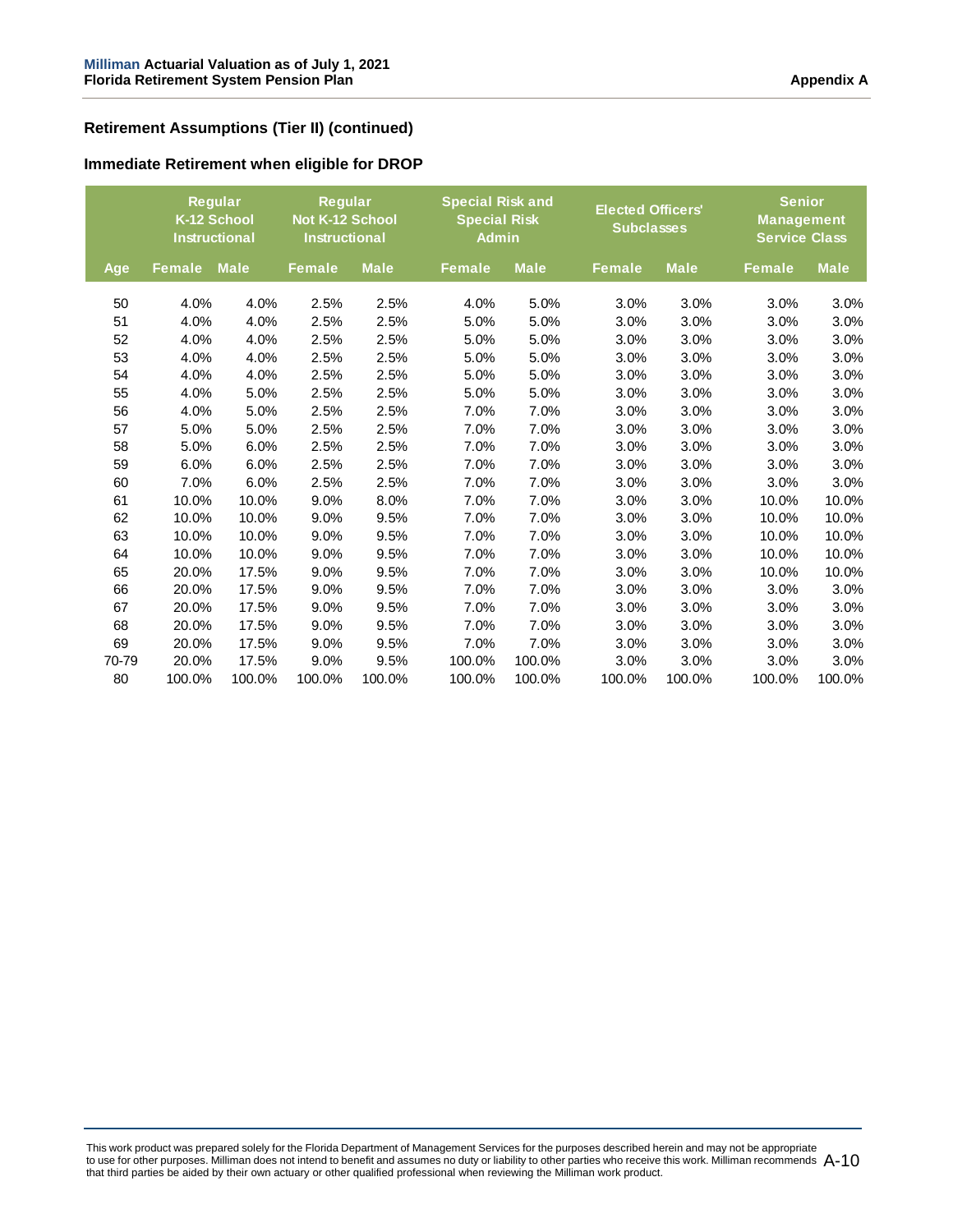# **Retirement Assumptions (Tier II) (continued)**

|       | Regular<br>K-12 School<br><b>Instructional</b> |             | Regular<br>Not K-12 School<br><b>Instructional</b> |             |               | <b>Special Risk and</b><br><b>Special Risk</b><br><b>Admin</b> |               | <b>Elected Officers'</b><br><b>Subclasses</b> | <b>Senior</b><br><b>Management</b><br><b>Service Class</b> |             |
|-------|------------------------------------------------|-------------|----------------------------------------------------|-------------|---------------|----------------------------------------------------------------|---------------|-----------------------------------------------|------------------------------------------------------------|-------------|
| Age   | <b>Female</b>                                  | <b>Male</b> | <b>Female</b>                                      | <b>Male</b> | <b>Female</b> | <b>Male</b>                                                    | <b>Female</b> | <b>Male</b>                                   | <b>Female</b>                                              | <b>Male</b> |
| 50    | 4.0%                                           | 4.0%        | 2.5%                                               | 2.5%        | 4.0%          | 5.0%                                                           | 3.0%          | 3.0%                                          | 3.0%                                                       | 3.0%        |
| 51    | 4.0%                                           | 4.0%        | 2.5%                                               | 2.5%        | 5.0%          | 5.0%                                                           | 3.0%          | 3.0%                                          | 3.0%                                                       | 3.0%        |
| 52    | 4.0%                                           | 4.0%        | 2.5%                                               | 2.5%        | 5.0%          | 5.0%                                                           | 3.0%          | 3.0%                                          | 3.0%                                                       | 3.0%        |
| 53    | 4.0%                                           | 4.0%        | 2.5%                                               | 2.5%        | 5.0%          | 5.0%                                                           | 3.0%          | 3.0%                                          | 3.0%                                                       | 3.0%        |
| 54    | 4.0%                                           | 4.0%        | 2.5%                                               | 2.5%        | 5.0%          | 5.0%                                                           | 3.0%          | 3.0%                                          | 3.0%                                                       | 3.0%        |
| 55    | 4.0%                                           | 5.0%        | 2.5%                                               | 2.5%        | 5.0%          | 5.0%                                                           | 3.0%          | 3.0%                                          | 3.0%                                                       | 3.0%        |
| 56    | 4.0%                                           | 5.0%        | 2.5%                                               | 2.5%        | 7.0%          | 7.0%                                                           | 3.0%          | 3.0%                                          | 3.0%                                                       | 3.0%        |
| 57    | 5.0%                                           | 5.0%        | 2.5%                                               | 2.5%        | 7.0%          | 7.0%                                                           | 3.0%          | 3.0%                                          | 3.0%                                                       | 3.0%        |
| 58    | 5.0%                                           | 6.0%        | 2.5%                                               | 2.5%        | 7.0%          | 7.0%                                                           | 3.0%          | 3.0%                                          | 3.0%                                                       | 3.0%        |
| 59    | 6.0%                                           | 6.0%        | 2.5%                                               | 2.5%        | 7.0%          | 7.0%                                                           | 3.0%          | 3.0%                                          | 3.0%                                                       | 3.0%        |
| 60    | 7.0%                                           | 6.0%        | 2.5%                                               | 2.5%        | 7.0%          | 7.0%                                                           | 3.0%          | 3.0%                                          | 3.0%                                                       | 3.0%        |
| 61    | 10.0%                                          | 10.0%       | 9.0%                                               | 8.0%        | 7.0%          | 7.0%                                                           | 3.0%          | 3.0%                                          | 10.0%                                                      | 10.0%       |
| 62    | 10.0%                                          | 10.0%       | 9.0%                                               | 9.5%        | 7.0%          | 7.0%                                                           | 3.0%          | 3.0%                                          | 10.0%                                                      | 10.0%       |
| 63    | 10.0%                                          | 10.0%       | 9.0%                                               | 9.5%        | 7.0%          | 7.0%                                                           | 3.0%          | 3.0%                                          | 10.0%                                                      | 10.0%       |
| 64    | 10.0%                                          | 10.0%       | 9.0%                                               | 9.5%        | 7.0%          | 7.0%                                                           | 3.0%          | 3.0%                                          | 10.0%                                                      | 10.0%       |
| 65    | 20.0%                                          | 17.5%       | 9.0%                                               | 9.5%        | 7.0%          | 7.0%                                                           | 3.0%          | 3.0%                                          | 10.0%                                                      | 10.0%       |
| 66    | 20.0%                                          | 17.5%       | 9.0%                                               | 9.5%        | 7.0%          | 7.0%                                                           | 3.0%          | 3.0%                                          | 3.0%                                                       | 3.0%        |
| 67    | 20.0%                                          | 17.5%       | 9.0%                                               | 9.5%        | 7.0%          | 7.0%                                                           | 3.0%          | 3.0%                                          | 3.0%                                                       | 3.0%        |
| 68    | 20.0%                                          | 17.5%       | 9.0%                                               | 9.5%        | 7.0%          | 7.0%                                                           | 3.0%          | 3.0%                                          | 3.0%                                                       | 3.0%        |
| 69    | 20.0%                                          | 17.5%       | 9.0%                                               | 9.5%        | 7.0%          | 7.0%                                                           | 3.0%          | 3.0%                                          | 3.0%                                                       | 3.0%        |
| 70-79 | 20.0%                                          | 17.5%       | 9.0%                                               | 9.5%        | 100.0%        | 100.0%                                                         | 3.0%          | 3.0%                                          | 3.0%                                                       | 3.0%        |
| 80    | 100.0%                                         | 100.0%      | 100.0%                                             | 100.0%      | 100.0%        | 100.0%                                                         | 100.0%        | 100.0%                                        | 100.0%                                                     | 100.0%      |

#### **Immediate Retirement when eligible for DROP**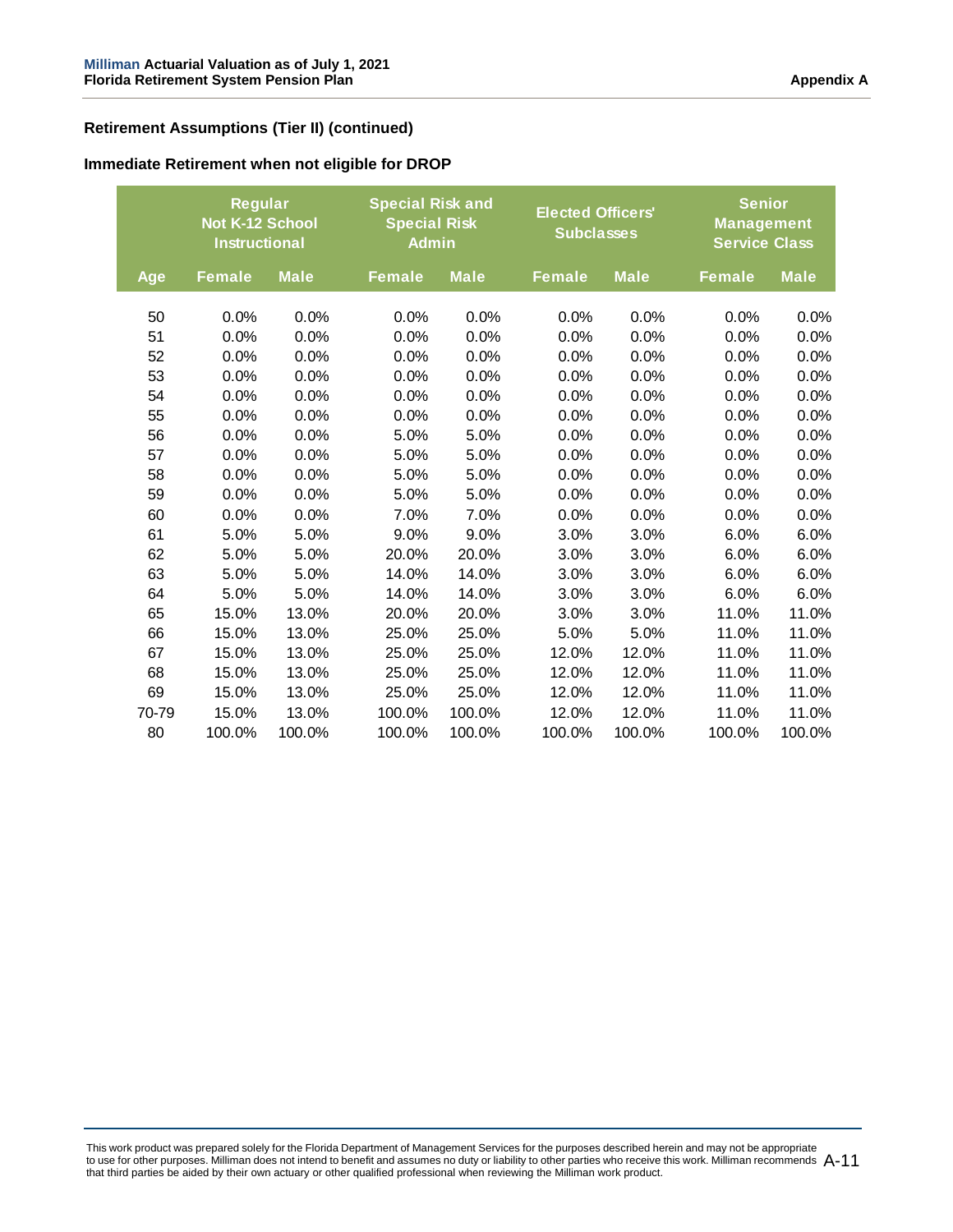## **Retirement Assumptions (Tier II) (continued)**

#### **Immediate Retirement when not eligible for DROP**

|       | <b>Regular</b><br><b>Not K-12 School</b><br><b>Instructional</b> |             |               | <b>Special Risk and</b><br><b>Special Risk</b><br><b>Admin</b> |               | <b>Elected Officers'</b><br><b>Subclasses</b> |               | <b>Senior</b><br><b>Management</b><br><b>Service Class</b> |  |
|-------|------------------------------------------------------------------|-------------|---------------|----------------------------------------------------------------|---------------|-----------------------------------------------|---------------|------------------------------------------------------------|--|
| Age   | <b>Female</b>                                                    | <b>Male</b> | <b>Female</b> | <b>Male</b>                                                    | <b>Female</b> | <b>Male</b>                                   | <b>Female</b> | <b>Male</b>                                                |  |
| 50    | 0.0%                                                             | 0.0%        | 0.0%          | 0.0%                                                           | 0.0%          | 0.0%                                          | 0.0%          | 0.0%                                                       |  |
| 51    | 0.0%                                                             | 0.0%        | 0.0%          | 0.0%                                                           | 0.0%          | 0.0%                                          | 0.0%          | 0.0%                                                       |  |
| 52    | 0.0%                                                             | 0.0%        | 0.0%          | 0.0%                                                           | 0.0%          | 0.0%                                          | 0.0%          | 0.0%                                                       |  |
| 53    | 0.0%                                                             | 0.0%        | 0.0%          | 0.0%                                                           | 0.0%          | 0.0%                                          | 0.0%          | 0.0%                                                       |  |
| 54    | 0.0%                                                             | 0.0%        | 0.0%          | 0.0%                                                           | 0.0%          | 0.0%                                          | 0.0%          | 0.0%                                                       |  |
| 55    | 0.0%                                                             | 0.0%        | 0.0%          | 0.0%                                                           | 0.0%          | 0.0%                                          | 0.0%          | 0.0%                                                       |  |
| 56    | 0.0%                                                             | 0.0%        | 5.0%          | 5.0%                                                           | 0.0%          | 0.0%                                          | 0.0%          | 0.0%                                                       |  |
| 57    | 0.0%                                                             | 0.0%        | 5.0%          | 5.0%                                                           | 0.0%          | 0.0%                                          | 0.0%          | 0.0%                                                       |  |
| 58    | 0.0%                                                             | 0.0%        | 5.0%          | 5.0%                                                           | 0.0%          | 0.0%                                          | 0.0%          | 0.0%                                                       |  |
| 59    | 0.0%                                                             | 0.0%        | 5.0%          | 5.0%                                                           | 0.0%          | 0.0%                                          | 0.0%          |                                                            |  |
|       |                                                                  |             |               |                                                                |               |                                               |               | 0.0%                                                       |  |
| 60    | 0.0%                                                             | 0.0%        | 7.0%          | 7.0%                                                           | 0.0%          | 0.0%                                          | 0.0%          | 0.0%                                                       |  |
| 61    | 5.0%                                                             | 5.0%        | 9.0%          | 9.0%                                                           | 3.0%          | 3.0%                                          | 6.0%          | 6.0%                                                       |  |
| 62    | 5.0%                                                             | 5.0%        | 20.0%         | 20.0%                                                          | 3.0%          | 3.0%                                          | 6.0%          | 6.0%                                                       |  |
| 63    | 5.0%                                                             | 5.0%        | 14.0%         | 14.0%                                                          | 3.0%          | 3.0%                                          | 6.0%          | 6.0%                                                       |  |
| 64    | 5.0%                                                             | 5.0%        | 14.0%         | 14.0%                                                          | 3.0%          | 3.0%                                          | 6.0%          | 6.0%                                                       |  |
| 65    | 15.0%                                                            | 13.0%       | 20.0%         | 20.0%                                                          | 3.0%          | 3.0%                                          | 11.0%         | 11.0%                                                      |  |
| 66    | 15.0%                                                            | 13.0%       | 25.0%         | 25.0%                                                          | 5.0%          | 5.0%                                          | 11.0%         | 11.0%                                                      |  |
| 67    | 15.0%                                                            | 13.0%       | 25.0%         | 25.0%                                                          | 12.0%         | 12.0%                                         | 11.0%         | 11.0%                                                      |  |
| 68    | 15.0%                                                            | 13.0%       | 25.0%         | 25.0%                                                          | 12.0%         | 12.0%                                         | 11.0%         | 11.0%                                                      |  |
| 69    | 15.0%                                                            | 13.0%       | 25.0%         | 25.0%                                                          | 12.0%         | 12.0%                                         | 11.0%         | 11.0%                                                      |  |
| 70-79 | 15.0%                                                            | 13.0%       | 100.0%        | 100.0%                                                         | 12.0%         | 12.0%                                         | 11.0%         | 11.0%                                                      |  |
| 80    | 100.0%                                                           | 100.0%      | 100.0%        | 100.0%                                                         | 100.0%        | 100.0%                                        | 100.0%        | 100.0%                                                     |  |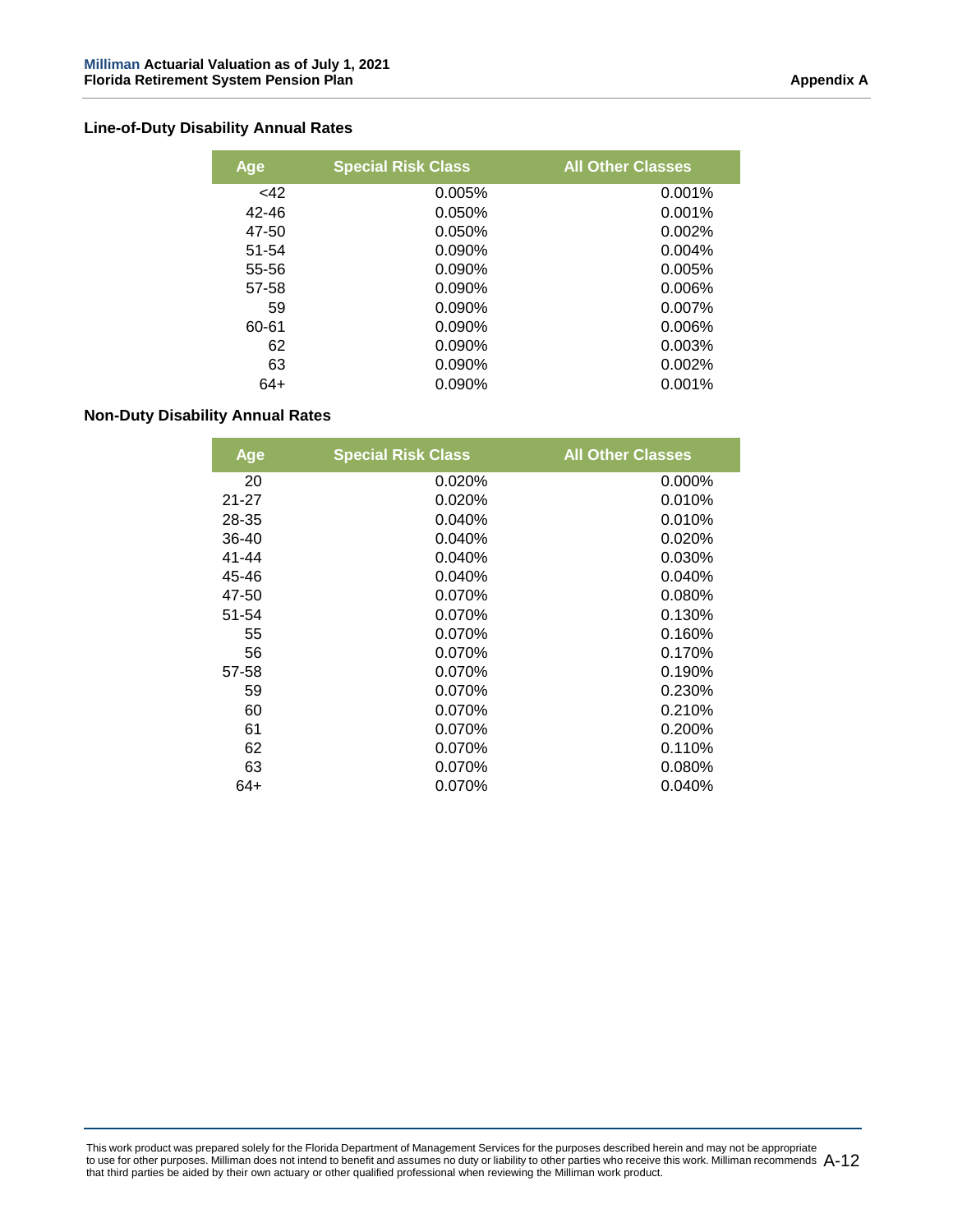## **Line-of-Duty Disability Annual Rates**

| Age       | <b>Special Risk Class</b> | <b>All Other Classes</b> |
|-----------|---------------------------|--------------------------|
| $<$ 42    | 0.005%                    | 0.001%                   |
| $42 - 46$ | 0.050%                    | 0.001%                   |
| 47-50     | 0.050%                    | 0.002%                   |
| 51-54     | $0.090\%$                 | $0.004\%$                |
| 55-56     | $0.090\%$                 | 0.005%                   |
| 57-58     | $0.090\%$                 | 0.006%                   |
| 59        | 0.090%                    | $0.007\%$                |
| 60-61     | $0.090\%$                 | 0.006%                   |
| 62        | $0.090\%$                 | 0.003%                   |
| 63        | $0.090\%$                 | 0.002%                   |
| 64+       | $0.090\%$                 | 0.001%                   |

#### **Non-Duty Disability Annual Rates**

| Age       | <b>Special Risk Class</b> | <b>All Other Classes</b> |
|-----------|---------------------------|--------------------------|
| 20        | 0.020%                    | 0.000%                   |
| $21 - 27$ | 0.020%                    | 0.010%                   |
| 28-35     | 0.040%                    | 0.010%                   |
| $36 - 40$ | 0.040%                    | 0.020%                   |
| $41 - 44$ | 0.040%                    | 0.030%                   |
| 45-46     | 0.040%                    | 0.040%                   |
| 47-50     | 0.070%                    | 0.080%                   |
| 51-54     | 0.070%                    | 0.130%                   |
| 55        | 0.070%                    | 0.160%                   |
| 56        | 0.070%                    | 0.170%                   |
| 57-58     | 0.070%                    | 0.190%                   |
| 59        | 0.070%                    | 0.230%                   |
| 60        | 0.070%                    | 0.210%                   |
| 61        | 0.070%                    | 0.200%                   |
| 62        | 0.070%                    | 0.110%                   |
| 63        | 0.070%                    | 0.080%                   |
| 64+       | 0.070%                    | $0.040\%$                |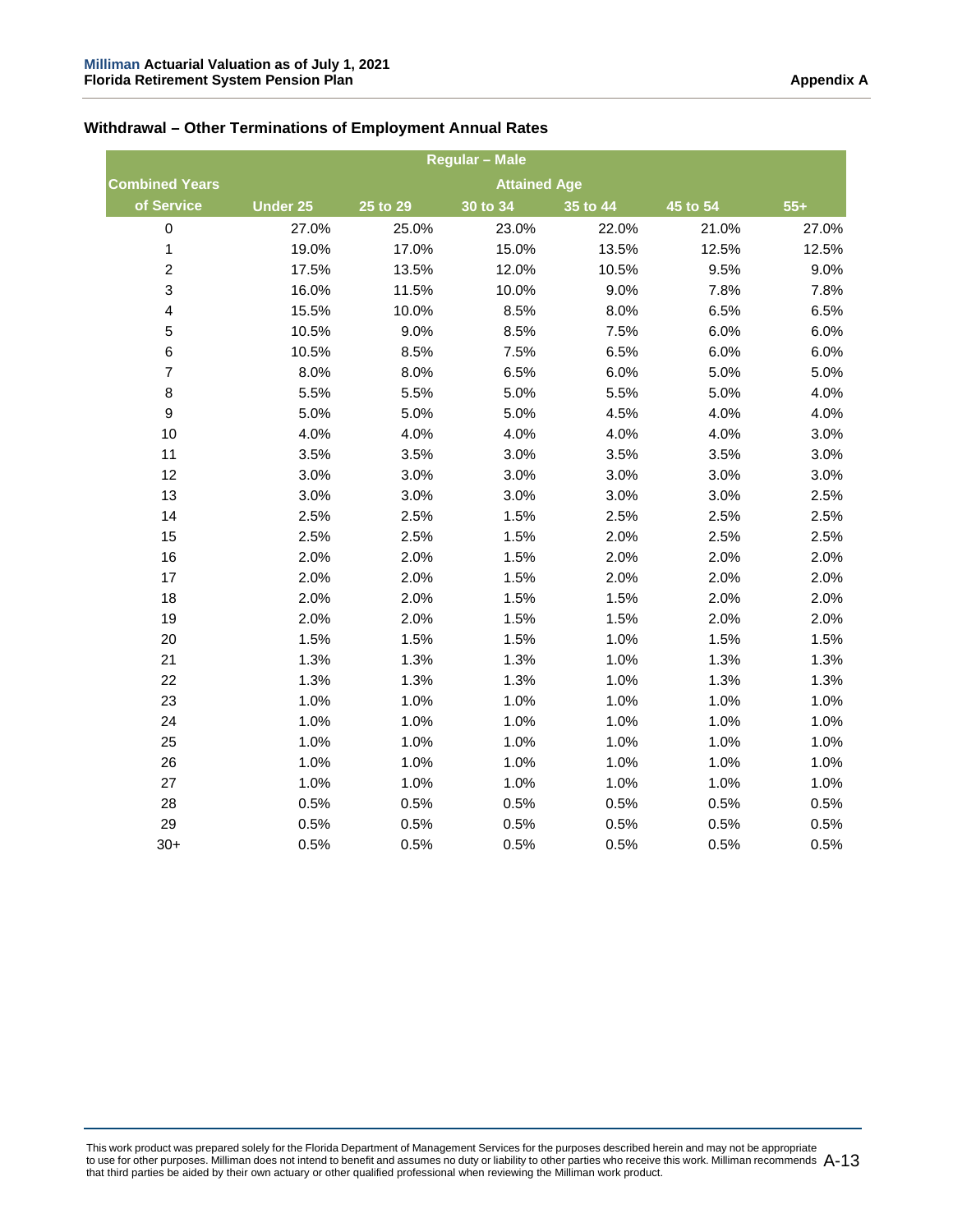## **Withdrawal – Other Terminations of Employment Annual Rates**

|                         | <b>Regular - Male</b> |          |                     |          |          |       |  |
|-------------------------|-----------------------|----------|---------------------|----------|----------|-------|--|
| <b>Combined Years</b>   |                       |          | <b>Attained Age</b> |          |          |       |  |
| of Service              | Under 25              | 25 to 29 | 30 to 34            | 35 to 44 | 45 to 54 | $55+$ |  |
| $\pmb{0}$               | 27.0%                 | 25.0%    | 23.0%               | 22.0%    | 21.0%    | 27.0% |  |
| 1                       | 19.0%                 | 17.0%    | 15.0%               | 13.5%    | 12.5%    | 12.5% |  |
| $\boldsymbol{2}$        | 17.5%                 | 13.5%    | 12.0%               | 10.5%    | 9.5%     | 9.0%  |  |
| $\mathsf 3$             | 16.0%                 | 11.5%    | 10.0%               | 9.0%     | 7.8%     | 7.8%  |  |
| $\overline{\mathbf{4}}$ | 15.5%                 | 10.0%    | 8.5%                | 8.0%     | 6.5%     | 6.5%  |  |
| 5                       | 10.5%                 | 9.0%     | 8.5%                | 7.5%     | 6.0%     | 6.0%  |  |
| $\,6$                   | 10.5%                 | 8.5%     | 7.5%                | 6.5%     | 6.0%     | 6.0%  |  |
| $\boldsymbol{7}$        | 8.0%                  | 8.0%     | 6.5%                | 6.0%     | 5.0%     | 5.0%  |  |
| $\bf 8$                 | 5.5%                  | 5.5%     | 5.0%                | 5.5%     | 5.0%     | 4.0%  |  |
| $\boldsymbol{9}$        | 5.0%                  | 5.0%     | 5.0%                | 4.5%     | 4.0%     | 4.0%  |  |
| 10                      | 4.0%                  | 4.0%     | 4.0%                | 4.0%     | 4.0%     | 3.0%  |  |
| 11                      | 3.5%                  | 3.5%     | 3.0%                | 3.5%     | 3.5%     | 3.0%  |  |
| 12                      | 3.0%                  | 3.0%     | 3.0%                | 3.0%     | 3.0%     | 3.0%  |  |
| 13                      | 3.0%                  | 3.0%     | 3.0%                | 3.0%     | 3.0%     | 2.5%  |  |
| 14                      | 2.5%                  | 2.5%     | 1.5%                | 2.5%     | 2.5%     | 2.5%  |  |
| 15                      | 2.5%                  | 2.5%     | 1.5%                | 2.0%     | 2.5%     | 2.5%  |  |
| 16                      | 2.0%                  | 2.0%     | 1.5%                | 2.0%     | 2.0%     | 2.0%  |  |
| 17                      | 2.0%                  | 2.0%     | 1.5%                | 2.0%     | 2.0%     | 2.0%  |  |
| 18                      | 2.0%                  | 2.0%     | 1.5%                | 1.5%     | 2.0%     | 2.0%  |  |
| 19                      | 2.0%                  | 2.0%     | 1.5%                | 1.5%     | 2.0%     | 2.0%  |  |
| 20                      | 1.5%                  | 1.5%     | 1.5%                | 1.0%     | 1.5%     | 1.5%  |  |
| 21                      | 1.3%                  | 1.3%     | 1.3%                | 1.0%     | 1.3%     | 1.3%  |  |
| 22                      | 1.3%                  | 1.3%     | 1.3%                | 1.0%     | 1.3%     | 1.3%  |  |
| 23                      | 1.0%                  | 1.0%     | 1.0%                | 1.0%     | 1.0%     | 1.0%  |  |
| 24                      | 1.0%                  | 1.0%     | 1.0%                | 1.0%     | 1.0%     | 1.0%  |  |
| 25                      | 1.0%                  | 1.0%     | 1.0%                | 1.0%     | 1.0%     | 1.0%  |  |
| 26                      | 1.0%                  | 1.0%     | 1.0%                | 1.0%     | 1.0%     | 1.0%  |  |
| 27                      | 1.0%                  | 1.0%     | 1.0%                | 1.0%     | 1.0%     | 1.0%  |  |
| 28                      | 0.5%                  | 0.5%     | 0.5%                | 0.5%     | 0.5%     | 0.5%  |  |
| 29                      | 0.5%                  | 0.5%     | 0.5%                | 0.5%     | 0.5%     | 0.5%  |  |
| $30+$                   | 0.5%                  | 0.5%     | 0.5%                | 0.5%     | 0.5%     | 0.5%  |  |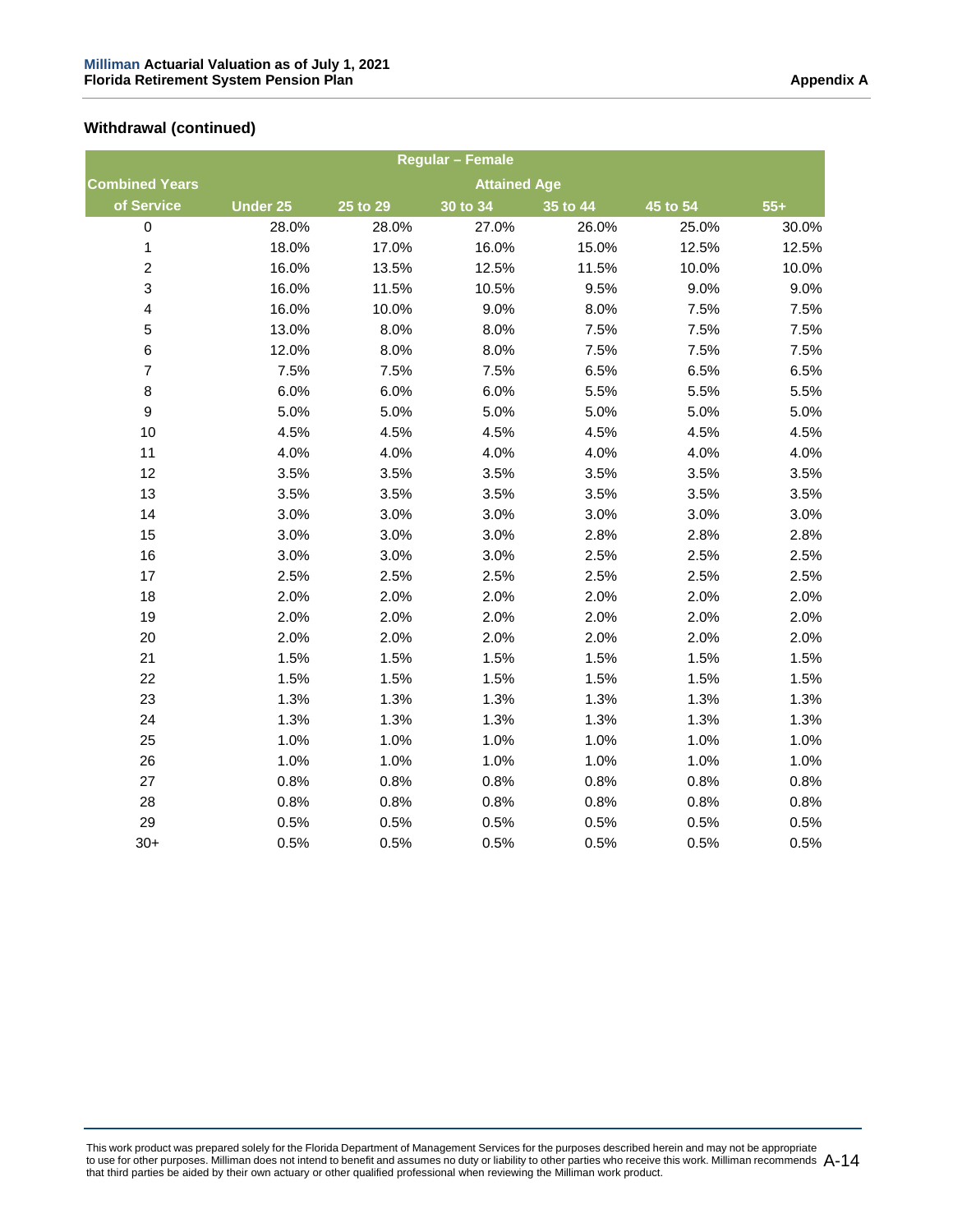|                         |                 |            | <b>Regular - Female</b> |          |          |       |
|-------------------------|-----------------|------------|-------------------------|----------|----------|-------|
| <b>Combined Years</b>   |                 |            | <b>Attained Age</b>     |          |          |       |
| of Service              | <b>Under 25</b> | $25$ to 29 | 30 to 34                | 35 to 44 | 45 to 54 | $55+$ |
| $\boldsymbol{0}$        | 28.0%           | 28.0%      | 27.0%                   | 26.0%    | 25.0%    | 30.0% |
| $\mathbf{1}$            | 18.0%           | 17.0%      | 16.0%                   | 15.0%    | 12.5%    | 12.5% |
| $\overline{a}$          | 16.0%           | 13.5%      | 12.5%                   | 11.5%    | 10.0%    | 10.0% |
| $\mathsf 3$             | 16.0%           | 11.5%      | 10.5%                   | 9.5%     | 9.0%     | 9.0%  |
| $\overline{\mathbf{4}}$ | 16.0%           | 10.0%      | 9.0%                    | 8.0%     | 7.5%     | 7.5%  |
| 5                       | 13.0%           | 8.0%       | 8.0%                    | 7.5%     | 7.5%     | 7.5%  |
| $\,6$                   | 12.0%           | 8.0%       | 8.0%                    | 7.5%     | 7.5%     | 7.5%  |
| $\overline{7}$          | 7.5%            | 7.5%       | 7.5%                    | 6.5%     | 6.5%     | 6.5%  |
| $\bf8$                  | 6.0%            | 6.0%       | 6.0%                    | 5.5%     | 5.5%     | 5.5%  |
| $\boldsymbol{9}$        | 5.0%            | 5.0%       | 5.0%                    | 5.0%     | 5.0%     | 5.0%  |
| 10                      | 4.5%            | 4.5%       | 4.5%                    | 4.5%     | 4.5%     | 4.5%  |
| 11                      | 4.0%            | 4.0%       | 4.0%                    | 4.0%     | 4.0%     | 4.0%  |
| 12                      | 3.5%            | 3.5%       | 3.5%                    | 3.5%     | 3.5%     | 3.5%  |
| 13                      | 3.5%            | 3.5%       | 3.5%                    | 3.5%     | 3.5%     | 3.5%  |
| 14                      | 3.0%            | 3.0%       | 3.0%                    | 3.0%     | 3.0%     | 3.0%  |
| 15                      | 3.0%            | 3.0%       | 3.0%                    | 2.8%     | 2.8%     | 2.8%  |
| 16                      | 3.0%            | 3.0%       | 3.0%                    | 2.5%     | 2.5%     | 2.5%  |
| 17                      | 2.5%            | 2.5%       | 2.5%                    | 2.5%     | 2.5%     | 2.5%  |
| 18                      | 2.0%            | 2.0%       | 2.0%                    | 2.0%     | 2.0%     | 2.0%  |
| 19                      | 2.0%            | 2.0%       | 2.0%                    | 2.0%     | 2.0%     | 2.0%  |
| 20                      | 2.0%            | 2.0%       | 2.0%                    | 2.0%     | 2.0%     | 2.0%  |
| 21                      | 1.5%            | 1.5%       | 1.5%                    | 1.5%     | 1.5%     | 1.5%  |
| 22                      | 1.5%            | 1.5%       | 1.5%                    | 1.5%     | 1.5%     | 1.5%  |
| 23                      | 1.3%            | 1.3%       | 1.3%                    | 1.3%     | 1.3%     | 1.3%  |
| 24                      | 1.3%            | 1.3%       | 1.3%                    | 1.3%     | 1.3%     | 1.3%  |
| 25                      | 1.0%            | 1.0%       | 1.0%                    | 1.0%     | 1.0%     | 1.0%  |
| 26                      | 1.0%            | 1.0%       | 1.0%                    | 1.0%     | 1.0%     | 1.0%  |
| 27                      | 0.8%            | 0.8%       | 0.8%                    | 0.8%     | 0.8%     | 0.8%  |
| 28                      | 0.8%            | 0.8%       | 0.8%                    | 0.8%     | 0.8%     | 0.8%  |
| 29                      | 0.5%            | 0.5%       | 0.5%                    | 0.5%     | 0.5%     | 0.5%  |
| $30+$                   | 0.5%            | 0.5%       | 0.5%                    | 0.5%     | 0.5%     | 0.5%  |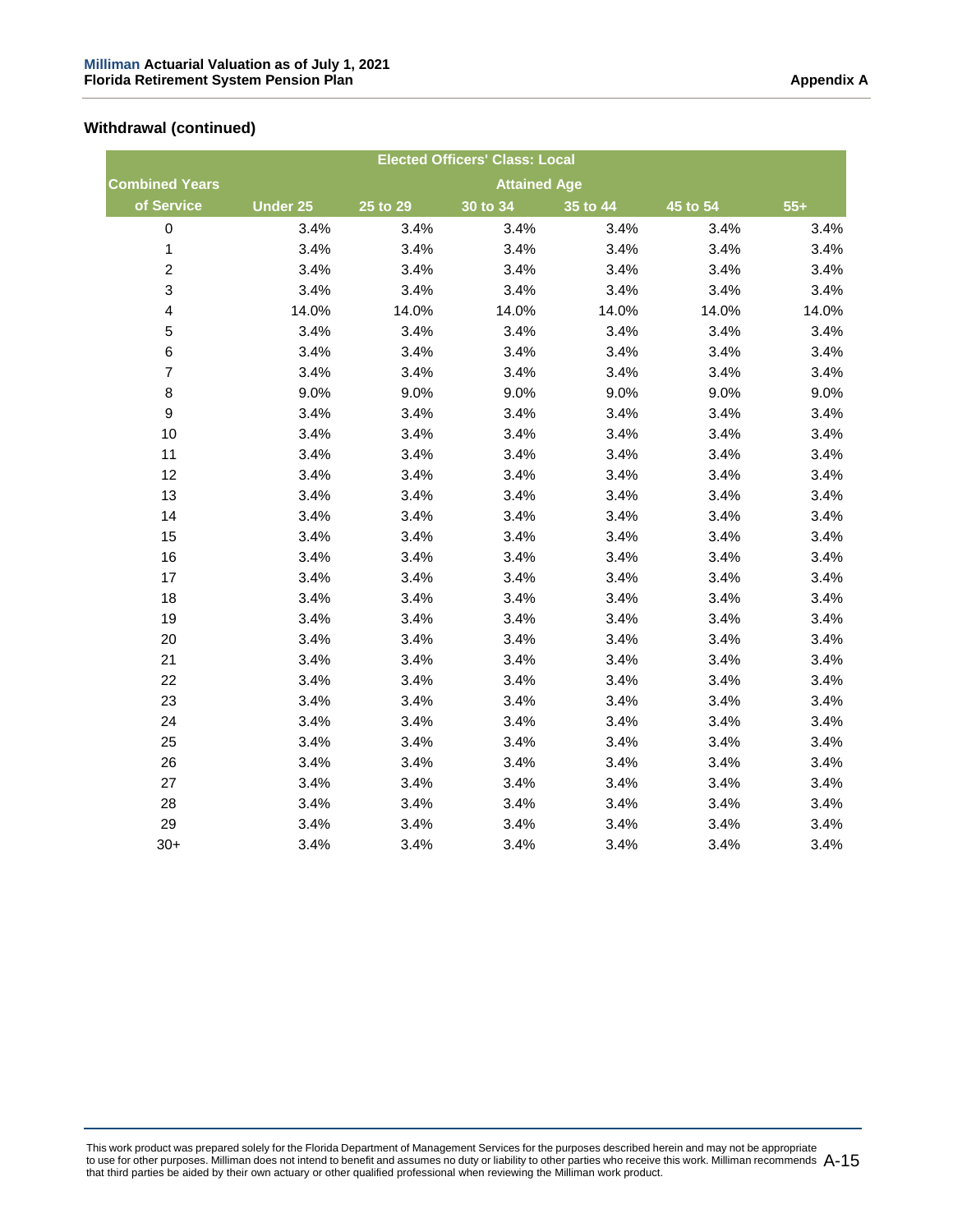|                         |                 |          | <b>Elected Officers' Class: Local</b> |          |          |       |
|-------------------------|-----------------|----------|---------------------------------------|----------|----------|-------|
| <b>Combined Years</b>   |                 |          | <b>Attained Age</b>                   |          |          |       |
| of Service              | <b>Under 25</b> | 25 to 29 | 30 to 34                              | 35 to 44 | 45 to 54 | $55+$ |
| 0                       | 3.4%            | 3.4%     | 3.4%                                  | 3.4%     | 3.4%     | 3.4%  |
| $\mathbf{1}$            | 3.4%            | 3.4%     | 3.4%                                  | 3.4%     | 3.4%     | 3.4%  |
| $\overline{c}$          | 3.4%            | 3.4%     | 3.4%                                  | 3.4%     | 3.4%     | 3.4%  |
| 3                       | 3.4%            | 3.4%     | 3.4%                                  | 3.4%     | 3.4%     | 3.4%  |
| $\overline{\mathbf{4}}$ | 14.0%           | 14.0%    | 14.0%                                 | 14.0%    | 14.0%    | 14.0% |
| 5                       | 3.4%            | 3.4%     | 3.4%                                  | 3.4%     | 3.4%     | 3.4%  |
| 6                       | 3.4%            | 3.4%     | 3.4%                                  | 3.4%     | 3.4%     | 3.4%  |
| $\overline{7}$          | 3.4%            | 3.4%     | 3.4%                                  | 3.4%     | 3.4%     | 3.4%  |
| 8                       | 9.0%            | 9.0%     | 9.0%                                  | 9.0%     | 9.0%     | 9.0%  |
| 9                       | 3.4%            | 3.4%     | 3.4%                                  | 3.4%     | 3.4%     | 3.4%  |
| 10                      | 3.4%            | 3.4%     | 3.4%                                  | 3.4%     | 3.4%     | 3.4%  |
| 11                      | 3.4%            | 3.4%     | 3.4%                                  | 3.4%     | 3.4%     | 3.4%  |
| 12                      | 3.4%            | 3.4%     | 3.4%                                  | 3.4%     | 3.4%     | 3.4%  |
| 13                      | 3.4%            | 3.4%     | 3.4%                                  | 3.4%     | 3.4%     | 3.4%  |
| 14                      | 3.4%            | 3.4%     | 3.4%                                  | 3.4%     | 3.4%     | 3.4%  |
| 15                      | 3.4%            | 3.4%     | 3.4%                                  | 3.4%     | 3.4%     | 3.4%  |
| 16                      | 3.4%            | 3.4%     | 3.4%                                  | 3.4%     | 3.4%     | 3.4%  |
| 17                      | 3.4%            | 3.4%     | 3.4%                                  | 3.4%     | 3.4%     | 3.4%  |
| 18                      | 3.4%            | 3.4%     | 3.4%                                  | 3.4%     | 3.4%     | 3.4%  |
| 19                      | 3.4%            | 3.4%     | 3.4%                                  | 3.4%     | 3.4%     | 3.4%  |
| 20                      | 3.4%            | 3.4%     | 3.4%                                  | 3.4%     | 3.4%     | 3.4%  |
| 21                      | 3.4%            | 3.4%     | 3.4%                                  | 3.4%     | 3.4%     | 3.4%  |
| 22                      | 3.4%            | 3.4%     | 3.4%                                  | 3.4%     | 3.4%     | 3.4%  |
| 23                      | 3.4%            | 3.4%     | 3.4%                                  | 3.4%     | 3.4%     | 3.4%  |
| 24                      | 3.4%            | 3.4%     | 3.4%                                  | 3.4%     | 3.4%     | 3.4%  |
| 25                      | 3.4%            | 3.4%     | 3.4%                                  | 3.4%     | 3.4%     | 3.4%  |
| 26                      | 3.4%            | 3.4%     | 3.4%                                  | 3.4%     | 3.4%     | 3.4%  |
| 27                      | 3.4%            | 3.4%     | 3.4%                                  | 3.4%     | 3.4%     | 3.4%  |
| 28                      | 3.4%            | 3.4%     | 3.4%                                  | 3.4%     | 3.4%     | 3.4%  |
| 29                      | 3.4%            | 3.4%     | 3.4%                                  | 3.4%     | 3.4%     | 3.4%  |
| $30+$                   | 3.4%            | 3.4%     | 3.4%                                  | 3.4%     | 3.4%     | 3.4%  |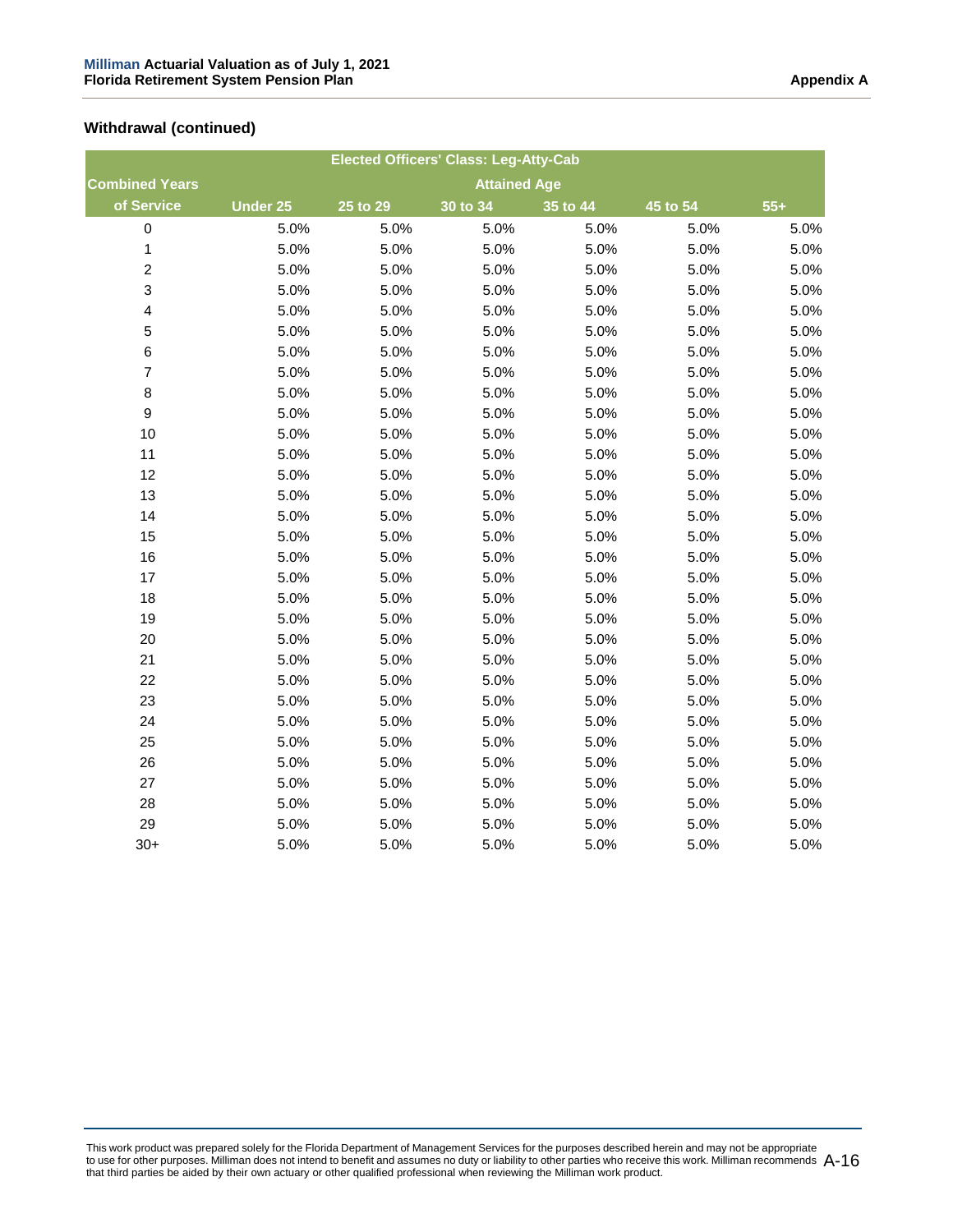|                         |                 |          | <b>Elected Officers' Class: Leg-Atty-Cab</b> |          |          |       |
|-------------------------|-----------------|----------|----------------------------------------------|----------|----------|-------|
| <b>Combined Years</b>   |                 |          | <b>Attained Age</b>                          |          |          |       |
| of Service              | <b>Under 25</b> | 25 to 29 | 30 to 34                                     | 35 to 44 | 45 to 54 | $55+$ |
| $\pmb{0}$               | 5.0%            | 5.0%     | 5.0%                                         | 5.0%     | 5.0%     | 5.0%  |
| 1                       | 5.0%            | 5.0%     | 5.0%                                         | 5.0%     | 5.0%     | 5.0%  |
| $\overline{\mathbf{c}}$ | 5.0%            | 5.0%     | 5.0%                                         | 5.0%     | 5.0%     | 5.0%  |
| 3                       | 5.0%            | 5.0%     | 5.0%                                         | 5.0%     | 5.0%     | 5.0%  |
| $\overline{\mathbf{4}}$ | 5.0%            | 5.0%     | 5.0%                                         | 5.0%     | 5.0%     | 5.0%  |
| 5                       | 5.0%            | 5.0%     | 5.0%                                         | 5.0%     | 5.0%     | 5.0%  |
| 6                       | 5.0%            | 5.0%     | 5.0%                                         | 5.0%     | 5.0%     | 5.0%  |
| $\overline{7}$          | 5.0%            | 5.0%     | 5.0%                                         | 5.0%     | 5.0%     | 5.0%  |
| 8                       | 5.0%            | 5.0%     | 5.0%                                         | 5.0%     | 5.0%     | 5.0%  |
| 9                       | 5.0%            | 5.0%     | 5.0%                                         | 5.0%     | 5.0%     | 5.0%  |
| 10                      | 5.0%            | 5.0%     | 5.0%                                         | 5.0%     | 5.0%     | 5.0%  |
| 11                      | 5.0%            | 5.0%     | 5.0%                                         | 5.0%     | 5.0%     | 5.0%  |
| 12                      | 5.0%            | 5.0%     | 5.0%                                         | 5.0%     | 5.0%     | 5.0%  |
| 13                      | 5.0%            | 5.0%     | 5.0%                                         | 5.0%     | 5.0%     | 5.0%  |
| 14                      | 5.0%            | 5.0%     | 5.0%                                         | 5.0%     | 5.0%     | 5.0%  |
| 15                      | 5.0%            | 5.0%     | 5.0%                                         | 5.0%     | 5.0%     | 5.0%  |
| 16                      | 5.0%            | 5.0%     | 5.0%                                         | 5.0%     | 5.0%     | 5.0%  |
| 17                      | 5.0%            | 5.0%     | 5.0%                                         | 5.0%     | 5.0%     | 5.0%  |
| 18                      | 5.0%            | 5.0%     | 5.0%                                         | 5.0%     | 5.0%     | 5.0%  |
| 19                      | 5.0%            | 5.0%     | 5.0%                                         | 5.0%     | 5.0%     | 5.0%  |
| 20                      | 5.0%            | 5.0%     | 5.0%                                         | 5.0%     | 5.0%     | 5.0%  |
| 21                      | 5.0%            | 5.0%     | 5.0%                                         | 5.0%     | 5.0%     | 5.0%  |
| 22                      | 5.0%            | 5.0%     | 5.0%                                         | 5.0%     | 5.0%     | 5.0%  |
| 23                      | 5.0%            | 5.0%     | 5.0%                                         | 5.0%     | 5.0%     | 5.0%  |
| 24                      | 5.0%            | 5.0%     | 5.0%                                         | 5.0%     | 5.0%     | 5.0%  |
| 25                      | 5.0%            | 5.0%     | 5.0%                                         | 5.0%     | 5.0%     | 5.0%  |
| 26                      | 5.0%            | 5.0%     | 5.0%                                         | 5.0%     | 5.0%     | 5.0%  |
| 27                      | 5.0%            | 5.0%     | 5.0%                                         | 5.0%     | 5.0%     | 5.0%  |
| 28                      | 5.0%            | 5.0%     | 5.0%                                         | 5.0%     | 5.0%     | 5.0%  |
| 29                      | 5.0%            | 5.0%     | 5.0%                                         | 5.0%     | 5.0%     | 5.0%  |
| $30+$                   | 5.0%            | 5.0%     | 5.0%                                         | 5.0%     | 5.0%     | 5.0%  |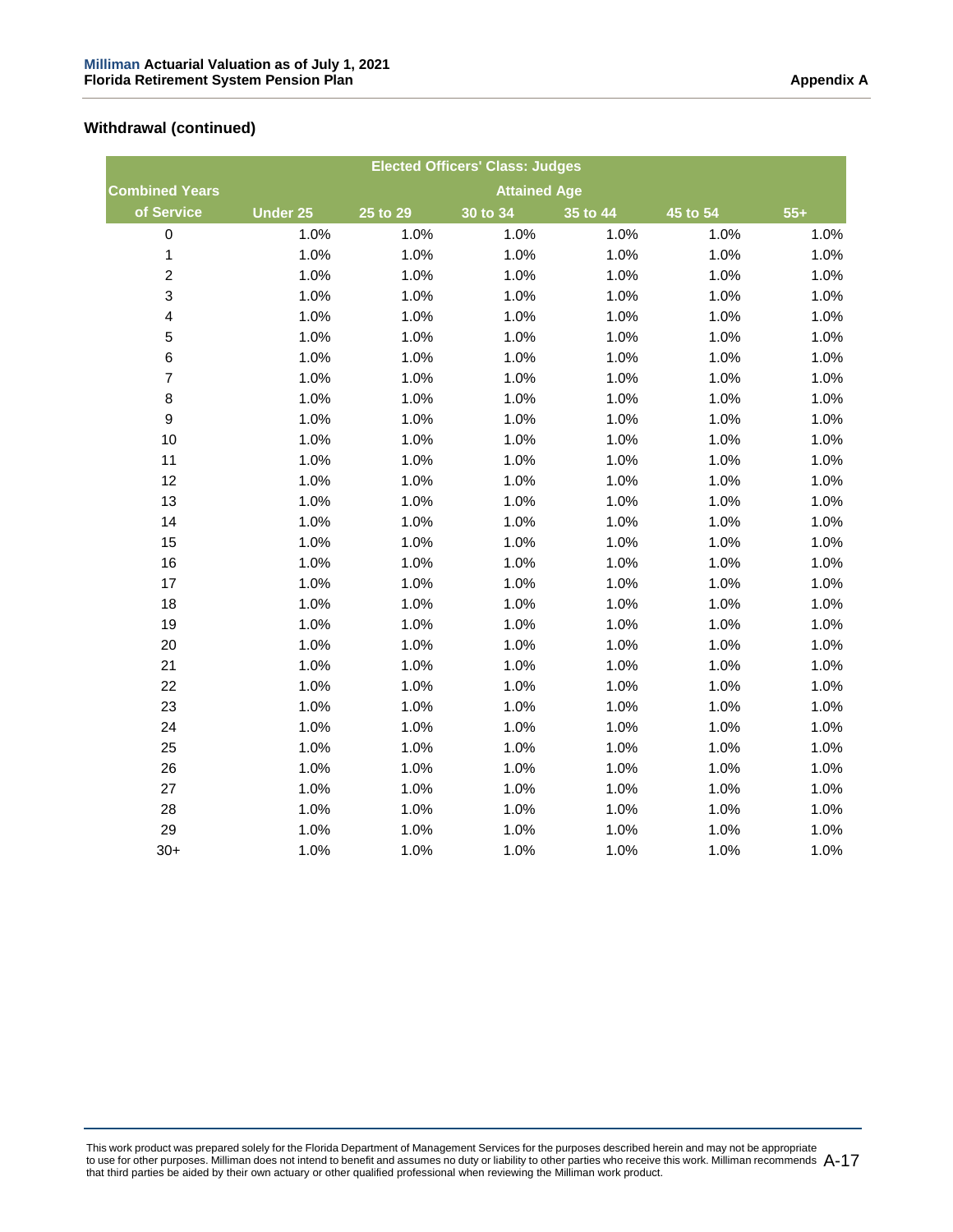|                         |                 |          | <b>Elected Officers' Class: Judges</b> |          |          |       |
|-------------------------|-----------------|----------|----------------------------------------|----------|----------|-------|
| <b>Combined Years</b>   |                 |          | <b>Attained Age</b>                    |          |          |       |
| of Service              | <b>Under 25</b> | 25 to 29 | 30 to 34                               | 35 to 44 | 45 to 54 | $55+$ |
| $\mathsf 0$             | 1.0%            | 1.0%     | 1.0%                                   | 1.0%     | 1.0%     | 1.0%  |
| 1                       | 1.0%            | 1.0%     | 1.0%                                   | 1.0%     | 1.0%     | 1.0%  |
| $\overline{c}$          | 1.0%            | 1.0%     | 1.0%                                   | 1.0%     | 1.0%     | 1.0%  |
| $\mathsf 3$             | 1.0%            | 1.0%     | 1.0%                                   | 1.0%     | 1.0%     | 1.0%  |
| $\overline{\mathbf{4}}$ | 1.0%            | 1.0%     | 1.0%                                   | 1.0%     | 1.0%     | 1.0%  |
| 5                       | 1.0%            | 1.0%     | 1.0%                                   | 1.0%     | 1.0%     | 1.0%  |
| 6                       | 1.0%            | 1.0%     | 1.0%                                   | 1.0%     | 1.0%     | 1.0%  |
| $\overline{\mathbf{7}}$ | 1.0%            | 1.0%     | 1.0%                                   | 1.0%     | 1.0%     | 1.0%  |
| 8                       | 1.0%            | 1.0%     | 1.0%                                   | 1.0%     | 1.0%     | 1.0%  |
| 9                       | 1.0%            | 1.0%     | 1.0%                                   | 1.0%     | 1.0%     | 1.0%  |
| 10                      | 1.0%            | 1.0%     | 1.0%                                   | 1.0%     | 1.0%     | 1.0%  |
| 11                      | 1.0%            | 1.0%     | 1.0%                                   | 1.0%     | 1.0%     | 1.0%  |
| 12                      | 1.0%            | 1.0%     | 1.0%                                   | 1.0%     | 1.0%     | 1.0%  |
| 13                      | 1.0%            | 1.0%     | 1.0%                                   | 1.0%     | 1.0%     | 1.0%  |
| 14                      | 1.0%            | 1.0%     | 1.0%                                   | 1.0%     | 1.0%     | 1.0%  |
| 15                      | 1.0%            | 1.0%     | 1.0%                                   | 1.0%     | 1.0%     | 1.0%  |
| 16                      | 1.0%            | 1.0%     | 1.0%                                   | 1.0%     | 1.0%     | 1.0%  |
| 17                      | 1.0%            | 1.0%     | 1.0%                                   | 1.0%     | 1.0%     | 1.0%  |
| 18                      | 1.0%            | 1.0%     | 1.0%                                   | 1.0%     | 1.0%     | 1.0%  |
| 19                      | 1.0%            | 1.0%     | 1.0%                                   | 1.0%     | 1.0%     | 1.0%  |
| 20                      | 1.0%            | 1.0%     | 1.0%                                   | 1.0%     | 1.0%     | 1.0%  |
| 21                      | 1.0%            | 1.0%     | 1.0%                                   | 1.0%     | 1.0%     | 1.0%  |
| 22                      | 1.0%            | 1.0%     | 1.0%                                   | 1.0%     | 1.0%     | 1.0%  |
| 23                      | 1.0%            | 1.0%     | 1.0%                                   | 1.0%     | 1.0%     | 1.0%  |
| 24                      | 1.0%            | 1.0%     | 1.0%                                   | 1.0%     | 1.0%     | 1.0%  |
| 25                      | 1.0%            | 1.0%     | 1.0%                                   | 1.0%     | 1.0%     | 1.0%  |
| 26                      | 1.0%            | 1.0%     | 1.0%                                   | 1.0%     | 1.0%     | 1.0%  |
| 27                      | 1.0%            | 1.0%     | 1.0%                                   | 1.0%     | 1.0%     | 1.0%  |
| 28                      | 1.0%            | 1.0%     | 1.0%                                   | 1.0%     | 1.0%     | 1.0%  |
| 29                      | 1.0%            | 1.0%     | 1.0%                                   | 1.0%     | 1.0%     | 1.0%  |
| $30+$                   | 1.0%            | 1.0%     | 1.0%                                   | 1.0%     | 1.0%     | 1.0%  |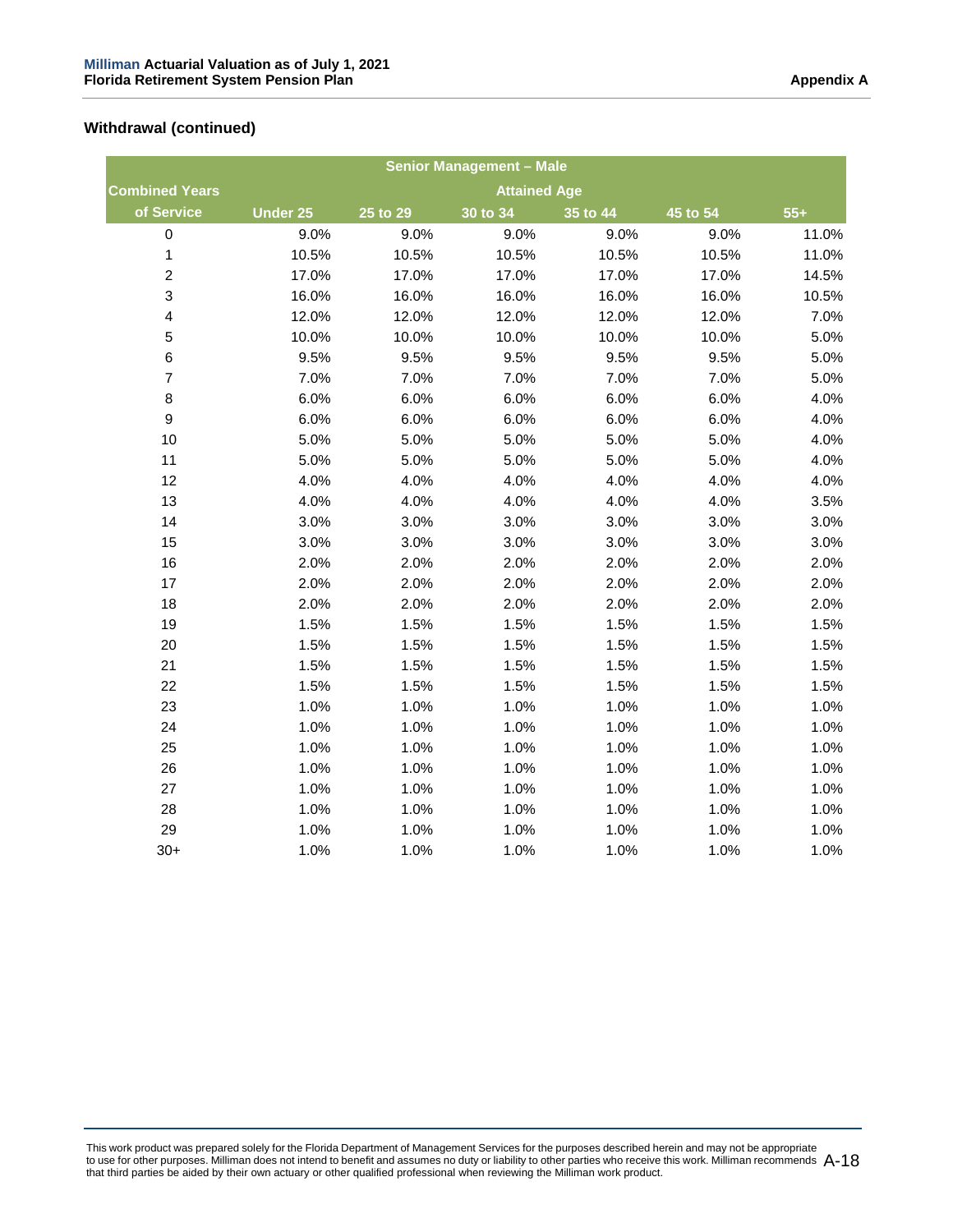|                         |                 |                       | <b>Senior Management - Male</b> |          |          |       |
|-------------------------|-----------------|-----------------------|---------------------------------|----------|----------|-------|
| <b>Combined Years</b>   |                 |                       | <b>Attained Age</b>             |          |          |       |
| of Service              | <b>Under 25</b> | $\overline{25}$ to 29 | 30 to 34                        | 35 to 44 | 45 to 54 | $55+$ |
| $\mathbf 0$             | 9.0%            | 9.0%                  | 9.0%                            | 9.0%     | 9.0%     | 11.0% |
| $\mathbf 1$             | 10.5%           | 10.5%                 | 10.5%                           | 10.5%    | 10.5%    | 11.0% |
| $\overline{c}$          | 17.0%           | 17.0%                 | 17.0%                           | 17.0%    | 17.0%    | 14.5% |
| 3                       | 16.0%           | 16.0%                 | 16.0%                           | 16.0%    | 16.0%    | 10.5% |
| $\overline{\mathbf{r}}$ | 12.0%           | 12.0%                 | 12.0%                           | 12.0%    | 12.0%    | 7.0%  |
| 5                       | 10.0%           | 10.0%                 | 10.0%                           | 10.0%    | 10.0%    | 5.0%  |
| 6                       | 9.5%            | 9.5%                  | 9.5%                            | 9.5%     | 9.5%     | 5.0%  |
| $\overline{7}$          | 7.0%            | 7.0%                  | 7.0%                            | 7.0%     | 7.0%     | 5.0%  |
| $\bf8$                  | 6.0%            | 6.0%                  | 6.0%                            | 6.0%     | 6.0%     | 4.0%  |
| $\boldsymbol{9}$        | 6.0%            | 6.0%                  | 6.0%                            | 6.0%     | 6.0%     | 4.0%  |
| 10                      | 5.0%            | 5.0%                  | 5.0%                            | 5.0%     | 5.0%     | 4.0%  |
| 11                      | 5.0%            | 5.0%                  | 5.0%                            | 5.0%     | 5.0%     | 4.0%  |
| 12                      | 4.0%            | 4.0%                  | 4.0%                            | 4.0%     | 4.0%     | 4.0%  |
| 13                      | 4.0%            | 4.0%                  | 4.0%                            | 4.0%     | 4.0%     | 3.5%  |
| 14                      | 3.0%            | 3.0%                  | 3.0%                            | 3.0%     | 3.0%     | 3.0%  |
| 15                      | 3.0%            | 3.0%                  | 3.0%                            | 3.0%     | 3.0%     | 3.0%  |
| 16                      | 2.0%            | 2.0%                  | 2.0%                            | 2.0%     | 2.0%     | 2.0%  |
| 17                      | 2.0%            | 2.0%                  | 2.0%                            | 2.0%     | 2.0%     | 2.0%  |
| 18                      | 2.0%            | 2.0%                  | 2.0%                            | 2.0%     | 2.0%     | 2.0%  |
| 19                      | 1.5%            | 1.5%                  | 1.5%                            | 1.5%     | 1.5%     | 1.5%  |
| 20                      | 1.5%            | 1.5%                  | 1.5%                            | 1.5%     | 1.5%     | 1.5%  |
| 21                      | 1.5%            | 1.5%                  | 1.5%                            | 1.5%     | 1.5%     | 1.5%  |
| 22                      | 1.5%            | 1.5%                  | 1.5%                            | 1.5%     | 1.5%     | 1.5%  |
| 23                      | 1.0%            | 1.0%                  | 1.0%                            | 1.0%     | 1.0%     | 1.0%  |
| 24                      | 1.0%            | 1.0%                  | 1.0%                            | 1.0%     | 1.0%     | 1.0%  |
| 25                      | 1.0%            | 1.0%                  | 1.0%                            | 1.0%     | 1.0%     | 1.0%  |
| 26                      | 1.0%            | 1.0%                  | 1.0%                            | 1.0%     | 1.0%     | 1.0%  |
| 27                      | 1.0%            | 1.0%                  | 1.0%                            | 1.0%     | 1.0%     | 1.0%  |
| 28                      | 1.0%            | 1.0%                  | 1.0%                            | 1.0%     | 1.0%     | 1.0%  |
| 29                      | 1.0%            | 1.0%                  | 1.0%                            | 1.0%     | 1.0%     | 1.0%  |
| $30+$                   | 1.0%            | 1.0%                  | 1.0%                            | 1.0%     | 1.0%     | 1.0%  |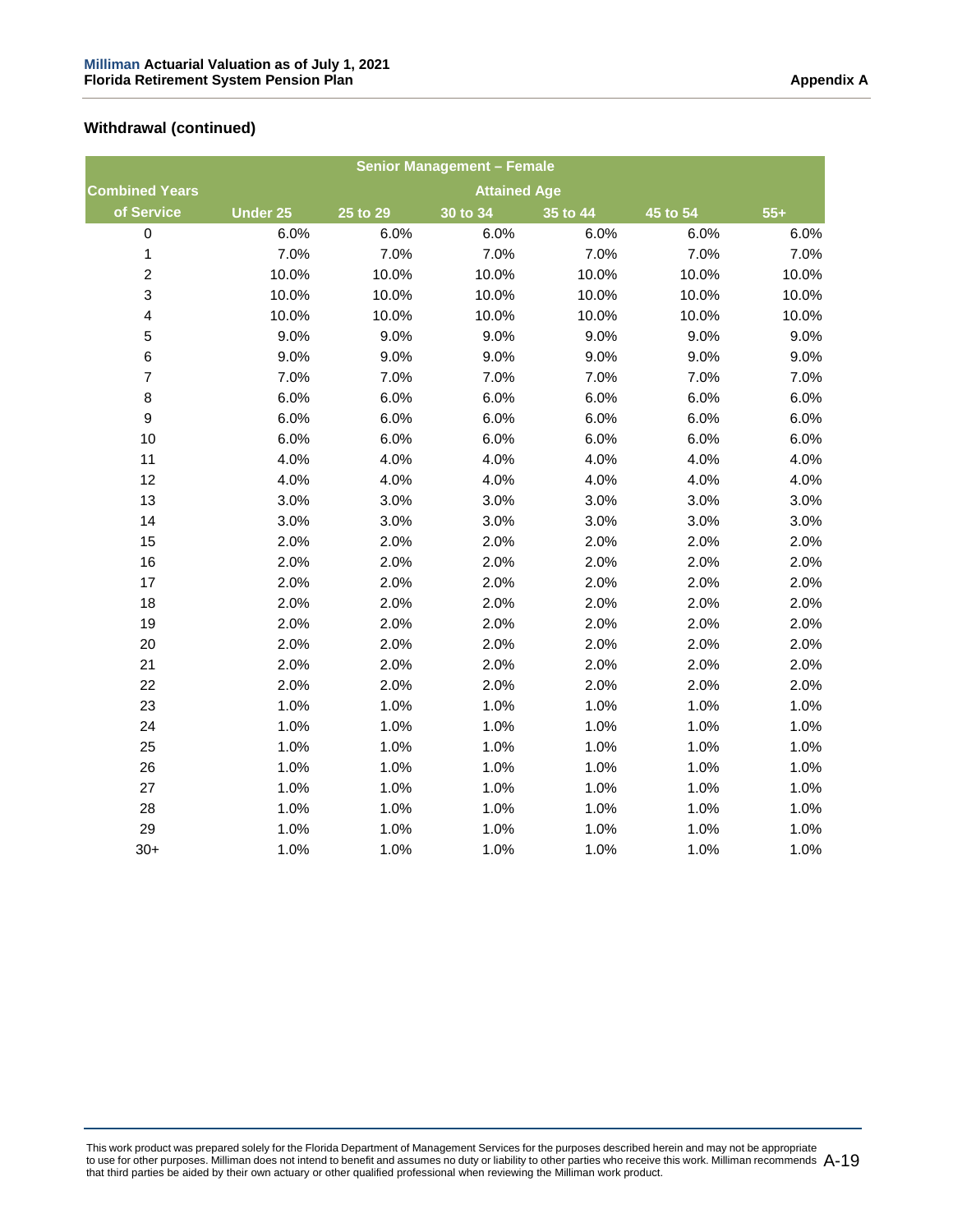|                         |                 |                     | <b>Senior Management - Female</b> |          |          |       |  |
|-------------------------|-----------------|---------------------|-----------------------------------|----------|----------|-------|--|
| <b>Combined Years</b>   |                 | <b>Attained Age</b> |                                   |          |          |       |  |
| of Service              | <b>Under 25</b> | 25 to 29            | 30 to 34                          | 35 to 44 | 45 to 54 | $55+$ |  |
| 0                       | 6.0%            | 6.0%                | 6.0%                              | 6.0%     | 6.0%     | 6.0%  |  |
| 1                       | 7.0%            | 7.0%                | 7.0%                              | 7.0%     | 7.0%     | 7.0%  |  |
| $\overline{c}$          | 10.0%           | 10.0%               | 10.0%                             | 10.0%    | 10.0%    | 10.0% |  |
| 3                       | 10.0%           | 10.0%               | 10.0%                             | 10.0%    | 10.0%    | 10.0% |  |
| $\overline{\mathbf{4}}$ | 10.0%           | 10.0%               | 10.0%                             | 10.0%    | 10.0%    | 10.0% |  |
| 5                       | 9.0%            | 9.0%                | 9.0%                              | 9.0%     | 9.0%     | 9.0%  |  |
| 6                       | 9.0%            | 9.0%                | 9.0%                              | 9.0%     | 9.0%     | 9.0%  |  |
| $\overline{7}$          | 7.0%            | 7.0%                | 7.0%                              | 7.0%     | 7.0%     | 7.0%  |  |
| 8                       | 6.0%            | 6.0%                | 6.0%                              | 6.0%     | 6.0%     | 6.0%  |  |
| 9                       | 6.0%            | 6.0%                | 6.0%                              | 6.0%     | 6.0%     | 6.0%  |  |
| 10                      | 6.0%            | 6.0%                | 6.0%                              | 6.0%     | 6.0%     | 6.0%  |  |
| 11                      | 4.0%            | 4.0%                | 4.0%                              | 4.0%     | 4.0%     | 4.0%  |  |
| 12                      | 4.0%            | 4.0%                | 4.0%                              | 4.0%     | 4.0%     | 4.0%  |  |
| 13                      | 3.0%            | 3.0%                | 3.0%                              | 3.0%     | 3.0%     | 3.0%  |  |
| 14                      | 3.0%            | 3.0%                | 3.0%                              | 3.0%     | 3.0%     | 3.0%  |  |
| 15                      | 2.0%            | 2.0%                | 2.0%                              | 2.0%     | 2.0%     | 2.0%  |  |
| 16                      | 2.0%            | 2.0%                | 2.0%                              | 2.0%     | 2.0%     | 2.0%  |  |
| 17                      | 2.0%            | 2.0%                | 2.0%                              | 2.0%     | 2.0%     | 2.0%  |  |
| 18                      | 2.0%            | 2.0%                | 2.0%                              | 2.0%     | 2.0%     | 2.0%  |  |
| 19                      | 2.0%            | 2.0%                | 2.0%                              | 2.0%     | 2.0%     | 2.0%  |  |
| 20                      | 2.0%            | 2.0%                | 2.0%                              | 2.0%     | 2.0%     | 2.0%  |  |
| 21                      | 2.0%            | 2.0%                | 2.0%                              | 2.0%     | 2.0%     | 2.0%  |  |
| 22                      | 2.0%            | 2.0%                | 2.0%                              | 2.0%     | 2.0%     | 2.0%  |  |
| 23                      | 1.0%            | 1.0%                | 1.0%                              | 1.0%     | 1.0%     | 1.0%  |  |
| 24                      | 1.0%            | 1.0%                | 1.0%                              | 1.0%     | 1.0%     | 1.0%  |  |
| 25                      | 1.0%            | 1.0%                | 1.0%                              | 1.0%     | 1.0%     | 1.0%  |  |
| 26                      | 1.0%            | 1.0%                | 1.0%                              | 1.0%     | 1.0%     | 1.0%  |  |
| 27                      | 1.0%            | 1.0%                | 1.0%                              | 1.0%     | 1.0%     | 1.0%  |  |
| 28                      | 1.0%            | 1.0%                | 1.0%                              | 1.0%     | 1.0%     | 1.0%  |  |
| 29                      | 1.0%            | 1.0%                | 1.0%                              | 1.0%     | 1.0%     | 1.0%  |  |
| $30+$                   | 1.0%            | 1.0%                | 1.0%                              | 1.0%     | 1.0%     | 1.0%  |  |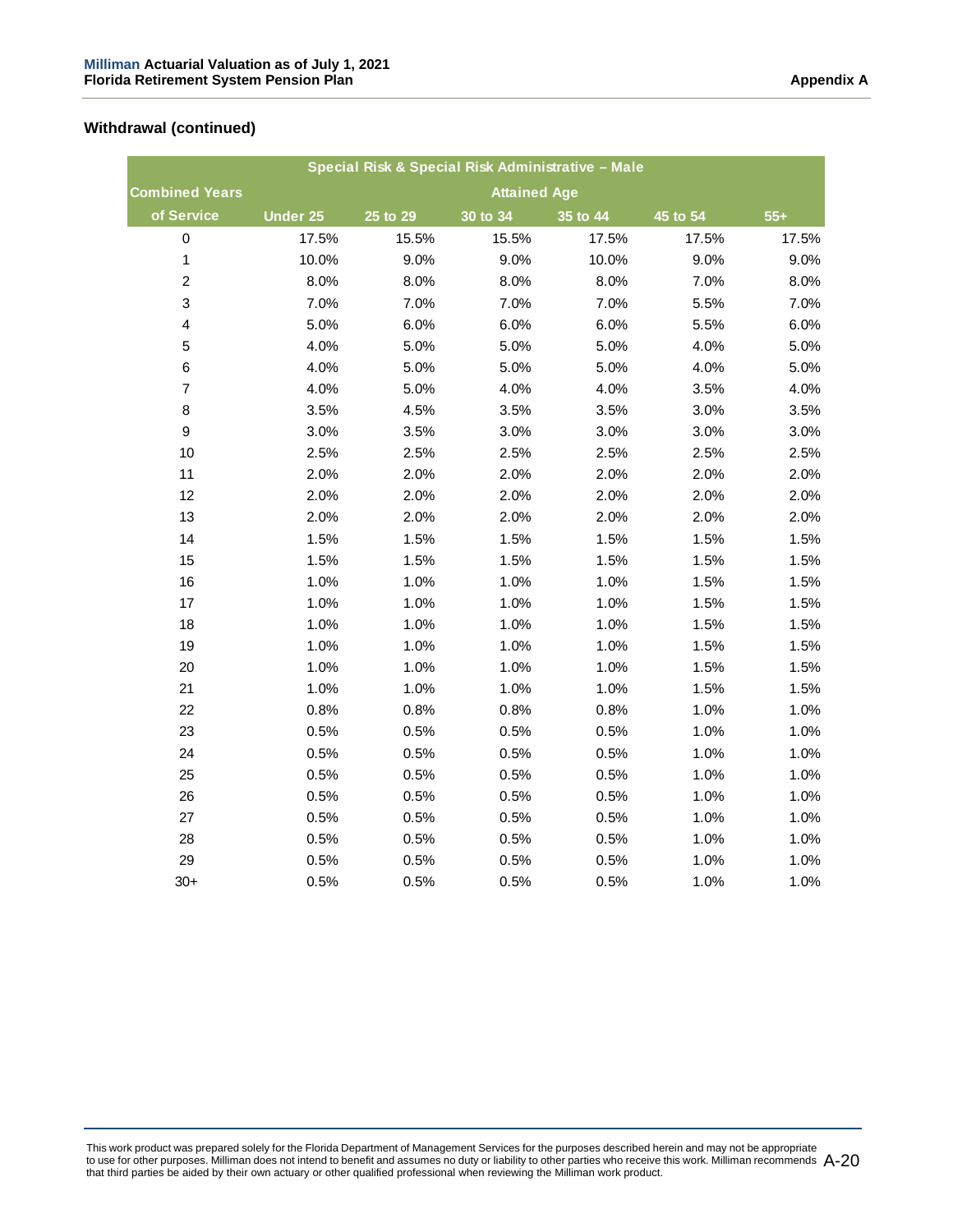|                         |                     |          |                     | Special Risk & Special Risk Administrative - Male |          |       |
|-------------------------|---------------------|----------|---------------------|---------------------------------------------------|----------|-------|
| <b>Combined Years</b>   |                     |          | <b>Attained Age</b> |                                                   |          |       |
| of Service              | Under <sub>25</sub> | 25 to 29 | 30 to 34            | 35 to 44                                          | 45 to 54 | $55+$ |
| $\pmb{0}$               | 17.5%               | 15.5%    | 15.5%               | 17.5%                                             | 17.5%    | 17.5% |
| $\mathbf{1}$            | 10.0%               | 9.0%     | 9.0%                | 10.0%                                             | 9.0%     | 9.0%  |
| $\boldsymbol{2}$        | 8.0%                | 8.0%     | 8.0%                | 8.0%                                              | 7.0%     | 8.0%  |
| 3                       | 7.0%                | 7.0%     | 7.0%                | 7.0%                                              | 5.5%     | 7.0%  |
| $\overline{\mathbf{4}}$ | 5.0%                | 6.0%     | 6.0%                | 6.0%                                              | 5.5%     | 6.0%  |
| $\mathbf 5$             | 4.0%                | 5.0%     | 5.0%                | 5.0%                                              | 4.0%     | 5.0%  |
| $\,6$                   | 4.0%                | 5.0%     | 5.0%                | 5.0%                                              | 4.0%     | 5.0%  |
| $\boldsymbol{7}$        | 4.0%                | 5.0%     | 4.0%                | 4.0%                                              | 3.5%     | 4.0%  |
| $\bf 8$                 | 3.5%                | 4.5%     | 3.5%                | 3.5%                                              | 3.0%     | 3.5%  |
| $\boldsymbol{9}$        | 3.0%                | 3.5%     | 3.0%                | 3.0%                                              | 3.0%     | 3.0%  |
| 10                      | 2.5%                | 2.5%     | 2.5%                | 2.5%                                              | 2.5%     | 2.5%  |
| 11                      | 2.0%                | 2.0%     | 2.0%                | 2.0%                                              | 2.0%     | 2.0%  |
| 12                      | 2.0%                | 2.0%     | 2.0%                | 2.0%                                              | 2.0%     | 2.0%  |
| 13                      | 2.0%                | 2.0%     | 2.0%                | 2.0%                                              | 2.0%     | 2.0%  |
| 14                      | 1.5%                | 1.5%     | 1.5%                | 1.5%                                              | 1.5%     | 1.5%  |
| 15                      | 1.5%                | 1.5%     | 1.5%                | 1.5%                                              | 1.5%     | 1.5%  |
| 16                      | 1.0%                | 1.0%     | 1.0%                | 1.0%                                              | 1.5%     | 1.5%  |
| 17                      | 1.0%                | 1.0%     | 1.0%                | 1.0%                                              | 1.5%     | 1.5%  |
| 18                      | 1.0%                | 1.0%     | 1.0%                | 1.0%                                              | 1.5%     | 1.5%  |
| 19                      | 1.0%                | 1.0%     | 1.0%                | 1.0%                                              | 1.5%     | 1.5%  |
| 20                      | 1.0%                | 1.0%     | 1.0%                | 1.0%                                              | 1.5%     | 1.5%  |
| 21                      | 1.0%                | 1.0%     | 1.0%                | 1.0%                                              | 1.5%     | 1.5%  |
| 22                      | 0.8%                | 0.8%     | 0.8%                | 0.8%                                              | 1.0%     | 1.0%  |
| 23                      | 0.5%                | 0.5%     | 0.5%                | 0.5%                                              | 1.0%     | 1.0%  |
| 24                      | 0.5%                | 0.5%     | 0.5%                | 0.5%                                              | 1.0%     | 1.0%  |
| 25                      | 0.5%                | 0.5%     | 0.5%                | 0.5%                                              | 1.0%     | 1.0%  |
| 26                      | 0.5%                | 0.5%     | 0.5%                | 0.5%                                              | 1.0%     | 1.0%  |
| 27                      | 0.5%                | 0.5%     | 0.5%                | 0.5%                                              | 1.0%     | 1.0%  |
| 28                      | 0.5%                | 0.5%     | 0.5%                | 0.5%                                              | 1.0%     | 1.0%  |
| 29                      | 0.5%                | 0.5%     | 0.5%                | 0.5%                                              | 1.0%     | 1.0%  |
| $30+$                   | 0.5%                | 0.5%     | 0.5%                | 0.5%                                              | 1.0%     | 1.0%  |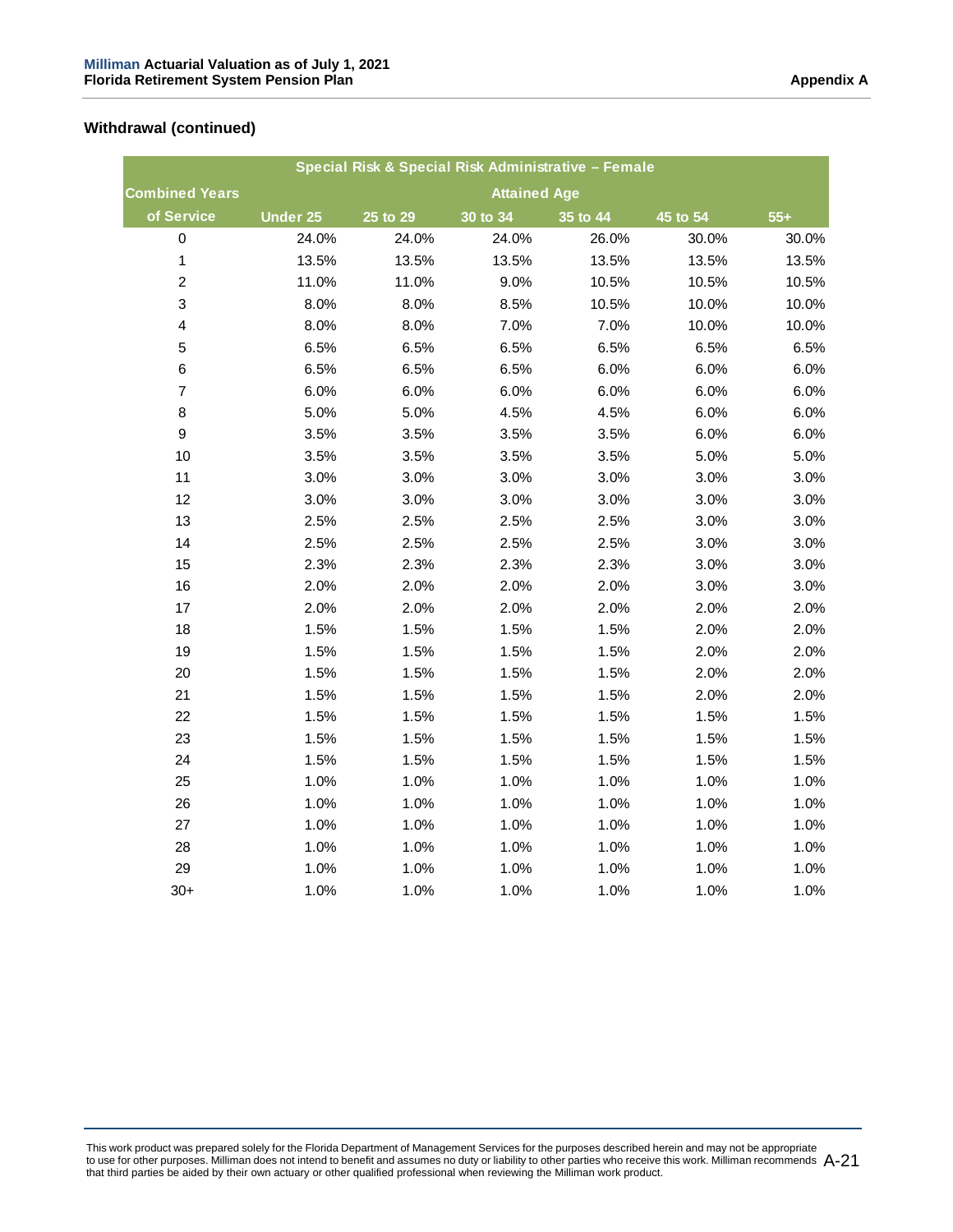|                         |                 | Special Risk & Special Risk Administrative - Female |                     |              |          |       |
|-------------------------|-----------------|-----------------------------------------------------|---------------------|--------------|----------|-------|
| <b>Combined Years</b>   |                 |                                                     | <b>Attained Age</b> |              |          |       |
| of Service              | <b>Under 25</b> | 25 to 29                                            | 30 to 34            | $35$ to $44$ | 45 to 54 | $55+$ |
| $\pmb{0}$               | 24.0%           | 24.0%                                               | 24.0%               | 26.0%        | 30.0%    | 30.0% |
| $\mathbf{1}$            | 13.5%           | 13.5%                                               | 13.5%               | 13.5%        | 13.5%    | 13.5% |
| $\mathbf 2$             | 11.0%           | 11.0%                                               | 9.0%                | 10.5%        | 10.5%    | 10.5% |
| $\mathsf 3$             | 8.0%            | 8.0%                                                | 8.5%                | 10.5%        | 10.0%    | 10.0% |
| $\overline{\mathbf{4}}$ | 8.0%            | 8.0%                                                | 7.0%                | 7.0%         | 10.0%    | 10.0% |
| $\mathbf 5$             | 6.5%            | 6.5%                                                | 6.5%                | 6.5%         | 6.5%     | 6.5%  |
| $\,6$                   | 6.5%            | 6.5%                                                | 6.5%                | 6.0%         | 6.0%     | 6.0%  |
| $\boldsymbol{7}$        | 6.0%            | 6.0%                                                | 6.0%                | 6.0%         | 6.0%     | 6.0%  |
| $\bf 8$                 | 5.0%            | 5.0%                                                | 4.5%                | 4.5%         | 6.0%     | 6.0%  |
| $\boldsymbol{9}$        | 3.5%            | 3.5%                                                | 3.5%                | 3.5%         | 6.0%     | 6.0%  |
| 10                      | 3.5%            | 3.5%                                                | 3.5%                | 3.5%         | 5.0%     | 5.0%  |
| 11                      | 3.0%            | 3.0%                                                | 3.0%                | 3.0%         | 3.0%     | 3.0%  |
| 12                      | 3.0%            | 3.0%                                                | 3.0%                | 3.0%         | 3.0%     | 3.0%  |
| 13                      | 2.5%            | 2.5%                                                | 2.5%                | 2.5%         | 3.0%     | 3.0%  |
| 14                      | 2.5%            | 2.5%                                                | 2.5%                | 2.5%         | 3.0%     | 3.0%  |
| 15                      | 2.3%            | 2.3%                                                | 2.3%                | 2.3%         | 3.0%     | 3.0%  |
| 16                      | 2.0%            | 2.0%                                                | 2.0%                | 2.0%         | 3.0%     | 3.0%  |
| 17                      | 2.0%            | 2.0%                                                | 2.0%                | 2.0%         | 2.0%     | 2.0%  |
| 18                      | 1.5%            | 1.5%                                                | 1.5%                | 1.5%         | 2.0%     | 2.0%  |
| 19                      | 1.5%            | 1.5%                                                | 1.5%                | 1.5%         | 2.0%     | 2.0%  |
| 20                      | 1.5%            | 1.5%                                                | 1.5%                | 1.5%         | 2.0%     | 2.0%  |
| 21                      | 1.5%            | 1.5%                                                | 1.5%                | 1.5%         | 2.0%     | 2.0%  |
| 22                      | 1.5%            | 1.5%                                                | 1.5%                | 1.5%         | 1.5%     | 1.5%  |
| 23                      | 1.5%            | 1.5%                                                | 1.5%                | 1.5%         | 1.5%     | 1.5%  |
| 24                      | 1.5%            | 1.5%                                                | 1.5%                | 1.5%         | 1.5%     | 1.5%  |
| 25                      | 1.0%            | 1.0%                                                | 1.0%                | 1.0%         | 1.0%     | 1.0%  |
| 26                      | 1.0%            | 1.0%                                                | 1.0%                | 1.0%         | 1.0%     | 1.0%  |
| 27                      | 1.0%            | 1.0%                                                | 1.0%                | 1.0%         | 1.0%     | 1.0%  |
| 28                      | 1.0%            | 1.0%                                                | 1.0%                | 1.0%         | 1.0%     | 1.0%  |
| 29                      | 1.0%            | 1.0%                                                | 1.0%                | 1.0%         | 1.0%     | 1.0%  |
| $30+$                   | 1.0%            | 1.0%                                                | 1.0%                | 1.0%         | 1.0%     | 1.0%  |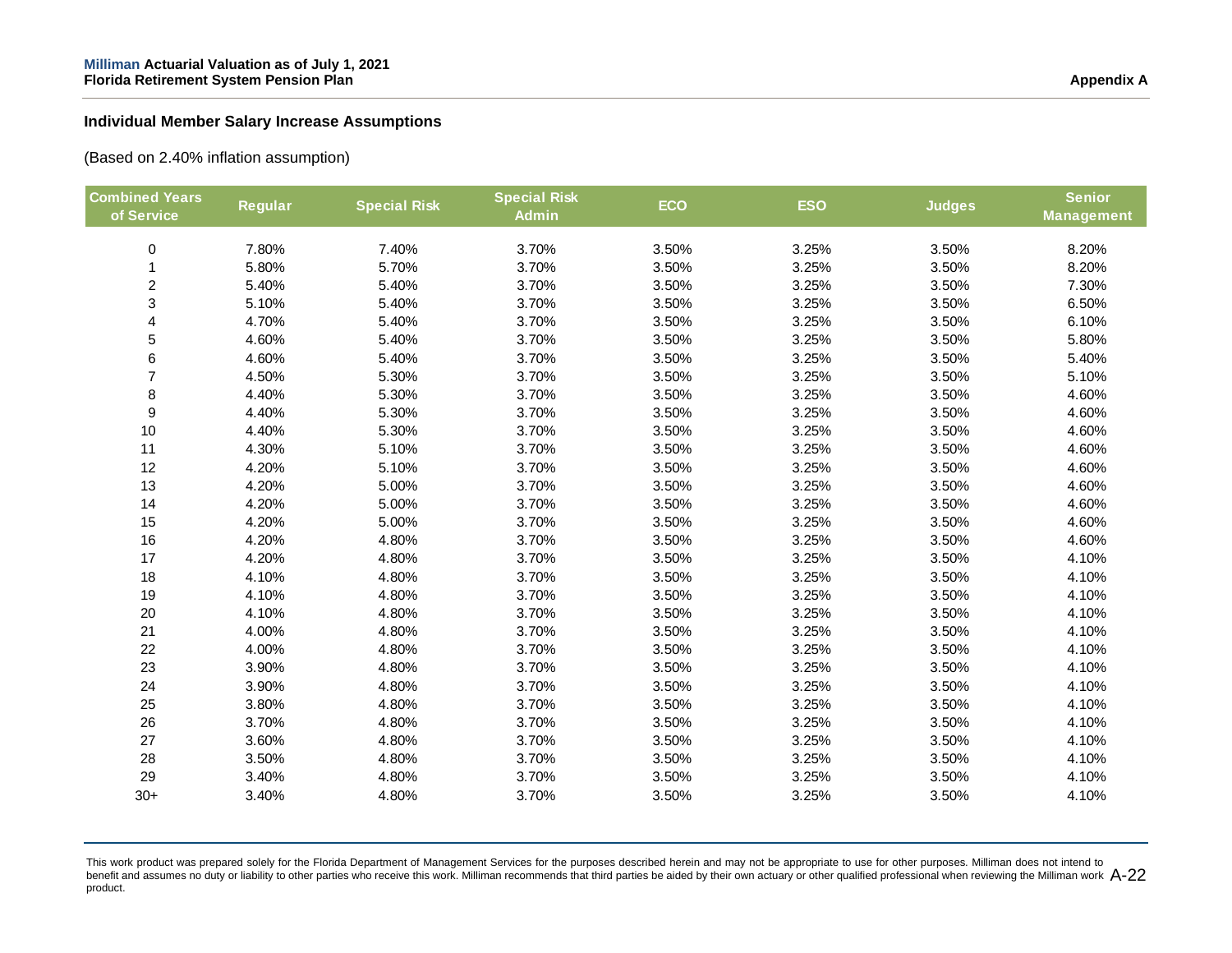#### **Individual Member Salary Increase Assumptions**

(Based on 2.40% inflation assumption)

| <b>Combined Years</b><br>of Service | Regular | <b>Special Risk</b> | <b>Special Risk</b><br><b>Admin</b> | <b>ECO</b> | <b>ESO</b> | <b>Judges</b> | <b>Senior</b><br><b>Management</b> |
|-------------------------------------|---------|---------------------|-------------------------------------|------------|------------|---------------|------------------------------------|
| $\pmb{0}$                           | 7.80%   | 7.40%               | 3.70%                               | 3.50%      | 3.25%      | 3.50%         | 8.20%                              |
| $\mathbf{1}$                        | 5.80%   | 5.70%               | 3.70%                               | 3.50%      | 3.25%      | 3.50%         | 8.20%                              |
| $\overline{c}$                      | 5.40%   | 5.40%               | 3.70%                               | 3.50%      | 3.25%      | 3.50%         | 7.30%                              |
| 3                                   | 5.10%   | 5.40%               | 3.70%                               | 3.50%      | 3.25%      | 3.50%         | 6.50%                              |
| 4                                   | 4.70%   | 5.40%               | 3.70%                               | 3.50%      | 3.25%      | 3.50%         | 6.10%                              |
| 5                                   | 4.60%   | 5.40%               | 3.70%                               | 3.50%      | 3.25%      | 3.50%         | 5.80%                              |
| 6                                   | 4.60%   | 5.40%               | 3.70%                               | 3.50%      | 3.25%      | 3.50%         | 5.40%                              |
| $\overline{7}$                      | 4.50%   | 5.30%               | 3.70%                               | 3.50%      | 3.25%      | 3.50%         | 5.10%                              |
| 8                                   | 4.40%   | 5.30%               | 3.70%                               | 3.50%      | 3.25%      | 3.50%         | 4.60%                              |
| $\boldsymbol{9}$                    | 4.40%   | 5.30%               | 3.70%                               | 3.50%      | 3.25%      | 3.50%         | 4.60%                              |
| 10                                  | 4.40%   | 5.30%               | 3.70%                               | 3.50%      | 3.25%      | 3.50%         | 4.60%                              |
| 11                                  | 4.30%   | 5.10%               | 3.70%                               | 3.50%      | 3.25%      | 3.50%         | 4.60%                              |
| 12                                  | 4.20%   | 5.10%               | 3.70%                               | 3.50%      | 3.25%      | 3.50%         | 4.60%                              |
| 13                                  | 4.20%   | 5.00%               | 3.70%                               | 3.50%      | 3.25%      | 3.50%         | 4.60%                              |
| 14                                  | 4.20%   | 5.00%               | 3.70%                               | 3.50%      | 3.25%      | 3.50%         | 4.60%                              |
| 15                                  | 4.20%   | 5.00%               | 3.70%                               | 3.50%      | 3.25%      | 3.50%         | 4.60%                              |
| 16                                  | 4.20%   | 4.80%               | 3.70%                               | 3.50%      | 3.25%      | 3.50%         | 4.60%                              |
| 17                                  | 4.20%   | 4.80%               | 3.70%                               | 3.50%      | 3.25%      | 3.50%         | 4.10%                              |
| 18                                  | 4.10%   | 4.80%               | 3.70%                               | 3.50%      | 3.25%      | 3.50%         | 4.10%                              |
| 19                                  | 4.10%   | 4.80%               | 3.70%                               | 3.50%      | 3.25%      | 3.50%         | 4.10%                              |
| 20                                  | 4.10%   | 4.80%               | 3.70%                               | 3.50%      | 3.25%      | 3.50%         | 4.10%                              |
| 21                                  | 4.00%   | 4.80%               | 3.70%                               | 3.50%      | 3.25%      | 3.50%         | 4.10%                              |
| 22                                  | 4.00%   | 4.80%               | 3.70%                               | 3.50%      | 3.25%      | 3.50%         | 4.10%                              |
| 23                                  | 3.90%   | 4.80%               | 3.70%                               | 3.50%      | 3.25%      | 3.50%         | 4.10%                              |
| 24                                  | 3.90%   | 4.80%               | 3.70%                               | 3.50%      | 3.25%      | 3.50%         | 4.10%                              |
| 25                                  | 3.80%   | 4.80%               | 3.70%                               | 3.50%      | 3.25%      | 3.50%         | 4.10%                              |
| 26                                  | 3.70%   | 4.80%               | 3.70%                               | 3.50%      | 3.25%      | 3.50%         | 4.10%                              |
| 27                                  | 3.60%   | 4.80%               | 3.70%                               | 3.50%      | 3.25%      | 3.50%         | 4.10%                              |
| 28                                  | 3.50%   | 4.80%               | 3.70%                               | 3.50%      | 3.25%      | 3.50%         | 4.10%                              |
| 29                                  | 3.40%   | 4.80%               | 3.70%                               | 3.50%      | 3.25%      | 3.50%         | 4.10%                              |
| $30+$                               | 3.40%   | 4.80%               | 3.70%                               | 3.50%      | 3.25%      | 3.50%         | 4.10%                              |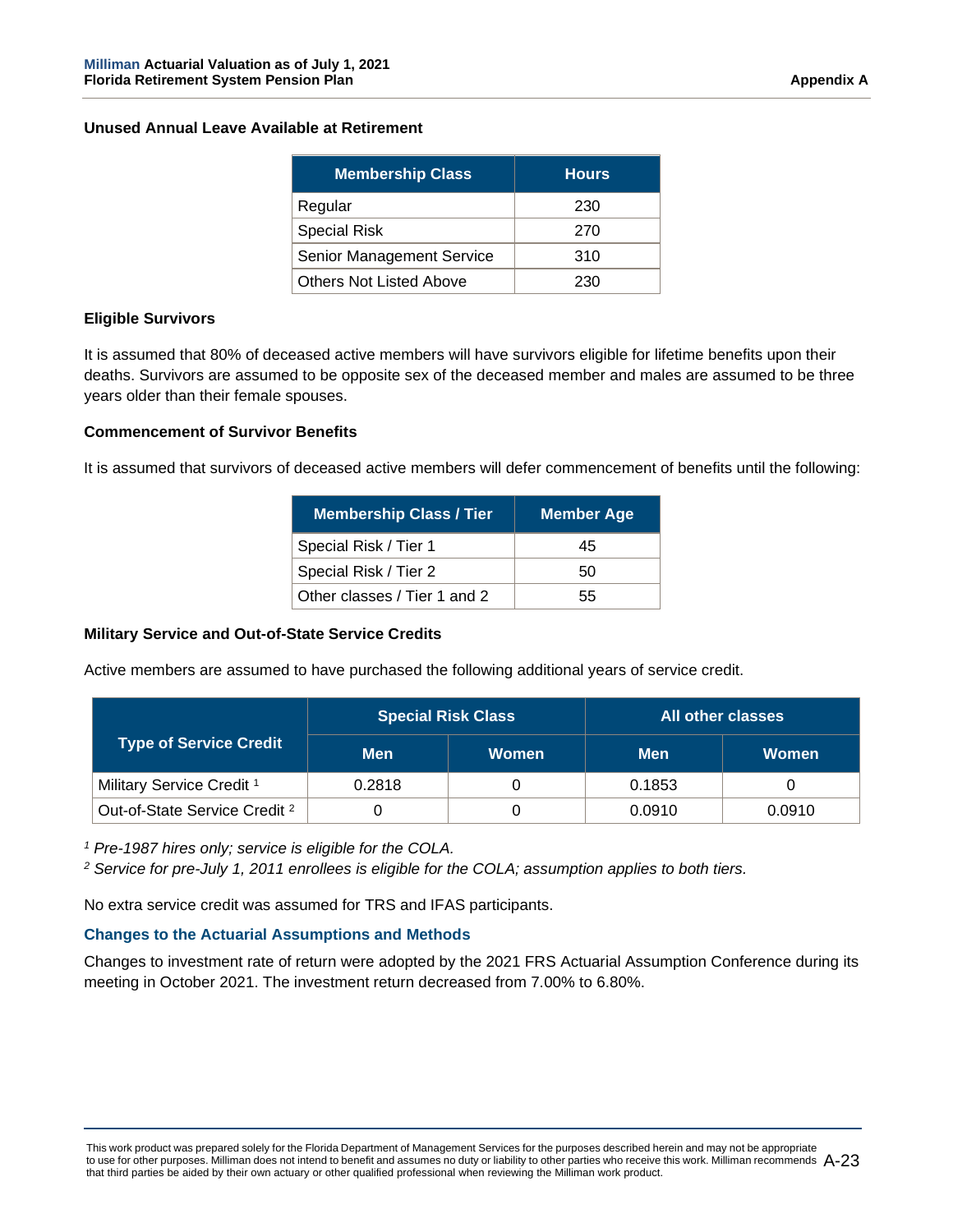#### **Unused Annual Leave Available at Retirement**

| <b>Membership Class</b>        | <b>Hours</b> |
|--------------------------------|--------------|
| Regular                        | 230          |
| <b>Special Risk</b>            | 270          |
| Senior Management Service      | 310          |
| <b>Others Not Listed Above</b> | 230          |

## **Eligible Survivors**

It is assumed that 80% of deceased active members will have survivors eligible for lifetime benefits upon their deaths. Survivors are assumed to be opposite sex of the deceased member and males are assumed to be three years older than their female spouses.

## **Commencement of Survivor Benefits**

It is assumed that survivors of deceased active members will defer commencement of benefits until the following:

| <b>Membership Class / Tier</b> | <b>Member Age</b> |
|--------------------------------|-------------------|
| Special Risk / Tier 1          | 45                |
| Special Risk / Tier 2          | 50                |
| Other classes / Tier 1 and 2   | 55.               |

# **Military Service and Out-of-State Service Credits**

Active members are assumed to have purchased the following additional years of service credit.

| <b>Type of Service Credit</b>            | <b>Special Risk Class</b> |              | All other classes |              |
|------------------------------------------|---------------------------|--------------|-------------------|--------------|
|                                          | <b>Men</b>                | <b>Women</b> | Men               | <b>Women</b> |
| Military Service Credit <sup>1</sup>     | 0.2818                    |              | 0.1853            |              |
| Out-of-State Service Credit <sup>2</sup> |                           |              | 0.0910            | 0.0910       |

*<sup>1</sup> Pre-1987 hires only; service is eligible for the COLA.*

*<sup>2</sup> Service for pre-July 1, 2011 enrollees is eligible for the COLA; assumption applies to both tiers.*

No extra service credit was assumed for TRS and IFAS participants.

#### **Changes to the Actuarial Assumptions and Methods**

Changes to investment rate of return were adopted by the 2021 FRS Actuarial Assumption Conference during its meeting in October 2021. The investment return decreased from 7.00% to 6.80%.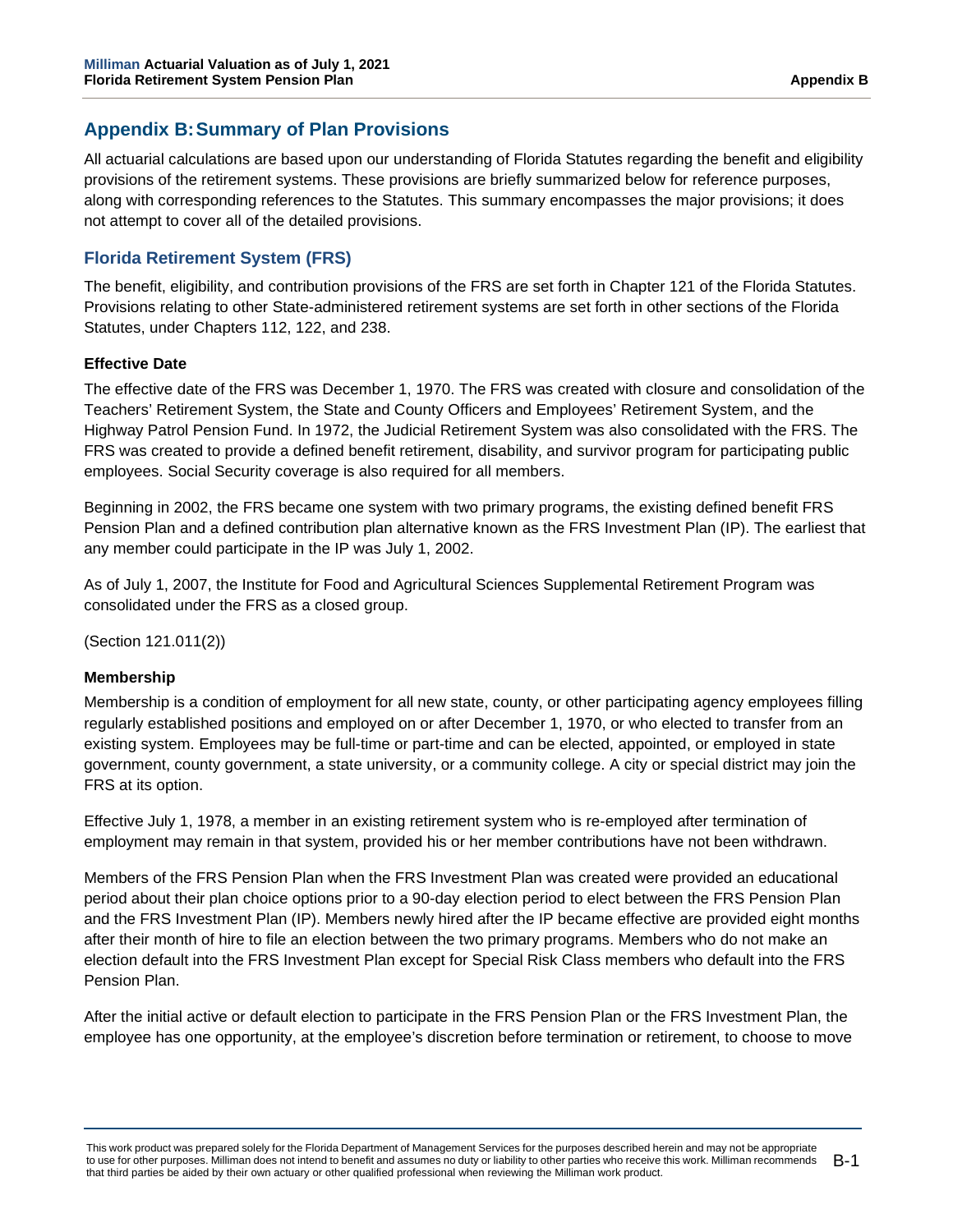# **Appendix B:Summary of Plan Provisions**

All actuarial calculations are based upon our understanding of Florida Statutes regarding the benefit and eligibility provisions of the retirement systems. These provisions are briefly summarized below for reference purposes, along with corresponding references to the Statutes. This summary encompasses the major provisions; it does not attempt to cover all of the detailed provisions.

# **Florida Retirement System (FRS)**

The benefit, eligibility, and contribution provisions of the FRS are set forth in Chapter 121 of the Florida Statutes. Provisions relating to other State-administered retirement systems are set forth in other sections of the Florida Statutes, under Chapters 112, 122, and 238.

# **Effective Date**

The effective date of the FRS was December 1, 1970. The FRS was created with closure and consolidation of the Teachers' Retirement System, the State and County Officers and Employees' Retirement System, and the Highway Patrol Pension Fund. In 1972, the Judicial Retirement System was also consolidated with the FRS. The FRS was created to provide a defined benefit retirement, disability, and survivor program for participating public employees. Social Security coverage is also required for all members.

Beginning in 2002, the FRS became one system with two primary programs, the existing defined benefit FRS Pension Plan and a defined contribution plan alternative known as the FRS Investment Plan (IP). The earliest that any member could participate in the IP was July 1, 2002.

As of July 1, 2007, the Institute for Food and Agricultural Sciences Supplemental Retirement Program was consolidated under the FRS as a closed group.

(Section 121.011(2))

# **Membership**

Membership is a condition of employment for all new state, county, or other participating agency employees filling regularly established positions and employed on or after December 1, 1970, or who elected to transfer from an existing system. Employees may be full-time or part-time and can be elected, appointed, or employed in state government, county government, a state university, or a community college. A city or special district may join the FRS at its option.

Effective July 1, 1978, a member in an existing retirement system who is re-employed after termination of employment may remain in that system, provided his or her member contributions have not been withdrawn.

Members of the FRS Pension Plan when the FRS Investment Plan was created were provided an educational period about their plan choice options prior to a 90-day election period to elect between the FRS Pension Plan and the FRS Investment Plan (IP). Members newly hired after the IP became effective are provided eight months after their month of hire to file an election between the two primary programs. Members who do not make an election default into the FRS Investment Plan except for Special Risk Class members who default into the FRS Pension Plan.

After the initial active or default election to participate in the FRS Pension Plan or the FRS Investment Plan, the employee has one opportunity, at the employee's discretion before termination or retirement, to choose to move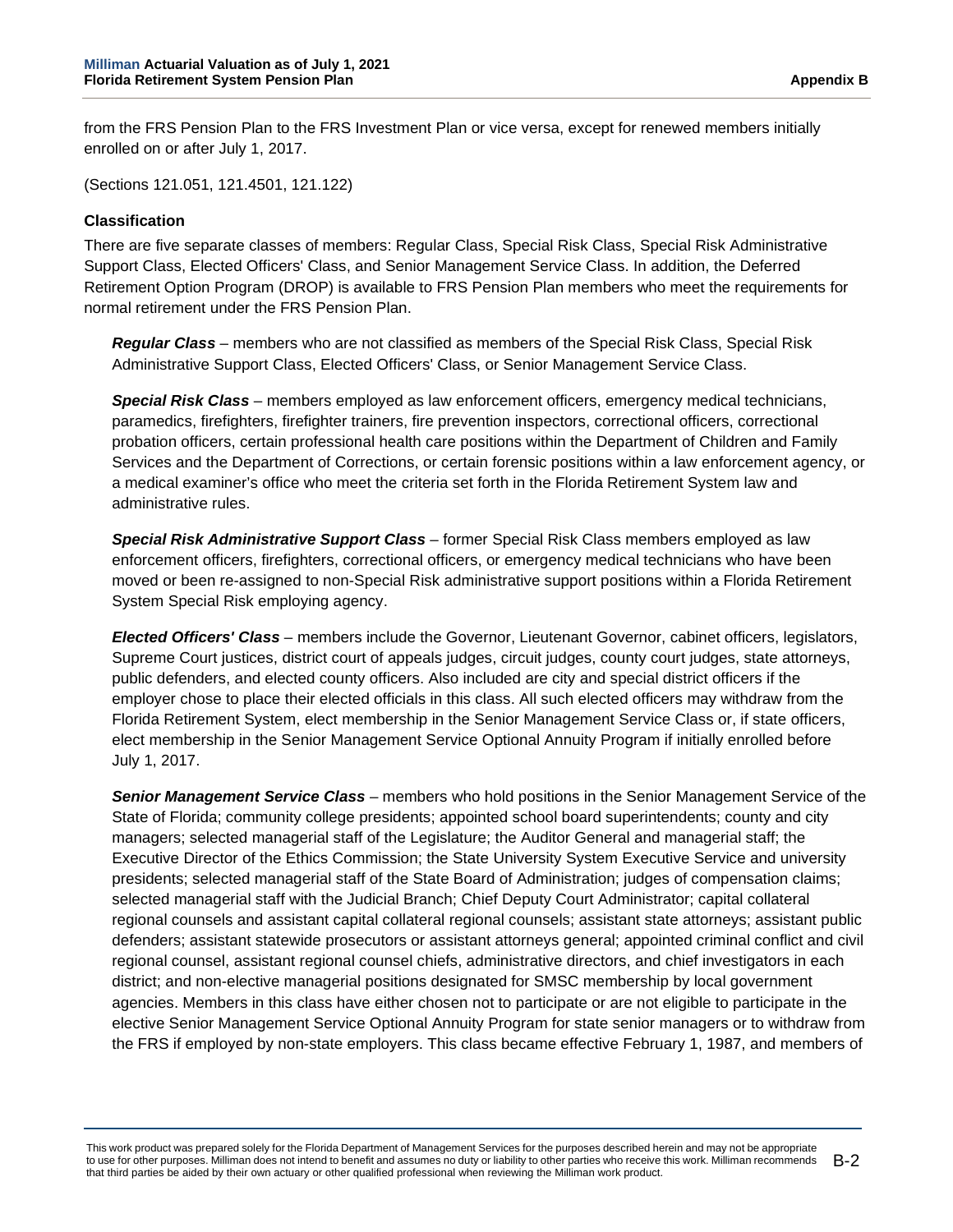from the FRS Pension Plan to the FRS Investment Plan or vice versa, except for renewed members initially enrolled on or after July 1, 2017.

(Sections 121.051, 121.4501, 121.122)

#### **Classification**

There are five separate classes of members: Regular Class, Special Risk Class, Special Risk Administrative Support Class, Elected Officers' Class, and Senior Management Service Class. In addition, the Deferred Retirement Option Program (DROP) is available to FRS Pension Plan members who meet the requirements for normal retirement under the FRS Pension Plan.

*Regular Class* – members who are not classified as members of the Special Risk Class, Special Risk Administrative Support Class, Elected Officers' Class, or Senior Management Service Class.

*Special Risk Class* – members employed as law enforcement officers, emergency medical technicians, paramedics, firefighters, firefighter trainers, fire prevention inspectors, correctional officers, correctional probation officers, certain professional health care positions within the Department of Children and Family Services and the Department of Corrections, or certain forensic positions within a law enforcement agency, or a medical examiner's office who meet the criteria set forth in the Florida Retirement System law and administrative rules.

*Special Risk Administrative Support Class* – former Special Risk Class members employed as law enforcement officers, firefighters, correctional officers, or emergency medical technicians who have been moved or been re-assigned to non-Special Risk administrative support positions within a Florida Retirement System Special Risk employing agency.

*Elected Officers' Class* – members include the Governor, Lieutenant Governor, cabinet officers, legislators, Supreme Court justices, district court of appeals judges, circuit judges, county court judges, state attorneys, public defenders, and elected county officers. Also included are city and special district officers if the employer chose to place their elected officials in this class. All such elected officers may withdraw from the Florida Retirement System, elect membership in the Senior Management Service Class or, if state officers, elect membership in the Senior Management Service Optional Annuity Program if initially enrolled before July 1, 2017.

*Senior Management Service Class* – members who hold positions in the Senior Management Service of the State of Florida; community college presidents; appointed school board superintendents; county and city managers; selected managerial staff of the Legislature; the Auditor General and managerial staff; the Executive Director of the Ethics Commission; the State University System Executive Service and university presidents; selected managerial staff of the State Board of Administration; judges of compensation claims; selected managerial staff with the Judicial Branch; Chief Deputy Court Administrator; capital collateral regional counsels and assistant capital collateral regional counsels; assistant state attorneys; assistant public defenders; assistant statewide prosecutors or assistant attorneys general; appointed criminal conflict and civil regional counsel, assistant regional counsel chiefs, administrative directors, and chief investigators in each district; and non-elective managerial positions designated for SMSC membership by local government agencies. Members in this class have either chosen not to participate or are not eligible to participate in the elective Senior Management Service Optional Annuity Program for state senior managers or to withdraw from the FRS if employed by non-state employers. This class became effective February 1, 1987, and members of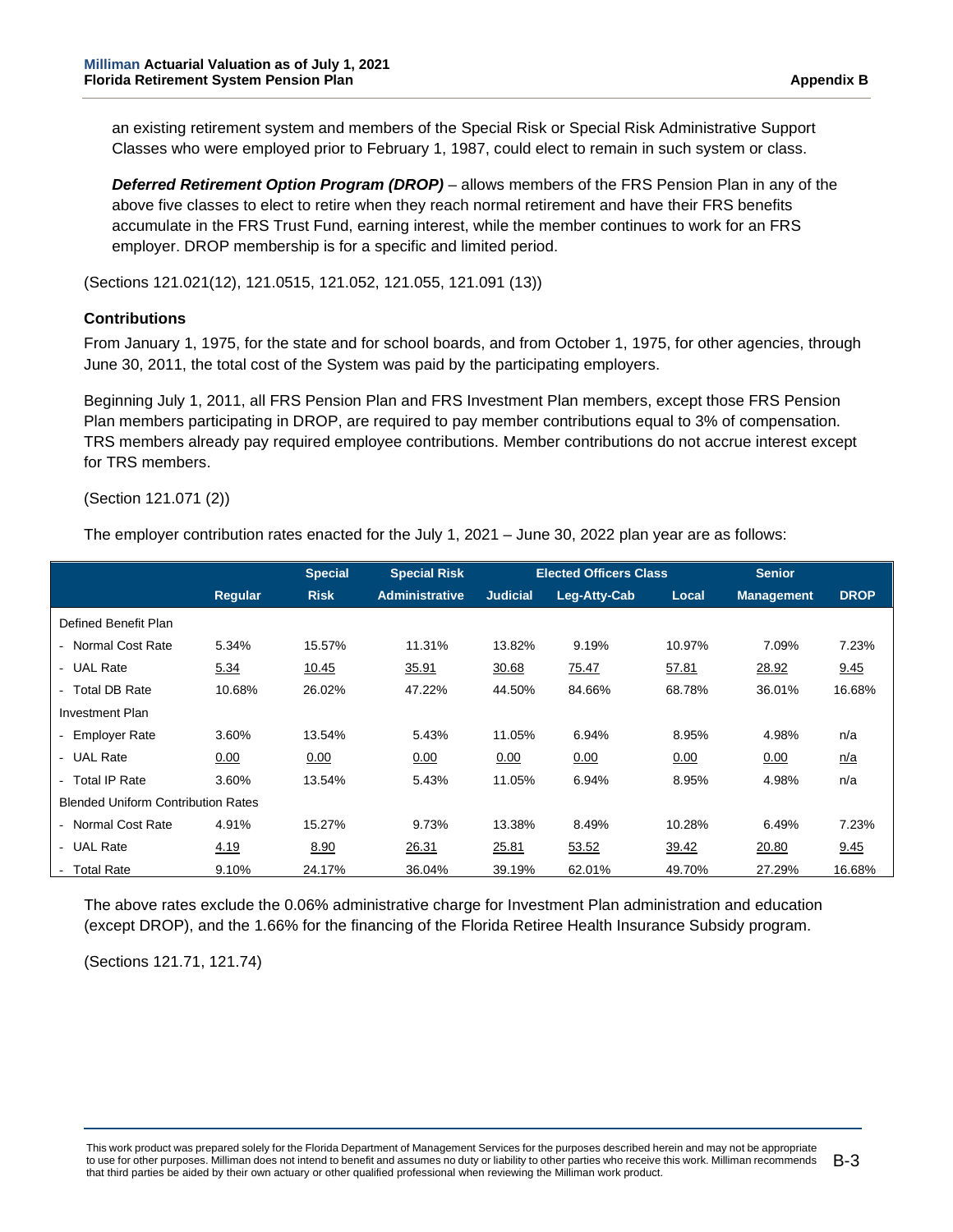an existing retirement system and members of the Special Risk or Special Risk Administrative Support Classes who were employed prior to February 1, 1987, could elect to remain in such system or class.

*Deferred Retirement Option Program (DROP)* – allows members of the FRS Pension Plan in any of the above five classes to elect to retire when they reach normal retirement and have their FRS benefits accumulate in the FRS Trust Fund, earning interest, while the member continues to work for an FRS employer. DROP membership is for a specific and limited period.

(Sections 121.021(12), 121.0515, 121.052, 121.055, 121.091 (13))

#### **Contributions**

From January 1, 1975, for the state and for school boards, and from October 1, 1975, for other agencies, through June 30, 2011, the total cost of the System was paid by the participating employers.

Beginning July 1, 2011, all FRS Pension Plan and FRS Investment Plan members, except those FRS Pension Plan members participating in DROP, are required to pay member contributions equal to 3% of compensation. TRS members already pay required employee contributions. Member contributions do not accrue interest except for TRS members.

(Section 121.071 (2))

The employer contribution rates enacted for the July 1, 2021 – June 30, 2022 plan year are as follows:

|                                           |         | <b>Special</b> | <b>Special Risk</b>   |                 | <b>Elected Officers Class</b> |        | <b>Senior</b>     |             |
|-------------------------------------------|---------|----------------|-----------------------|-----------------|-------------------------------|--------|-------------------|-------------|
|                                           | Regular | <b>Risk</b>    | <b>Administrative</b> | <b>Judicial</b> | Leg-Atty-Cab                  | Local  | <b>Management</b> | <b>DROP</b> |
| Defined Benefit Plan                      |         |                |                       |                 |                               |        |                   |             |
| - Normal Cost Rate                        | 5.34%   | 15.57%         | 11.31%                | 13.82%          | 9.19%                         | 10.97% | 7.09%             | 7.23%       |
| - UAL Rate                                | 5.34    | 10.45          | 35.91                 | 30.68           | 75.47                         | 57.81  | 28.92             | 9.45        |
| - Total DB Rate                           | 10.68%  | 26.02%         | 47.22%                | 44.50%          | 84.66%                        | 68.78% | 36.01%            | 16.68%      |
| <b>Investment Plan</b>                    |         |                |                       |                 |                               |        |                   |             |
| - Employer Rate                           | 3.60%   | 13.54%         | 5.43%                 | 11.05%          | 6.94%                         | 8.95%  | 4.98%             | n/a         |
| - UAL Rate                                | 0.00    | 0.00           | 0.00                  | 0.00            | 0.00                          | 0.00   | 0.00              | n/a         |
| - Total IP Rate                           | 3.60%   | 13.54%         | 5.43%                 | 11.05%          | 6.94%                         | 8.95%  | 4.98%             | n/a         |
| <b>Blended Uniform Contribution Rates</b> |         |                |                       |                 |                               |        |                   |             |
| - Normal Cost Rate                        | 4.91%   | 15.27%         | 9.73%                 | 13.38%          | 8.49%                         | 10.28% | 6.49%             | 7.23%       |
| - UAL Rate                                | 4.19    | 8.90           | 26.31                 | 25.81           | 53.52                         | 39.42  | 20.80             | 9.45        |
| - Total Rate                              | 9.10%   | 24.17%         | 36.04%                | 39.19%          | 62.01%                        | 49.70% | 27.29%            | 16.68%      |

The above rates exclude the 0.06% administrative charge for Investment Plan administration and education (except DROP), and the 1.66% for the financing of the Florida Retiree Health Insurance Subsidy program.

(Sections 121.71, 121.74)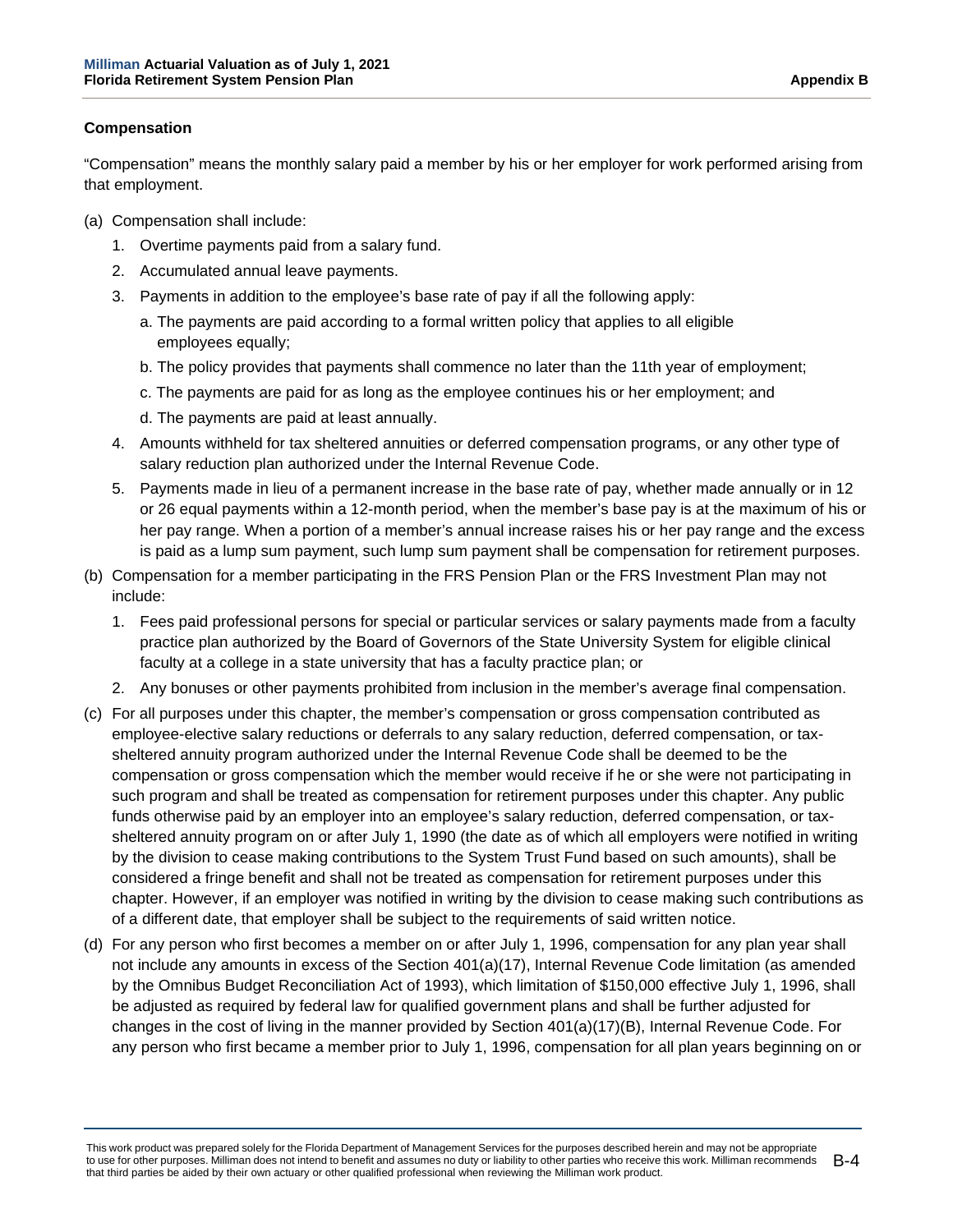#### **Compensation**

"Compensation" means the monthly salary paid a member by his or her employer for work performed arising from that employment.

- (a) Compensation shall include:
	- 1. Overtime payments paid from a salary fund.
	- 2. Accumulated annual leave payments.
	- 3. Payments in addition to the employee's base rate of pay if all the following apply:
		- a. The payments are paid according to a formal written policy that applies to all eligible employees equally;
		- b. The policy provides that payments shall commence no later than the 11th year of employment;
		- c. The payments are paid for as long as the employee continues his or her employment; and
		- d. The payments are paid at least annually.
	- 4. Amounts withheld for tax sheltered annuities or deferred compensation programs, or any other type of salary reduction plan authorized under the Internal Revenue Code.
	- 5. Payments made in lieu of a permanent increase in the base rate of pay, whether made annually or in 12 or 26 equal payments within a 12-month period, when the member's base pay is at the maximum of his or her pay range. When a portion of a member's annual increase raises his or her pay range and the excess is paid as a lump sum payment, such lump sum payment shall be compensation for retirement purposes.
- (b) Compensation for a member participating in the FRS Pension Plan or the FRS Investment Plan may not include:
	- 1. Fees paid professional persons for special or particular services or salary payments made from a faculty practice plan authorized by the Board of Governors of the State University System for eligible clinical faculty at a college in a state university that has a faculty practice plan; or
	- 2. Any bonuses or other payments prohibited from inclusion in the member's average final compensation.
- (c) For all purposes under this chapter, the member's compensation or gross compensation contributed as employee-elective salary reductions or deferrals to any salary reduction, deferred compensation, or taxsheltered annuity program authorized under the Internal Revenue Code shall be deemed to be the compensation or gross compensation which the member would receive if he or she were not participating in such program and shall be treated as compensation for retirement purposes under this chapter. Any public funds otherwise paid by an employer into an employee's salary reduction, deferred compensation, or taxsheltered annuity program on or after July 1, 1990 (the date as of which all employers were notified in writing by the division to cease making contributions to the System Trust Fund based on such amounts), shall be considered a fringe benefit and shall not be treated as compensation for retirement purposes under this chapter. However, if an employer was notified in writing by the division to cease making such contributions as of a different date, that employer shall be subject to the requirements of said written notice.
- (d) For any person who first becomes a member on or after July 1, 1996, compensation for any plan year shall not include any amounts in excess of the Section 401(a)(17), Internal Revenue Code limitation (as amended by the Omnibus Budget Reconciliation Act of 1993), which limitation of \$150,000 effective July 1, 1996, shall be adjusted as required by federal law for qualified government plans and shall be further adjusted for changes in the cost of living in the manner provided by Section 401(a)(17)(B), Internal Revenue Code. For any person who first became a member prior to July 1, 1996, compensation for all plan years beginning on or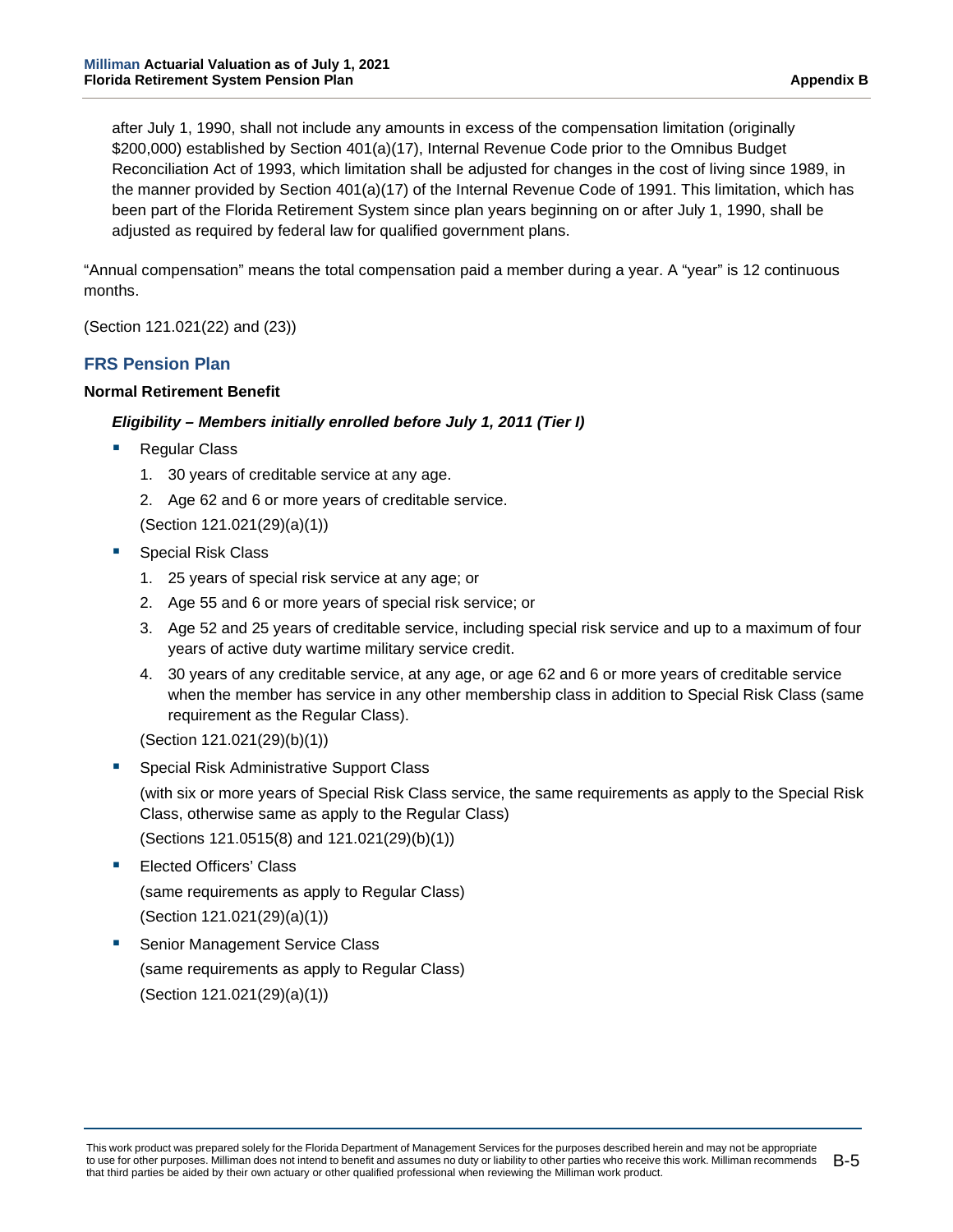after July 1, 1990, shall not include any amounts in excess of the compensation limitation (originally \$200,000) established by Section 401(a)(17), Internal Revenue Code prior to the Omnibus Budget Reconciliation Act of 1993, which limitation shall be adjusted for changes in the cost of living since 1989, in the manner provided by Section 401(a)(17) of the Internal Revenue Code of 1991. This limitation, which has been part of the Florida Retirement System since plan years beginning on or after July 1, 1990, shall be adjusted as required by federal law for qualified government plans.

"Annual compensation" means the total compensation paid a member during a year. A "year" is 12 continuous months.

(Section 121.021(22) and (23))

## **FRS Pension Plan**

#### **Normal Retirement Benefit**

### *Eligibility – Members initially enrolled before July 1, 2011 (Tier I)*

- Regular Class
	- 1. 30 years of creditable service at any age.
	- 2. Age 62 and 6 or more years of creditable service.

(Section 121.021(29)(a)(1))

- Special Risk Class
	- 1. 25 years of special risk service at any age; or
	- 2. Age 55 and 6 or more years of special risk service; or
	- 3. Age 52 and 25 years of creditable service, including special risk service and up to a maximum of four years of active duty wartime military service credit.
	- 4. 30 years of any creditable service, at any age, or age 62 and 6 or more years of creditable service when the member has service in any other membership class in addition to Special Risk Class (same requirement as the Regular Class).

(Section 121.021(29)(b)(1))

- Special Risk Administrative Support Class (with six or more years of Special Risk Class service, the same requirements as apply to the Special Risk Class, otherwise same as apply to the Regular Class) (Sections 121.0515(8) and 121.021(29)(b)(1))
- Elected Officers' Class (same requirements as apply to Regular Class) (Section 121.021(29)(a)(1))
- Senior Management Service Class (same requirements as apply to Regular Class) (Section 121.021(29)(a)(1))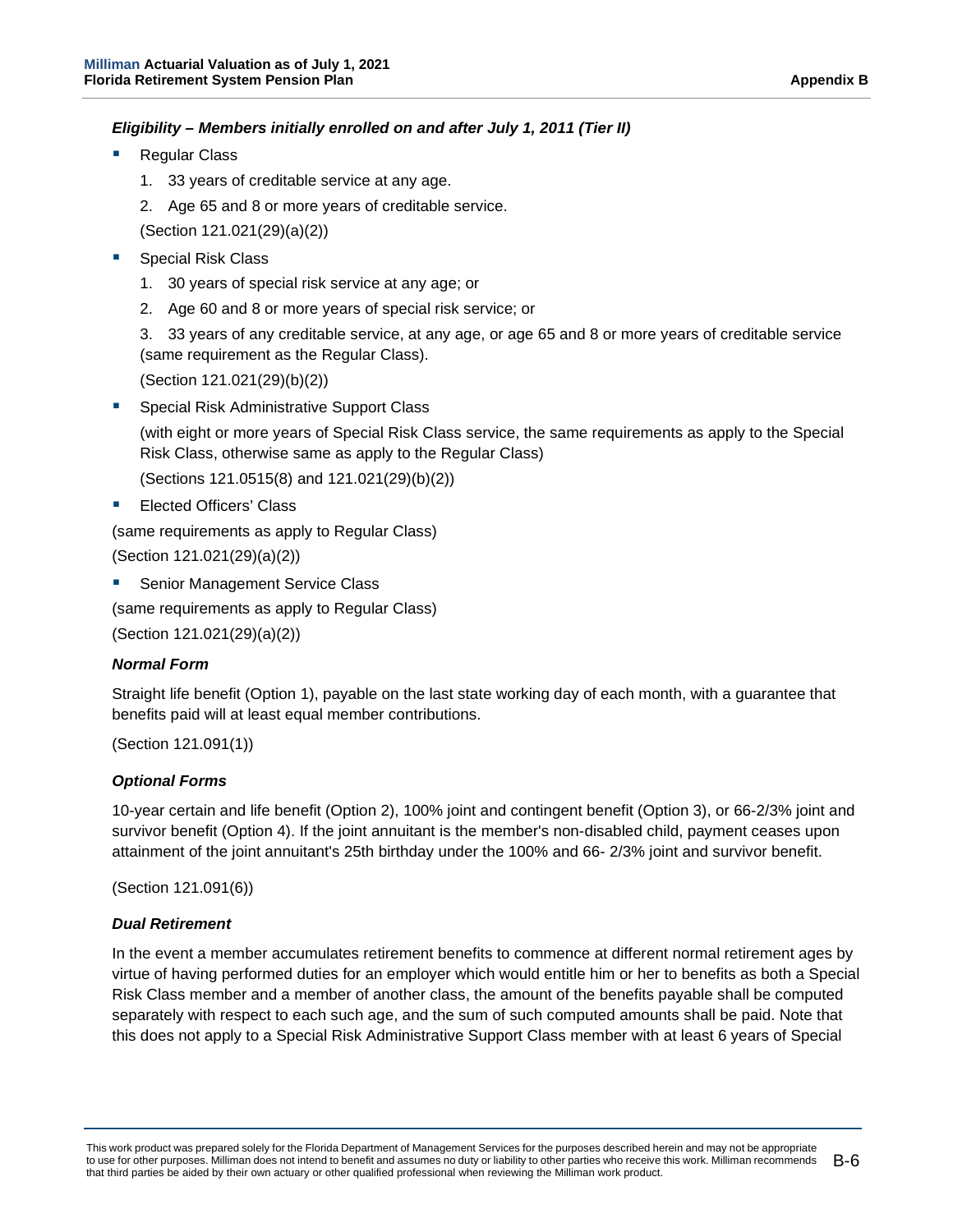### *Eligibility – Members initially enrolled on and after July 1, 2011 (Tier II)*

- Regular Class
	- 1. 33 years of creditable service at any age.
	- 2. Age 65 and 8 or more years of creditable service.
	- (Section 121.021(29)(a)(2))
- Special Risk Class
	- 1. 30 years of special risk service at any age; or
	- 2. Age 60 and 8 or more years of special risk service; or

3. 33 years of any creditable service, at any age, or age 65 and 8 or more years of creditable service (same requirement as the Regular Class).

(Section 121.021(29)(b)(2))

Special Risk Administrative Support Class

(with eight or more years of Special Risk Class service, the same requirements as apply to the Special Risk Class, otherwise same as apply to the Regular Class)

(Sections 121.0515(8) and 121.021(29)(b)(2))

**Elected Officers' Class** 

(same requirements as apply to Regular Class)

(Section 121.021(29)(a)(2))

Senior Management Service Class

(same requirements as apply to Regular Class)

(Section 121.021(29)(a)(2))

#### *Normal Form*

Straight life benefit (Option 1), payable on the last state working day of each month, with a guarantee that benefits paid will at least equal member contributions.

(Section 121.091(1))

#### *Optional Forms*

10-year certain and life benefit (Option 2), 100% joint and contingent benefit (Option 3), or 66-2/3% joint and survivor benefit (Option 4). If the joint annuitant is the member's non-disabled child, payment ceases upon attainment of the joint annuitant's 25th birthday under the 100% and 66- 2/3% joint and survivor benefit.

(Section 121.091(6))

#### *Dual Retirement*

In the event a member accumulates retirement benefits to commence at different normal retirement ages by virtue of having performed duties for an employer which would entitle him or her to benefits as both a Special Risk Class member and a member of another class, the amount of the benefits payable shall be computed separately with respect to each such age, and the sum of such computed amounts shall be paid. Note that this does not apply to a Special Risk Administrative Support Class member with at least 6 years of Special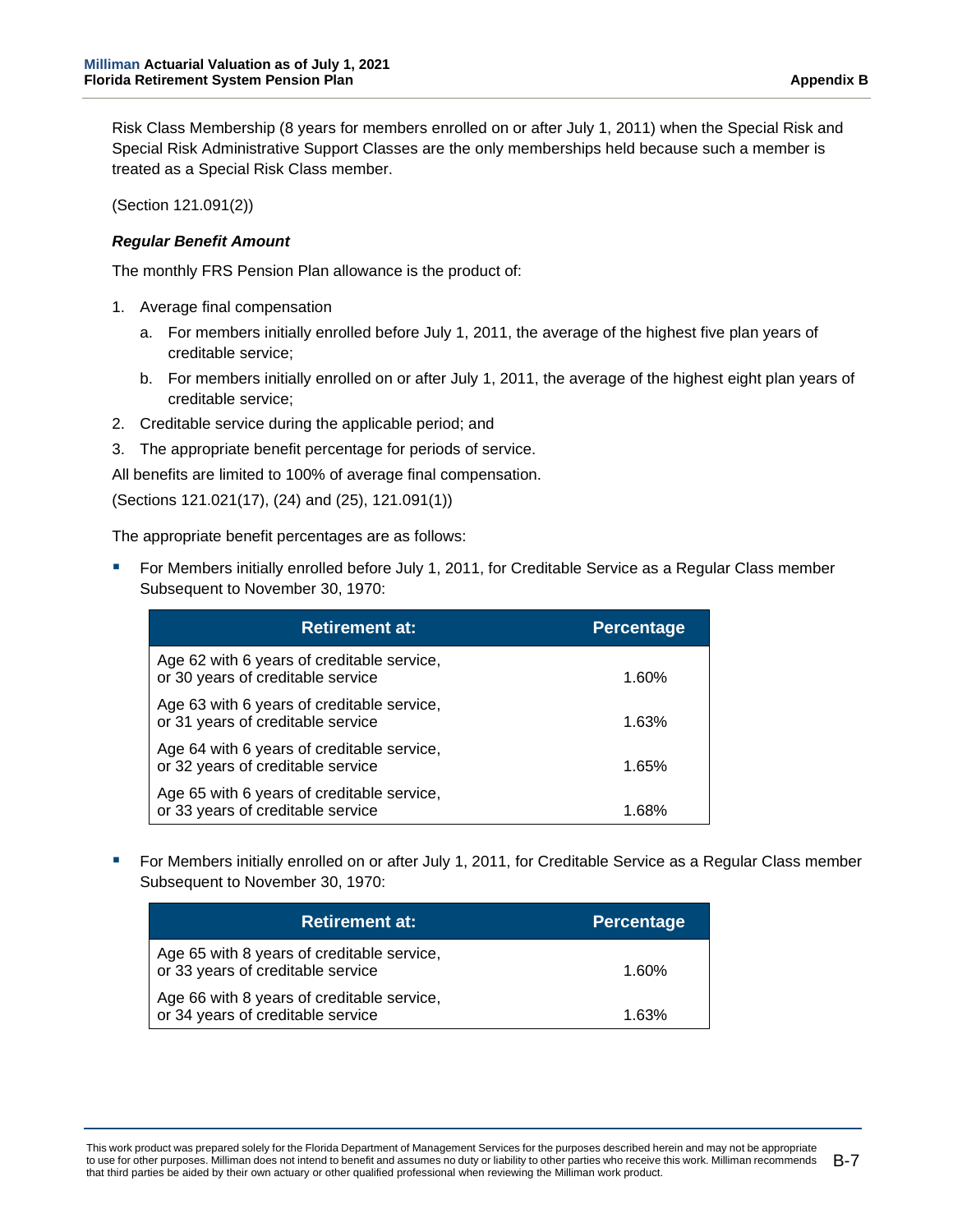Risk Class Membership (8 years for members enrolled on or after July 1, 2011) when the Special Risk and Special Risk Administrative Support Classes are the only memberships held because such a member is treated as a Special Risk Class member.

(Section 121.091(2))

#### *Regular Benefit Amount*

The monthly FRS Pension Plan allowance is the product of:

- 1. Average final compensation
	- a. For members initially enrolled before July 1, 2011, the average of the highest five plan years of creditable service;
	- b. For members initially enrolled on or after July 1, 2011, the average of the highest eight plan years of creditable service;
- 2. Creditable service during the applicable period; and
- 3. The appropriate benefit percentage for periods of service.

All benefits are limited to 100% of average final compensation.

(Sections 121.021(17), (24) and (25), 121.091(1))

The appropriate benefit percentages are as follows:

 For Members initially enrolled before July 1, 2011, for Creditable Service as a Regular Class member Subsequent to November 30, 1970:

| <b>Retirement at:</b>                                                           | <b>Percentage</b> |
|---------------------------------------------------------------------------------|-------------------|
| Age 62 with 6 years of creditable service,<br>or 30 years of creditable service | 1.60%             |
| Age 63 with 6 years of creditable service,<br>or 31 years of creditable service | 1.63%             |
| Age 64 with 6 years of creditable service,<br>or 32 years of creditable service | 1.65%             |
| Age 65 with 6 years of creditable service,<br>or 33 years of creditable service | 1 68%             |

 For Members initially enrolled on or after July 1, 2011, for Creditable Service as a Regular Class member Subsequent to November 30, 1970:

| <b>Retirement at:</b>                                                           | <b>Percentage</b> |
|---------------------------------------------------------------------------------|-------------------|
| Age 65 with 8 years of creditable service,<br>or 33 years of creditable service | 1.60%             |
| Age 66 with 8 years of creditable service,<br>or 34 years of creditable service | 1.63%             |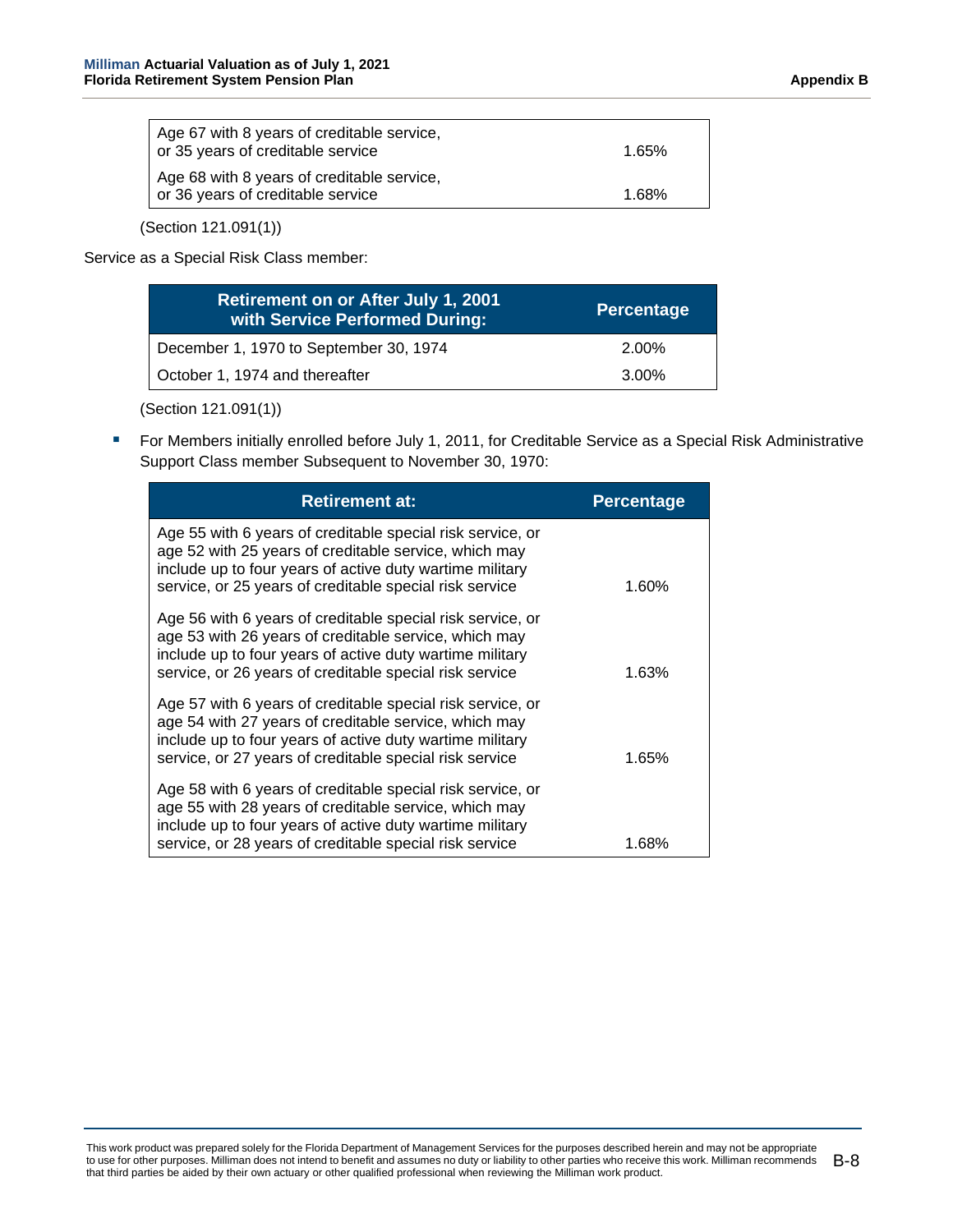| Age 67 with 8 years of creditable service,<br>or 35 years of creditable service | 1.65% |
|---------------------------------------------------------------------------------|-------|
| Age 68 with 8 years of creditable service,<br>or 36 years of creditable service | 1.68% |

(Section 121.091(1))

Service as a Special Risk Class member:

| <b>Retirement on or After July 1, 2001</b><br>with Service Performed During: | <b>Percentage</b> |
|------------------------------------------------------------------------------|-------------------|
| December 1, 1970 to September 30, 1974                                       | 2.00%             |
| October 1, 1974 and thereafter                                               | 3.00%             |

(Section 121.091(1))

**F** For Members initially enrolled before July 1, 2011, for Creditable Service as a Special Risk Administrative Support Class member Subsequent to November 30, 1970:

| <b>Retirement at:</b>                                                                                                                                                                                                                      | <b>Percentage</b> |
|--------------------------------------------------------------------------------------------------------------------------------------------------------------------------------------------------------------------------------------------|-------------------|
| Age 55 with 6 years of creditable special risk service, or<br>age 52 with 25 years of creditable service, which may<br>include up to four years of active duty wartime military<br>service, or 25 years of creditable special risk service | 1.60%             |
| Age 56 with 6 years of creditable special risk service, or<br>age 53 with 26 years of creditable service, which may<br>include up to four years of active duty wartime military<br>service, or 26 years of creditable special risk service | 1.63%             |
| Age 57 with 6 years of creditable special risk service, or<br>age 54 with 27 years of creditable service, which may<br>include up to four years of active duty wartime military<br>service, or 27 years of creditable special risk service | 1.65%             |
| Age 58 with 6 years of creditable special risk service, or<br>age 55 with 28 years of creditable service, which may<br>include up to four years of active duty wartime military<br>service, or 28 years of creditable special risk service | 1.68%             |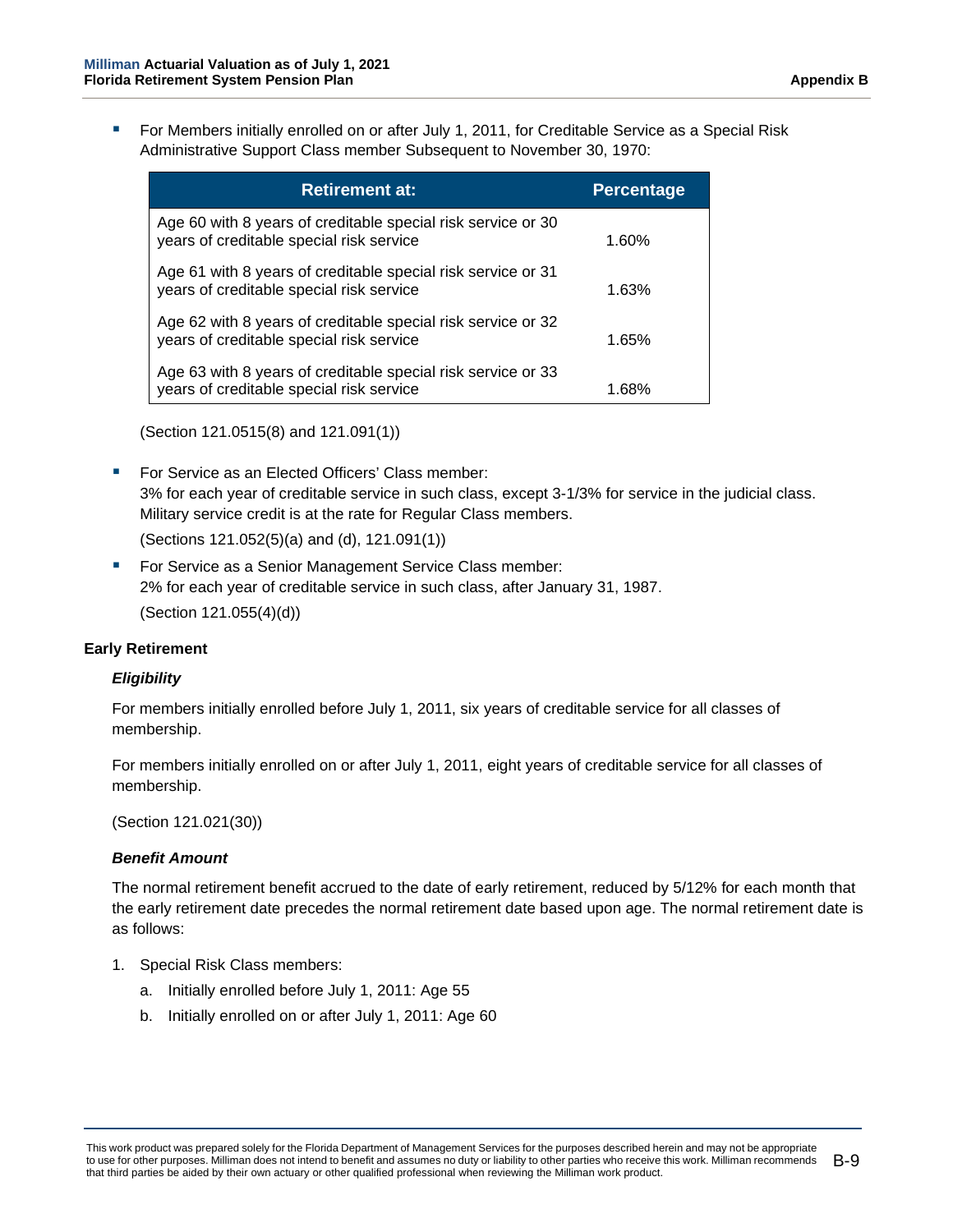For Members initially enrolled on or after July 1, 2011, for Creditable Service as a Special Risk Administrative Support Class member Subsequent to November 30, 1970:

| <b>Retirement at:</b>                                                                                    | <b>Percentage</b> |
|----------------------------------------------------------------------------------------------------------|-------------------|
| Age 60 with 8 years of creditable special risk service or 30<br>years of creditable special risk service | 1.60%             |
| Age 61 with 8 years of creditable special risk service or 31<br>years of creditable special risk service | 1.63%             |
| Age 62 with 8 years of creditable special risk service or 32<br>years of creditable special risk service | 1.65%             |
| Age 63 with 8 years of creditable special risk service or 33<br>years of creditable special risk service | 1.68%             |

(Section 121.0515(8) and 121.091(1))

■ For Service as an Elected Officers' Class member: 3% for each year of creditable service in such class, except 3-1/3% for service in the judicial class. Military service credit is at the rate for Regular Class members.

(Sections 121.052(5)(a) and (d), 121.091(1))

 For Service as a Senior Management Service Class member: 2% for each year of creditable service in such class, after January 31, 1987. (Section 121.055(4)(d))

#### **Early Retirement**

#### *Eligibility*

For members initially enrolled before July 1, 2011, six years of creditable service for all classes of membership.

For members initially enrolled on or after July 1, 2011, eight years of creditable service for all classes of membership.

(Section 121.021(30))

#### *Benefit Amount*

The normal retirement benefit accrued to the date of early retirement, reduced by 5/12% for each month that the early retirement date precedes the normal retirement date based upon age. The normal retirement date is as follows:

- 1. Special Risk Class members:
	- a. Initially enrolled before July 1, 2011: Age 55
	- b. Initially enrolled on or after July 1, 2011: Age 60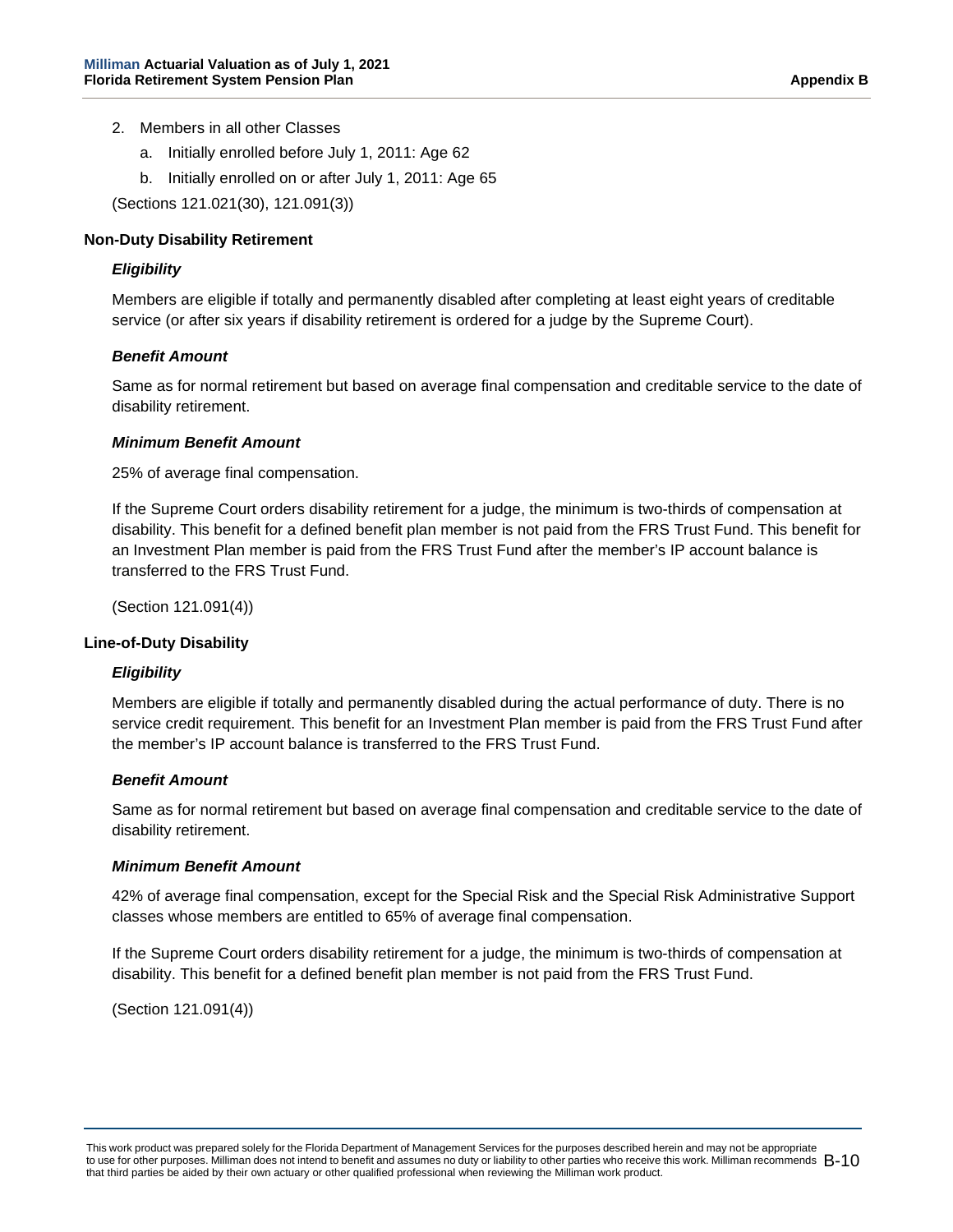- 2. Members in all other Classes
	- a. Initially enrolled before July 1, 2011: Age 62
	- b. Initially enrolled on or after July 1, 2011: Age 65

(Sections 121.021(30), 121.091(3))

#### **Non-Duty Disability Retirement**

#### *Eligibility*

Members are eligible if totally and permanently disabled after completing at least eight years of creditable service (or after six years if disability retirement is ordered for a judge by the Supreme Court).

#### *Benefit Amount*

Same as for normal retirement but based on average final compensation and creditable service to the date of disability retirement.

#### *Minimum Benefit Amount*

25% of average final compensation.

If the Supreme Court orders disability retirement for a judge, the minimum is two-thirds of compensation at disability. This benefit for a defined benefit plan member is not paid from the FRS Trust Fund. This benefit for an Investment Plan member is paid from the FRS Trust Fund after the member's IP account balance is transferred to the FRS Trust Fund.

(Section 121.091(4))

#### **Line-of-Duty Disability**

#### *Eligibility*

Members are eligible if totally and permanently disabled during the actual performance of duty. There is no service credit requirement. This benefit for an Investment Plan member is paid from the FRS Trust Fund after the member's IP account balance is transferred to the FRS Trust Fund.

#### *Benefit Amount*

Same as for normal retirement but based on average final compensation and creditable service to the date of disability retirement.

#### *Minimum Benefit Amount*

42% of average final compensation, except for the Special Risk and the Special Risk Administrative Support classes whose members are entitled to 65% of average final compensation.

If the Supreme Court orders disability retirement for a judge, the minimum is two-thirds of compensation at disability. This benefit for a defined benefit plan member is not paid from the FRS Trust Fund.

(Section 121.091(4))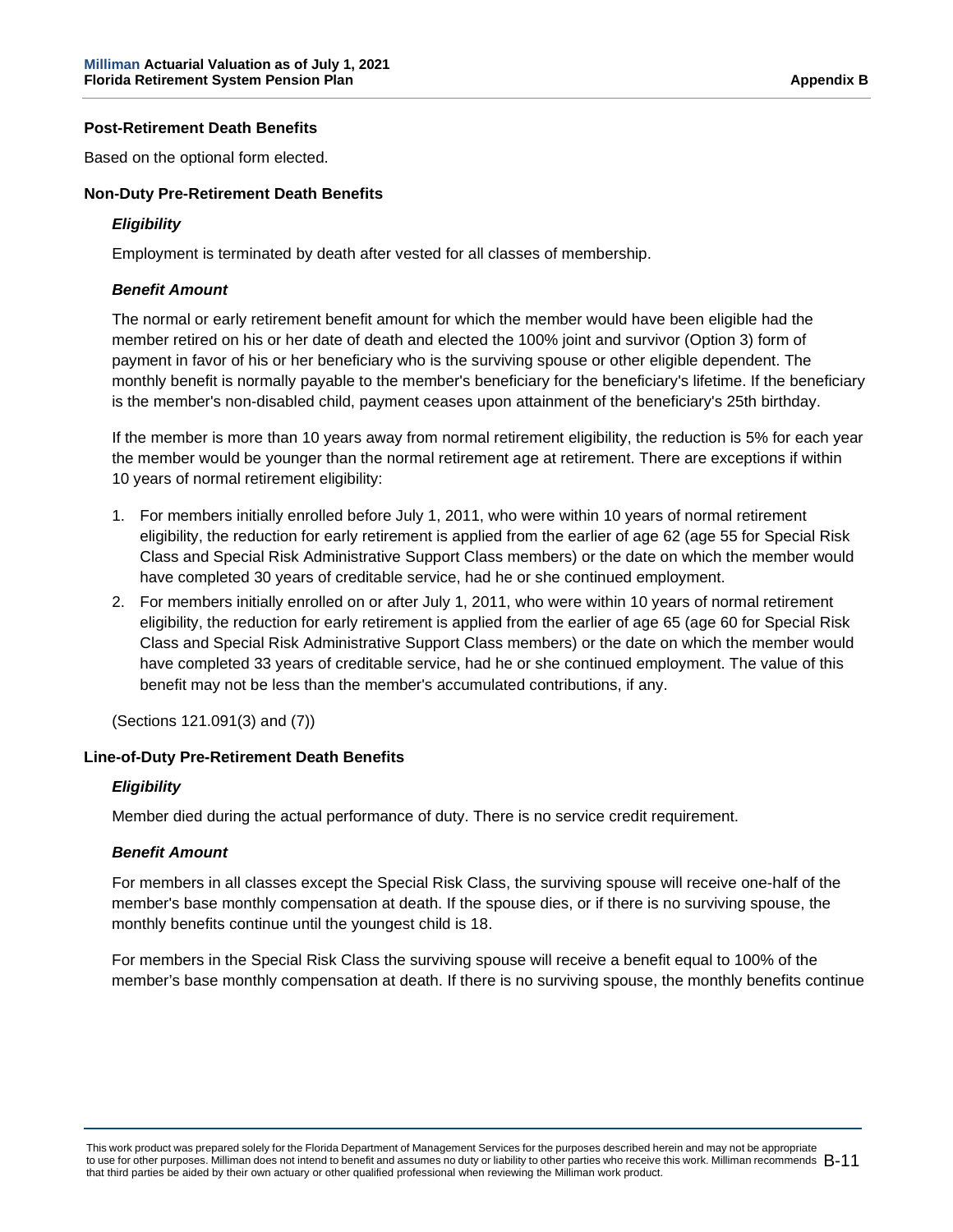#### **Post-Retirement Death Benefits**

Based on the optional form elected.

#### **Non-Duty Pre-Retirement Death Benefits**

#### *Eligibility*

Employment is terminated by death after vested for all classes of membership.

#### *Benefit Amount*

The normal or early retirement benefit amount for which the member would have been eligible had the member retired on his or her date of death and elected the 100% joint and survivor (Option 3) form of payment in favor of his or her beneficiary who is the surviving spouse or other eligible dependent. The monthly benefit is normally payable to the member's beneficiary for the beneficiary's lifetime. If the beneficiary is the member's non-disabled child, payment ceases upon attainment of the beneficiary's 25th birthday.

If the member is more than 10 years away from normal retirement eligibility, the reduction is 5% for each year the member would be younger than the normal retirement age at retirement. There are exceptions if within 10 years of normal retirement eligibility:

- 1. For members initially enrolled before July 1, 2011, who were within 10 years of normal retirement eligibility, the reduction for early retirement is applied from the earlier of age 62 (age 55 for Special Risk Class and Special Risk Administrative Support Class members) or the date on which the member would have completed 30 years of creditable service, had he or she continued employment.
- 2. For members initially enrolled on or after July 1, 2011, who were within 10 years of normal retirement eligibility, the reduction for early retirement is applied from the earlier of age 65 (age 60 for Special Risk Class and Special Risk Administrative Support Class members) or the date on which the member would have completed 33 years of creditable service, had he or she continued employment. The value of this benefit may not be less than the member's accumulated contributions, if any.

(Sections 121.091(3) and (7))

#### **Line-of-Duty Pre-Retirement Death Benefits**

#### *Eligibility*

Member died during the actual performance of duty. There is no service credit requirement.

#### *Benefit Amount*

For members in all classes except the Special Risk Class, the surviving spouse will receive one-half of the member's base monthly compensation at death. If the spouse dies, or if there is no surviving spouse, the monthly benefits continue until the youngest child is 18.

For members in the Special Risk Class the surviving spouse will receive a benefit equal to 100% of the member's base monthly compensation at death. If there is no surviving spouse, the monthly benefits continue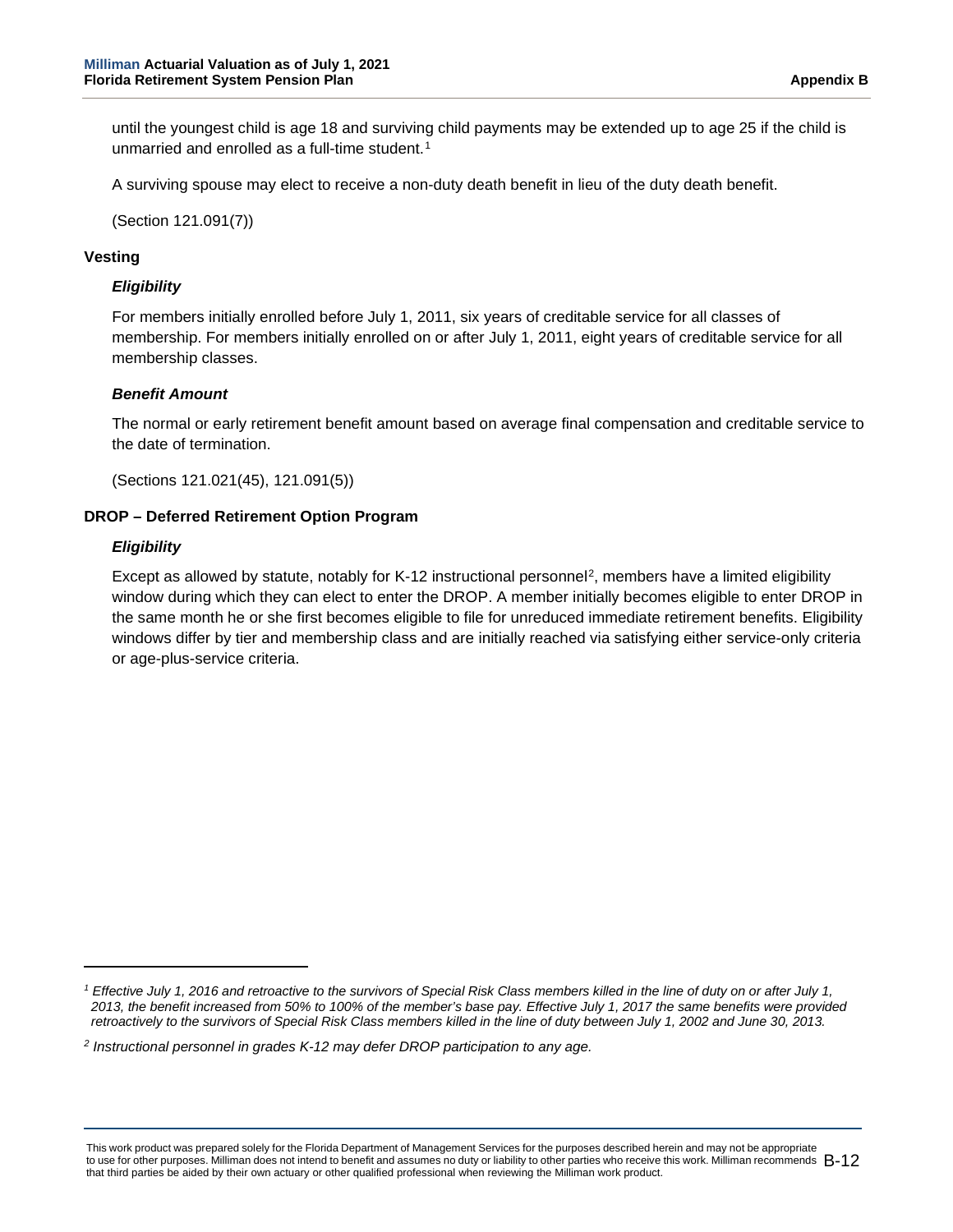until the youngest child is age 18 and surviving child payments may be extended up to age 25 if the child is unmarried and enrolled as a full-time student.<sup>[1](#page-82-0)</sup>

A surviving spouse may elect to receive a non-duty death benefit in lieu of the duty death benefit.

(Section 121.091(7))

#### **Vesting**

#### *Eligibility*

For members initially enrolled before July 1, 2011, six years of creditable service for all classes of membership. For members initially enrolled on or after July 1, 2011, eight years of creditable service for all membership classes.

#### *Benefit Amount*

The normal or early retirement benefit amount based on average final compensation and creditable service to the date of termination.

(Sections 121.021(45), 121.091(5))

#### **DROP – Deferred Retirement Option Program**

#### *Eligibility*

Except as allowed by statute, notably for K-12 instructional personnel[2,](#page-82-1) members have a limited eligibility window during which they can elect to enter the DROP. A member initially becomes eligible to enter DROP in the same month he or she first becomes eligible to file for unreduced immediate retirement benefits. Eligibility windows differ by tier and membership class and are initially reached via satisfying either service-only criteria or age-plus-service criteria.

<span id="page-82-0"></span>*<sup>1</sup> Effective July 1, 2016 and retroactive to the survivors of Special Risk Class members killed in the line of duty on or after July 1, 2013, the benefit increased from 50% to 100% of the member's base pay. Effective July 1, 2017 the same benefits were provided retroactively to the survivors of Special Risk Class members killed in the line of duty between July 1, 2002 and June 30, 2013.*

<span id="page-82-1"></span>*<sup>2</sup> Instructional personnel in grades K-12 may defer DROP participation to any age.*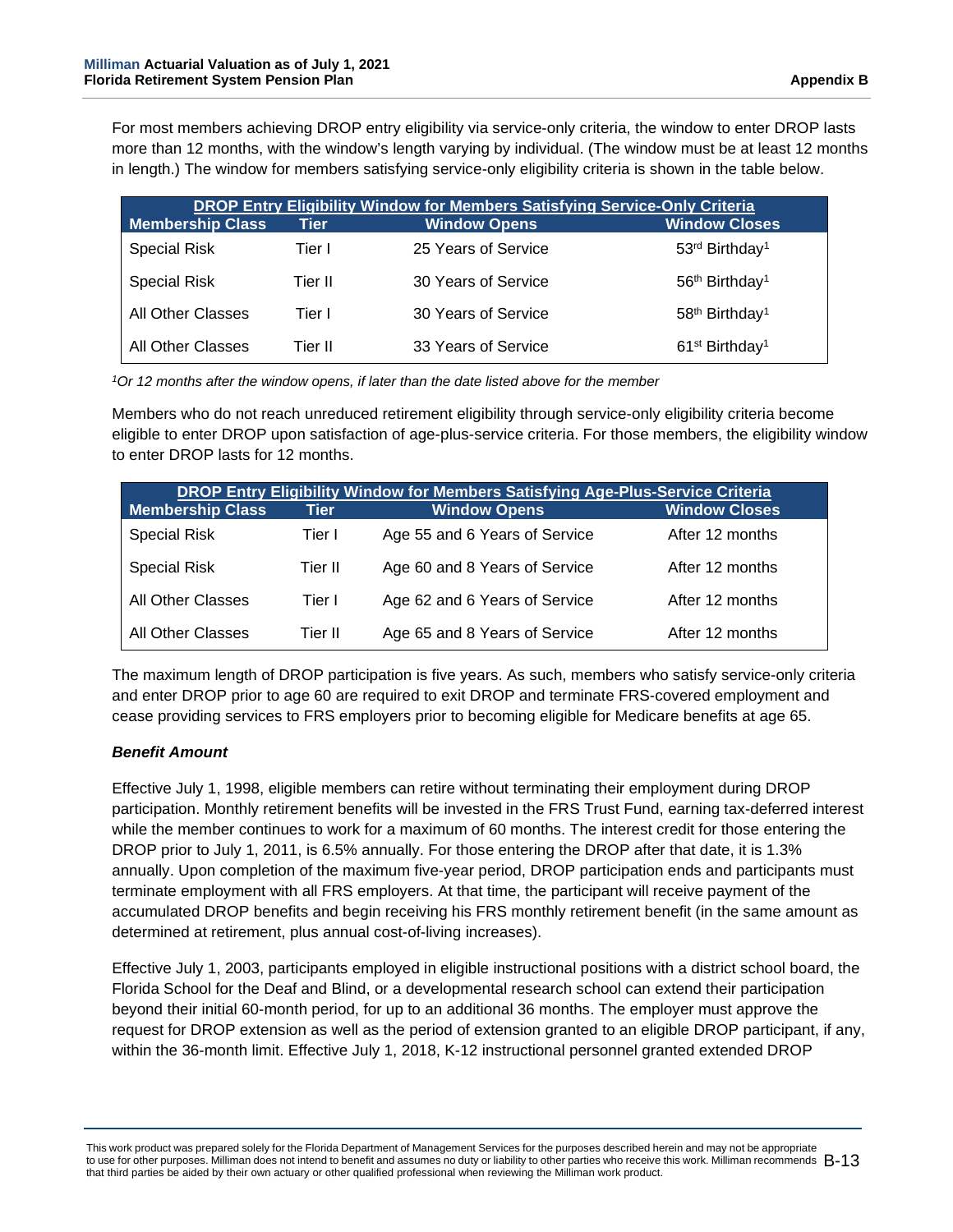For most members achieving DROP entry eligibility via service-only criteria, the window to enter DROP lasts more than 12 months, with the window's length varying by individual. (The window must be at least 12 months in length.) The window for members satisfying service-only eligibility criteria is shown in the table below.

| <b>DROP Entry Eligibility Window for Members Satisfying Service-Only Criteria</b> |          |                     |                                        |  |
|-----------------------------------------------------------------------------------|----------|---------------------|----------------------------------------|--|
| <b>Membership Class</b>                                                           | Tier     | <b>Window Opens</b> | <b>Window Closes</b>                   |  |
| <b>Special Risk</b>                                                               | Tier I   | 25 Years of Service | 53rd Birthday <sup>1</sup>             |  |
| <b>Special Risk</b>                                                               | Tier II  | 30 Years of Service | 56 <sup>th</sup> Birthday <sup>1</sup> |  |
| All Other Classes                                                                 | Tier I   | 30 Years of Service | 58 <sup>th</sup> Birthday <sup>1</sup> |  |
| <b>All Other Classes</b>                                                          | Tier II. | 33 Years of Service | 61 <sup>st</sup> Birthday <sup>1</sup> |  |

*1Or 12 months after the window opens, if later than the date listed above for the member*

Members who do not reach unreduced retirement eligibility through service-only eligibility criteria become eligible to enter DROP upon satisfaction of age-plus-service criteria. For those members, the eligibility window to enter DROP lasts for 12 months.

| <b>DROP Entry Eligibility Window for Members Satisfying Age-Plus-Service Criteria</b> |              |                               |                      |  |
|---------------------------------------------------------------------------------------|--------------|-------------------------------|----------------------|--|
| <b>Membership Class</b>                                                               | <b>∆Tier</b> | <b>Window Opens</b>           | <b>Window Closes</b> |  |
| <b>Special Risk</b>                                                                   | Tier I       | Age 55 and 6 Years of Service | After 12 months      |  |
| <b>Special Risk</b>                                                                   | Tier II      | Age 60 and 8 Years of Service | After 12 months      |  |
| All Other Classes                                                                     | Tier I       | Age 62 and 6 Years of Service | After 12 months      |  |
| <b>All Other Classes</b>                                                              | Tier II      | Age 65 and 8 Years of Service | After 12 months      |  |

The maximum length of DROP participation is five years. As such, members who satisfy service-only criteria and enter DROP prior to age 60 are required to exit DROP and terminate FRS-covered employment and cease providing services to FRS employers prior to becoming eligible for Medicare benefits at age 65.

#### *Benefit Amount*

Effective July 1, 1998, eligible members can retire without terminating their employment during DROP participation. Monthly retirement benefits will be invested in the FRS Trust Fund, earning tax-deferred interest while the member continues to work for a maximum of 60 months. The interest credit for those entering the DROP prior to July 1, 2011, is 6.5% annually. For those entering the DROP after that date, it is 1.3% annually. Upon completion of the maximum five-year period, DROP participation ends and participants must terminate employment with all FRS employers. At that time, the participant will receive payment of the accumulated DROP benefits and begin receiving his FRS monthly retirement benefit (in the same amount as determined at retirement, plus annual cost-of-living increases).

Effective July 1, 2003, participants employed in eligible instructional positions with a district school board, the Florida School for the Deaf and Blind, or a developmental research school can extend their participation beyond their initial 60-month period, for up to an additional 36 months. The employer must approve the request for DROP extension as well as the period of extension granted to an eligible DROP participant, if any, within the 36-month limit. Effective July 1, 2018, K-12 instructional personnel granted extended DROP

This work product was prepared solely for the Florida Department of Management Services for the purposes described herein and may not be appropriate to use for other purposes. Milliman does not intend to benefit and assumes no duty or liability to other parties who receive this work. Milliman recommends  $\,B$ -13 that third parties be aided by their own actuary or other qualified professional when reviewing the Milliman work product.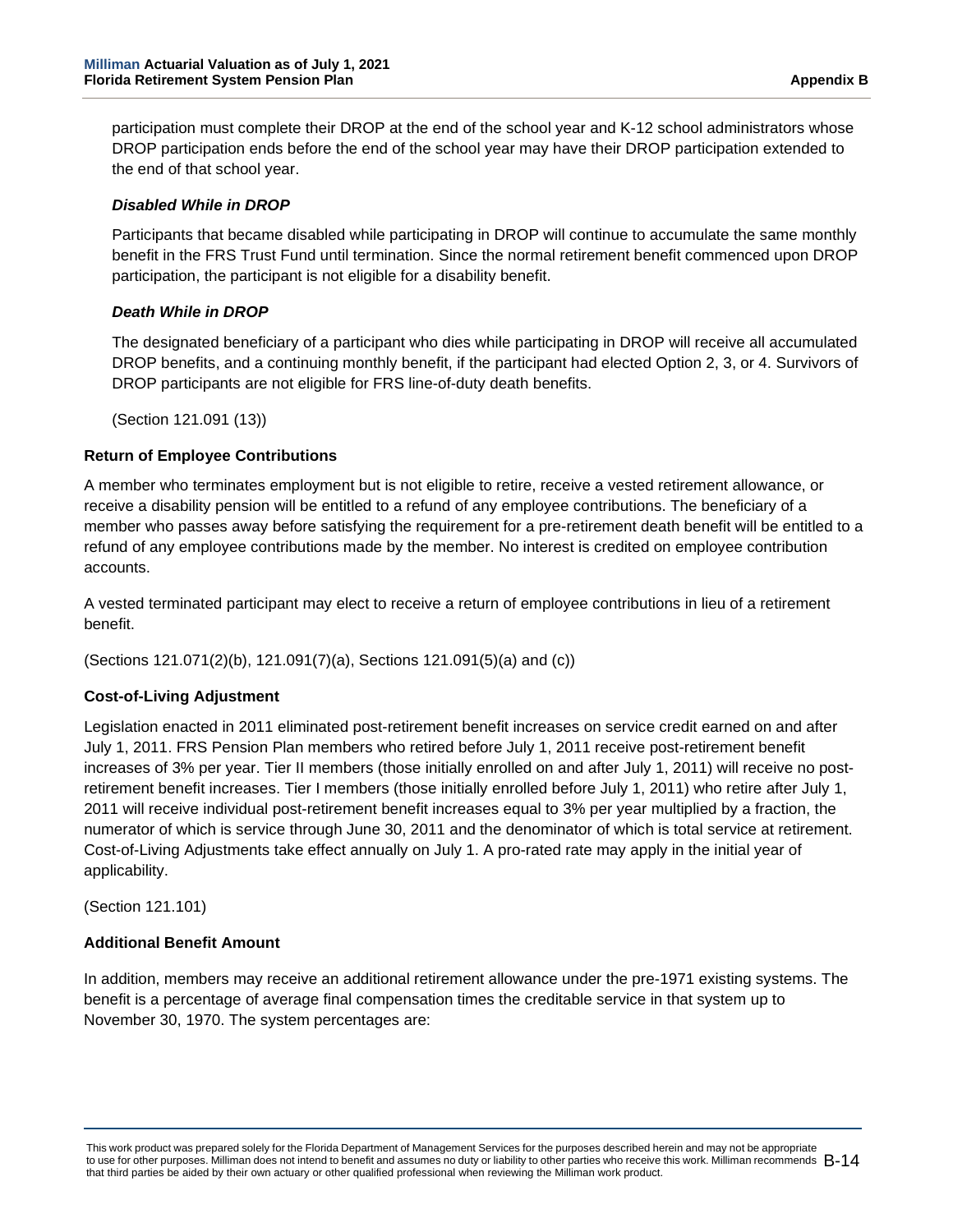participation must complete their DROP at the end of the school year and K-12 school administrators whose DROP participation ends before the end of the school year may have their DROP participation extended to the end of that school year.

#### *Disabled While in DROP*

Participants that became disabled while participating in DROP will continue to accumulate the same monthly benefit in the FRS Trust Fund until termination. Since the normal retirement benefit commenced upon DROP participation, the participant is not eligible for a disability benefit.

#### *Death While in DROP*

The designated beneficiary of a participant who dies while participating in DROP will receive all accumulated DROP benefits, and a continuing monthly benefit, if the participant had elected Option 2, 3, or 4. Survivors of DROP participants are not eligible for FRS line-of-duty death benefits.

(Section 121.091 (13))

#### **Return of Employee Contributions**

A member who terminates employment but is not eligible to retire, receive a vested retirement allowance, or receive a disability pension will be entitled to a refund of any employee contributions. The beneficiary of a member who passes away before satisfying the requirement for a pre-retirement death benefit will be entitled to a refund of any employee contributions made by the member. No interest is credited on employee contribution accounts.

A vested terminated participant may elect to receive a return of employee contributions in lieu of a retirement benefit.

(Sections 121.071(2)(b), 121.091(7)(a), Sections 121.091(5)(a) and (c))

#### **Cost-of-Living Adjustment**

Legislation enacted in 2011 eliminated post-retirement benefit increases on service credit earned on and after July 1, 2011. FRS Pension Plan members who retired before July 1, 2011 receive post-retirement benefit increases of 3% per year. Tier II members (those initially enrolled on and after July 1, 2011) will receive no postretirement benefit increases. Tier I members (those initially enrolled before July 1, 2011) who retire after July 1, 2011 will receive individual post-retirement benefit increases equal to 3% per year multiplied by a fraction, the numerator of which is service through June 30, 2011 and the denominator of which is total service at retirement. Cost-of-Living Adjustments take effect annually on July 1. A pro-rated rate may apply in the initial year of applicability.

(Section 121.101)

#### **Additional Benefit Amount**

In addition, members may receive an additional retirement allowance under the pre-1971 existing systems. The benefit is a percentage of average final compensation times the creditable service in that system up to November 30, 1970. The system percentages are: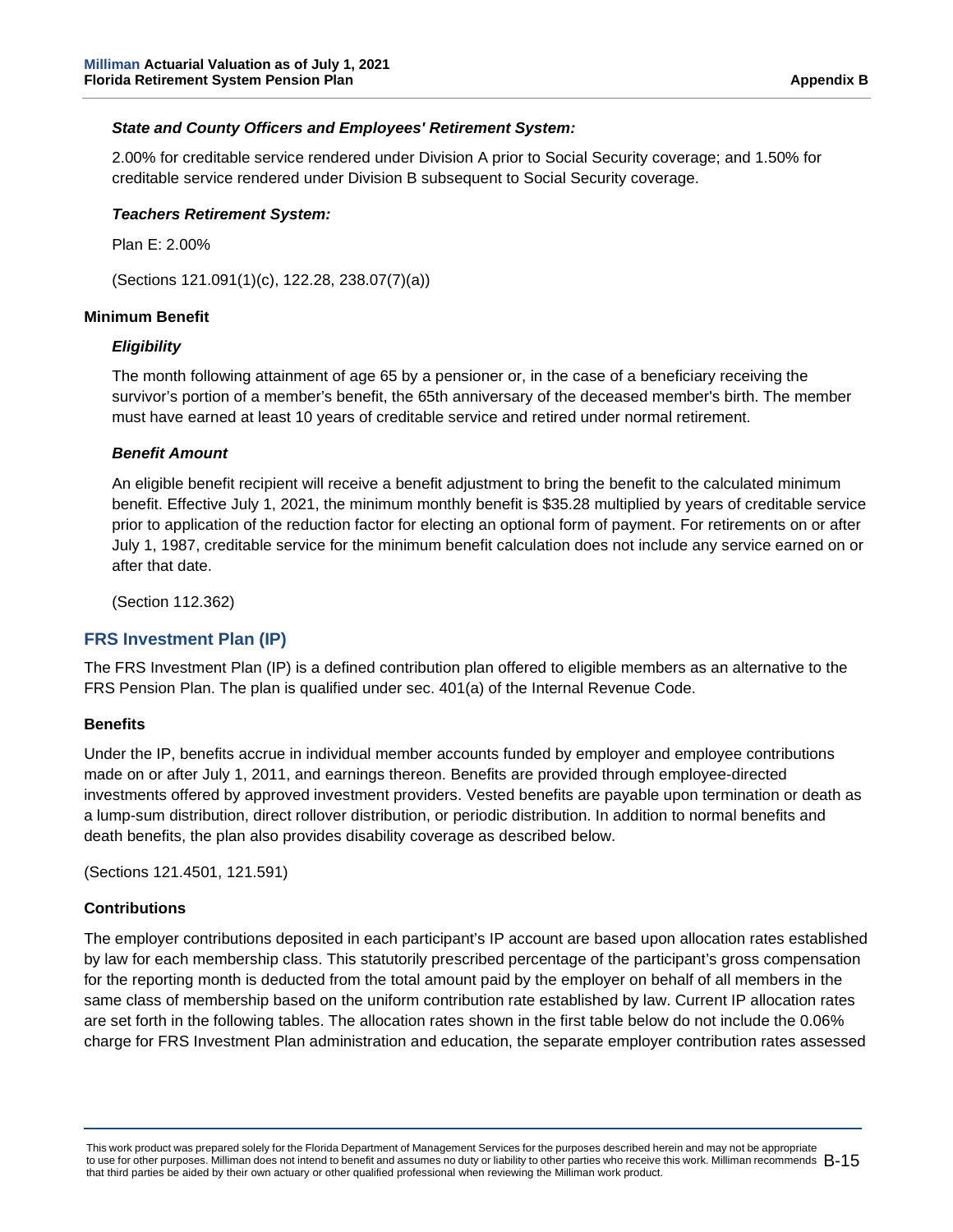#### *State and County Officers and Employees' Retirement System:*

2.00% for creditable service rendered under Division A prior to Social Security coverage; and 1.50% for creditable service rendered under Division B subsequent to Social Security coverage.

#### *Teachers Retirement System:*

Plan E: 2.00%

(Sections 121.091(1)(c), 122.28, 238.07(7)(a))

#### **Minimum Benefit**

#### *Eligibility*

The month following attainment of age 65 by a pensioner or, in the case of a beneficiary receiving the survivor's portion of a member's benefit, the 65th anniversary of the deceased member's birth. The member must have earned at least 10 years of creditable service and retired under normal retirement.

#### *Benefit Amount*

An eligible benefit recipient will receive a benefit adjustment to bring the benefit to the calculated minimum benefit. Effective July 1, 2021, the minimum monthly benefit is \$35.28 multiplied by years of creditable service prior to application of the reduction factor for electing an optional form of payment. For retirements on or after July 1, 1987, creditable service for the minimum benefit calculation does not include any service earned on or after that date.

(Section 112.362)

#### **FRS Investment Plan (IP)**

The FRS Investment Plan (IP) is a defined contribution plan offered to eligible members as an alternative to the FRS Pension Plan. The plan is qualified under sec. 401(a) of the Internal Revenue Code.

#### **Benefits**

Under the IP, benefits accrue in individual member accounts funded by employer and employee contributions made on or after July 1, 2011, and earnings thereon. Benefits are provided through employee-directed investments offered by approved investment providers. Vested benefits are payable upon termination or death as a lump-sum distribution, direct rollover distribution, or periodic distribution. In addition to normal benefits and death benefits, the plan also provides disability coverage as described below.

(Sections 121.4501, 121.591)

#### **Contributions**

The employer contributions deposited in each participant's IP account are based upon allocation rates established by law for each membership class. This statutorily prescribed percentage of the participant's gross compensation for the reporting month is deducted from the total amount paid by the employer on behalf of all members in the same class of membership based on the uniform contribution rate established by law. Current IP allocation rates are set forth in the following tables. The allocation rates shown in the first table below do not include the 0.06% charge for FRS Investment Plan administration and education, the separate employer contribution rates assessed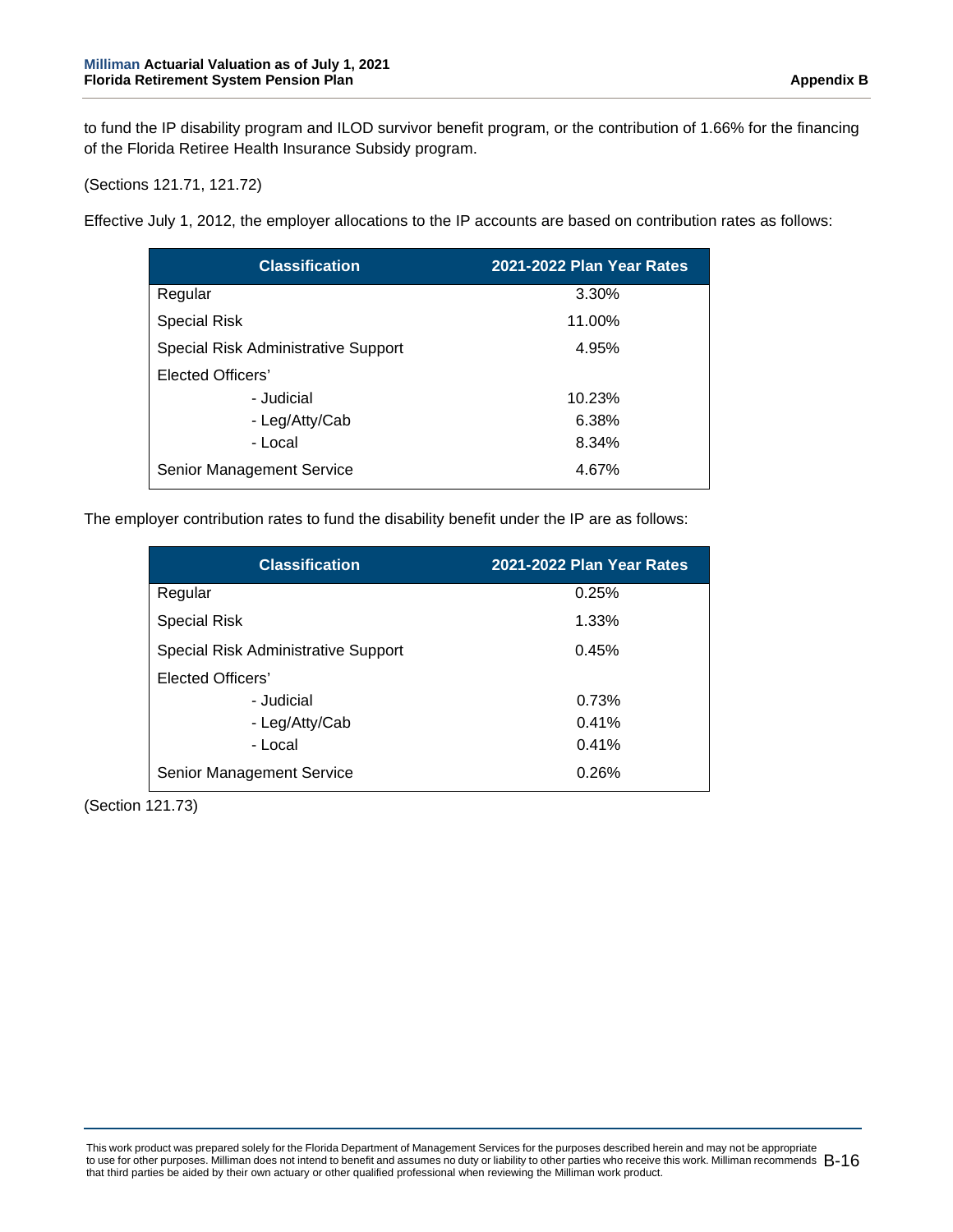to fund the IP disability program and ILOD survivor benefit program, or the contribution of 1.66% for the financing of the Florida Retiree Health Insurance Subsidy program.

(Sections 121.71, 121.72)

Effective July 1, 2012, the employer allocations to the IP accounts are based on contribution rates as follows:

| <b>Classification</b>               | 2021-2022 Plan Year Rates |
|-------------------------------------|---------------------------|
| Regular                             | 3.30%                     |
| <b>Special Risk</b>                 | 11.00%                    |
| Special Risk Administrative Support | 4.95%                     |
| Elected Officers'                   |                           |
| - Judicial                          | 10.23%                    |
| - Leg/Atty/Cab                      | 6.38%                     |
| - Local                             | 8.34%                     |
| Senior Management Service           | 4.67%                     |

The employer contribution rates to fund the disability benefit under the IP are as follows:

| <b>Classification</b>               | 2021-2022 Plan Year Rates |
|-------------------------------------|---------------------------|
| Regular                             | 0.25%                     |
| <b>Special Risk</b>                 | 1.33%                     |
| Special Risk Administrative Support | 0.45%                     |
| Elected Officers'                   |                           |
| - Judicial                          | 0.73%                     |
| - Leg/Atty/Cab                      | 0.41%                     |
| - Local                             | 0.41%                     |
| Senior Management Service           | 0.26%                     |

(Section 121.73)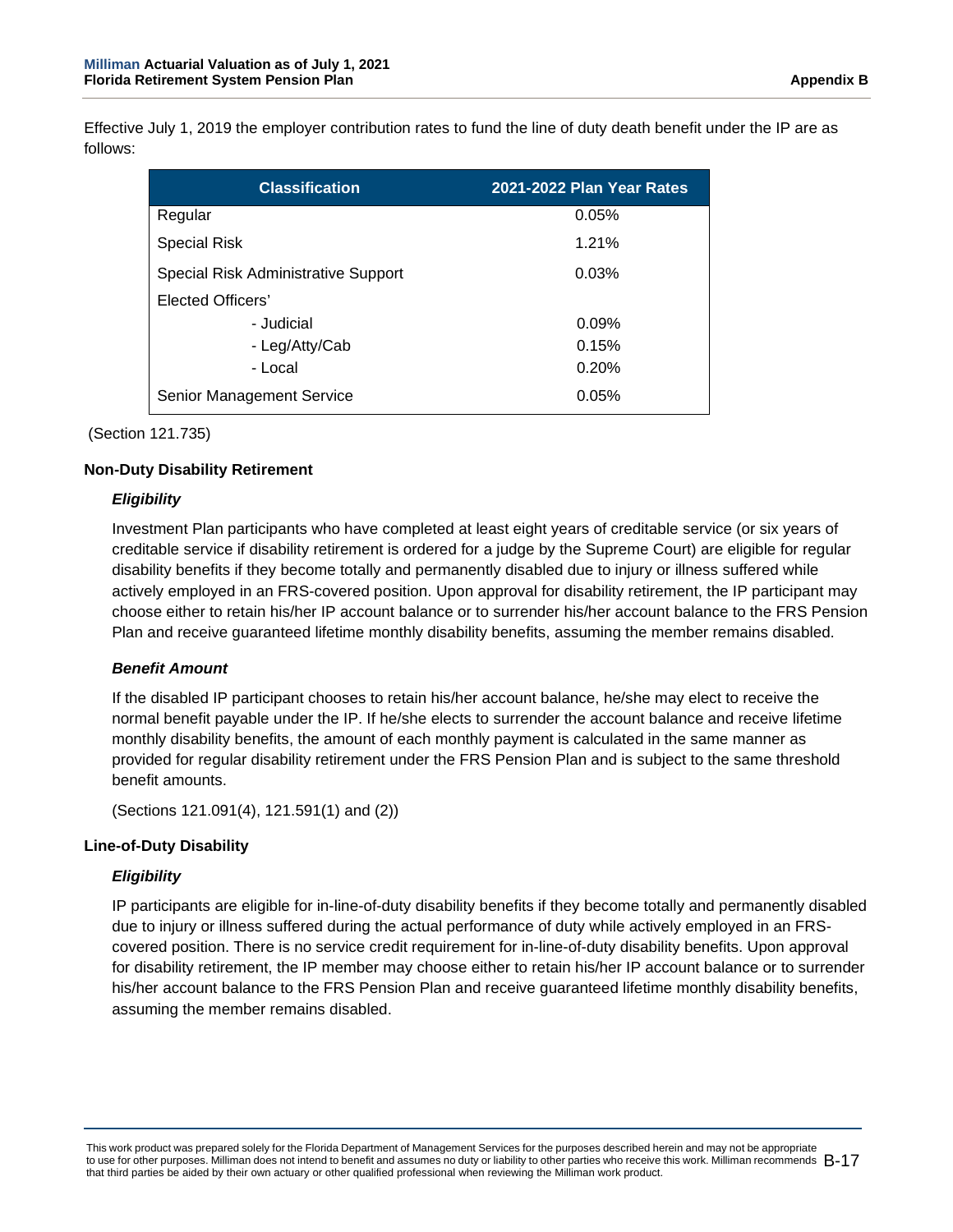Effective July 1, 2019 the employer contribution rates to fund the line of duty death benefit under the IP are as follows:

| <b>Classification</b>               | 2021-2022 Plan Year Rates |
|-------------------------------------|---------------------------|
| Regular                             | 0.05%                     |
| <b>Special Risk</b>                 | 1.21%                     |
| Special Risk Administrative Support | 0.03%                     |
| Elected Officers'                   |                           |
| - Judicial                          | 0.09%                     |
| - Leg/Atty/Cab                      | 0.15%                     |
| - Local                             | 0.20%                     |
| Senior Management Service           | 0.05%                     |

(Section 121.735)

#### **Non-Duty Disability Retirement**

### *Eligibility*

Investment Plan participants who have completed at least eight years of creditable service (or six years of creditable service if disability retirement is ordered for a judge by the Supreme Court) are eligible for regular disability benefits if they become totally and permanently disabled due to injury or illness suffered while actively employed in an FRS-covered position. Upon approval for disability retirement, the IP participant may choose either to retain his/her IP account balance or to surrender his/her account balance to the FRS Pension Plan and receive guaranteed lifetime monthly disability benefits, assuming the member remains disabled.

#### *Benefit Amount*

If the disabled IP participant chooses to retain his/her account balance, he/she may elect to receive the normal benefit payable under the IP. If he/she elects to surrender the account balance and receive lifetime monthly disability benefits, the amount of each monthly payment is calculated in the same manner as provided for regular disability retirement under the FRS Pension Plan and is subject to the same threshold benefit amounts.

(Sections 121.091(4), 121.591(1) and (2))

#### **Line-of-Duty Disability**

#### *Eligibility*

IP participants are eligible for in-line-of-duty disability benefits if they become totally and permanently disabled due to injury or illness suffered during the actual performance of duty while actively employed in an FRScovered position. There is no service credit requirement for in-line-of-duty disability benefits. Upon approval for disability retirement, the IP member may choose either to retain his/her IP account balance or to surrender his/her account balance to the FRS Pension Plan and receive guaranteed lifetime monthly disability benefits, assuming the member remains disabled.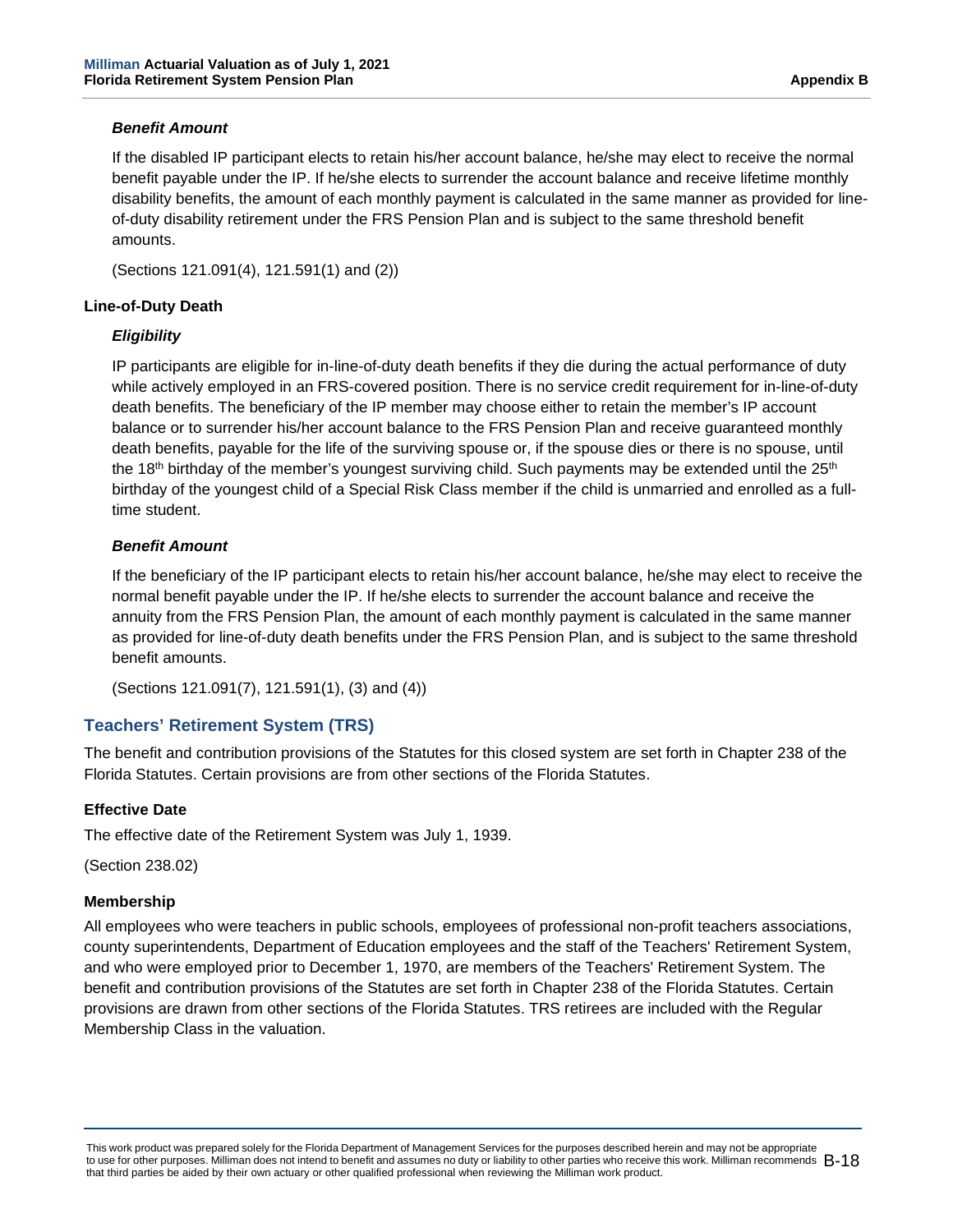#### *Benefit Amount*

If the disabled IP participant elects to retain his/her account balance, he/she may elect to receive the normal benefit payable under the IP. If he/she elects to surrender the account balance and receive lifetime monthly disability benefits, the amount of each monthly payment is calculated in the same manner as provided for lineof-duty disability retirement under the FRS Pension Plan and is subject to the same threshold benefit amounts.

(Sections 121.091(4), 121.591(1) and (2))

#### **Line-of-Duty Death**

#### *Eligibility*

IP participants are eligible for in-line-of-duty death benefits if they die during the actual performance of duty while actively employed in an FRS-covered position. There is no service credit requirement for in-line-of-duty death benefits. The beneficiary of the IP member may choose either to retain the member's IP account balance or to surrender his/her account balance to the FRS Pension Plan and receive guaranteed monthly death benefits, payable for the life of the surviving spouse or, if the spouse dies or there is no spouse, until the 18<sup>th</sup> birthday of the member's youngest surviving child. Such payments may be extended until the  $25<sup>th</sup>$ birthday of the youngest child of a Special Risk Class member if the child is unmarried and enrolled as a fulltime student.

#### *Benefit Amount*

If the beneficiary of the IP participant elects to retain his/her account balance, he/she may elect to receive the normal benefit payable under the IP. If he/she elects to surrender the account balance and receive the annuity from the FRS Pension Plan, the amount of each monthly payment is calculated in the same manner as provided for line-of-duty death benefits under the FRS Pension Plan, and is subject to the same threshold benefit amounts.

(Sections 121.091(7), 121.591(1), (3) and (4))

## **Teachers' Retirement System (TRS)**

The benefit and contribution provisions of the Statutes for this closed system are set forth in Chapter 238 of the Florida Statutes. Certain provisions are from other sections of the Florida Statutes.

#### **Effective Date**

The effective date of the Retirement System was July 1, 1939.

(Section 238.02)

#### **Membership**

All employees who were teachers in public schools, employees of professional non-profit teachers associations, county superintendents, Department of Education employees and the staff of the Teachers' Retirement System, and who were employed prior to December 1, 1970, are members of the Teachers' Retirement System. The benefit and contribution provisions of the Statutes are set forth in Chapter 238 of the Florida Statutes. Certain provisions are drawn from other sections of the Florida Statutes. TRS retirees are included with the Regular Membership Class in the valuation.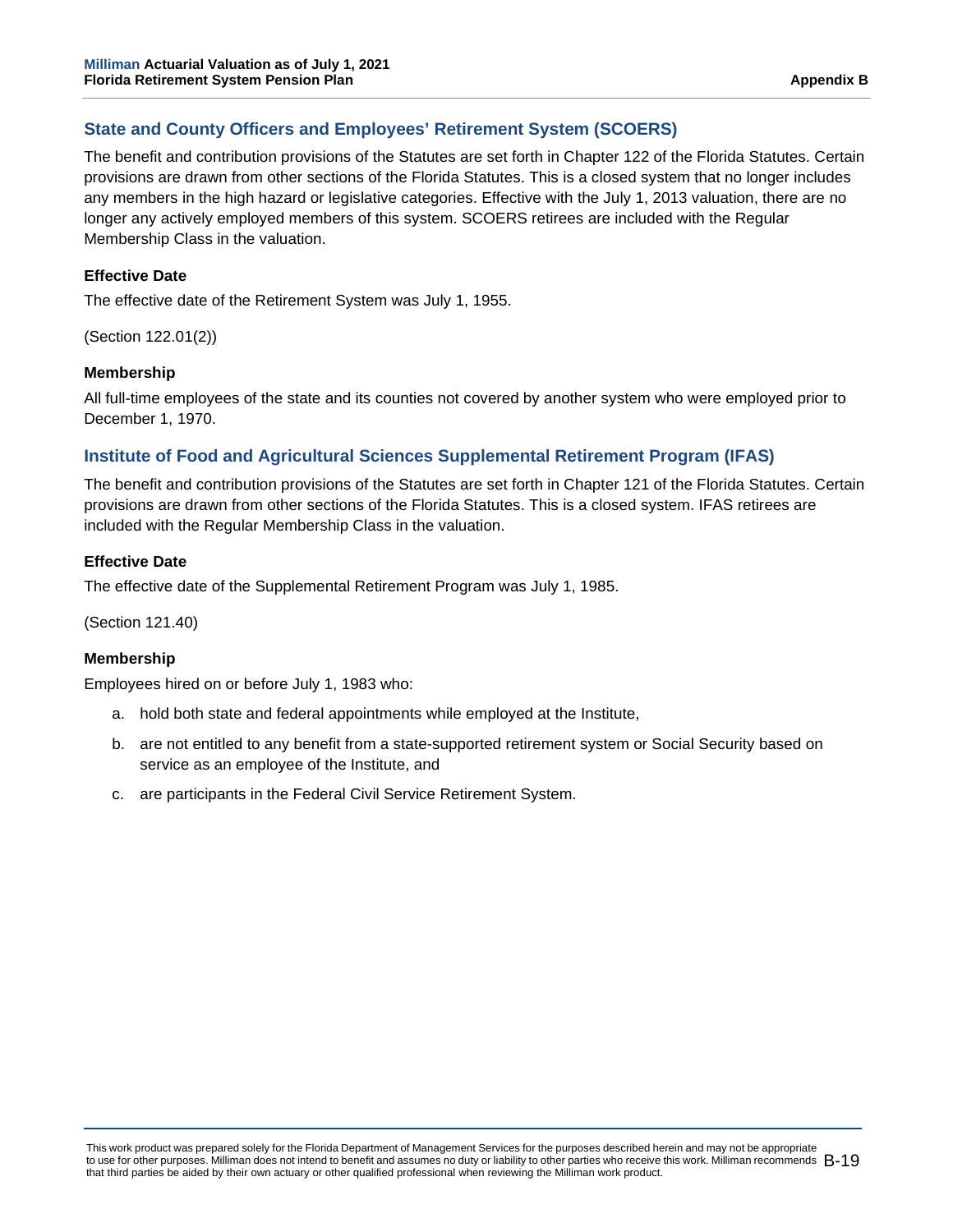## **State and County Officers and Employees' Retirement System (SCOERS)**

The benefit and contribution provisions of the Statutes are set forth in Chapter 122 of the Florida Statutes. Certain provisions are drawn from other sections of the Florida Statutes. This is a closed system that no longer includes any members in the high hazard or legislative categories. Effective with the July 1, 2013 valuation, there are no longer any actively employed members of this system. SCOERS retirees are included with the Regular Membership Class in the valuation.

#### **Effective Date**

The effective date of the Retirement System was July 1, 1955.

(Section 122.01(2))

#### **Membership**

All full-time employees of the state and its counties not covered by another system who were employed prior to December 1, 1970.

### **Institute of Food and Agricultural Sciences Supplemental Retirement Program (IFAS)**

The benefit and contribution provisions of the Statutes are set forth in Chapter 121 of the Florida Statutes. Certain provisions are drawn from other sections of the Florida Statutes. This is a closed system. IFAS retirees are included with the Regular Membership Class in the valuation.

#### **Effective Date**

The effective date of the Supplemental Retirement Program was July 1, 1985.

(Section 121.40)

#### **Membership**

Employees hired on or before July 1, 1983 who:

- a. hold both state and federal appointments while employed at the Institute,
- b. are not entitled to any benefit from a state-supported retirement system or Social Security based on service as an employee of the Institute, and
- c. are participants in the Federal Civil Service Retirement System.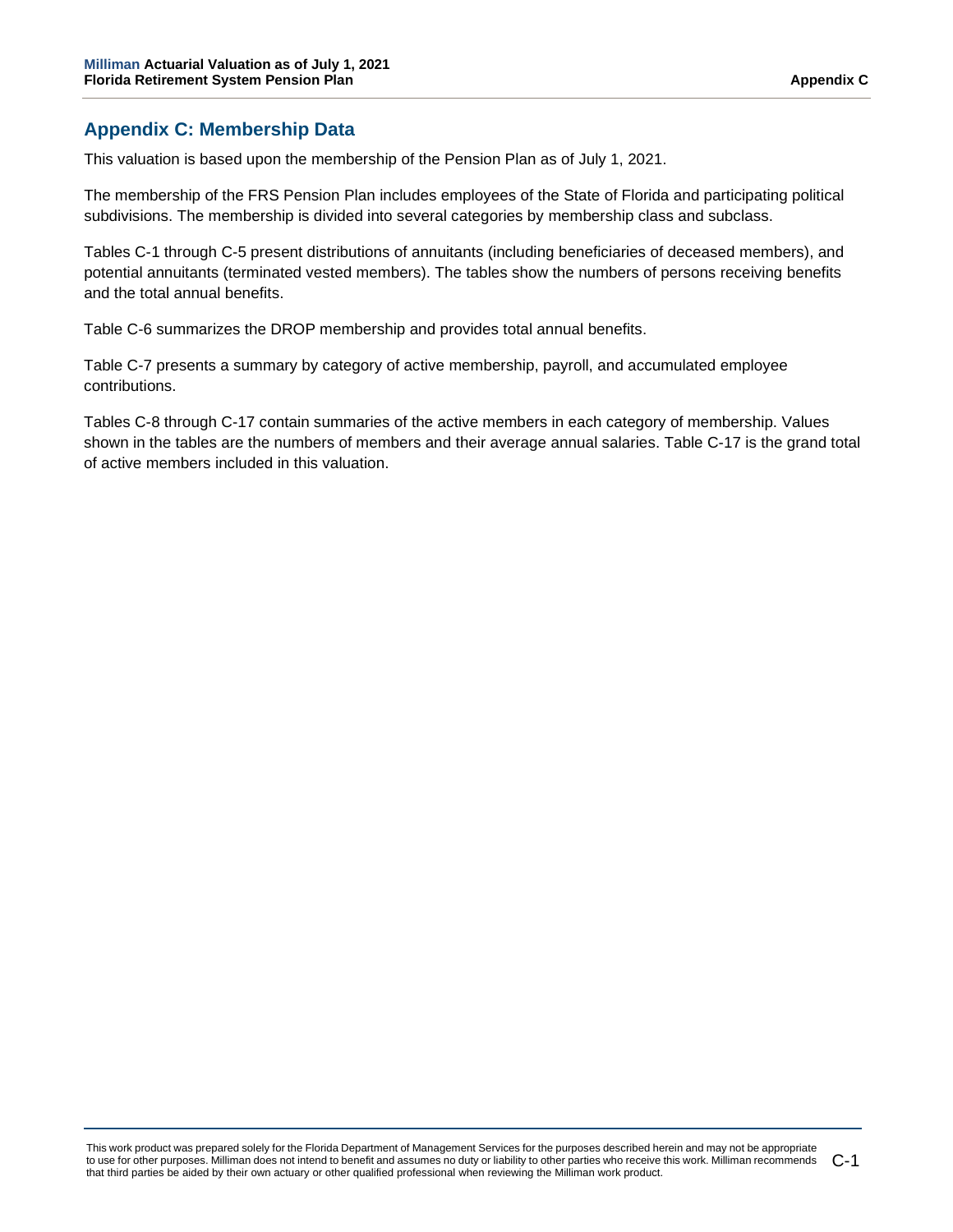## **Appendix C: Membership Data**

This valuation is based upon the membership of the Pension Plan as of July 1, 2021.

The membership of the FRS Pension Plan includes employees of the State of Florida and participating political subdivisions. The membership is divided into several categories by membership class and subclass.

Tables C-1 through C-5 present distributions of annuitants (including beneficiaries of deceased members), and potential annuitants (terminated vested members). The tables show the numbers of persons receiving benefits and the total annual benefits.

Table C-6 summarizes the DROP membership and provides total annual benefits.

Table C-7 presents a summary by category of active membership, payroll, and accumulated employee contributions.

Tables C-8 through C-17 contain summaries of the active members in each category of membership. Values shown in the tables are the numbers of members and their average annual salaries. Table C-17 is the grand total of active members included in this valuation.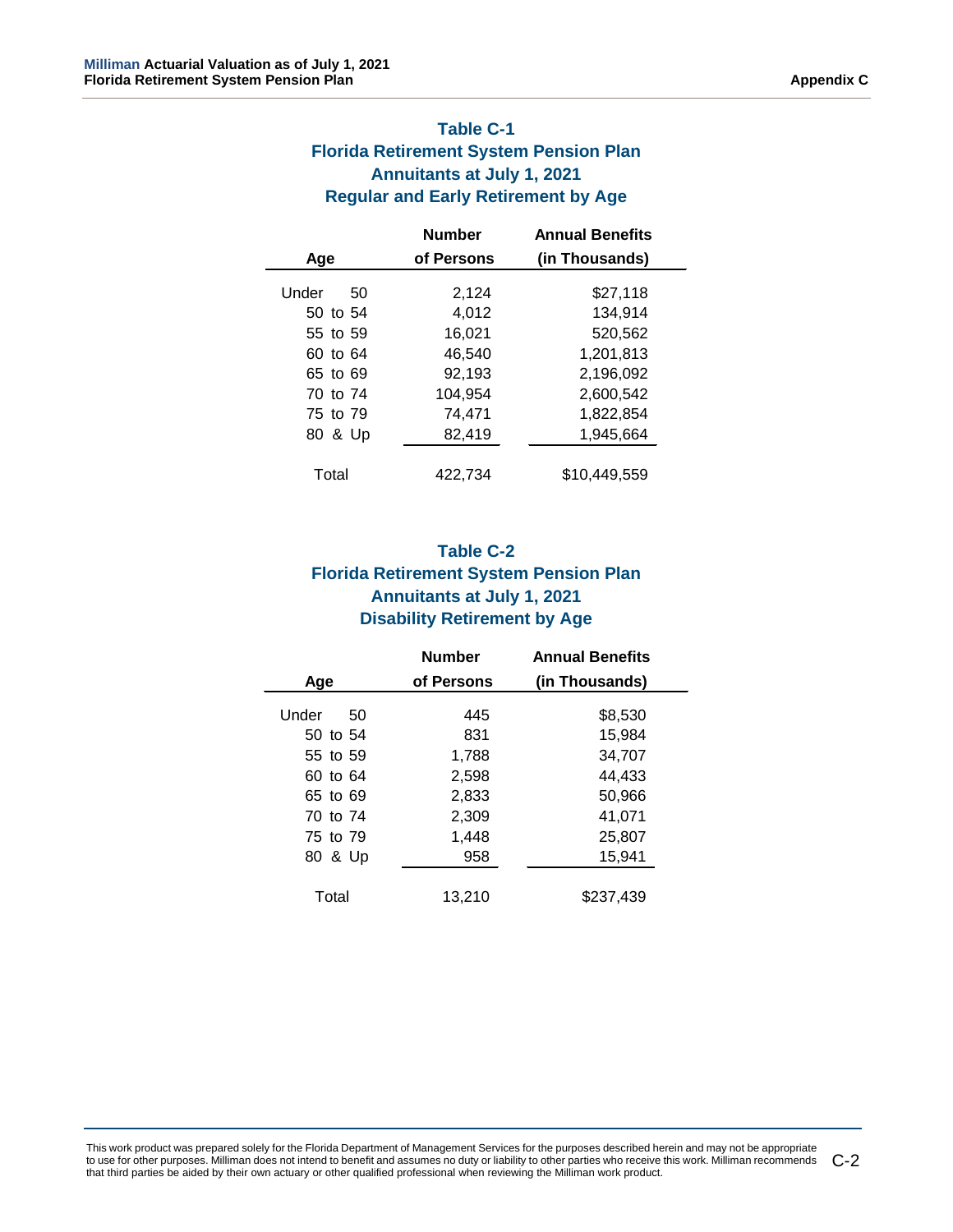## **Table C-1 Florida Retirement System Pension Plan Annuitants at July 1, 2021 Regular and Early Retirement by Age**

|             | <b>Number</b> | <b>Annual Benefits</b> |
|-------------|---------------|------------------------|
| Age         | of Persons    | (in Thousands)         |
| Under<br>50 | 2,124         | \$27,118               |
| 50 to 54    | 4,012         | 134,914                |
| 55 to 59    | 16,021        | 520,562                |
| 60 to 64    | 46.540        | 1,201,813              |
| 65 to 69    | 92,193        | 2,196,092              |
| 70 to 74    | 104.954       | 2,600,542              |
| 75 to 79    | 74.471        | 1,822,854              |
| 80 & Up     | 82,419        | 1,945,664              |
| Total       | 422.734       | \$10.449.559           |
|             |               |                        |

## **Table C-2 Florida Retirement System Pension Plan Annuitants at July 1, 2021 Disability Retirement by Age**

|             | <b>Number</b> | <b>Annual Benefits</b> |
|-------------|---------------|------------------------|
| Age         | of Persons    | (in Thousands)         |
| Under<br>50 | 445           | \$8,530                |
| 50 to 54    | 831           | 15,984                 |
| 55 to 59    | 1,788         | 34,707                 |
| 60 to 64    | 2,598         | 44,433                 |
| 65 to 69    | 2,833         | 50,966                 |
| 70 to 74    | 2,309         | 41,071                 |
| 75 to 79    | 1,448         | 25,807                 |
| 80 & Up     | 958           | 15.941                 |
| Total       | 13,210        | \$237,439              |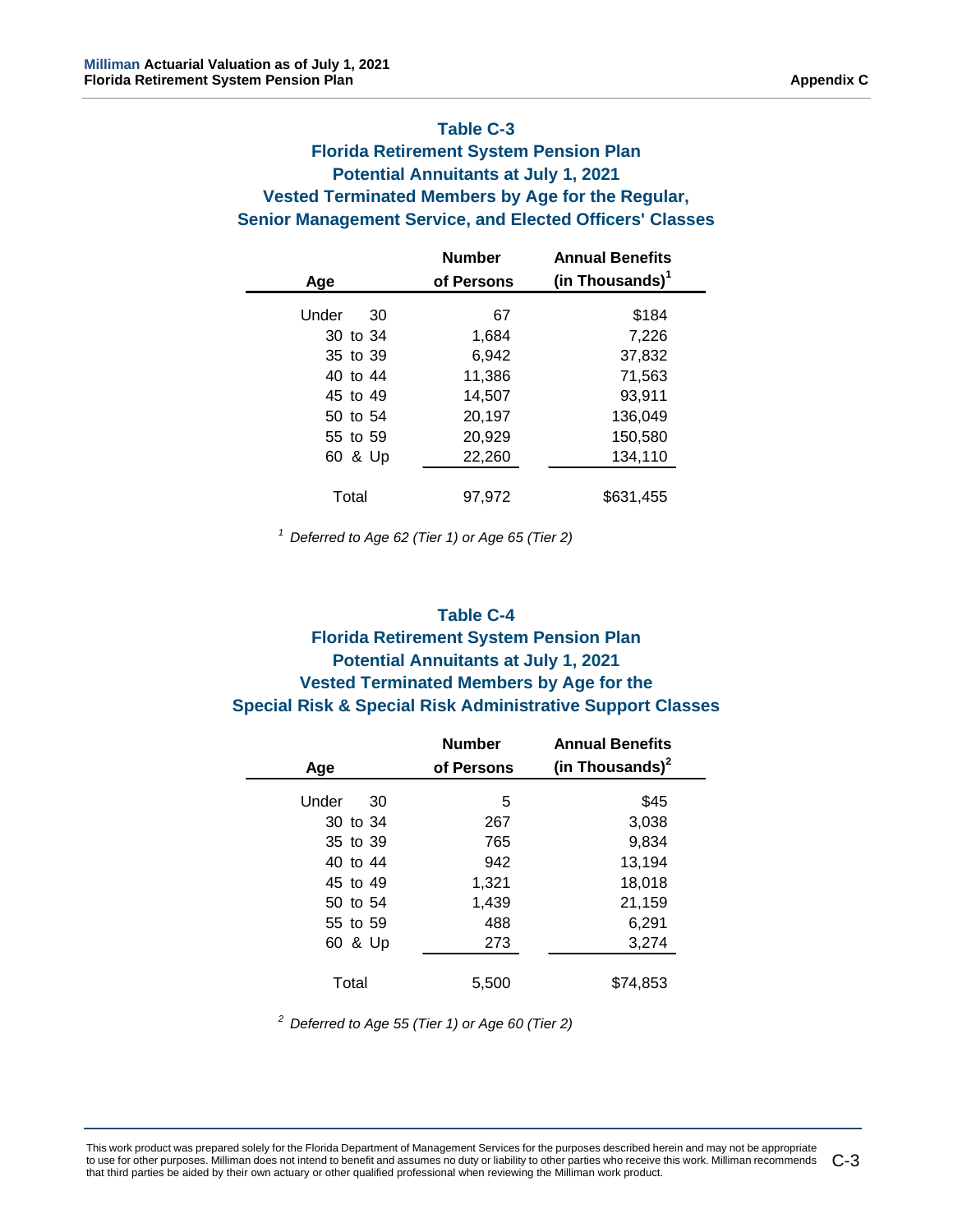## **Table C-3**

## **Florida Retirement System Pension Plan Potential Annuitants at July 1, 2021 Vested Terminated Members by Age for the Regular, Senior Management Service, and Elected Officers' Classes**

| <b>Number</b> | <b>Annual Benefits</b>      |
|---------------|-----------------------------|
| of Persons    | (in Thousands) <sup>1</sup> |
| 67            | \$184                       |
| 1,684         | 7,226                       |
| 6,942         | 37,832                      |
| 11,386        | 71,563                      |
| 14,507        | 93,911                      |
| 20,197        | 136,049                     |
| 20,929        | 150,580                     |
| 22,260        | 134,110                     |
| 97,972        | \$631,455                   |
|               |                             |

 *1 Deferred to Age 62 (Tier 1) or Age 65 (Tier 2)*

#### **Table C-4**

## **Florida Retirement System Pension Plan Potential Annuitants at July 1, 2021 Vested Terminated Members by Age for the Special Risk & Special Risk Administrative Support Classes**

|             | <b>Number</b> | <b>Annual Benefits</b> |
|-------------|---------------|------------------------|
| Age         | of Persons    | (in Thousands) $2$     |
| Under<br>30 | 5             | \$45                   |
| 30 to 34    | 267           | 3,038                  |
| 35 to 39    | 765           | 9,834                  |
| 40 to 44    | 942           | 13,194                 |
| 45 to 49    | 1,321         | 18,018                 |
| 50 to 54    | 1,439         | 21,159                 |
| 55 to 59    | 488           | 6,291                  |
| 60 & Up     | 273           | 3,274                  |
| Total       | 5,500         | \$74.853               |

 *2 Deferred to Age 55 (Tier 1) or Age 60 (Tier 2)*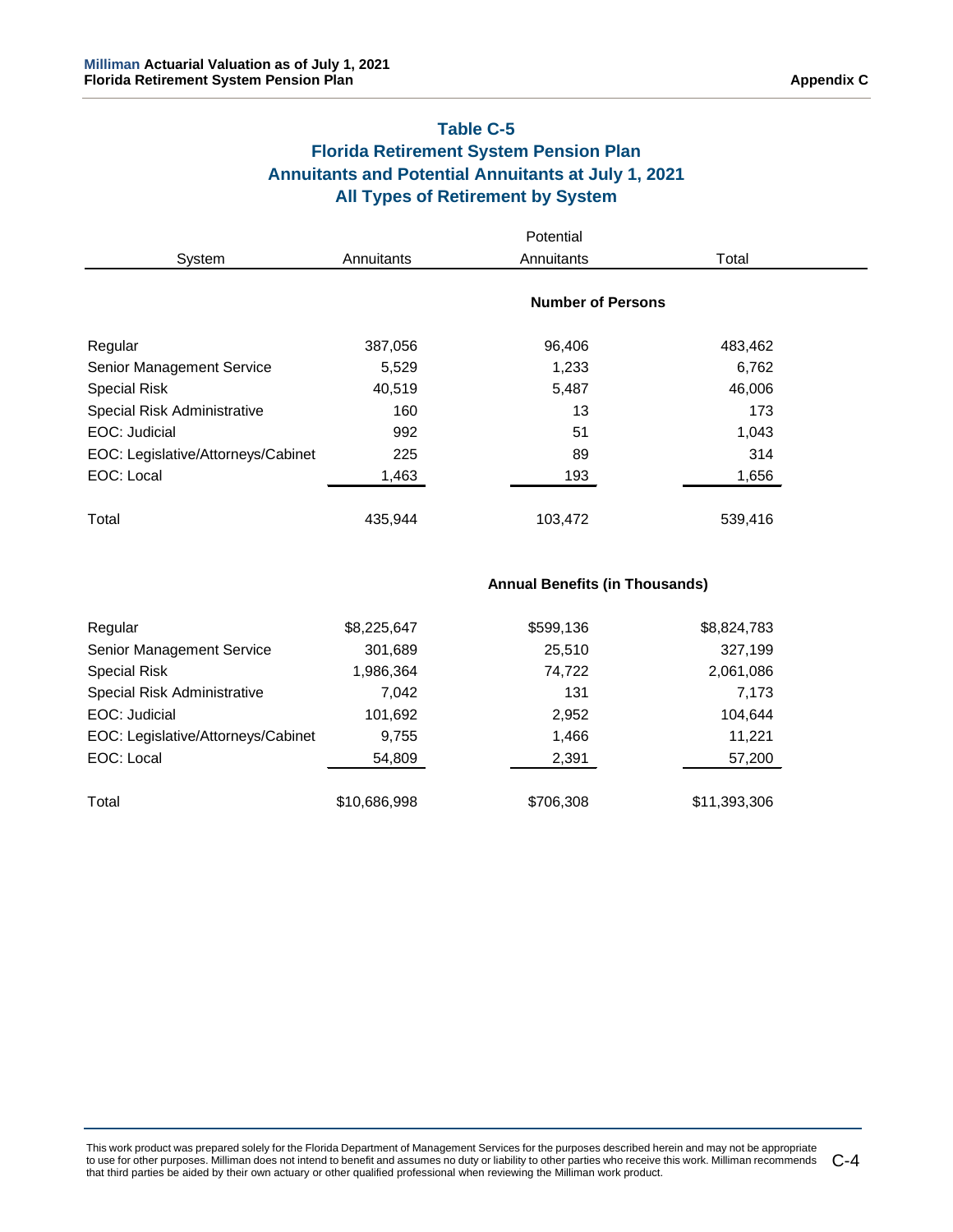## **Table C-5 Florida Retirement System Pension Plan Annuitants and Potential Annuitants at July 1, 2021 All Types of Retirement by System**

|                                    |            | Potential                |         |  |
|------------------------------------|------------|--------------------------|---------|--|
| System                             | Annuitants | Annuitants               | Total   |  |
|                                    |            | <b>Number of Persons</b> |         |  |
| Regular                            | 387,056    | 96,406                   | 483,462 |  |
| Senior Management Service          | 5,529      | 1,233                    | 6,762   |  |
| <b>Special Risk</b>                | 40,519     | 5,487                    | 46,006  |  |
| Special Risk Administrative        | 160        | 13                       | 173     |  |
| EOC: Judicial                      | 992        | 51                       | 1,043   |  |
| EOC: Legislative/Attorneys/Cabinet | 225        | 89                       | 314     |  |
| EOC: Local                         | 1,463      | 193                      | 1,656   |  |
| Total                              | 435.944    | 103,472                  | 539,416 |  |

**Annual Benefits (in Thousands)**

| Regular                            | \$8,225,647  | \$599,136 | \$8,824,783  |
|------------------------------------|--------------|-----------|--------------|
| Senior Management Service          | 301,689      | 25,510    | 327,199      |
| Special Risk                       | 1,986,364    | 74,722    | 2,061,086    |
| Special Risk Administrative        | 7.042        | 131       | 7,173        |
| EOC: Judicial                      | 101,692      | 2,952     | 104,644      |
| EOC: Legislative/Attorneys/Cabinet | 9,755        | 1,466     | 11,221       |
| EOC: Local                         | 54,809       | 2,391     | 57,200       |
| Total                              | \$10,686,998 | \$706,308 | \$11,393,306 |
|                                    |              |           |              |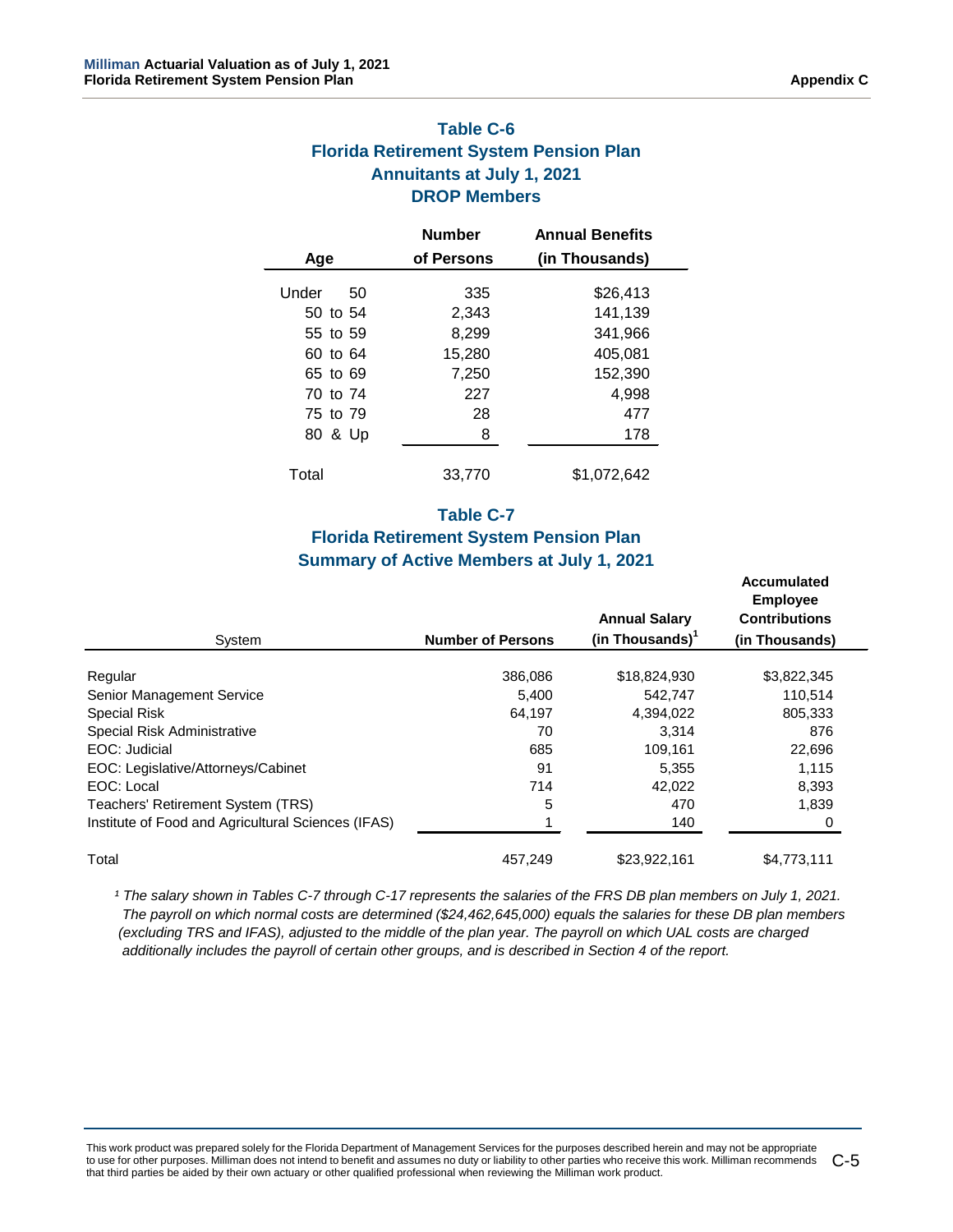## **Table C-6 Florida Retirement System Pension Plan Annuitants at July 1, 2021 DROP Members**

|             | <b>Number</b> | <b>Annual Benefits</b> |
|-------------|---------------|------------------------|
| Age         | of Persons    | (in Thousands)         |
| Under<br>50 | 335           | \$26,413               |
| 50 to 54    | 2,343         | 141,139                |
| 55 to 59    | 8,299         | 341,966                |
| 60 to 64    | 15,280        | 405,081                |
| 65 to 69    | 7,250         | 152,390                |
| 70 to 74    | 227           | 4,998                  |
| 75 to 79    | 28            | 477                    |
| 80 & Up     | 8             | 178                    |
| Total       | 33.770        | \$1,072,642            |

### **Table C-7**

## **Florida Retirement System Pension Plan Summary of Active Members at July 1, 2021**

|                                                    |                          |                      | <b>Accumulated</b><br><b>Employee</b> |  |
|----------------------------------------------------|--------------------------|----------------------|---------------------------------------|--|
|                                                    |                          | <b>Annual Salary</b> | <b>Contributions</b>                  |  |
| System                                             | <b>Number of Persons</b> | (in Thousands) $^1$  | (in Thousands)                        |  |
| Regular                                            | 386,086                  | \$18,824,930         | \$3,822,345                           |  |
| Senior Management Service                          | 5.400                    | 542.747              | 110,514                               |  |
| Special Risk                                       | 64,197                   | 4,394,022            | 805,333                               |  |
| Special Risk Administrative                        | 70                       | 3,314                | 876                                   |  |
| EOC: Judicial                                      | 685                      | 109,161              | 22,696                                |  |
| EOC: Legislative/Attorneys/Cabinet                 | 91                       | 5,355                | 1,115                                 |  |
| EOC: Local                                         | 714                      | 42,022               | 8,393                                 |  |
| Teachers' Retirement System (TRS)                  | 5                        | 470                  | 1.839                                 |  |
| Institute of Food and Agricultural Sciences (IFAS) |                          | 140                  |                                       |  |
| Total                                              | 457,249                  | \$23,922,161         | \$4,773,111                           |  |

<sup>1</sup> The salary shown in Tables C-7 through C-17 represents the salaries of the FRS DB plan members on July 1, 2021.  *The payroll on which normal costs are determined (\$24,462,645,000) equals the salaries for these DB plan members (excluding TRS and IFAS), adjusted to the middle of the plan year. The payroll on which UAL costs are charged additionally includes the payroll of certain other groups, and is described in Section 4 of the report.*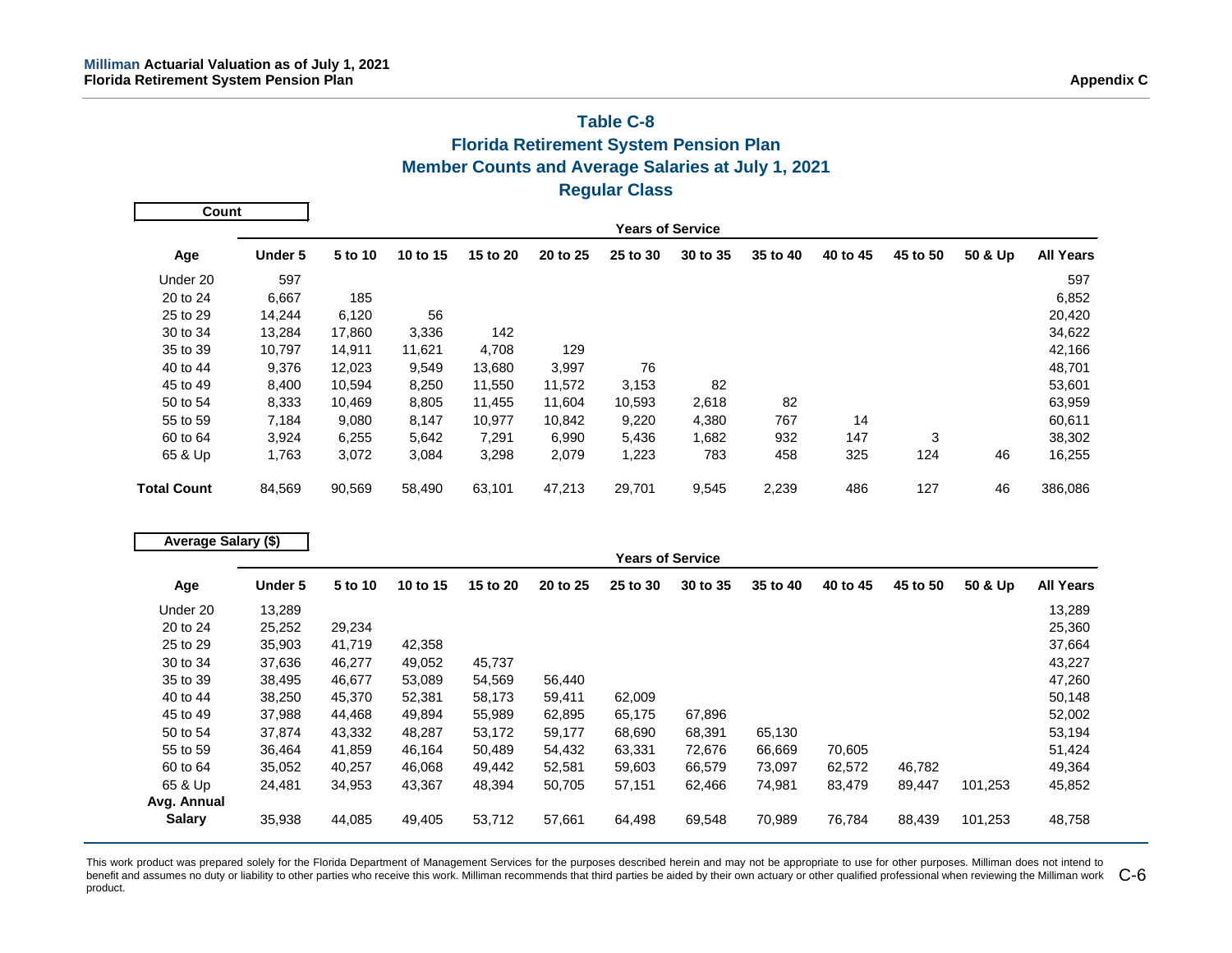## **Table C-8 Florida Retirement System Pension Plan Member Counts and Average Salaries at July 1, 2021 Regular Class**

| Count              |                         |         |          |          |          |          |          |          |          |          |         |                  |
|--------------------|-------------------------|---------|----------|----------|----------|----------|----------|----------|----------|----------|---------|------------------|
|                    | <b>Years of Service</b> |         |          |          |          |          |          |          |          |          |         |                  |
| Age                | <b>Under 5</b>          | 5 to 10 | 10 to 15 | 15 to 20 | 20 to 25 | 25 to 30 | 30 to 35 | 35 to 40 | 40 to 45 | 45 to 50 | 50 & Up | <b>All Years</b> |
| Under 20           | 597                     |         |          |          |          |          |          |          |          |          |         | 597              |
| 20 to 24           | 6,667                   | 185     |          |          |          |          |          |          |          |          |         | 6,852            |
| 25 to 29           | 14,244                  | 6,120   | 56       |          |          |          |          |          |          |          |         | 20,420           |
| 30 to 34           | 13,284                  | 17,860  | 3,336    | 142      |          |          |          |          |          |          |         | 34,622           |
| 35 to 39           | 10,797                  | 14,911  | 11,621   | 4,708    | 129      |          |          |          |          |          |         | 42,166           |
| 40 to 44           | 9,376                   | 12,023  | 9,549    | 13,680   | 3,997    | 76       |          |          |          |          |         | 48,701           |
| 45 to 49           | 8,400                   | 10,594  | 8,250    | 11,550   | 11,572   | 3,153    | 82       |          |          |          |         | 53,601           |
| 50 to 54           | 8,333                   | 10,469  | 8,805    | 11,455   | 11,604   | 10,593   | 2,618    | 82       |          |          |         | 63,959           |
| 55 to 59           | 7,184                   | 9,080   | 8,147    | 10,977   | 10,842   | 9,220    | 4,380    | 767      | 14       |          |         | 60,611           |
| 60 to 64           | 3,924                   | 6,255   | 5,642    | 7,291    | 6,990    | 5,436    | 1,682    | 932      | 147      | 3        |         | 38,302           |
| 65 & Up            | 1,763                   | 3,072   | 3,084    | 3,298    | 2,079    | 1,223    | 783      | 458      | 325      | 124      | 46      | 16,255           |
| <b>Total Count</b> | 84,569                  | 90,569  | 58,490   | 63,101   | 47,213   | 29,701   | 9,545    | 2,239    | 486      | 127      | 46      | 386,086          |

| Average Salary (\$) |         |         |          |          |          |                         |          |          |          |          |         |                  |
|---------------------|---------|---------|----------|----------|----------|-------------------------|----------|----------|----------|----------|---------|------------------|
|                     |         |         |          |          |          | <b>Years of Service</b> |          |          |          |          |         |                  |
| Age                 | Under 5 | 5 to 10 | 10 to 15 | 15 to 20 | 20 to 25 | 25 to 30                | 30 to 35 | 35 to 40 | 40 to 45 | 45 to 50 | 50 & Up | <b>All Years</b> |
| Under 20            | 13,289  |         |          |          |          |                         |          |          |          |          |         | 13,289           |
| 20 to 24            | 25,252  | 29,234  |          |          |          |                         |          |          |          |          |         | 25,360           |
| 25 to 29            | 35,903  | 41,719  | 42,358   |          |          |                         |          |          |          |          |         | 37,664           |
| 30 to 34            | 37,636  | 46,277  | 49,052   | 45,737   |          |                         |          |          |          |          |         | 43,227           |
| 35 to 39            | 38,495  | 46,677  | 53,089   | 54,569   | 56,440   |                         |          |          |          |          |         | 47,260           |
| 40 to 44            | 38,250  | 45,370  | 52,381   | 58,173   | 59,411   | 62,009                  |          |          |          |          |         | 50,148           |
| 45 to 49            | 37,988  | 44,468  | 49,894   | 55,989   | 62,895   | 65,175                  | 67,896   |          |          |          |         | 52,002           |
| 50 to 54            | 37,874  | 43,332  | 48,287   | 53,172   | 59,177   | 68,690                  | 68,391   | 65,130   |          |          |         | 53,194           |
| 55 to 59            | 36,464  | 41,859  | 46,164   | 50,489   | 54,432   | 63,331                  | 72,676   | 66,669   | 70,605   |          |         | 51,424           |
| 60 to 64            | 35,052  | 40,257  | 46,068   | 49,442   | 52,581   | 59,603                  | 66,579   | 73,097   | 62,572   | 46,782   |         | 49,364           |
| 65 & Up             | 24,481  | 34,953  | 43,367   | 48,394   | 50,705   | 57,151                  | 62,466   | 74,981   | 83,479   | 89,447   | 101,253 | 45,852           |
| Avg. Annual         |         |         |          |          |          |                         |          |          |          |          |         |                  |
| <b>Salary</b>       | 35,938  | 44,085  | 49,405   | 53,712   | 57,661   | 64,498                  | 69,548   | 70,989   | 76,784   | 88,439   | 101,253 | 48,758           |

This work product was prepared solely for the Florida Department of Management Services for the purposes described herein and may not be appropriate to use for other purposes. Milliman does not intend to benefit and assumes no duty or liability to other parties who receive this work. Milliman recommends that third parties be aided by their own actuary or other qualified professional when reviewing the Milliman work  $\,$  product.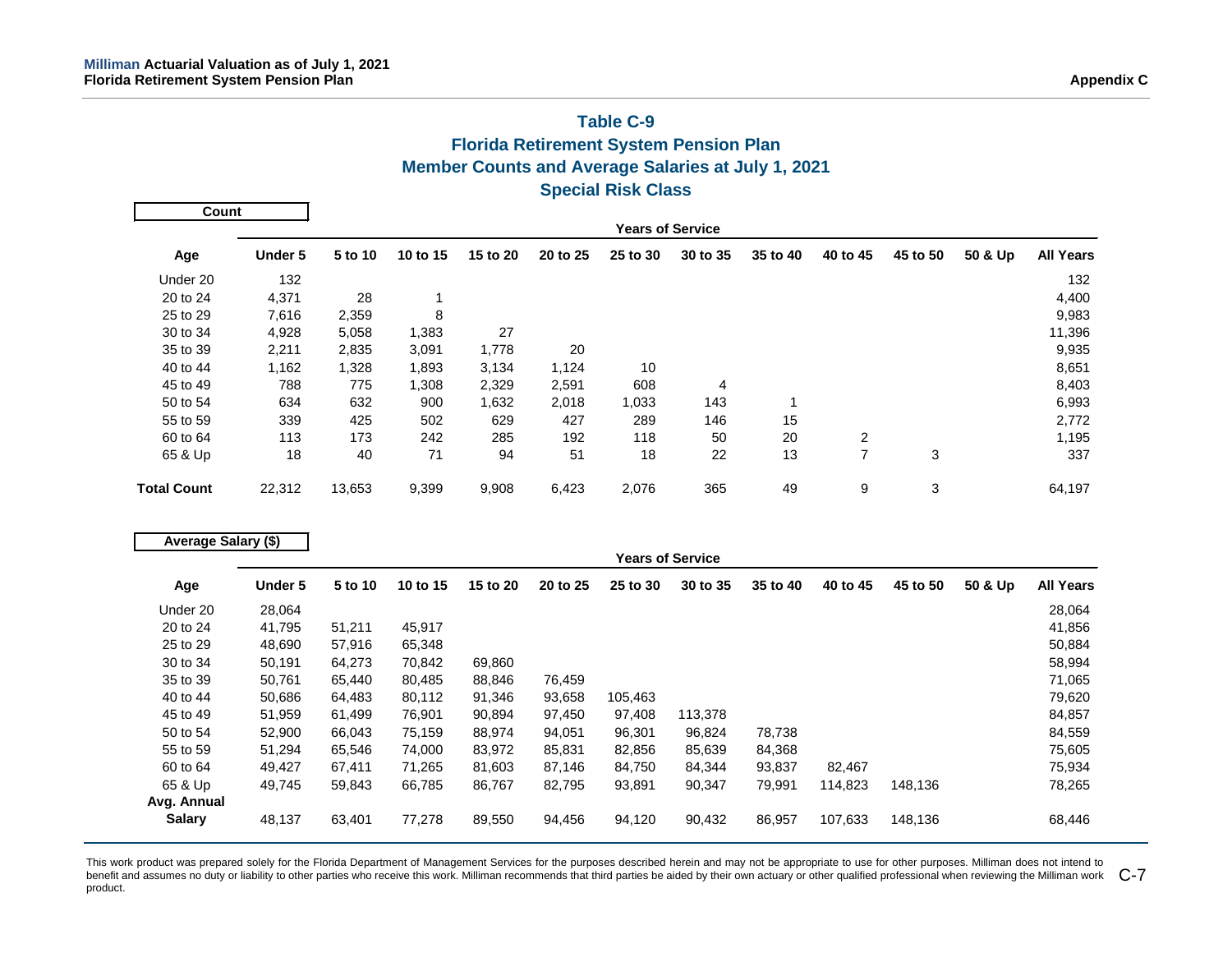## **Table C-9 Florida Retirement System Pension Plan Member Counts and Average Salaries at July 1, 2021 Special Risk Class**

| Count              |                         |         |          |          |          |          |          |          |          |          |         |                  |
|--------------------|-------------------------|---------|----------|----------|----------|----------|----------|----------|----------|----------|---------|------------------|
|                    | <b>Years of Service</b> |         |          |          |          |          |          |          |          |          |         |                  |
| Age                | Under 5                 | 5 to 10 | 10 to 15 | 15 to 20 | 20 to 25 | 25 to 30 | 30 to 35 | 35 to 40 | 40 to 45 | 45 to 50 | 50 & Up | <b>All Years</b> |
| Under 20           | 132                     |         |          |          |          |          |          |          |          |          |         | 132              |
| 20 to 24           | 4,371                   | 28      |          |          |          |          |          |          |          |          |         | 4,400            |
| 25 to 29           | 7,616                   | 2,359   | 8        |          |          |          |          |          |          |          |         | 9,983            |
| 30 to 34           | 4,928                   | 5,058   | 1,383    | 27       |          |          |          |          |          |          |         | 11,396           |
| 35 to 39           | 2,211                   | 2,835   | 3,091    | 1,778    | 20       |          |          |          |          |          |         | 9,935            |
| 40 to 44           | 1,162                   | 1,328   | 1,893    | 3,134    | 1,124    | 10       |          |          |          |          |         | 8,651            |
| 45 to 49           | 788                     | 775     | 1,308    | 2,329    | 2,591    | 608      | 4        |          |          |          |         | 8,403            |
| 50 to 54           | 634                     | 632     | 900      | 1,632    | 2,018    | 1,033    | 143      |          |          |          |         | 6,993            |
| 55 to 59           | 339                     | 425     | 502      | 629      | 427      | 289      | 146      | 15       |          |          |         | 2,772            |
| 60 to 64           | 113                     | 173     | 242      | 285      | 192      | 118      | 50       | 20       | 2        |          |         | 1,195            |
| 65 & Up            | 18                      | 40      | 71       | 94       | 51       | 18       | 22       | 13       | 7        | 3        |         | 337              |
| <b>Total Count</b> | 22,312                  | 13,653  | 9,399    | 9,908    | 6,423    | 2,076    | 365      | 49       | 9        | 3        |         | 64,197           |

| Average Salary (\$) |         |         |          |          |          |          |                         |          |          |          |         |                  |
|---------------------|---------|---------|----------|----------|----------|----------|-------------------------|----------|----------|----------|---------|------------------|
|                     |         |         |          |          |          |          | <b>Years of Service</b> |          |          |          |         |                  |
| Age                 | Under 5 | 5 to 10 | 10 to 15 | 15 to 20 | 20 to 25 | 25 to 30 | 30 to 35                | 35 to 40 | 40 to 45 | 45 to 50 | 50 & Up | <b>All Years</b> |
| Under 20            | 28,064  |         |          |          |          |          |                         |          |          |          |         | 28,064           |
| 20 to 24            | 41,795  | 51,211  | 45,917   |          |          |          |                         |          |          |          |         | 41,856           |
| 25 to 29            | 48,690  | 57,916  | 65,348   |          |          |          |                         |          |          |          |         | 50,884           |
| 30 to 34            | 50,191  | 64,273  | 70,842   | 69,860   |          |          |                         |          |          |          |         | 58,994           |
| 35 to 39            | 50,761  | 65,440  | 80,485   | 88,846   | 76,459   |          |                         |          |          |          |         | 71,065           |
| 40 to 44            | 50,686  | 64,483  | 80,112   | 91,346   | 93,658   | 105,463  |                         |          |          |          |         | 79,620           |
| 45 to 49            | 51,959  | 61,499  | 76,901   | 90,894   | 97,450   | 97,408   | 113,378                 |          |          |          |         | 84,857           |
| 50 to 54            | 52,900  | 66,043  | 75,159   | 88,974   | 94,051   | 96,301   | 96,824                  | 78,738   |          |          |         | 84,559           |
| 55 to 59            | 51,294  | 65,546  | 74,000   | 83,972   | 85,831   | 82,856   | 85,639                  | 84,368   |          |          |         | 75,605           |
| 60 to 64            | 49,427  | 67,411  | 71,265   | 81,603   | 87,146   | 84,750   | 84,344                  | 93,837   | 82,467   |          |         | 75,934           |
| 65 & Up             | 49,745  | 59,843  | 66,785   | 86,767   | 82,795   | 93,891   | 90,347                  | 79,991   | 114,823  | 148,136  |         | 78,265           |
| Avg. Annual         |         |         |          |          |          |          |                         |          |          |          |         |                  |
| <b>Salary</b>       | 48,137  | 63,401  | 77,278   | 89,550   | 94,456   | 94,120   | 90,432                  | 86,957   | 107,633  | 148,136  |         | 68,446           |

This work product was prepared solely for the Florida Department of Management Services for the purposes described herein and may not be appropriate to use for other purposes. Milliman does not intend to benefit and assumes no duty or liability to other parties who receive this work. Milliman recommends that third parties be aided by their own actuary or other qualified professional when reviewing the Milliman work  $\,$  C product.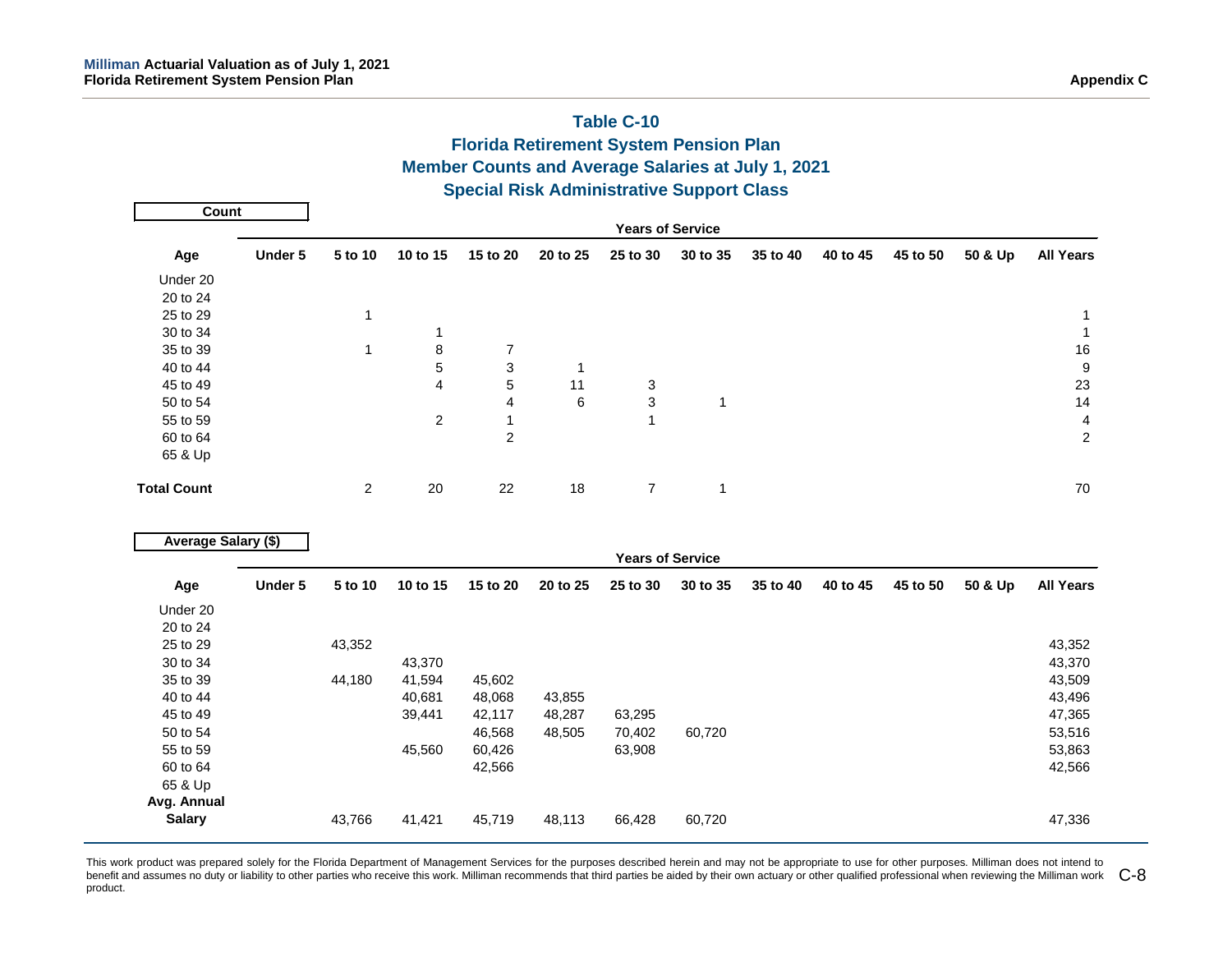|                            |         |                         |          |                  |              | <b>Florida Retirement System Pension Plan</b><br><b>Member Counts and Average Salaries at July 1, 2021</b> |              |          |          |          |         |                         |
|----------------------------|---------|-------------------------|----------|------------------|--------------|------------------------------------------------------------------------------------------------------------|--------------|----------|----------|----------|---------|-------------------------|
|                            |         |                         |          |                  |              | <b>Special Risk Administrative Support Class</b>                                                           |              |          |          |          |         |                         |
| <b>Count</b>               |         |                         |          |                  |              |                                                                                                            |              |          |          |          |         |                         |
|                            |         |                         |          |                  |              | <b>Years of Service</b>                                                                                    |              |          |          |          |         |                         |
| Age                        | Under 5 | 5 to 10                 | 10 to 15 | 15 to 20         | 20 to 25     | 25 to 30                                                                                                   | 30 to 35     | 35 to 40 | 40 to 45 | 45 to 50 | 50 & Up | <b>All Years</b>        |
| Under 20                   |         |                         |          |                  |              |                                                                                                            |              |          |          |          |         |                         |
| 20 to 24                   |         |                         |          |                  |              |                                                                                                            |              |          |          |          |         |                         |
| 25 to 29                   |         | 1                       |          |                  |              |                                                                                                            |              |          |          |          |         | $\mathbf{1}$            |
| 30 to 34                   |         |                         | 1        |                  |              |                                                                                                            |              |          |          |          |         | $\mathbf{1}$            |
| 35 to 39                   |         | $\mathbf{1}$            | 8        | $\boldsymbol{7}$ |              |                                                                                                            |              |          |          |          |         | $16\,$                  |
| 40 to 44                   |         |                         | 5<br>4   | 3                | $\mathbf{1}$ |                                                                                                            |              |          |          |          |         | $\boldsymbol{9}$        |
| 45 to 49<br>50 to 54       |         |                         |          | 5<br>4           | 11<br>6      | 3                                                                                                          |              |          |          |          |         | 23<br>14                |
| 55 to 59                   |         |                         | 2        | $\mathbf{1}$     |              | 3<br>$\mathbf{1}$                                                                                          | $\mathbf 1$  |          |          |          |         | $\overline{\mathbf{4}}$ |
| 60 to 64                   |         |                         |          | $\overline{2}$   |              |                                                                                                            |              |          |          |          |         | $\overline{c}$          |
| 65 & Up                    |         |                         |          |                  |              |                                                                                                            |              |          |          |          |         |                         |
|                            |         |                         |          |                  |              |                                                                                                            |              |          |          |          |         |                         |
| <b>Total Count</b>         |         | $\overline{\mathbf{c}}$ | 20       | 22               | 18           | $\boldsymbol{7}$                                                                                           | $\mathbf{1}$ |          |          |          |         | $70\,$                  |
| <b>Average Salary (\$)</b> |         |                         |          |                  |              |                                                                                                            |              |          |          |          |         |                         |
|                            |         |                         |          |                  |              | <b>Years of Service</b>                                                                                    |              |          |          |          |         |                         |
| Age                        | Under 5 | 5 to 10                 | 10 to 15 | 15 to 20         | 20 to 25     | 25 to 30                                                                                                   | 30 to 35     | 35 to 40 | 40 to 45 | 45 to 50 | 50 & Up | <b>All Years</b>        |
| Under 20                   |         |                         |          |                  |              |                                                                                                            |              |          |          |          |         |                         |
| 20 to 24                   |         |                         |          |                  |              |                                                                                                            |              |          |          |          |         |                         |
| 25 to 29                   |         | 43,352                  |          |                  |              |                                                                                                            |              |          |          |          |         | 43,352                  |
| 30 to 34                   |         |                         | 43,370   |                  |              |                                                                                                            |              |          |          |          |         | 43,370                  |
| 35 to 39                   |         | 44,180                  | 41,594   | 45,602           |              |                                                                                                            |              |          |          |          |         | 43,509                  |
| 40 to 44                   |         |                         | 40,681   | 48,068           | 43,855       |                                                                                                            |              |          |          |          |         | 43,496                  |
| 45 to 49                   |         |                         | 39,441   | 42,117           | 48,287       | 63,295                                                                                                     |              |          |          |          |         | 47,365                  |
| 50 to 54                   |         |                         |          | 46,568           | 48,505       | 70,402                                                                                                     | 60,720       |          |          |          |         | 53,516                  |
| 55 to 59                   |         |                         | 45,560   | 60,426           |              | 63,908                                                                                                     |              |          |          |          |         | 53,863                  |
| 60 to 64                   |         |                         |          | 42,566           |              |                                                                                                            |              |          |          |          |         | 42,566                  |
| 65 & Up                    |         |                         |          |                  |              |                                                                                                            |              |          |          |          |         |                         |
| Avg. Annual                |         |                         |          |                  |              |                                                                                                            |              |          |          |          |         |                         |
| <b>Salary</b>              |         | 43,766                  | 41,421   | 45,719           | 48,113       | 66,428                                                                                                     | 60,720       |          |          |          |         | 47,336                  |

# **Table C-10**

This work product was prepared solely for the Florida Department of Management Services for the purposes described herein and may not be appropriate to use for other purposes. Milliman does not intend to benefit and assumes no duty or liability to other parties who receive this work. Milliman recommends that third parties be aided by their own actuary or other qualified professional when reviewing the Milliman work  $\,$  product.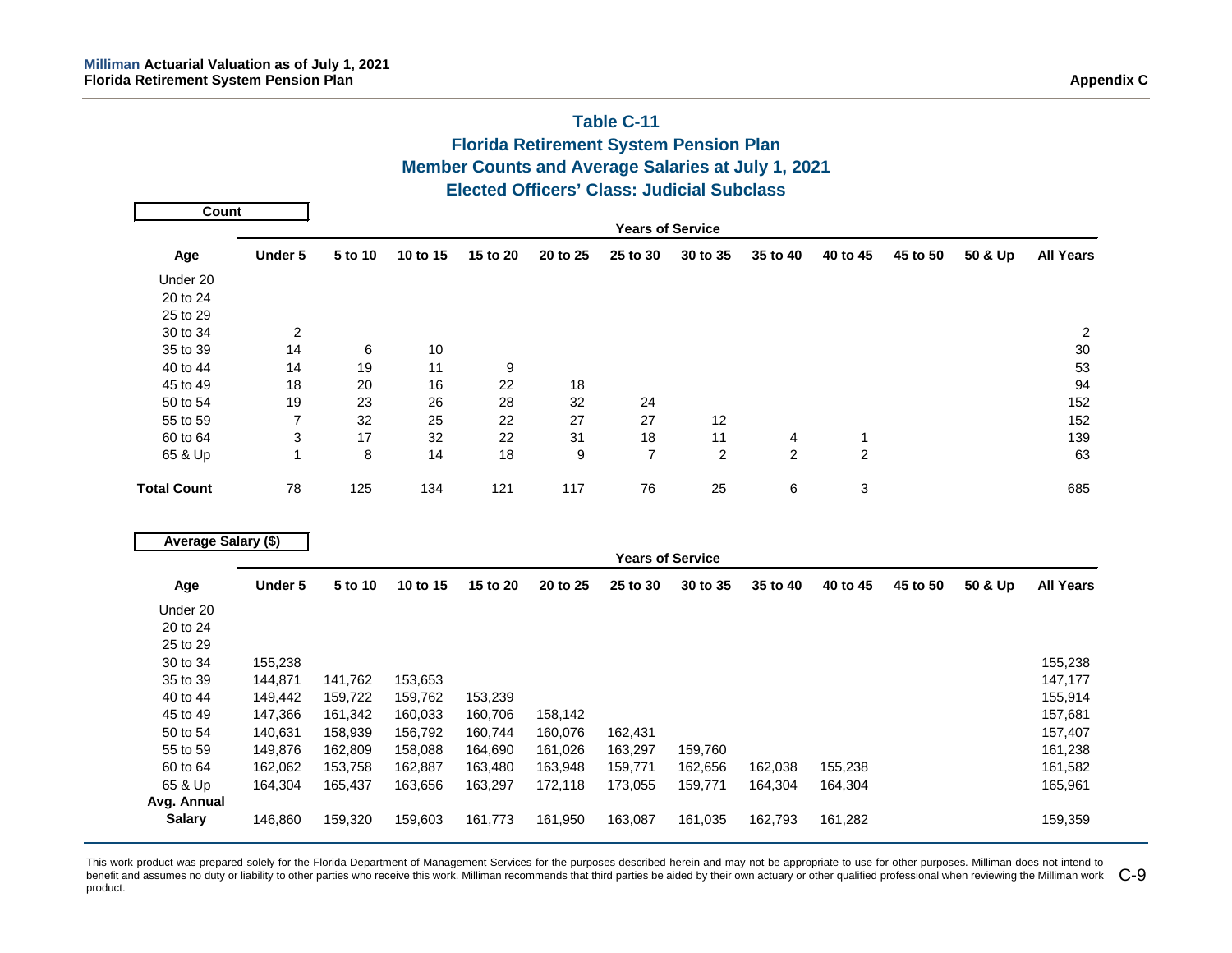## **Table C-11 Florida Retirement System Pension Plan Member Counts and Average Salaries at July 1, 2021 Elected Officers' Class: Judicial Subclass**

| Count              |                         |         |          |          |          |          |          |                |          |          |         |                  |  |  |
|--------------------|-------------------------|---------|----------|----------|----------|----------|----------|----------------|----------|----------|---------|------------------|--|--|
|                    | <b>Years of Service</b> |         |          |          |          |          |          |                |          |          |         |                  |  |  |
| Age                | Under 5                 | 5 to 10 | 10 to 15 | 15 to 20 | 20 to 25 | 25 to 30 | 30 to 35 | 35 to 40       | 40 to 45 | 45 to 50 | 50 & Up | <b>All Years</b> |  |  |
| Under 20           |                         |         |          |          |          |          |          |                |          |          |         |                  |  |  |
| 20 to 24           |                         |         |          |          |          |          |          |                |          |          |         |                  |  |  |
| 25 to 29           |                         |         |          |          |          |          |          |                |          |          |         |                  |  |  |
| 30 to 34           | 2                       |         |          |          |          |          |          |                |          |          |         | 2                |  |  |
| 35 to 39           | 14                      | 6       | 10       |          |          |          |          |                |          |          |         | 30               |  |  |
| 40 to 44           | 14                      | 19      | 11       | 9        |          |          |          |                |          |          |         | 53               |  |  |
| 45 to 49           | 18                      | 20      | 16       | 22       | 18       |          |          |                |          |          |         | 94               |  |  |
| 50 to 54           | 19                      | 23      | 26       | 28       | 32       | 24       |          |                |          |          |         | 152              |  |  |
| 55 to 59           | 7                       | 32      | 25       | 22       | 27       | 27       | 12       |                |          |          |         | 152              |  |  |
| 60 to 64           | 3                       | 17      | 32       | 22       | 31       | 18       | 11       | 4              |          |          |         | 139              |  |  |
| 65 & Up            | 4                       | 8       | 14       | 18       | 9        | 7        | 2        | $\overline{2}$ | 2        |          |         | 63               |  |  |
| <b>Total Count</b> | 78                      | 125     | 134      | 121      | 117      | 76       | 25       | 6              | 3        |          |         | 685              |  |  |

| Average Salary (\$) |         |         |                         |          |          |          |          |          |          |          |         |                  |
|---------------------|---------|---------|-------------------------|----------|----------|----------|----------|----------|----------|----------|---------|------------------|
|                     |         |         | <b>Years of Service</b> |          |          |          |          |          |          |          |         |                  |
| Age                 | Under 5 | 5 to 10 | 10 to 15                | 15 to 20 | 20 to 25 | 25 to 30 | 30 to 35 | 35 to 40 | 40 to 45 | 45 to 50 | 50 & Up | <b>All Years</b> |
| Under 20            |         |         |                         |          |          |          |          |          |          |          |         |                  |
| 20 to 24            |         |         |                         |          |          |          |          |          |          |          |         |                  |
| 25 to 29            |         |         |                         |          |          |          |          |          |          |          |         |                  |
| 30 to 34            | 155,238 |         |                         |          |          |          |          |          |          |          |         | 155,238          |
| 35 to 39            | 144,871 | 141,762 | 153,653                 |          |          |          |          |          |          |          |         | 147,177          |
| 40 to 44            | 149,442 | 159,722 | 159,762                 | 153,239  |          |          |          |          |          |          |         | 155,914          |
| 45 to 49            | 147,366 | 161,342 | 160,033                 | 160,706  | 158,142  |          |          |          |          |          |         | 157,681          |
| 50 to 54            | 140,631 | 158,939 | 156,792                 | 160.744  | 160,076  | 162,431  |          |          |          |          |         | 157,407          |
| 55 to 59            | 149,876 | 162,809 | 158,088                 | 164,690  | 161,026  | 163,297  | 159,760  |          |          |          |         | 161,238          |
| 60 to 64            | 162,062 | 153,758 | 162,887                 | 163,480  | 163,948  | 159,771  | 162,656  | 162,038  | 155,238  |          |         | 161,582          |
| 65 & Up             | 164,304 | 165,437 | 163,656                 | 163,297  | 172,118  | 173,055  | 159,771  | 164,304  | 164,304  |          |         | 165,961          |
| Avg. Annual         |         |         |                         |          |          |          |          |          |          |          |         |                  |
| <b>Salary</b>       | 146,860 | 159,320 | 159,603                 | 161,773  | 161,950  | 163,087  | 161,035  | 162,793  | 161,282  |          |         | 159,359          |

This work product was prepared solely for the Florida Department of Management Services for the purposes described herein and may not be appropriate to use for other purposes. Milliman does not intend to benefit and assumes no duty or liability to other parties who receive this work. Milliman recommends that third parties be aided by their own actuary or other qualified professional when reviewing the Milliman work  $\,$  C product.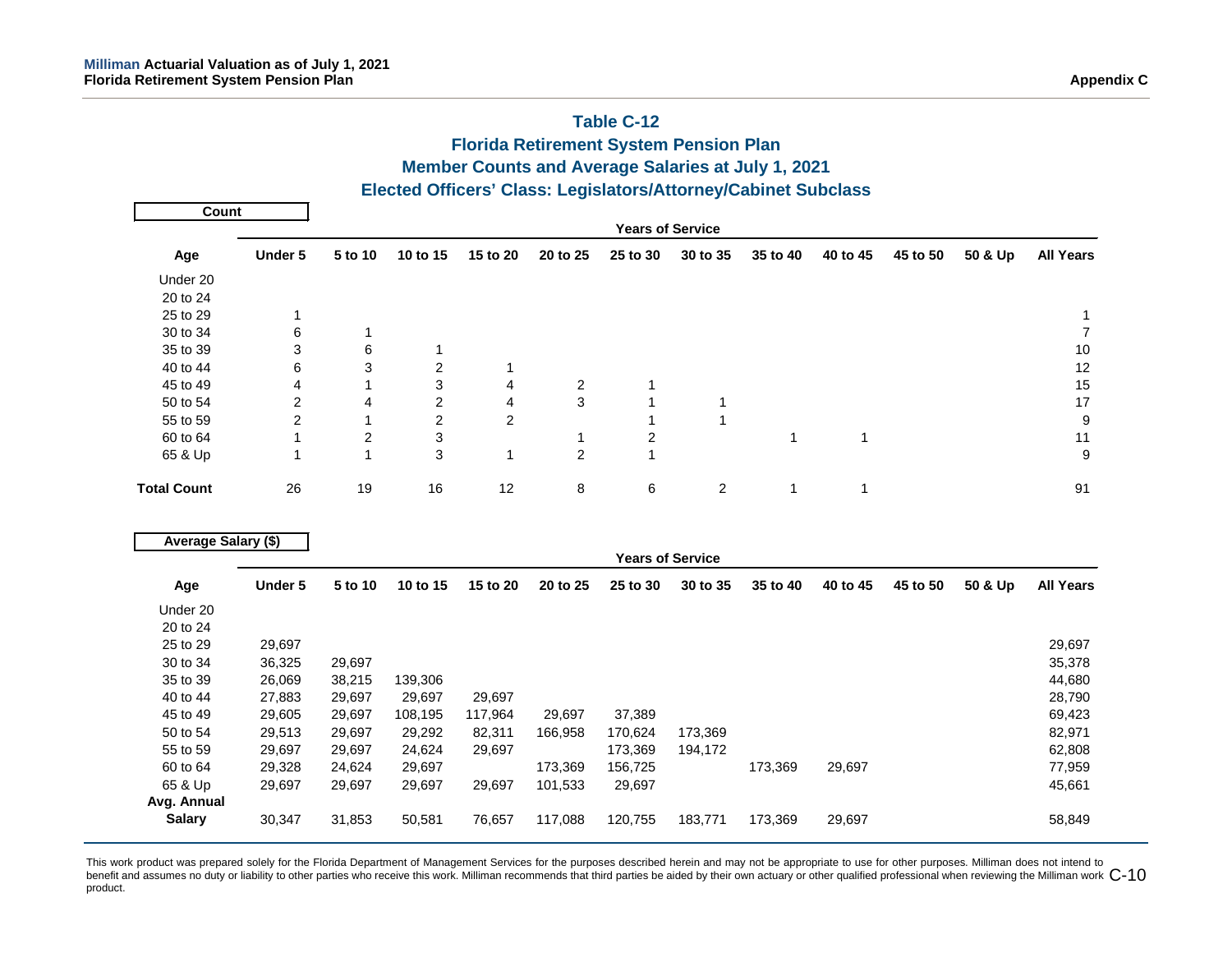## **Table C-12 Florida Retirement System Pension Plan Member Counts and Average Salaries at July 1, 2021 Elected Officers' Class: Legislators/Attorney/Cabinet Subclass Years of Service Age Under 5 5 to 10 10 to 15 15 to 20 20 to 25 25 to 30 30 to 35 35 to 40 40 to 45 45 to 50 50 & Up All Years** Under 20 20 to 24 25 to 29 1 1  $30$  to  $34$  6  $1$  7  $7$  $35$  to  $39$   $3$  6  $1$ 40 to 44 6 3 2 1 45 to 49 1 4 1 3 4 2 1 2 2 1 2 2 1 2 2 1 2 1 3 1 5 50 to 54 2 4 2 4 3 1 1 17 55 to 59 2 1 2 2 1 1 1 2 9 60 to 64 1 2 3 1 2 1 1 11 65 & Up 1 1 3 1 2 1 9 **Total Count** 26 19 16 12 8 6 2 1 1 91 **Years of Service Age Under 5 5 to 10 10 to 15 15 to 20 20 to 25 25 to 30 30 to 35 35 to 40 40 to 45 45 to 50 50 & Up All Years** Under 20 20 to 24 25 to 29 29,697 29,697 30 to 34 36,325 29,697 35,378 35 to 39 26,069 38,215 139,306 44,680 40 to 44 27,883 29,697 29,697 29,697 28,790 45 to 49 29,605 29,697 108,195 117,964 29,697 37,389 69,423 50 to 54 29,513 29,697 29,292 82,311 166,958 170,624 173,369 82,971 55 to 59 29,697 29,697 24,624 29,697 173,369 194,172 62,808 60 to 64 29,328 24,624 29,697 173,369 156,725 173,369 29,697 77,959 65 & Up 29,697 29,697 29,697 29,697 101,533 29,697 45,661 **Avg. Annual Count Average Salary (\$)**

This work product was prepared solely for the Florida Department of Management Services for the purposes described herein and may not be appropriate to use for other purposes. Milliman does not intend to benefit and assumes no duty or liability to other parties who receive this work. Milliman recommends that third parties be aided by their own actuary or other qualified professional when reviewing the Milliman work  $\mathsf{C$ product.

**Salary** 30,347 31,853 50,581 76,657 117,088 120,755 183,771 173,369 29,697 58,849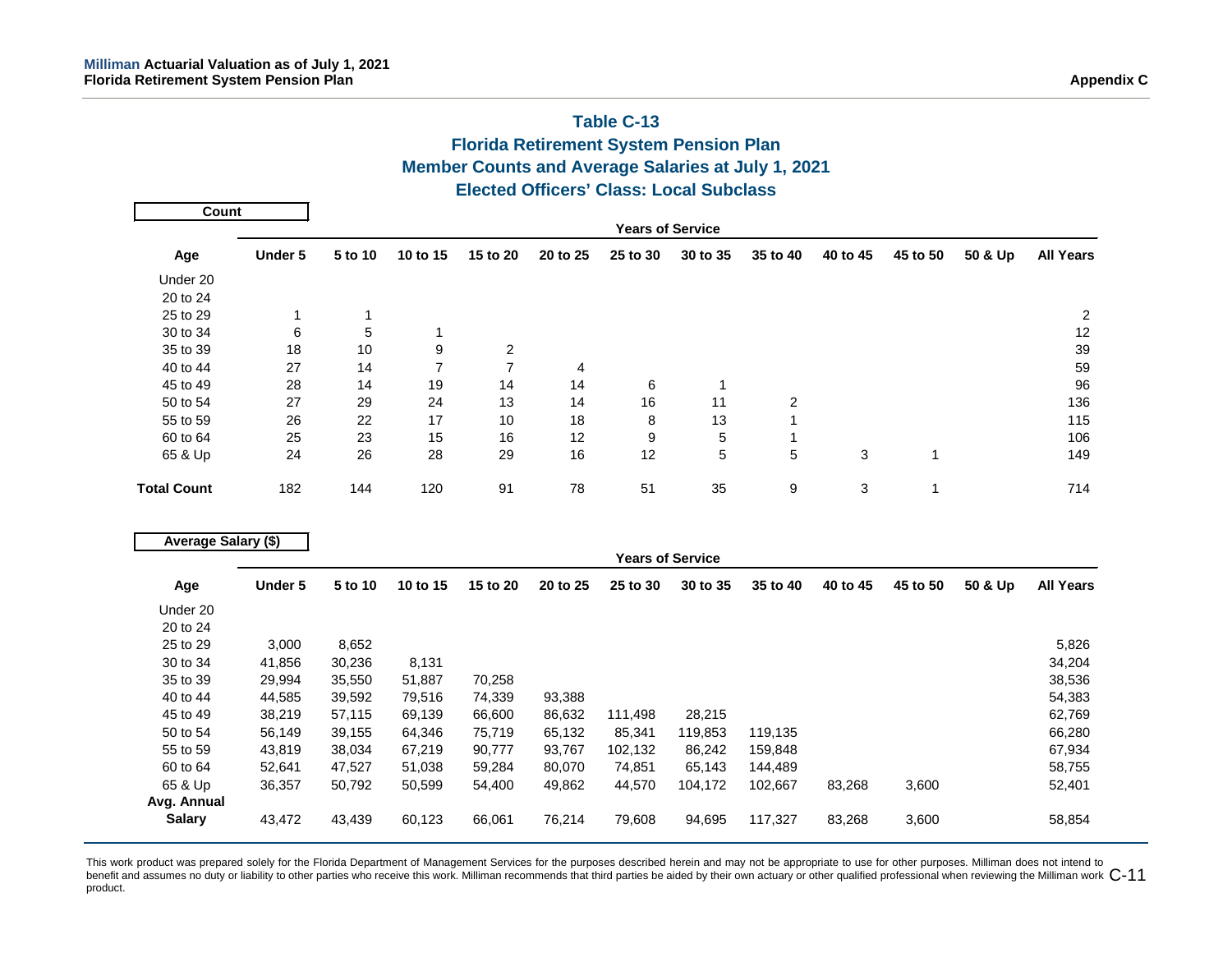## **Table C-13 Florida Retirement System Pension Plan Member Counts and Average Salaries at July 1, 2021 Elected Officers' Class: Local Subclass**

| Count              |         |                         |          |          |                |          |          |          |          |          |         |                  |  |  |
|--------------------|---------|-------------------------|----------|----------|----------------|----------|----------|----------|----------|----------|---------|------------------|--|--|
|                    |         | <b>Years of Service</b> |          |          |                |          |          |          |          |          |         |                  |  |  |
| Age                | Under 5 | 5 to 10                 | 10 to 15 | 15 to 20 | 20 to 25       | 25 to 30 | 30 to 35 | 35 to 40 | 40 to 45 | 45 to 50 | 50 & Up | <b>All Years</b> |  |  |
| Under 20           |         |                         |          |          |                |          |          |          |          |          |         |                  |  |  |
| 20 to 24           |         |                         |          |          |                |          |          |          |          |          |         |                  |  |  |
| 25 to 29           |         |                         |          |          |                |          |          |          |          |          |         | 2                |  |  |
| 30 to 34           | 6       | 5                       |          |          |                |          |          |          |          |          |         | 12               |  |  |
| 35 to 39           | 18      | 10                      | 9        | 2        |                |          |          |          |          |          |         | 39               |  |  |
| 40 to 44           | 27      | 14                      | 7        |          | $\overline{4}$ |          |          |          |          |          |         | 59               |  |  |
| 45 to 49           | 28      | 14                      | 19       | 14       | 14             | 6        |          |          |          |          |         | 96               |  |  |
| 50 to 54           | 27      | 29                      | 24       | 13       | 14             | 16       | 11       | 2        |          |          |         | 136              |  |  |
| 55 to 59           | 26      | 22                      | 17       | 10       | 18             | 8        | 13       |          |          |          |         | 115              |  |  |
| 60 to 64           | 25      | 23                      | 15       | 16       | 12             | 9        | 5        |          |          |          |         | 106              |  |  |
| 65 & Up            | 24      | 26                      | 28       | 29       | 16             | 12       | 5        | 5        | 3        |          |         | 149              |  |  |
| <b>Total Count</b> | 182     | 144                     | 120      | 91       | 78             | 51       | 35       | 9        | 3        |          |         | 714              |  |  |

| Average Salary (\$) |                         |         |          |          |          |          |          |          |          |          |         |                  |  |  |
|---------------------|-------------------------|---------|----------|----------|----------|----------|----------|----------|----------|----------|---------|------------------|--|--|
|                     | <b>Years of Service</b> |         |          |          |          |          |          |          |          |          |         |                  |  |  |
| Age                 | Under 5                 | 5 to 10 | 10 to 15 | 15 to 20 | 20 to 25 | 25 to 30 | 30 to 35 | 35 to 40 | 40 to 45 | 45 to 50 | 50 & Up | <b>All Years</b> |  |  |
| Under 20            |                         |         |          |          |          |          |          |          |          |          |         |                  |  |  |
| 20 to 24            |                         |         |          |          |          |          |          |          |          |          |         |                  |  |  |
| 25 to 29            | 3,000                   | 8,652   |          |          |          |          |          |          |          |          |         | 5,826            |  |  |
| 30 to 34            | 41,856                  | 30,236  | 8,131    |          |          |          |          |          |          |          |         | 34,204           |  |  |
| 35 to 39            | 29,994                  | 35,550  | 51,887   | 70,258   |          |          |          |          |          |          |         | 38,536           |  |  |
| 40 to 44            | 44,585                  | 39,592  | 79,516   | 74,339   | 93,388   |          |          |          |          |          |         | 54,383           |  |  |
| 45 to 49            | 38,219                  | 57,115  | 69,139   | 66,600   | 86,632   | 111,498  | 28,215   |          |          |          |         | 62,769           |  |  |
| 50 to 54            | 56,149                  | 39,155  | 64,346   | 75,719   | 65,132   | 85,341   | 119,853  | 119,135  |          |          |         | 66,280           |  |  |
| 55 to 59            | 43,819                  | 38,034  | 67,219   | 90,777   | 93,767   | 102.132  | 86,242   | 159,848  |          |          |         | 67,934           |  |  |
| 60 to 64            | 52,641                  | 47,527  | 51,038   | 59,284   | 80,070   | 74,851   | 65,143   | 144,489  |          |          |         | 58,755           |  |  |
| 65 & Up             | 36,357                  | 50,792  | 50,599   | 54,400   | 49,862   | 44,570   | 104,172  | 102,667  | 83,268   | 3,600    |         | 52,401           |  |  |
| Avg. Annual         |                         |         |          |          |          |          |          |          |          |          |         |                  |  |  |
| <b>Salary</b>       | 43,472                  | 43,439  | 60,123   | 66,061   | 76,214   | 79,608   | 94,695   | 117,327  | 83,268   | 3,600    |         | 58,854           |  |  |

This work product was prepared solely for the Florida Department of Management Services for the purposes described herein and may not be appropriate to use for other purposes. Milliman does not intend to benefit and assumes no duty or liability to other parties who receive this work. Milliman recommends that third parties be aided by their own actuary or other qualified professional when reviewing the Milliman work  $\mathsf{C$ product.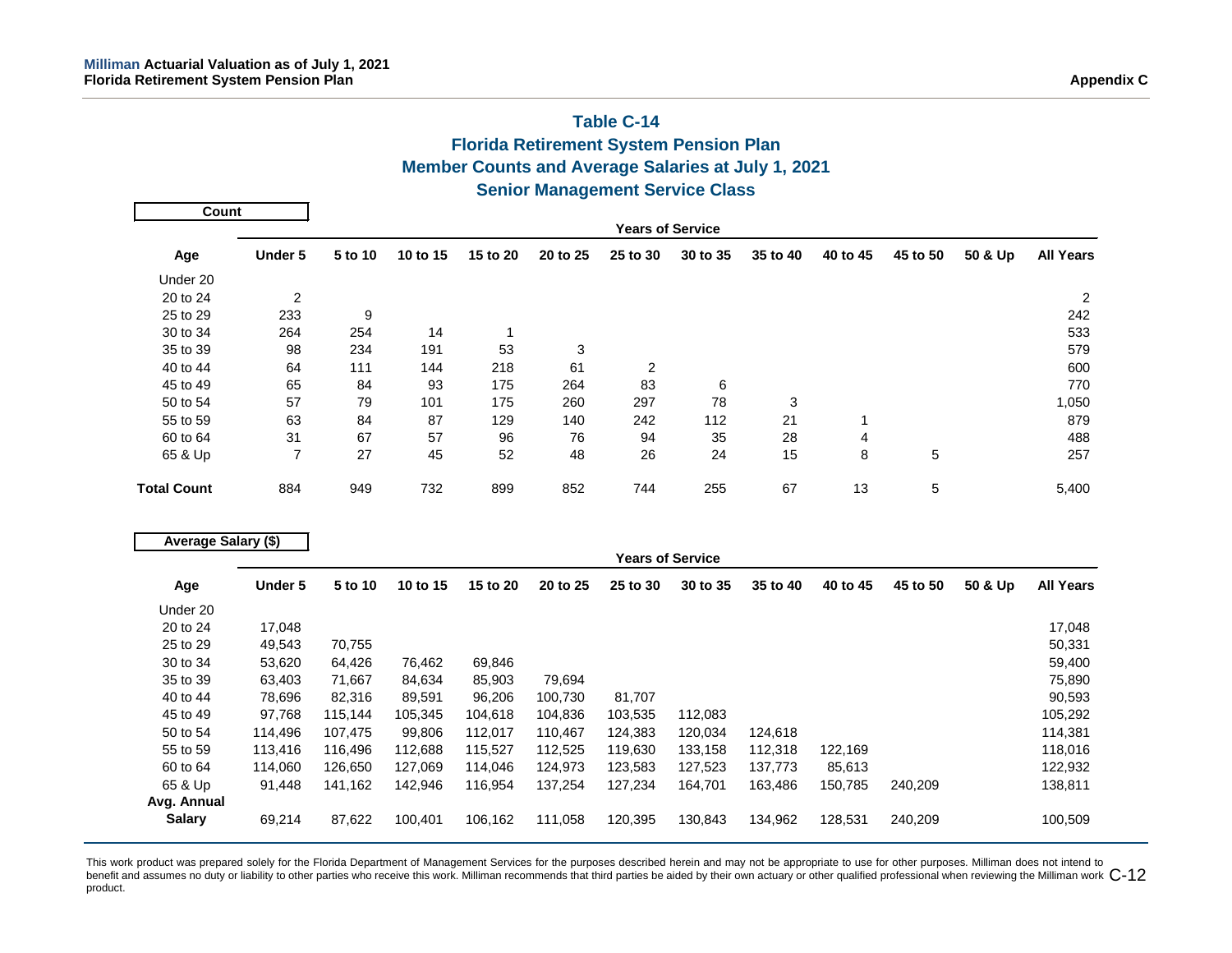## **Table C-14 Florida Retirement System Pension Plan Member Counts and Average Salaries at July 1, 2021 Senior Management Service Class**

| Count              |         |         |          |          |          |                |                         |          |          |          |         |                  |
|--------------------|---------|---------|----------|----------|----------|----------------|-------------------------|----------|----------|----------|---------|------------------|
|                    |         |         |          |          |          |                | <b>Years of Service</b> |          |          |          |         |                  |
| Age                | Under 5 | 5 to 10 | 10 to 15 | 15 to 20 | 20 to 25 | 25 to 30       | 30 to 35                | 35 to 40 | 40 to 45 | 45 to 50 | 50 & Up | <b>All Years</b> |
| Under 20           |         |         |          |          |          |                |                         |          |          |          |         |                  |
| 20 to 24           | 2       |         |          |          |          |                |                         |          |          |          |         | 2                |
| 25 to 29           | 233     | 9       |          |          |          |                |                         |          |          |          |         | 242              |
| 30 to 34           | 264     | 254     | 14       |          |          |                |                         |          |          |          |         | 533              |
| 35 to 39           | 98      | 234     | 191      | 53       | 3        |                |                         |          |          |          |         | 579              |
| 40 to 44           | 64      | 111     | 144      | 218      | 61       | $\overline{2}$ |                         |          |          |          |         | 600              |
| 45 to 49           | 65      | 84      | 93       | 175      | 264      | 83             | 6                       |          |          |          |         | 770              |
| 50 to 54           | 57      | 79      | 101      | 175      | 260      | 297            | 78                      | 3        |          |          |         | 1,050            |
| 55 to 59           | 63      | 84      | 87       | 129      | 140      | 242            | 112                     | 21       |          |          |         | 879              |
| 60 to 64           | 31      | 67      | 57       | 96       | 76       | 94             | 35                      | 28       | 4        |          |         | 488              |
| 65 & Up            | 7       | 27      | 45       | 52       | 48       | 26             | 24                      | 15       | 8        | 5        |         | 257              |
| <b>Total Count</b> | 884     | 949     | 732      | 899      | 852      | 744            | 255                     | 67       | 13       | 5        |         | 5,400            |

|               | Average Salary (\$) |         |          |          |          |          |                         |          |          |          |         |                  |
|---------------|---------------------|---------|----------|----------|----------|----------|-------------------------|----------|----------|----------|---------|------------------|
|               |                     |         |          |          |          |          | <b>Years of Service</b> |          |          |          |         |                  |
| Age           | Under 5             | 5 to 10 | 10 to 15 | 15 to 20 | 20 to 25 | 25 to 30 | 30 to 35                | 35 to 40 | 40 to 45 | 45 to 50 | 50 & Up | <b>All Years</b> |
| Under 20      |                     |         |          |          |          |          |                         |          |          |          |         |                  |
| 20 to 24      | 17,048              |         |          |          |          |          |                         |          |          |          |         | 17,048           |
| 25 to 29      | 49,543              | 70,755  |          |          |          |          |                         |          |          |          |         | 50,331           |
| 30 to 34      | 53,620              | 64,426  | 76,462   | 69,846   |          |          |                         |          |          |          |         | 59,400           |
| 35 to 39      | 63,403              | 71,667  | 84,634   | 85,903   | 79,694   |          |                         |          |          |          |         | 75,890           |
| 40 to 44      | 78,696              | 82,316  | 89,591   | 96,206   | 100,730  | 81,707   |                         |          |          |          |         | 90,593           |
| 45 to 49      | 97,768              | 115,144 | 105,345  | 104.618  | 104,836  | 103,535  | 112,083                 |          |          |          |         | 105,292          |
| 50 to 54      | 114,496             | 107,475 | 99,806   | 112,017  | 110,467  | 124,383  | 120,034                 | 124,618  |          |          |         | 114,381          |
| 55 to 59      | 113,416             | 116,496 | 112,688  | 115,527  | 112,525  | 119,630  | 133,158                 | 112,318  | 122,169  |          |         | 118,016          |
| 60 to 64      | 114,060             | 126,650 | 127,069  | 114,046  | 124,973  | 123,583  | 127,523                 | 137,773  | 85,613   |          |         | 122,932          |
| 65 & Up       | 91,448              | 141,162 | 142,946  | 116,954  | 137,254  | 127,234  | 164,701                 | 163,486  | 150,785  | 240,209  |         | 138,811          |
| Avg. Annual   |                     |         |          |          |          |          |                         |          |          |          |         |                  |
| <b>Salary</b> | 69,214              | 87,622  | 100,401  | 106,162  | 111,058  | 120,395  | 130,843                 | 134,962  | 128,531  | 240,209  |         | 100,509          |

This work product was prepared solely for the Florida Department of Management Services for the purposes described herein and may not be appropriate to use for other purposes. Milliman does not intend to benefit and assumes no duty or liability to other parties who receive this work. Milliman recommends that third parties be aided by their own actuary or other qualified professional when reviewing the Milliman work  $\mathsf{C$ product.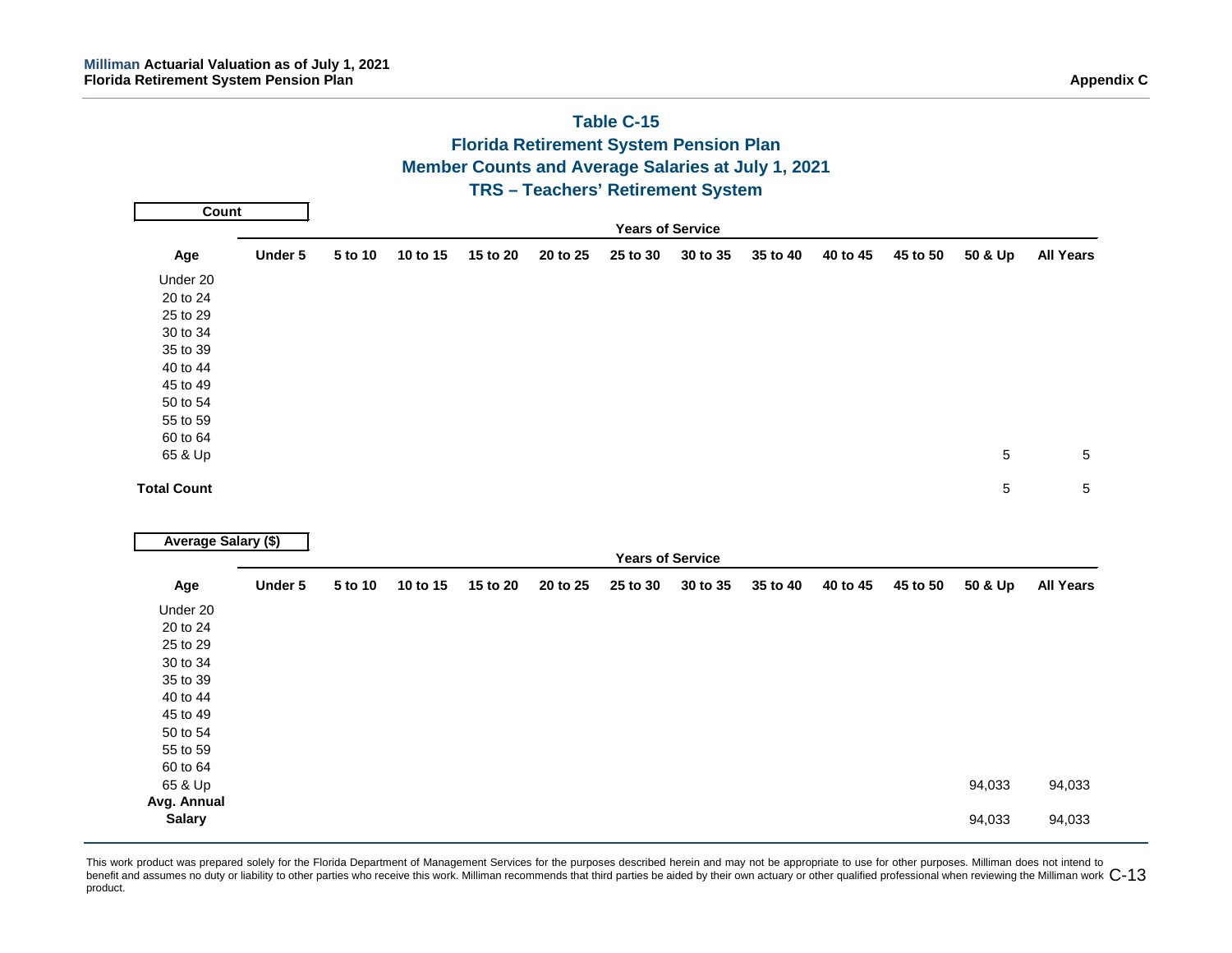## **Table C-15 Florida Retirement System Pension Plan Member Counts and Average Salaries at July 1, 2021 TRS – Teachers' Retirement System Years of Service Age Under 5 5 to 10 10 to 15 15 to 20 20 to 25 25 to 30 30 to 35 35 to 40 40 to 45 45 to 50 50 & Up All Years** Under 20 20 to 24 25 to 29 30 to 34 35 to 39 40 to 44 45 to 49 50 to 54 55 to 59 60 to 64 65 & Up 5 5 **Total Count** 5 5 **Years of Service Age Under 5 5 to 10 10 to 15 15 to 20 20 to 25 25 to 30 30 to 35 35 to 40 40 to 45 45 to 50 50 & Up All Years** Under 20 20 to 24 25 to 29 30 to 34 35 to 39 40 to 44 45 to 49 50 to 54 55 to 59 60 to 64 65 & Up 94,033 94,033 **Avg. Annual Salary** 94,033 94,033 **Count Average Salary (\$)**

#### This work product was prepared solely for the Florida Department of Management Services for the purposes described herein and may not be appropriate to use for other purposes. Milliman does not intend to benefit and assumes no duty or liability to other parties who receive this work. Milliman recommends that third parties be aided by their own actuary or other qualified professional when reviewing the Milliman work  $\mathsf{C$ product.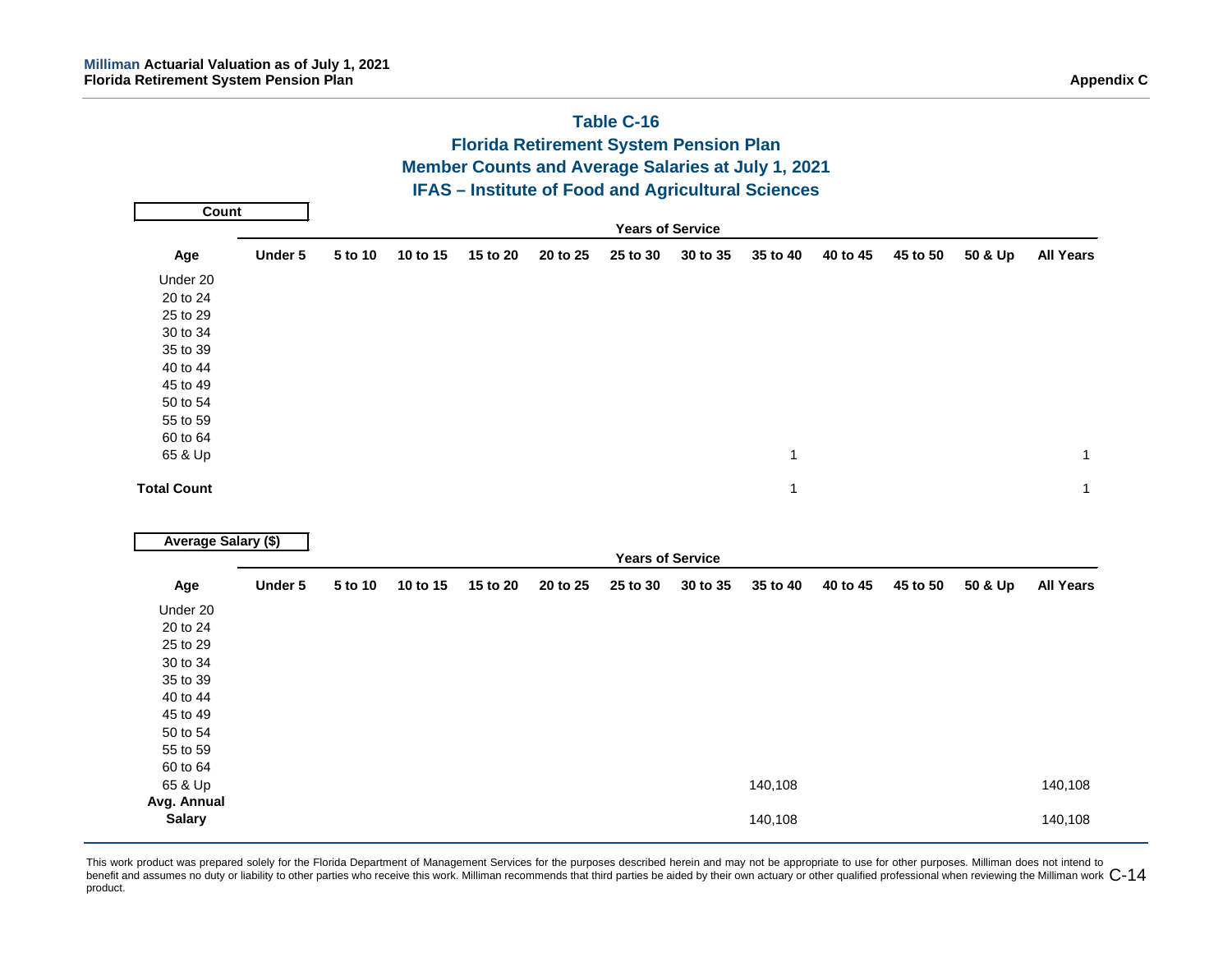|                            |         |         |          |          |          | $I$ and $C$ - $I$<br><b>Florida Retirement System Pension Plan</b> |          |              |          |          |         |                  |
|----------------------------|---------|---------|----------|----------|----------|--------------------------------------------------------------------|----------|--------------|----------|----------|---------|------------------|
|                            |         |         |          |          |          | Member Counts and Average Salaries at July 1, 2021                 |          |              |          |          |         |                  |
|                            |         |         |          |          |          | <b>IFAS - Institute of Food and Agricultural Sciences</b>          |          |              |          |          |         |                  |
| <b>Count</b>               |         |         |          |          |          |                                                                    |          |              |          |          |         |                  |
|                            |         |         |          |          |          | <b>Years of Service</b>                                            |          |              |          |          |         |                  |
| Age                        | Under 5 | 5 to 10 | 10 to 15 | 15 to 20 | 20 to 25 | 25 to 30                                                           | 30 to 35 | 35 to 40     | 40 to 45 | 45 to 50 | 50 & Up | <b>All Years</b> |
| Under 20                   |         |         |          |          |          |                                                                    |          |              |          |          |         |                  |
| 20 to 24                   |         |         |          |          |          |                                                                    |          |              |          |          |         |                  |
| 25 to 29                   |         |         |          |          |          |                                                                    |          |              |          |          |         |                  |
| 30 to 34                   |         |         |          |          |          |                                                                    |          |              |          |          |         |                  |
| 35 to 39                   |         |         |          |          |          |                                                                    |          |              |          |          |         |                  |
| 40 to 44                   |         |         |          |          |          |                                                                    |          |              |          |          |         |                  |
| 45 to 49                   |         |         |          |          |          |                                                                    |          |              |          |          |         |                  |
| 50 to 54                   |         |         |          |          |          |                                                                    |          |              |          |          |         |                  |
| 55 to 59                   |         |         |          |          |          |                                                                    |          |              |          |          |         |                  |
| 60 to 64                   |         |         |          |          |          |                                                                    |          |              |          |          |         |                  |
| 65 & Up                    |         |         |          |          |          |                                                                    |          | $\mathbf{1}$ |          |          |         | $\mathbf{1}$     |
| <b>Total Count</b>         |         |         |          |          |          |                                                                    |          | $\mathbf{1}$ |          |          |         | $\mathbf{1}$     |
|                            |         |         |          |          |          |                                                                    |          |              |          |          |         |                  |
| <b>Average Salary (\$)</b> |         |         |          |          |          | <b>Years of Service</b>                                            |          |              |          |          |         |                  |
| Age                        | Under 5 | 5 to 10 | 10 to 15 | 15 to 20 | 20 to 25 | 25 to 30                                                           | 30 to 35 | 35 to 40     | 40 to 45 | 45 to 50 | 50 & Up | <b>All Years</b> |
| Under 20                   |         |         |          |          |          |                                                                    |          |              |          |          |         |                  |
| 20 to 24                   |         |         |          |          |          |                                                                    |          |              |          |          |         |                  |
| 25 to 29                   |         |         |          |          |          |                                                                    |          |              |          |          |         |                  |
| 30 to 34                   |         |         |          |          |          |                                                                    |          |              |          |          |         |                  |
| 35 to 39                   |         |         |          |          |          |                                                                    |          |              |          |          |         |                  |
| 40 to 44                   |         |         |          |          |          |                                                                    |          |              |          |          |         |                  |
| 45 to 49                   |         |         |          |          |          |                                                                    |          |              |          |          |         |                  |
| 50 to 54                   |         |         |          |          |          |                                                                    |          |              |          |          |         |                  |
| 55 to 59                   |         |         |          |          |          |                                                                    |          |              |          |          |         |                  |
| 60 to 64                   |         |         |          |          |          |                                                                    |          |              |          |          |         |                  |
| 65 & Up                    |         |         |          |          |          |                                                                    |          | 140,108      |          |          |         | 140,108          |
| Avg. Annual                |         |         |          |          |          |                                                                    |          |              |          |          |         |                  |
| <b>Salary</b>              |         |         |          |          |          |                                                                    |          | 140,108      |          |          |         | 140,108          |

## **Table C-16**

This work product was prepared solely for the Florida Department of Management Services for the purposes described herein and may not be appropriate to use for other purposes. Milliman does not intend to benefit and assumes no duty or liability to other parties who receive this work. Milliman recommends that third parties be aided by their own actuary or other qualified professional when reviewing the Milliman work  $\mathsf{C$ product.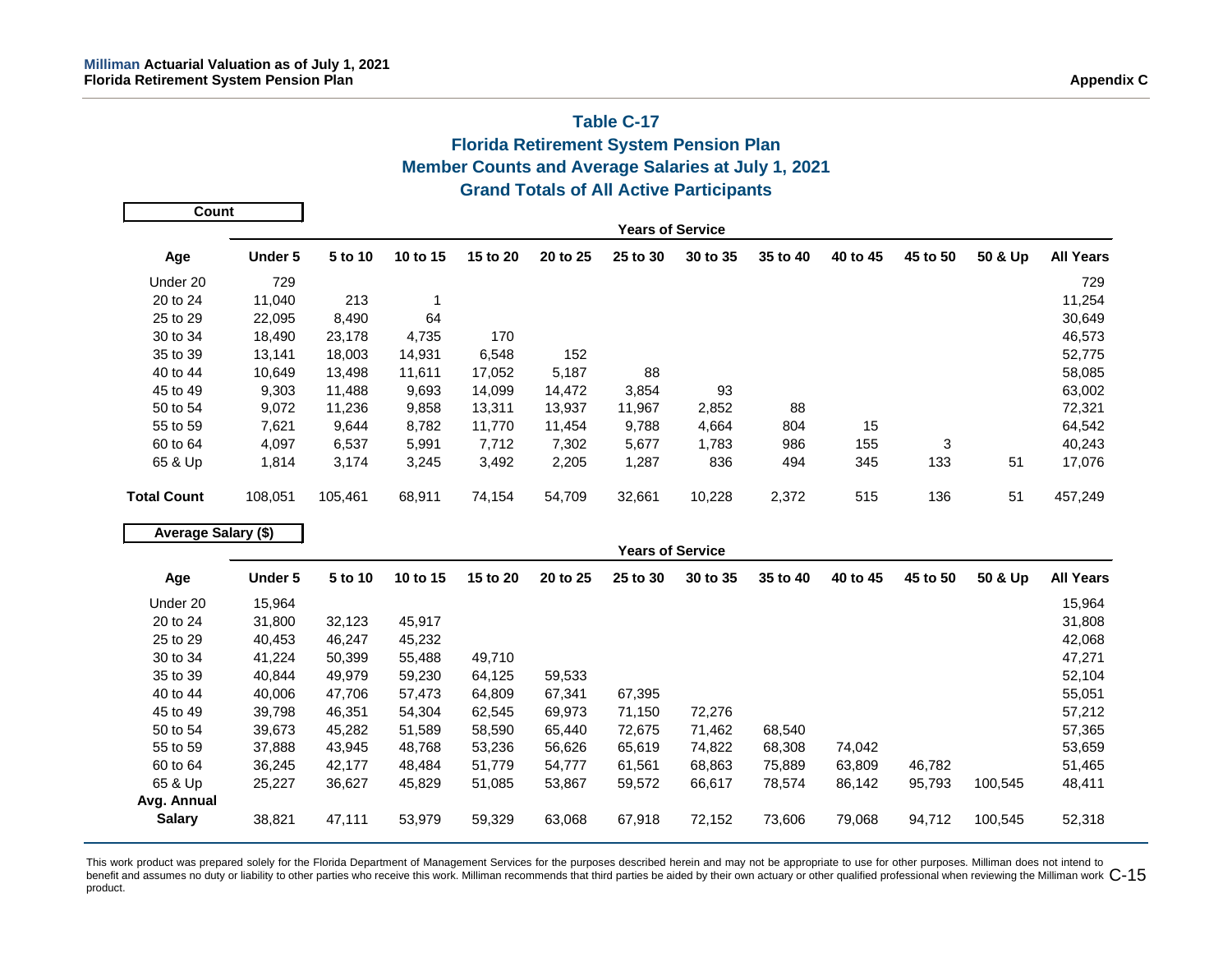## **Table C-17 Florida Retirement System Pension Plan Member Counts and Average Salaries at July 1, 2021 Grand Totals of All Active Participants**

| Count              |         |         |          |          |          |                         |          |          |          |          |         |                  |
|--------------------|---------|---------|----------|----------|----------|-------------------------|----------|----------|----------|----------|---------|------------------|
|                    |         |         |          |          |          | <b>Years of Service</b> |          |          |          |          |         |                  |
| Age                | Under 5 | 5 to 10 | 10 to 15 | 15 to 20 | 20 to 25 | 25 to 30                | 30 to 35 | 35 to 40 | 40 to 45 | 45 to 50 | 50 & Up | <b>All Years</b> |
| Under 20           | 729     |         |          |          |          |                         |          |          |          |          |         | 729              |
| 20 to 24           | 11,040  | 213     |          |          |          |                         |          |          |          |          |         | 11,254           |
| 25 to 29           | 22,095  | 8,490   | 64       |          |          |                         |          |          |          |          |         | 30,649           |
| 30 to 34           | 18,490  | 23,178  | 4,735    | 170      |          |                         |          |          |          |          |         | 46,573           |
| 35 to 39           | 13,141  | 18,003  | 14,931   | 6,548    | 152      |                         |          |          |          |          |         | 52,775           |
| 40 to 44           | 10,649  | 13,498  | 11,611   | 17,052   | 5,187    | 88                      |          |          |          |          |         | 58,085           |
| 45 to 49           | 9,303   | 11,488  | 9,693    | 14,099   | 14,472   | 3,854                   | 93       |          |          |          |         | 63,002           |
| 50 to 54           | 9,072   | 11,236  | 9,858    | 13,311   | 13,937   | 11,967                  | 2,852    | 88       |          |          |         | 72,321           |
| 55 to 59           | 7,621   | 9,644   | 8,782    | 11.770   | 11,454   | 9,788                   | 4,664    | 804      | 15       |          |         | 64,542           |
| 60 to 64           | 4,097   | 6,537   | 5,991    | 7,712    | 7,302    | 5,677                   | 1,783    | 986      | 155      | 3        |         | 40,243           |
| 65 & Up            | 1,814   | 3,174   | 3,245    | 3,492    | 2,205    | 1,287                   | 836      | 494      | 345      | 133      | 51      | 17,076           |
| <b>Total Count</b> | 108,051 | 105,461 | 68,911   | 74,154   | 54,709   | 32,661                  | 10,228   | 2,372    | 515      | 136      | 51      | 457,249          |

| Average Salary (\$) |         |         |          |          |          |                         |          |          |          |          |         |                  |
|---------------------|---------|---------|----------|----------|----------|-------------------------|----------|----------|----------|----------|---------|------------------|
|                     |         |         |          |          |          | <b>Years of Service</b> |          |          |          |          |         |                  |
| Age                 | Under 5 | 5 to 10 | 10 to 15 | 15 to 20 | 20 to 25 | 25 to 30                | 30 to 35 | 35 to 40 | 40 to 45 | 45 to 50 | 50 & Up | <b>All Years</b> |
| Under 20            | 15,964  |         |          |          |          |                         |          |          |          |          |         | 15,964           |
| 20 to 24            | 31,800  | 32,123  | 45,917   |          |          |                         |          |          |          |          |         | 31,808           |
| 25 to 29            | 40,453  | 46,247  | 45,232   |          |          |                         |          |          |          |          |         | 42,068           |
| 30 to 34            | 41,224  | 50,399  | 55.488   | 49,710   |          |                         |          |          |          |          |         | 47,271           |
| 35 to 39            | 40,844  | 49,979  | 59,230   | 64,125   | 59,533   |                         |          |          |          |          |         | 52,104           |
| 40 to 44            | 40,006  | 47,706  | 57,473   | 64,809   | 67,341   | 67,395                  |          |          |          |          |         | 55,051           |
| 45 to 49            | 39,798  | 46,351  | 54,304   | 62,545   | 69,973   | 71,150                  | 72,276   |          |          |          |         | 57,212           |
| 50 to 54            | 39,673  | 45,282  | 51,589   | 58,590   | 65,440   | 72,675                  | 71,462   | 68,540   |          |          |         | 57,365           |
| 55 to 59            | 37,888  | 43,945  | 48,768   | 53,236   | 56,626   | 65,619                  | 74,822   | 68,308   | 74,042   |          |         | 53,659           |
| 60 to 64            | 36,245  | 42,177  | 48.484   | 51,779   | 54,777   | 61,561                  | 68,863   | 75,889   | 63,809   | 46,782   |         | 51,465           |
| 65 & Up             | 25,227  | 36,627  | 45,829   | 51,085   | 53,867   | 59,572                  | 66,617   | 78,574   | 86,142   | 95,793   | 100,545 | 48,411           |
| Avg. Annual         |         |         |          |          |          |                         |          |          |          |          |         |                  |
| <b>Salary</b>       | 38,821  | 47,111  | 53,979   | 59,329   | 63,068   | 67,918                  | 72,152   | 73,606   | 79,068   | 94,712   | 100,545 | 52,318           |

This work product was prepared solely for the Florida Department of Management Services for the purposes described herein and may not be appropriate to use for other purposes. Milliman does not intend to benefit and assumes no duty or liability to other parties who receive this work. Milliman recommends that third parties be aided by their own actuary or other qualified professional when reviewing the Milliman work  $\mathsf{C$ product.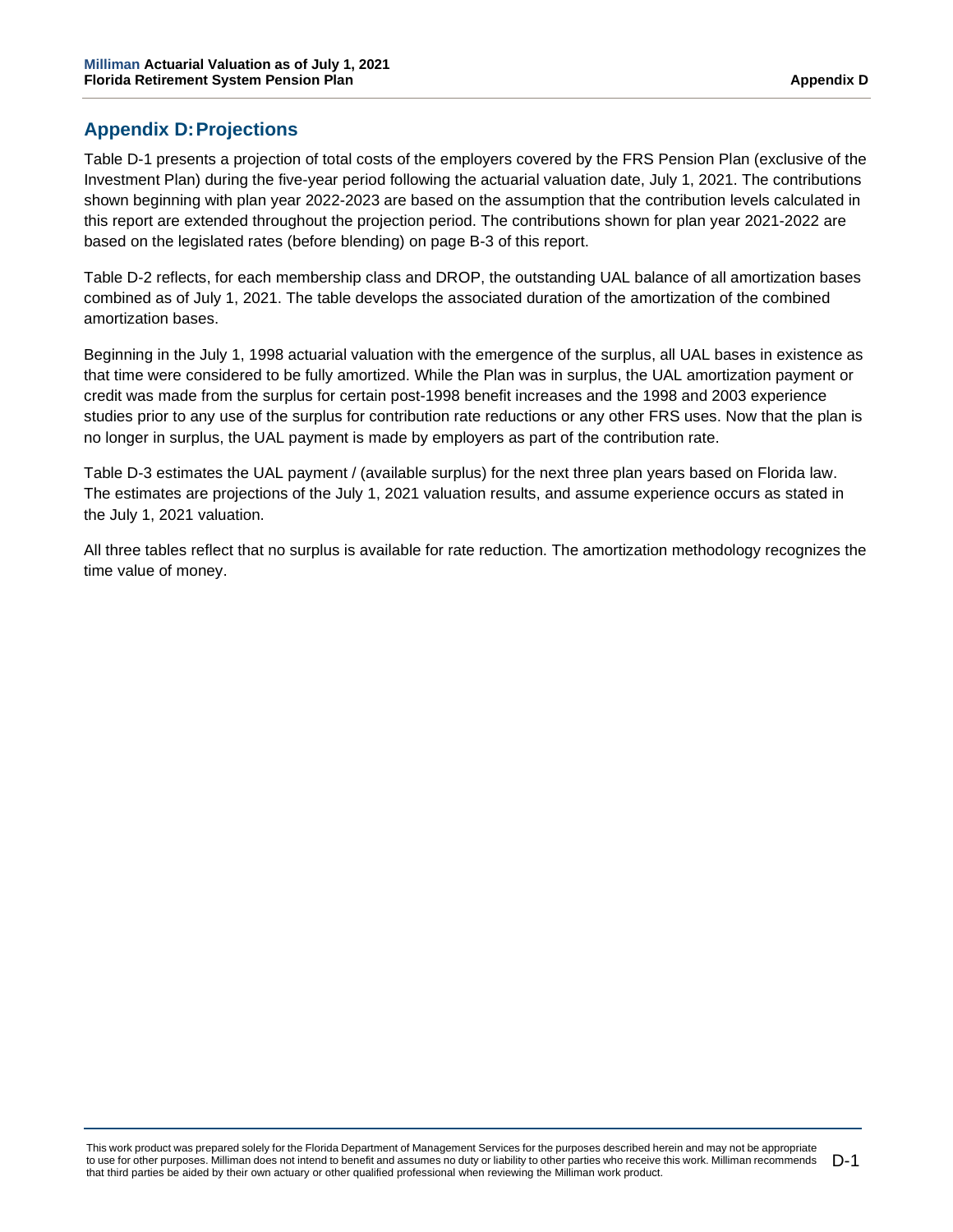## **Appendix D:Projections**

Table D-1 presents a projection of total costs of the employers covered by the FRS Pension Plan (exclusive of the Investment Plan) during the five-year period following the actuarial valuation date, July 1, 2021. The contributions shown beginning with plan year 2022-2023 are based on the assumption that the contribution levels calculated in this report are extended throughout the projection period. The contributions shown for plan year 2021-2022 are based on the legislated rates (before blending) on page B-3 of this report.

Table D-2 reflects, for each membership class and DROP, the outstanding UAL balance of all amortization bases combined as of July 1, 2021. The table develops the associated duration of the amortization of the combined amortization bases.

Beginning in the July 1, 1998 actuarial valuation with the emergence of the surplus, all UAL bases in existence as that time were considered to be fully amortized. While the Plan was in surplus, the UAL amortization payment or credit was made from the surplus for certain post-1998 benefit increases and the 1998 and 2003 experience studies prior to any use of the surplus for contribution rate reductions or any other FRS uses. Now that the plan is no longer in surplus, the UAL payment is made by employers as part of the contribution rate.

Table D-3 estimates the UAL payment / (available surplus) for the next three plan years based on Florida law. The estimates are projections of the July 1, 2021 valuation results, and assume experience occurs as stated in the July 1, 2021 valuation.

All three tables reflect that no surplus is available for rate reduction. The amortization methodology recognizes the time value of money.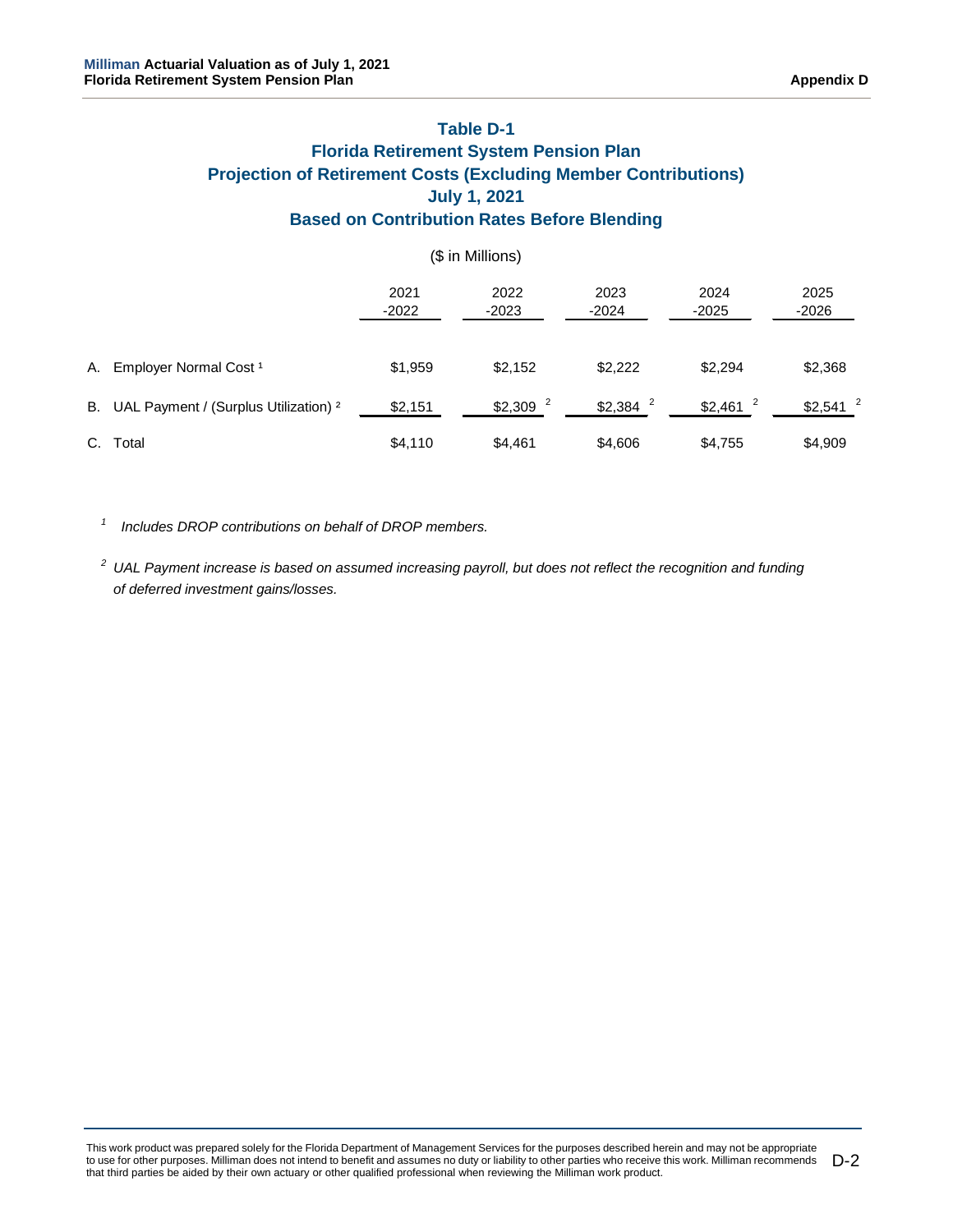## **Table D-1 Florida Retirement System Pension Plan Projection of Retirement Costs (Excluding Member Contributions) July 1, 2021 Based on Contribution Rates Before Blending**

|    |                                                     |                 | (\$ in Millions)      |                       |                       |                       |
|----|-----------------------------------------------------|-----------------|-----------------------|-----------------------|-----------------------|-----------------------|
|    |                                                     | 2021<br>$-2022$ | 2022<br>$-2023$       | 2023<br>$-2024$       | 2024<br>$-2025$       | 2025<br>$-2026$       |
| А. | Employer Normal Cost <sup>1</sup>                   | \$1,959         | \$2,152               | \$2,222               | \$2,294               | \$2,368               |
|    | B. UAL Payment / (Surplus Utilization) <sup>2</sup> | \$2,151         | $$2,309$ <sup>2</sup> | $$2,384$ <sup>2</sup> | $$2,461$ <sup>2</sup> | $$2,541$ <sup>2</sup> |
|    | C. Total                                            | \$4,110         | \$4,461               | \$4,606               | \$4,755               | \$4,909               |

*1 Includes DROP contributions on behalf of DROP members.*

*<sup>2</sup> UAL Payment increase is based on assumed increasing payroll, but does not reflect the recognition and funding of deferred investment gains/losses.*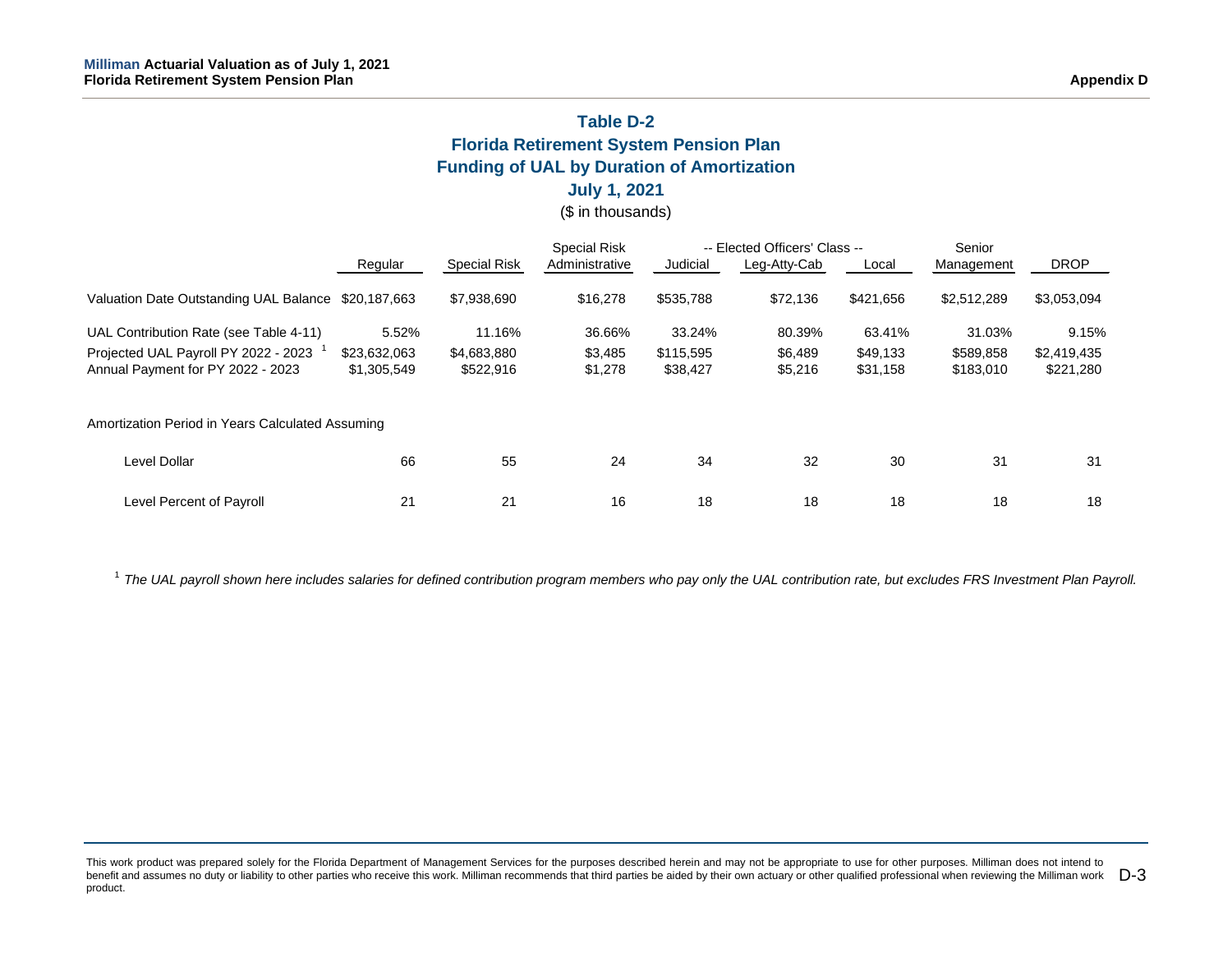## **Table D-2 Florida Retirement System Pension Plan Funding of UAL by Duration of Amortization**

## **July 1, 2021**

(\$ in thousands)

|                                                     |              |                     | <b>Special Risk</b> |           | -- Elected Officers' Class -- |           | Senior      |             |
|-----------------------------------------------------|--------------|---------------------|---------------------|-----------|-------------------------------|-----------|-------------|-------------|
|                                                     | Regular      | <b>Special Risk</b> | Administrative      | Judicial  | Leg-Atty-Cab                  | Local     | Management  | <b>DROP</b> |
| Valuation Date Outstanding UAL Balance \$20,187,663 |              | \$7,938,690         | \$16,278            | \$535,788 | \$72,136                      | \$421,656 | \$2,512,289 | \$3,053,094 |
| UAL Contribution Rate (see Table 4-11)              | 5.52%        | 11.16%              | 36.66%              | 33.24%    | 80.39%                        | 63.41%    | 31.03%      | 9.15%       |
| Projected UAL Payroll PY 2022 - 2023                | \$23,632,063 | \$4,683,880         | \$3,485             | \$115,595 | \$6,489                       | \$49,133  | \$589,858   | \$2,419,435 |
| Annual Payment for PY 2022 - 2023                   | \$1,305,549  | \$522,916           | \$1,278             | \$38,427  | \$5,216                       | \$31,158  | \$183,010   | \$221,280   |
| Amortization Period in Years Calculated Assuming    |              |                     |                     |           |                               |           |             |             |
| <b>Level Dollar</b>                                 | 66           | 55                  | 24                  | 34        | 32                            | 30        | 31          | 31          |
| Level Percent of Payroll                            | 21           | 21                  | 16                  | 18        | 18                            | 18        | 18          | 18          |

<sup>1</sup> The UAL payroll shown here includes salaries for defined contribution program members who pay only the UAL contribution rate, but excludes FRS Investment Plan Payroll.

This work product was prepared solely for the Florida Department of Management Services for the purposes described herein and may not be appropriate to use for other purposes. Milliman does not intend to benefit and assumes no duty or liability to other parties who receive this work. Milliman recommends that third parties be aided by their own actuary or other qualified professional when reviewing the Milliman work  $\Box$ -3 product.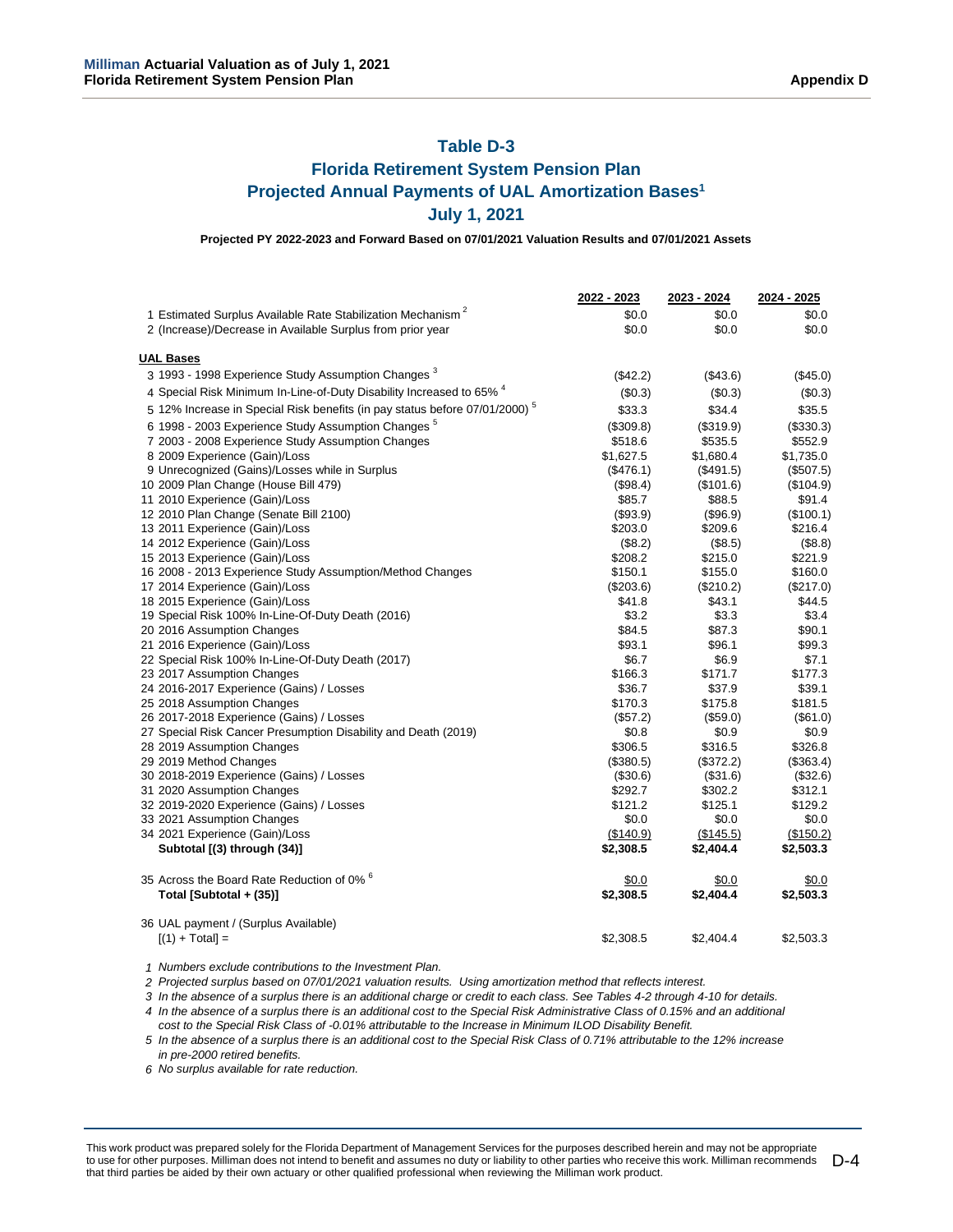# **Table D-3**

# **Florida Retirement System Pension Plan Projected Annual Payments of UAL Amortization Bases1 July 1, 2021**

**Projected PY 2022-2023 and Forward Based on 07/01/2021 Valuation Results and 07/01/2021 Assets**

|                                                                                        | 2022 - 2023        | 2023 - 2024 | 2024 - 2025 |
|----------------------------------------------------------------------------------------|--------------------|-------------|-------------|
| 1 Estimated Surplus Available Rate Stabilization Mechanism <sup>2</sup>                | \$0.0              | \$0.0       | \$0.0       |
| 2 (Increase)/Decrease in Available Surplus from prior year                             | \$0.0              | \$0.0       | \$0.0       |
| <b>UAL Bases</b>                                                                       |                    |             |             |
| 3 1993 - 1998 Experience Study Assumption Changes <sup>3</sup>                         | (\$42.2)           | (\$43.6)    | (\$45.0)    |
|                                                                                        |                    |             |             |
| 4 Special Risk Minimum In-Line-of-Duty Disability Increased to 65% 4                   | (\$0.3)            | (\$0.3)     | (\$0.3)     |
| 5 12% Increase in Special Risk benefits (in pay status before 07/01/2000) <sup>5</sup> | \$33.3             | \$34.4      | \$35.5      |
| 6 1998 - 2003 Experience Study Assumption Changes <sup>5</sup>                         | (\$309.8)          | (\$319.9)   | (\$330.3)   |
| 7 2003 - 2008 Experience Study Assumption Changes                                      | \$518.6            | \$535.5     | \$552.9     |
| 8 2009 Experience (Gain)/Loss                                                          | \$1,627.5          | \$1,680.4   | \$1,735.0   |
| 9 Unrecognized (Gains)/Losses while in Surplus                                         | (\$476.1)          | (\$491.5)   | (\$507.5)   |
| 10 2009 Plan Change (House Bill 479)                                                   | (\$98.4)           | (\$101.6)   | (\$104.9)   |
| 11 2010 Experience (Gain)/Loss                                                         | \$85.7             | \$88.5      | \$91.4      |
| 12 2010 Plan Change (Senate Bill 2100)                                                 | (\$93.9)           | (\$96.9)    | (\$100.1)   |
| 13 2011 Experience (Gain)/Loss                                                         | \$203.0            | \$209.6     | \$216.4     |
| 14 2012 Experience (Gain)/Loss                                                         | (\$8.2)            | (\$8.5)     | (\$8.8)     |
| 15 2013 Experience (Gain)/Loss                                                         | \$208.2            | \$215.0     | \$221.9     |
| 16 2008 - 2013 Experience Study Assumption/Method Changes                              | \$150.1            | \$155.0     | \$160.0     |
| 17 2014 Experience (Gain)/Loss                                                         | (\$203.6)          | (\$210.2)   | (\$217.0)   |
| 18 2015 Experience (Gain)/Loss                                                         | \$41.8             | \$43.1      | \$44.5      |
| 19 Special Risk 100% In-Line-Of-Duty Death (2016)                                      | \$3.2              | \$3.3       | \$3.4       |
| 20 2016 Assumption Changes                                                             | \$84.5             | \$87.3      | \$90.1      |
| 21 2016 Experience (Gain)/Loss                                                         | \$93.1             | \$96.1      | \$99.3      |
| 22 Special Risk 100% In-Line-Of-Duty Death (2017)                                      | \$6.7              | \$6.9       | \$7.1       |
| 23 2017 Assumption Changes                                                             | \$166.3            | \$171.7     | \$177.3     |
| 24 2016-2017 Experience (Gains) / Losses                                               | \$36.7             | \$37.9      | \$39.1      |
| 25 2018 Assumption Changes                                                             | \$170.3            | \$175.8     | \$181.5     |
| 26 2017-2018 Experience (Gains) / Losses                                               | (\$57.2)           | (S59.0)     | (\$61.0)    |
| 27 Special Risk Cancer Presumption Disability and Death (2019)                         | \$0.8              | \$0.9       | \$0.9       |
| 28 2019 Assumption Changes                                                             | \$306.5            | \$316.5     | \$326.8     |
| 29 2019 Method Changes                                                                 | (\$380.5)          | (\$372.2)   | (\$363.4)   |
| 30 2018-2019 Experience (Gains) / Losses                                               | (\$30.6)           | (\$31.6)    | (\$32.6)    |
| 31 2020 Assumption Changes                                                             | \$292.7            | \$302.2     | \$312.1     |
| 32 2019-2020 Experience (Gains) / Losses                                               | \$121.2            | \$125.1     | \$129.2     |
| 33 2021 Assumption Changes                                                             | \$0.0              | \$0.0       | \$0.0       |
| 34 2021 Experience (Gain)/Loss                                                         | (\$140.9)          | (\$145.5)   | (\$150.2)   |
| Subtotal [(3) through (34)]                                                            | \$2,308.5          | \$2,404.4   | \$2,503.3   |
| 35 Across the Board Rate Reduction of 0% <sup>6</sup>                                  |                    | \$0.0       | \$0.0       |
|                                                                                        | \$0.0<br>\$2,308.5 |             |             |
| Total [Subtotal + (35)]                                                                |                    | \$2,404.4   | \$2,503.3   |
| 36 UAL payment / (Surplus Available)                                                   |                    |             |             |
| $[(1) + Total] =$                                                                      | \$2,308.5          | \$2,404.4   | \$2,503.3   |

*Numbers exclude contributions to the Investment Plan.*

*Projected surplus based on 07/01/2021 valuation results. Using amortization method that reflects interest.*

*In the absence of a surplus there is an additional charge or credit to each class. See Tables 4-2 through 4-10 for details.*

*In the absence of a surplus there is an additional cost to the Special Risk Administrative Class of 0.15% and an additional*

*cost to the Special Risk Class of -0.01% attributable to the Increase in Minimum ILOD Disability Benefit.*

 *In the absence of a surplus there is an additional cost to the Special Risk Class of 0.71% attributable to the 12% increase in pre-2000 retired benefits.*

*No surplus available for rate reduction.*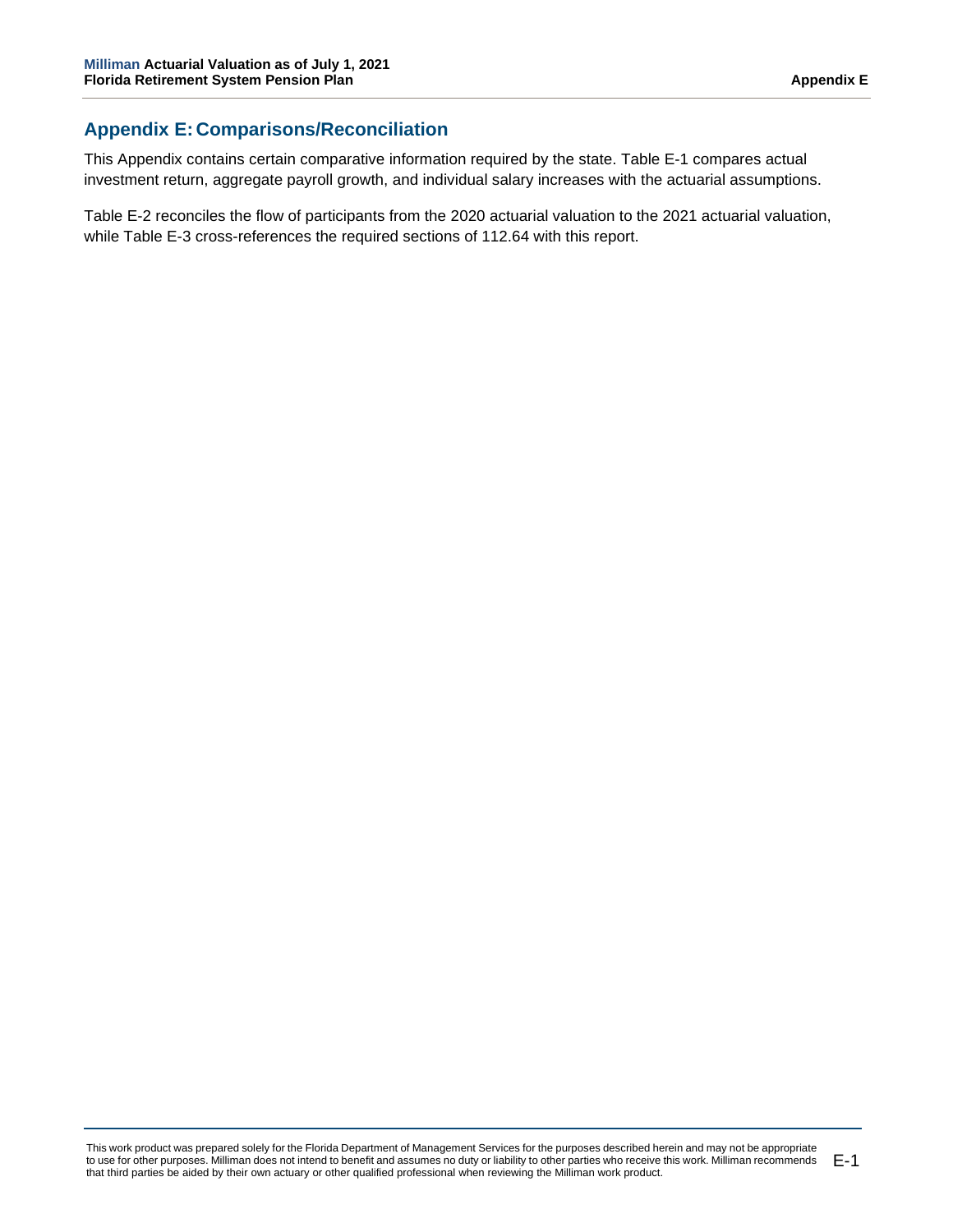# **Appendix E: Comparisons/Reconciliation**

This Appendix contains certain comparative information required by the state. Table E-1 compares actual investment return, aggregate payroll growth, and individual salary increases with the actuarial assumptions.

Table E-2 reconciles the flow of participants from the 2020 actuarial valuation to the 2021 actuarial valuation, while Table E-3 cross-references the required sections of 112.64 with this report.

This work product was prepared solely for the Florida Department of Management Services for the purposes described herein and may not be appropriate to use for other purposes. Milliman does not intend to benefit and assumes no duty or liability to other parties who receive this work. Milliman recommends that third parties be aided by their own actuary or other qualified professional when reviewing the Milliman work product. E-1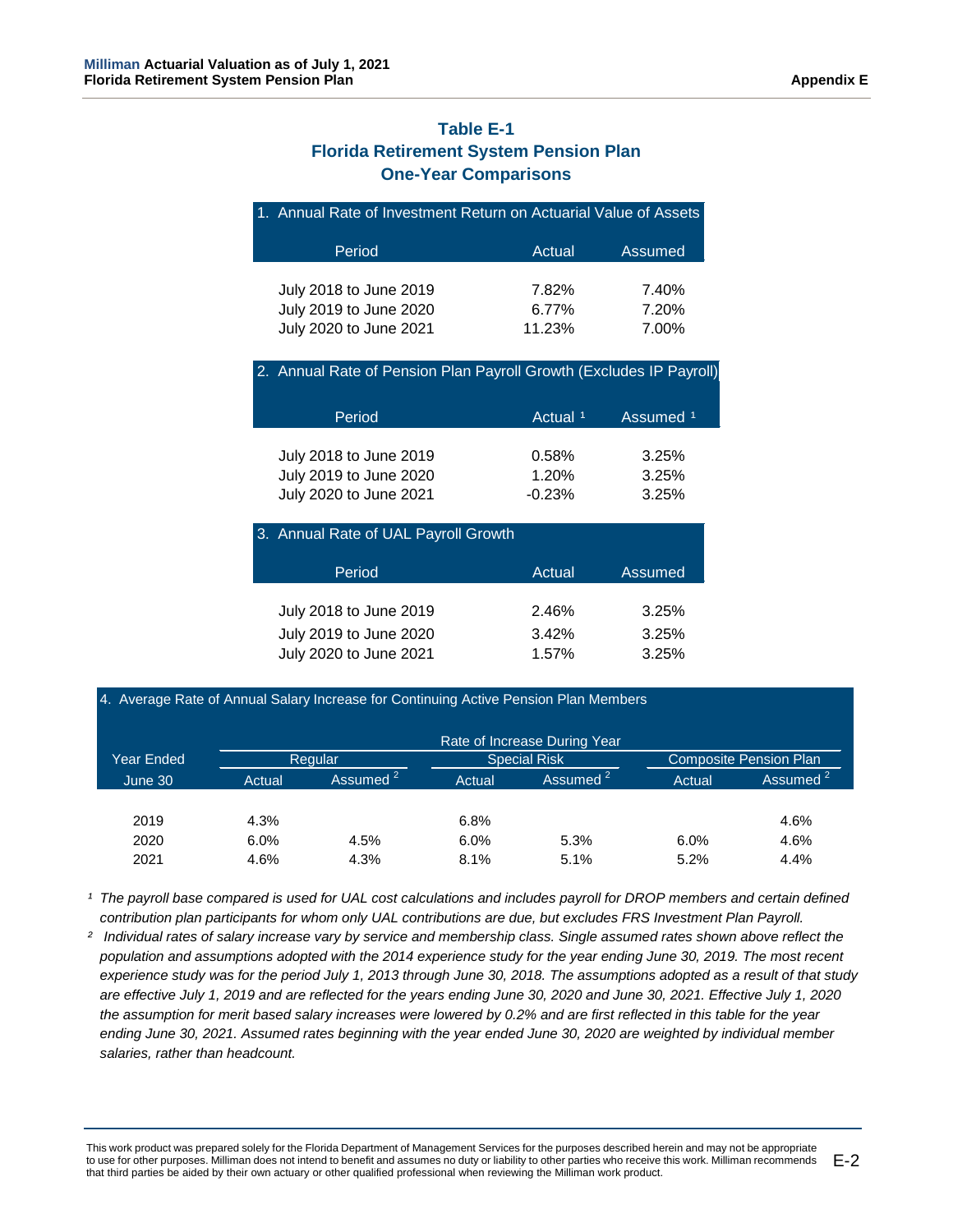# **Table E-1 Florida Retirement System Pension Plan One-Year Comparisons**

| 1. Annual Rate of Investment Return on Actuarial Value of Assets |  |
|------------------------------------------------------------------|--|
|------------------------------------------------------------------|--|

| Period                 | Actual | Assumed |
|------------------------|--------|---------|
| July 2018 to June 2019 | 7.82%  | 7.40%   |
| July 2019 to June 2020 | 6.77%  | 7.20%   |
| July 2020 to June 2021 | 11.23% | 7.00%   |

2. Annual Rate of Pension Plan Payroll Growth (Excludes IP Payroll)

| Period                 | Actual <sup>1</sup> | Assumed <sup>1</sup> |
|------------------------|---------------------|----------------------|
| July 2018 to June 2019 | 0.58%               | 3.25%                |
| July 2019 to June 2020 | 1.20%               | 3.25%                |
| July 2020 to June 2021 | $-0.23%$            | 3.25%                |

| 3. Annual Rate of UAL Payroll Growth                                       |                         |                         |
|----------------------------------------------------------------------------|-------------------------|-------------------------|
| Period                                                                     | Actual                  | Assumed                 |
| July 2018 to June 2019<br>July 2019 to June 2020<br>July 2020 to June 2021 | 2.46%<br>3.42%<br>1.57% | 3.25%<br>3.25%<br>3.25% |

#### 4. Average Rate of Annual Salary Increase for Continuing Active Pension Plan Members

|            |        |                      |        | Rate of Increase During Year |        |                               |
|------------|--------|----------------------|--------|------------------------------|--------|-------------------------------|
| Year Ended |        | Regular              |        | <b>Special Risk</b>          |        | <b>Composite Pension Plan</b> |
| June 30    | Actual | Assumed <sup>2</sup> | Actual | Assumed <sup>2</sup>         | Actual | Assumed <sup>2</sup>          |
|            |        |                      |        |                              |        |                               |
| 2019       | 4.3%   |                      | 6.8%   |                              |        | 4.6%                          |
| 2020       | 6.0%   | 4.5%                 | 6.0%   | 5.3%                         | 6.0%   | 4.6%                          |
| 2021       | 4.6%   | 4.3%                 | 8.1%   | 5.1%                         | 5.2%   | 4.4%                          |

<sup>1</sup> The payroll base compared is used for UAL cost calculations and includes payroll for DROP members and certain defined *contribution plan participants for whom only UAL contributions are due, but excludes FRS Investment Plan Payroll.*

*² Individual rates of salary increase vary by service and membership class. Single assumed rates shown above reflect the population and assumptions adopted with the 2014 experience study for the year ending June 30, 2019. The most recent experience study was for the period July 1, 2013 through June 30, 2018. The assumptions adopted as a result of that study are effective July 1, 2019 and are reflected for the years ending June 30, 2020 and June 30, 2021. Effective July 1, 2020 the assumption for merit based salary increases were lowered by 0.2% and are first reflected in this table for the year ending June 30, 2021. Assumed rates beginning with the year ended June 30, 2020 are weighted by individual member salaries, rather than headcount.*

This work product was prepared solely for the Florida Department of Management Services for the purposes described herein and may not be appropriate to use for other purposes. Milliman does not intend to benefit and assumes no duty or liability to other parties who receive this work. Milliman recommends that third parties be aided by their own actuary or other qualified professional when reviewing the Milliman work product. E-2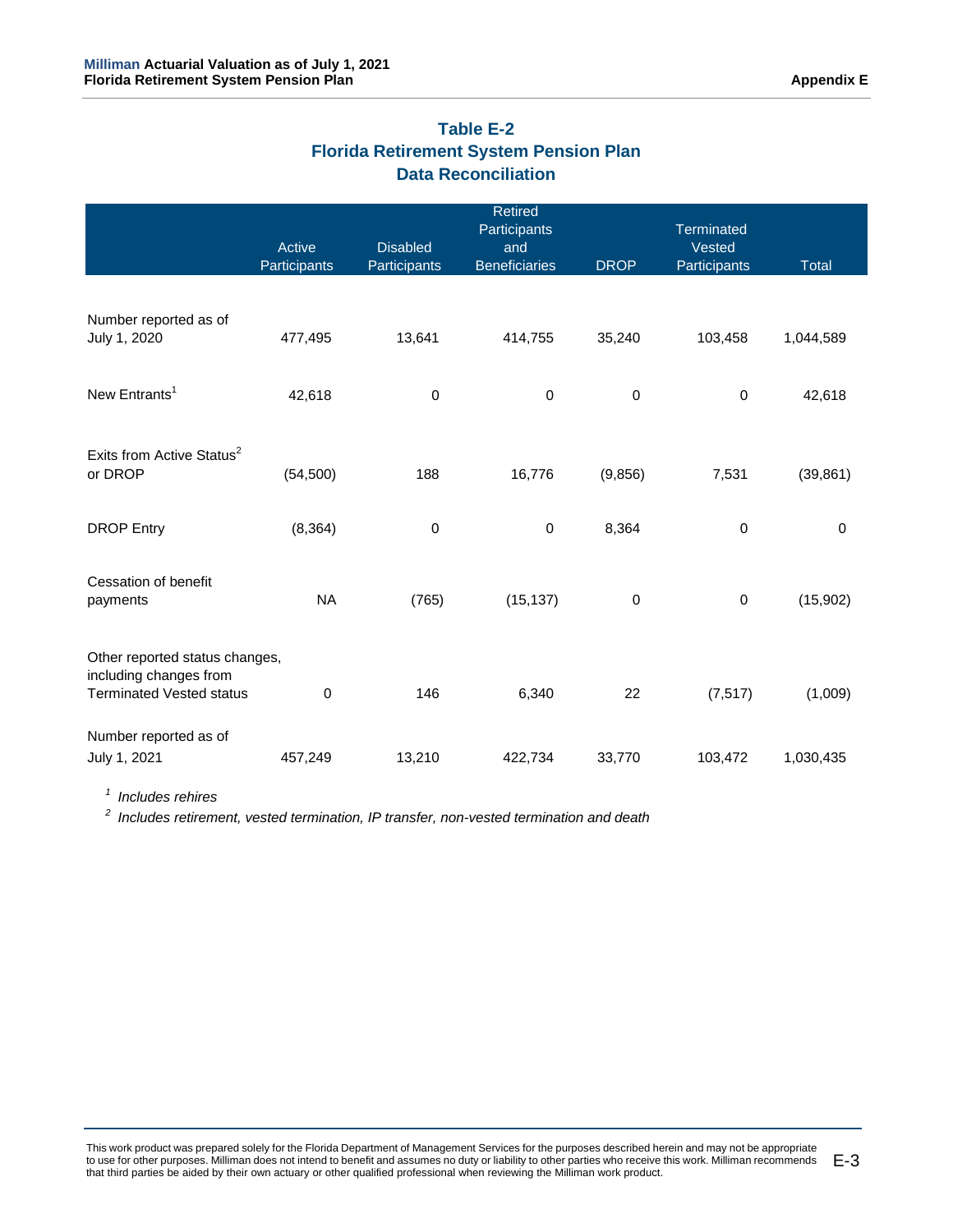# **Table E-2 Florida Retirement System Pension Plan Data Reconciliation**

|                                                           |              |                 | <b>Retired</b>       |             |                             |              |
|-----------------------------------------------------------|--------------|-----------------|----------------------|-------------|-----------------------------|--------------|
|                                                           | Active       | <b>Disabled</b> | Participants<br>and  |             | <b>Terminated</b><br>Vested |              |
|                                                           | Participants | Participants    | <b>Beneficiaries</b> | <b>DROP</b> | Participants                | <b>Total</b> |
|                                                           |              |                 |                      |             |                             |              |
| Number reported as of<br>July 1, 2020                     | 477,495      | 13,641          | 414,755              | 35,240      | 103,458                     | 1,044,589    |
|                                                           |              |                 |                      |             |                             |              |
| New Entrants <sup>1</sup>                                 | 42,618       | $\pmb{0}$       | $\pmb{0}$            | $\pmb{0}$   | $\pmb{0}$                   | 42,618       |
|                                                           |              |                 |                      |             |                             |              |
| Exits from Active Status <sup>2</sup>                     |              |                 |                      |             |                             |              |
| or DROP                                                   | (54, 500)    | 188             | 16,776               | (9, 856)    | 7,531                       | (39, 861)    |
| <b>DROP Entry</b>                                         | (8, 364)     | $\mathbf 0$     | 0                    | 8,364       | $\mathbf 0$                 | $\mathbf 0$  |
|                                                           |              |                 |                      |             |                             |              |
| Cessation of benefit                                      | <b>NA</b>    |                 |                      | 0           | $\pmb{0}$                   |              |
| payments                                                  |              | (765)           | (15, 137)            |             |                             | (15,902)     |
| Other reported status changes,                            |              |                 |                      |             |                             |              |
| including changes from<br><b>Terminated Vested status</b> | $\mathbf 0$  | 146             | 6,340                | 22          | (7, 517)                    | (1,009)      |
| Number reported as of                                     |              |                 |                      |             |                             |              |
| July 1, 2021                                              | 457,249      | 13,210          | 422,734              | 33,770      | 103,472                     | 1,030,435    |

*<sup>1</sup> Includes rehires*

*<sup>2</sup> Includes retirement, vested termination, IP transfer, non-vested termination and death*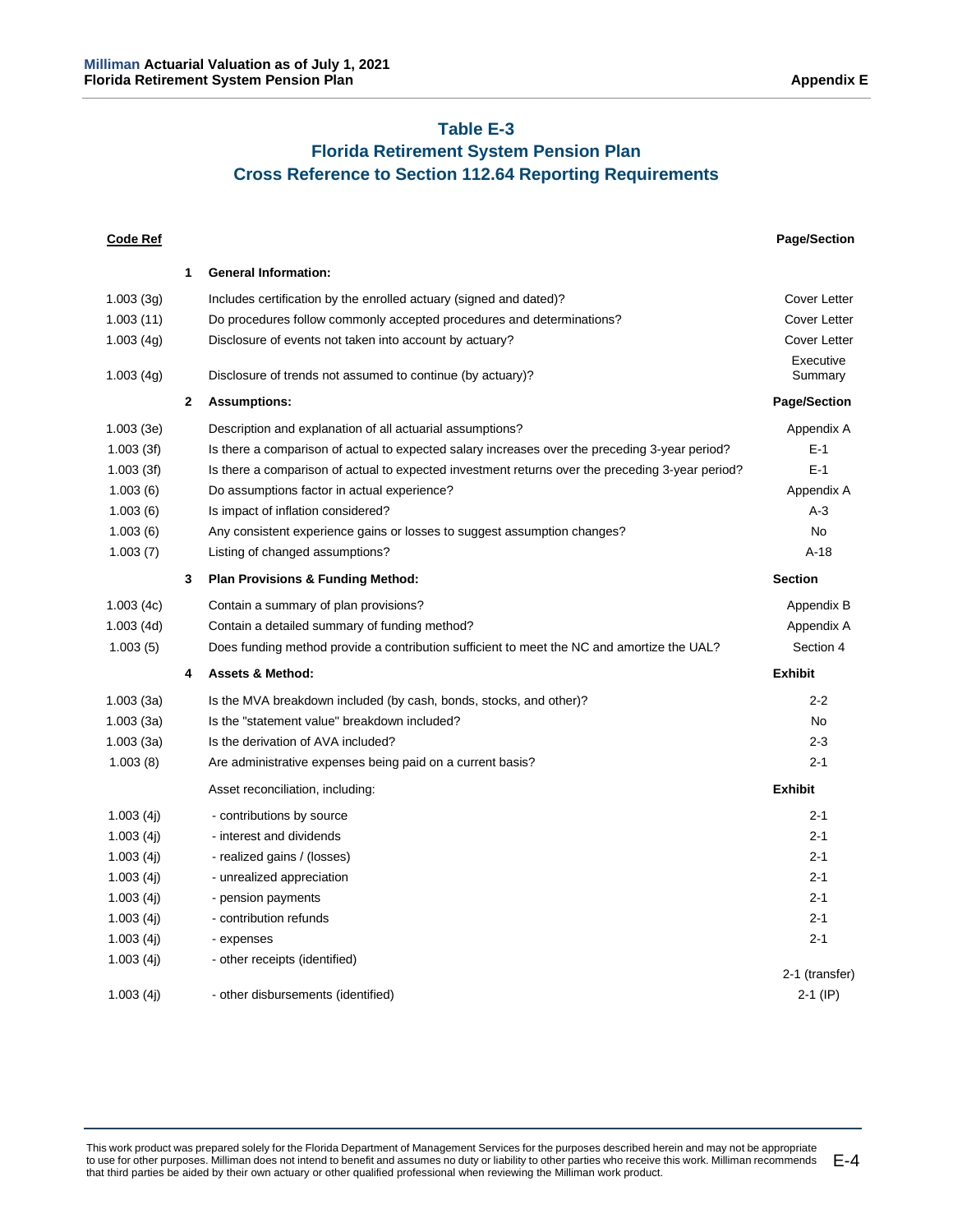# **Table E-3**

# **Florida Retirement System Pension Plan Cross Reference to Section 112.64 Reporting Requirements**

| <b>Code Ref</b> |              |                                                                                                  | <b>Page/Section</b>  |
|-----------------|--------------|--------------------------------------------------------------------------------------------------|----------------------|
|                 | 1            | <b>General Information:</b>                                                                      |                      |
| 1.003(3q)       |              | Includes certification by the enrolled actuary (signed and dated)?                               | Cover Letter         |
| 1.003(11)       |              | Do procedures follow commonly accepted procedures and determinations?                            | <b>Cover Letter</b>  |
| 1.003(4g)       |              | Disclosure of events not taken into account by actuary?                                          | Cover Letter         |
| 1.003(4g)       |              | Disclosure of trends not assumed to continue (by actuary)?                                       | Executive<br>Summary |
|                 | $\mathbf{2}$ | <b>Assumptions:</b>                                                                              | <b>Page/Section</b>  |
| 1.003(3e)       |              | Description and explanation of all actuarial assumptions?                                        | Appendix A           |
| 1.003(3f)       |              | Is there a comparison of actual to expected salary increases over the preceding 3-year period?   | $E-1$                |
| 1.003(3f)       |              | Is there a comparison of actual to expected investment returns over the preceding 3-year period? | $E-1$                |
| 1.003(6)        |              | Do assumptions factor in actual experience?                                                      | Appendix A           |
| 1.003(6)        |              | Is impact of inflation considered?                                                               | $A-3$                |
| 1.003(6)        |              | Any consistent experience gains or losses to suggest assumption changes?                         | No                   |
| 1.003(7)        |              | Listing of changed assumptions?                                                                  | $A-18$               |
|                 | 3            | <b>Plan Provisions &amp; Funding Method:</b>                                                     | <b>Section</b>       |
| 1.003(4c)       |              | Contain a summary of plan provisions?                                                            | Appendix B           |
| 1.003(4d)       |              | Contain a detailed summary of funding method?                                                    | Appendix A           |
| 1.003(5)        |              | Does funding method provide a contribution sufficient to meet the NC and amortize the UAL?       | Section 4            |
|                 | 4            | <b>Assets &amp; Method:</b>                                                                      | <b>Exhibit</b>       |
| 1.003(3a)       |              | Is the MVA breakdown included (by cash, bonds, stocks, and other)?                               | $2 - 2$              |
| 1.003(3a)       |              | Is the "statement value" breakdown included?                                                     | No.                  |
| 1.003(3a)       |              | Is the derivation of AVA included?                                                               | $2 - 3$              |
| 1.003(8)        |              | Are administrative expenses being paid on a current basis?                                       | $2 - 1$              |
|                 |              | Asset reconciliation, including:                                                                 | <b>Exhibit</b>       |
| 1.003(4j)       |              | - contributions by source                                                                        | $2 - 1$              |
| 1.003(4j)       |              | - interest and dividends                                                                         | $2 - 1$              |
| 1.003(4i)       |              | - realized gains / (losses)                                                                      | $2 - 1$              |
| 1.003(4j)       |              | - unrealized appreciation                                                                        | $2 - 1$              |
| 1.003(4j)       |              | - pension payments                                                                               | $2 - 1$              |
| 1.003(4i)       |              | - contribution refunds                                                                           | $2 - 1$              |
| 1.003(4j)       |              | - expenses                                                                                       | $2 - 1$              |
| 1.003(4j)       |              | - other receipts (identified)                                                                    | 2-1 (transfer)       |
| 1.003(4i)       |              | - other disbursements (identified)                                                               | 2-1 (IP)             |
|                 |              |                                                                                                  |                      |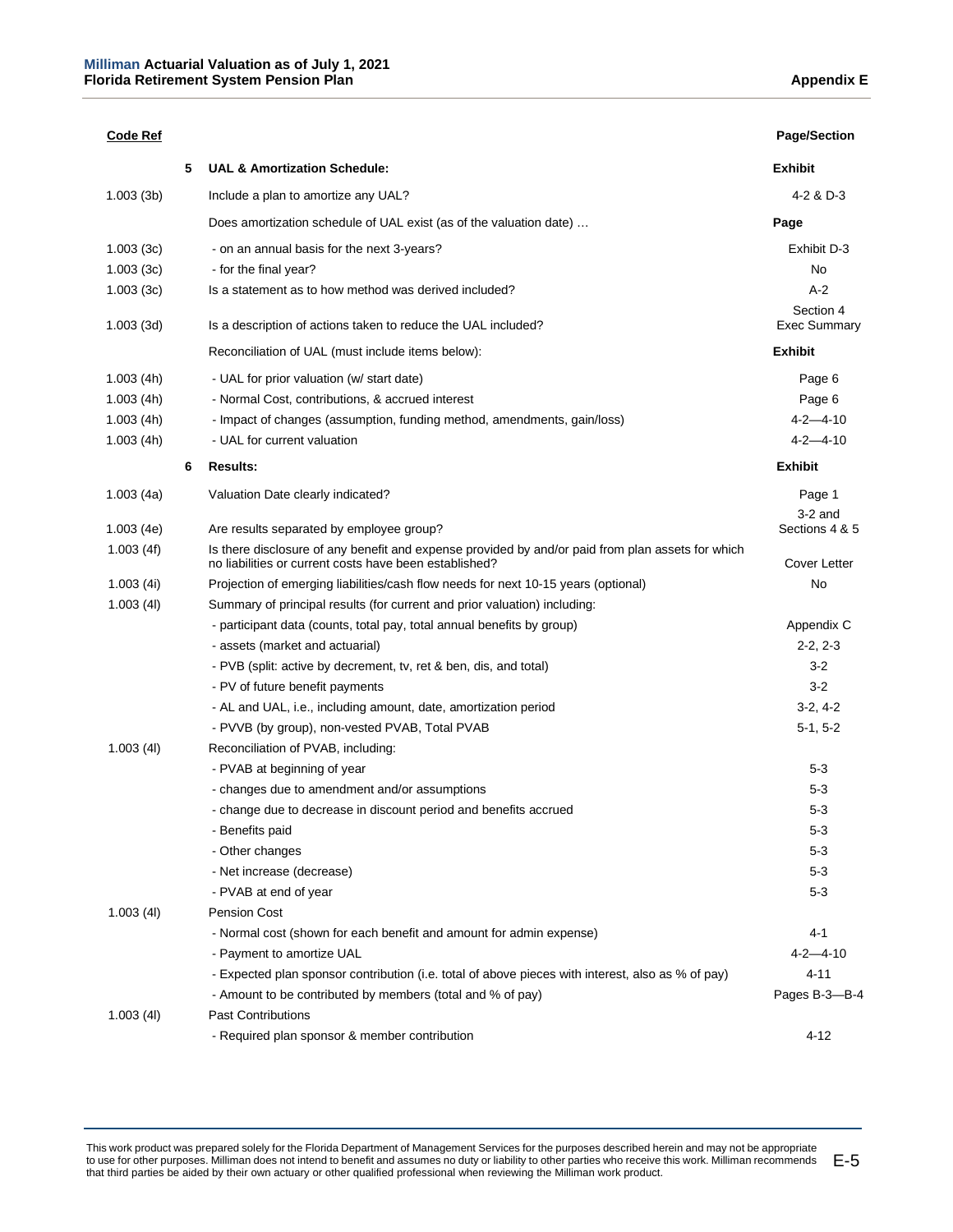| <b>Code Ref</b> |   |                                                                                                                                                             | <b>Page/Section</b>              |
|-----------------|---|-------------------------------------------------------------------------------------------------------------------------------------------------------------|----------------------------------|
|                 | 5 | <b>UAL &amp; Amortization Schedule:</b>                                                                                                                     | <b>Exhibit</b>                   |
| 1.003(3b)       |   | Include a plan to amortize any UAL?                                                                                                                         | 4-2 & D-3                        |
|                 |   | Does amortization schedule of UAL exist (as of the valuation date)                                                                                          | Page                             |
| 1.003(3c)       |   | - on an annual basis for the next 3-years?                                                                                                                  | Exhibit D-3                      |
| 1.003(3c)       |   | - for the final year?                                                                                                                                       | No                               |
| 1.003(3c)       |   | Is a statement as to how method was derived included?                                                                                                       | A-2                              |
| 1.003(3d)       |   | Is a description of actions taken to reduce the UAL included?                                                                                               | Section 4<br><b>Exec Summary</b> |
|                 |   | Reconciliation of UAL (must include items below):                                                                                                           | Exhibit                          |
| 1.003(4h)       |   | - UAL for prior valuation (w/ start date)                                                                                                                   | Page 6                           |
| 1.003(4h)       |   | - Normal Cost, contributions, & accrued interest                                                                                                            | Page 6                           |
| 1.003(4h)       |   | - Impact of changes (assumption, funding method, amendments, gain/loss)                                                                                     | $4 - 2 - 4 - 10$                 |
| 1.003(4h)       |   | - UAL for current valuation                                                                                                                                 | $4 - 2 - 4 - 10$                 |
|                 | 6 | <b>Results:</b>                                                                                                                                             | <b>Exhibit</b>                   |
| 1.003(4a)       |   | Valuation Date clearly indicated?                                                                                                                           | Page 1                           |
|                 |   |                                                                                                                                                             | $3-2$ and                        |
| 1.003(4e)       |   | Are results separated by employee group?                                                                                                                    | Sections 4 & 5                   |
| 1.003(4f)       |   | Is there disclosure of any benefit and expense provided by and/or paid from plan assets for which<br>no liabilities or current costs have been established? | Cover Letter                     |
| 1.003(4i)       |   | Projection of emerging liabilities/cash flow needs for next 10-15 years (optional)                                                                          | No                               |
| 1.003(4I)       |   | Summary of principal results (for current and prior valuation) including:                                                                                   |                                  |
|                 |   | - participant data (counts, total pay, total annual benefits by group)                                                                                      | Appendix C                       |
|                 |   | - assets (market and actuarial)                                                                                                                             | $2-2, 2-3$                       |
|                 |   | - PVB (split: active by decrement, tv, ret & ben, dis, and total)                                                                                           | $3-2$                            |
|                 |   | - PV of future benefit payments                                                                                                                             | $3-2$                            |
|                 |   | - AL and UAL, i.e., including amount, date, amortization period                                                                                             | $3-2, 4-2$                       |
|                 |   | - PVVB (by group), non-vested PVAB, Total PVAB                                                                                                              | $5-1, 5-2$                       |
| 1.003(4I)       |   | Reconciliation of PVAB, including:                                                                                                                          |                                  |
|                 |   | - PVAB at beginning of year                                                                                                                                 | $5-3$                            |
|                 |   | - changes due to amendment and/or assumptions                                                                                                               | $5 - 3$                          |
|                 |   | - change due to decrease in discount period and benefits accrued                                                                                            | $5 - 3$                          |
|                 |   | - Benefits paid                                                                                                                                             | $5 - 3$                          |
|                 |   | - Other changes                                                                                                                                             | $5 - 3$                          |
|                 |   | - Net increase (decrease)                                                                                                                                   | $5 - 3$                          |
|                 |   | - PVAB at end of year                                                                                                                                       | $5 - 3$                          |
| 1.003(4I)       |   | <b>Pension Cost</b>                                                                                                                                         |                                  |
|                 |   | - Normal cost (shown for each benefit and amount for admin expense)                                                                                         | $4 - 1$                          |
|                 |   | - Payment to amortize UAL                                                                                                                                   | $4 - 2 - 4 - 10$                 |
|                 |   | - Expected plan sponsor contribution (i.e. total of above pieces with interest, also as % of pay)                                                           | $4 - 11$                         |
|                 |   | - Amount to be contributed by members (total and % of pay)                                                                                                  | Pages B-3-B-4                    |
| 1.003(4I)       |   | <b>Past Contributions</b>                                                                                                                                   |                                  |
|                 |   | - Required plan sponsor & member contribution                                                                                                               | $4 - 12$                         |

This work product was prepared solely for the Florida Department of Management Services for the purposes described herein and may not be appropriate to use for other purposes. Milliman does not intend to benefit and assumes no duty or liability to other parties who receive this work. Milliman recommends that third parties be aided by their own actuary or other qualified professional when reviewing the Milliman work product. E-5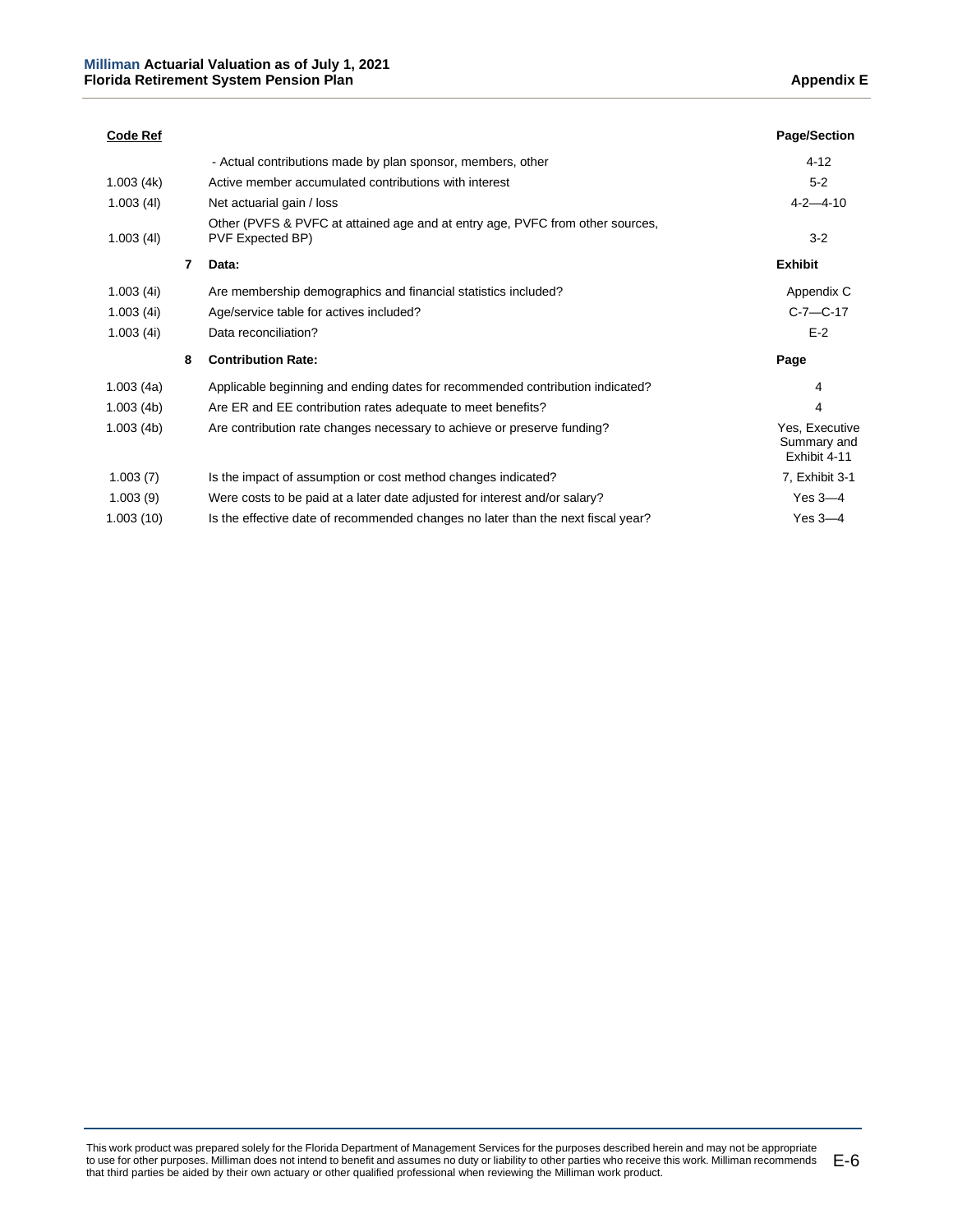| <b>Code Ref</b> |   |                                                                                                   | <b>Page/Section</b>                           |
|-----------------|---|---------------------------------------------------------------------------------------------------|-----------------------------------------------|
|                 |   | - Actual contributions made by plan sponsor, members, other                                       | $4 - 12$                                      |
| 1.003(4k)       |   | Active member accumulated contributions with interest                                             | $5-2$                                         |
| 1.003(4)        |   | Net actuarial gain / loss                                                                         | $4 - 2 - 4 - 10$                              |
| 1.003(4)        |   | Other (PVFS & PVFC at attained age and at entry age, PVFC from other sources,<br>PVF Expected BP) | $3-2$                                         |
|                 | 7 | Data:                                                                                             | <b>Exhibit</b>                                |
| 1.003(4i)       |   | Are membership demographics and financial statistics included?                                    | Appendix C                                    |
| 1.003(4i)       |   | Age/service table for actives included?                                                           | $C-7-C-17$                                    |
| 1.003(4i)       |   | Data reconciliation?                                                                              | $E-2$                                         |
|                 | 8 | <b>Contribution Rate:</b>                                                                         | Page                                          |
| 1.003(4a)       |   | Applicable beginning and ending dates for recommended contribution indicated?                     | 4                                             |
| 1.003(4b)       |   | Are ER and EE contribution rates adequate to meet benefits?                                       | 4                                             |
| 1.003(4b)       |   | Are contribution rate changes necessary to achieve or preserve funding?                           | Yes, Executive<br>Summary and<br>Exhibit 4-11 |
| 1.003(7)        |   | Is the impact of assumption or cost method changes indicated?                                     | 7, Exhibit 3-1                                |
| 1.003(9)        |   | Were costs to be paid at a later date adjusted for interest and/or salary?                        | Yes $3-4$                                     |
| 1.003(10)       |   | Is the effective date of recommended changes no later than the next fiscal year?                  | Yes $3-4$                                     |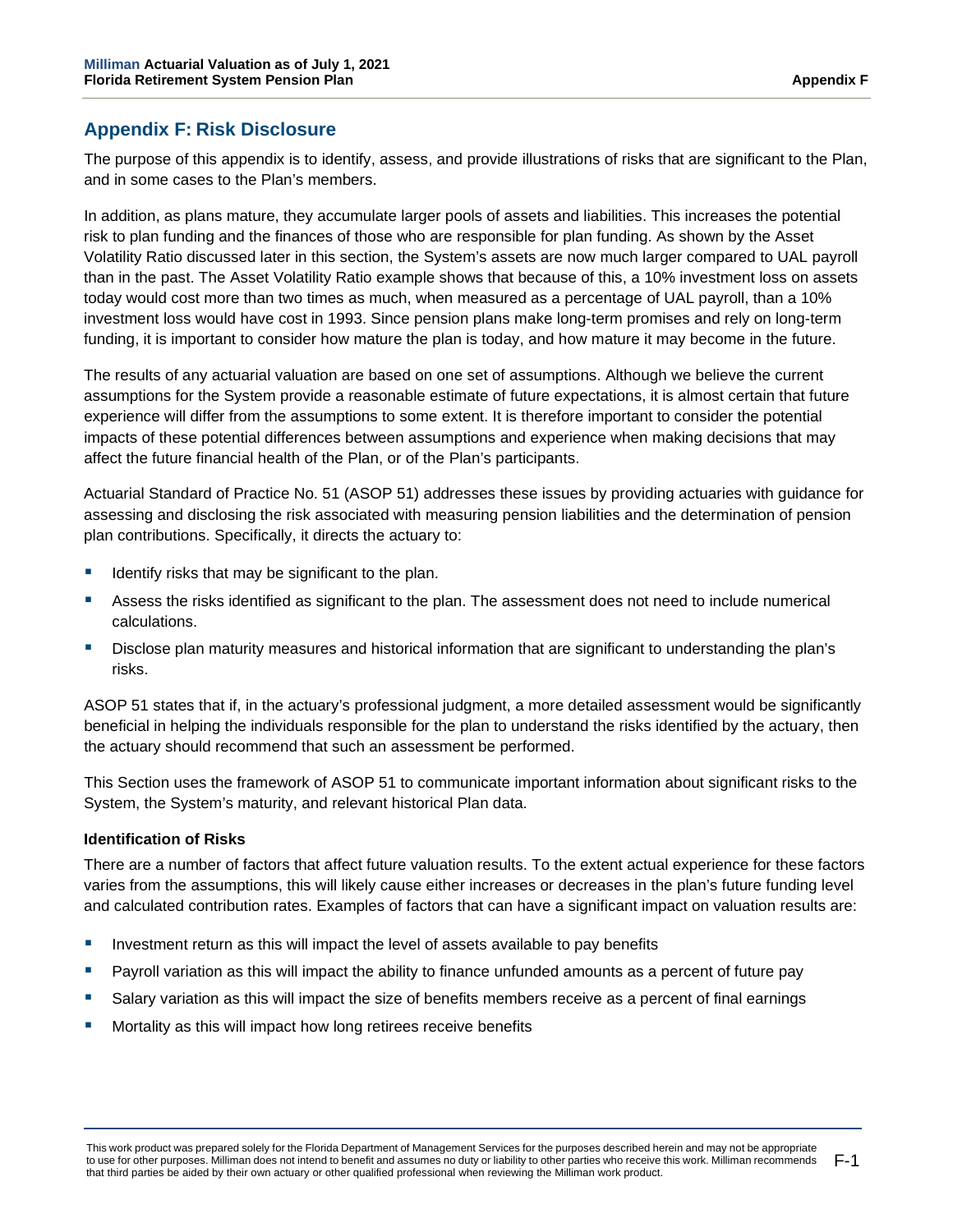# **Appendix F: Risk Disclosure**

The purpose of this appendix is to identify, assess, and provide illustrations of risks that are significant to the Plan, and in some cases to the Plan's members.

In addition, as plans mature, they accumulate larger pools of assets and liabilities. This increases the potential risk to plan funding and the finances of those who are responsible for plan funding. As shown by the Asset Volatility Ratio discussed later in this section, the System's assets are now much larger compared to UAL payroll than in the past. The Asset Volatility Ratio example shows that because of this, a 10% investment loss on assets today would cost more than two times as much, when measured as a percentage of UAL payroll, than a 10% investment loss would have cost in 1993. Since pension plans make long-term promises and rely on long-term funding, it is important to consider how mature the plan is today, and how mature it may become in the future.

The results of any actuarial valuation are based on one set of assumptions. Although we believe the current assumptions for the System provide a reasonable estimate of future expectations, it is almost certain that future experience will differ from the assumptions to some extent. It is therefore important to consider the potential impacts of these potential differences between assumptions and experience when making decisions that may affect the future financial health of the Plan, or of the Plan's participants.

Actuarial Standard of Practice No. 51 (ASOP 51) addresses these issues by providing actuaries with guidance for assessing and disclosing the risk associated with measuring pension liabilities and the determination of pension plan contributions. Specifically, it directs the actuary to:

- Identify risks that may be significant to the plan.
- Assess the risks identified as significant to the plan. The assessment does not need to include numerical calculations.
- Disclose plan maturity measures and historical information that are significant to understanding the plan's risks.

ASOP 51 states that if, in the actuary's professional judgment, a more detailed assessment would be significantly beneficial in helping the individuals responsible for the plan to understand the risks identified by the actuary, then the actuary should recommend that such an assessment be performed.

This Section uses the framework of ASOP 51 to communicate important information about significant risks to the System, the System's maturity, and relevant historical Plan data.

## **Identification of Risks**

There are a number of factors that affect future valuation results. To the extent actual experience for these factors varies from the assumptions, this will likely cause either increases or decreases in the plan's future funding level and calculated contribution rates. Examples of factors that can have a significant impact on valuation results are:

- Investment return as this will impact the level of assets available to pay benefits
- Payroll variation as this will impact the ability to finance unfunded amounts as a percent of future pay
- Salary variation as this will impact the size of benefits members receive as a percent of final earnings
- Mortality as this will impact how long retirees receive benefits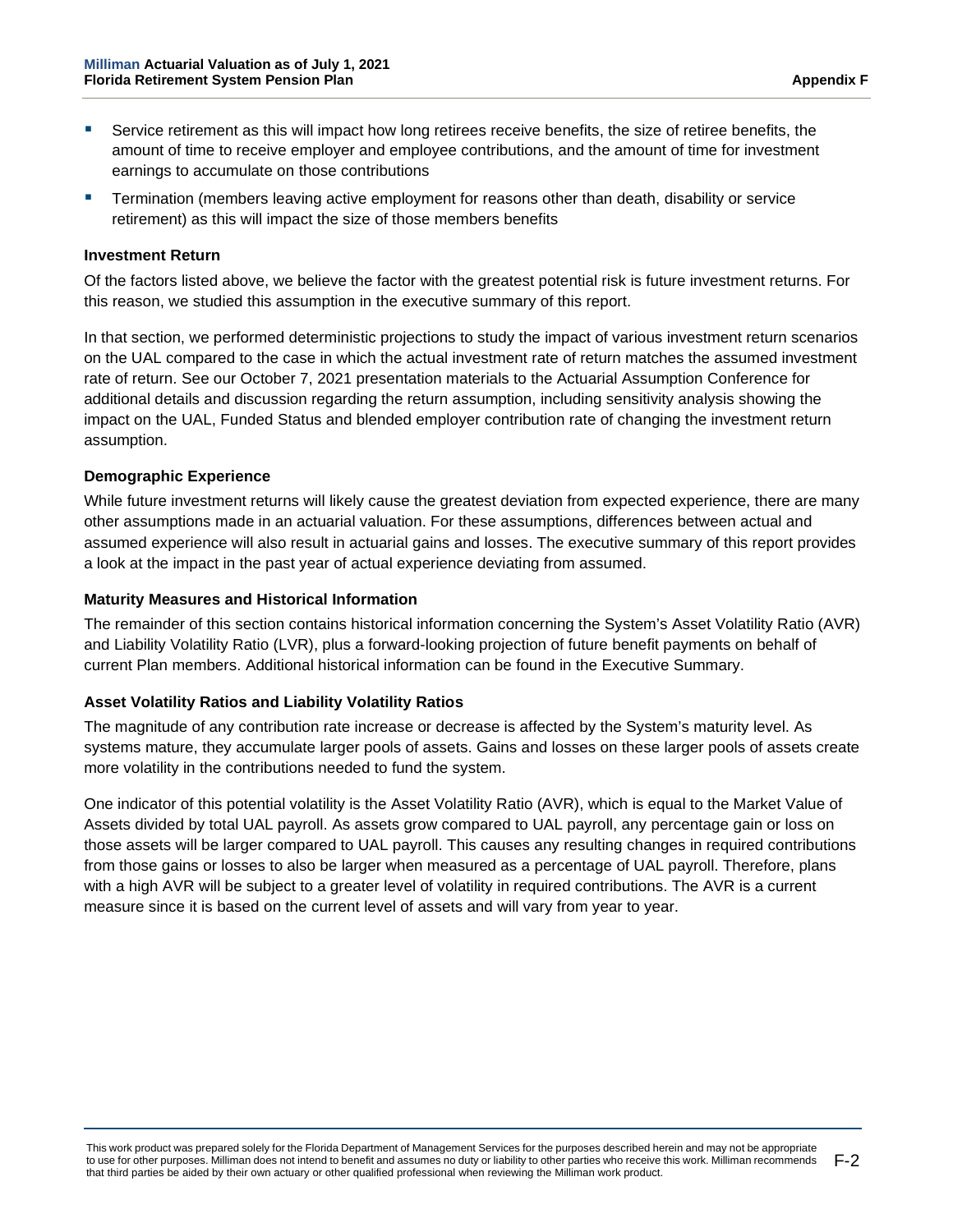- Service retirement as this will impact how long retirees receive benefits, the size of retiree benefits, the amount of time to receive employer and employee contributions, and the amount of time for investment earnings to accumulate on those contributions
- Termination (members leaving active employment for reasons other than death, disability or service retirement) as this will impact the size of those members benefits

### **Investment Return**

Of the factors listed above, we believe the factor with the greatest potential risk is future investment returns. For this reason, we studied this assumption in the executive summary of this report.

In that section, we performed deterministic projections to study the impact of various investment return scenarios on the UAL compared to the case in which the actual investment rate of return matches the assumed investment rate of return. See our October 7, 2021 presentation materials to the Actuarial Assumption Conference for additional details and discussion regarding the return assumption, including sensitivity analysis showing the impact on the UAL, Funded Status and blended employer contribution rate of changing the investment return assumption.

#### **Demographic Experience**

While future investment returns will likely cause the greatest deviation from expected experience, there are many other assumptions made in an actuarial valuation. For these assumptions, differences between actual and assumed experience will also result in actuarial gains and losses. The executive summary of this report provides a look at the impact in the past year of actual experience deviating from assumed.

#### **Maturity Measures and Historical Information**

The remainder of this section contains historical information concerning the System's Asset Volatility Ratio (AVR) and Liability Volatility Ratio (LVR), plus a forward-looking projection of future benefit payments on behalf of current Plan members. Additional historical information can be found in the Executive Summary.

# **Asset Volatility Ratios and Liability Volatility Ratios**

The magnitude of any contribution rate increase or decrease is affected by the System's maturity level. As systems mature, they accumulate larger pools of assets. Gains and losses on these larger pools of assets create more volatility in the contributions needed to fund the system.

One indicator of this potential volatility is the Asset Volatility Ratio (AVR), which is equal to the Market Value of Assets divided by total UAL payroll. As assets grow compared to UAL payroll, any percentage gain or loss on those assets will be larger compared to UAL payroll. This causes any resulting changes in required contributions from those gains or losses to also be larger when measured as a percentage of UAL payroll. Therefore, plans with a high AVR will be subject to a greater level of volatility in required contributions. The AVR is a current measure since it is based on the current level of assets and will vary from year to year.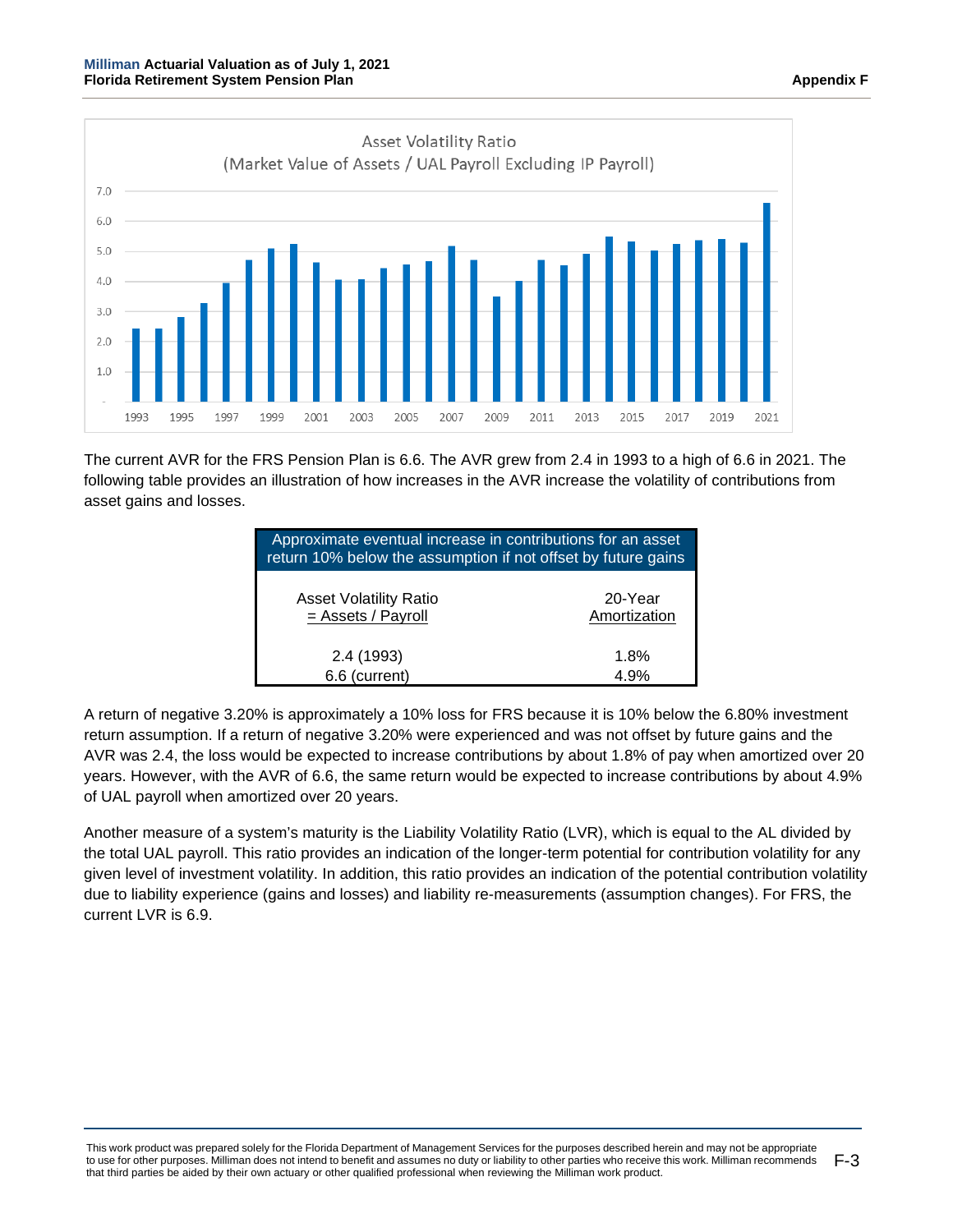

The current AVR for the FRS Pension Plan is 6.6. The AVR grew from 2.4 in 1993 to a high of 6.6 in 2021. The following table provides an illustration of how increases in the AVR increase the volatility of contributions from asset gains and losses.

| Approximate eventual increase in contributions for an asset<br>return 10% below the assumption if not offset by future gains |              |
|------------------------------------------------------------------------------------------------------------------------------|--------------|
| <b>Asset Volatility Ratio</b>                                                                                                | 20-Year      |
| $=$ Assets / Payroll                                                                                                         | Amortization |
| 2.4 (1993)                                                                                                                   | 1.8%         |
| 6.6 (current)                                                                                                                | 4.9%         |

A return of negative 3.20% is approximately a 10% loss for FRS because it is 10% below the 6.80% investment return assumption. If a return of negative 3.20% were experienced and was not offset by future gains and the AVR was 2.4, the loss would be expected to increase contributions by about 1.8% of pay when amortized over 20 years. However, with the AVR of 6.6, the same return would be expected to increase contributions by about 4.9% of UAL payroll when amortized over 20 years.

Another measure of a system's maturity is the Liability Volatility Ratio (LVR), which is equal to the AL divided by the total UAL payroll. This ratio provides an indication of the longer-term potential for contribution volatility for any given level of investment volatility. In addition, this ratio provides an indication of the potential contribution volatility due to liability experience (gains and losses) and liability re-measurements (assumption changes). For FRS, the current LVR is 6.9.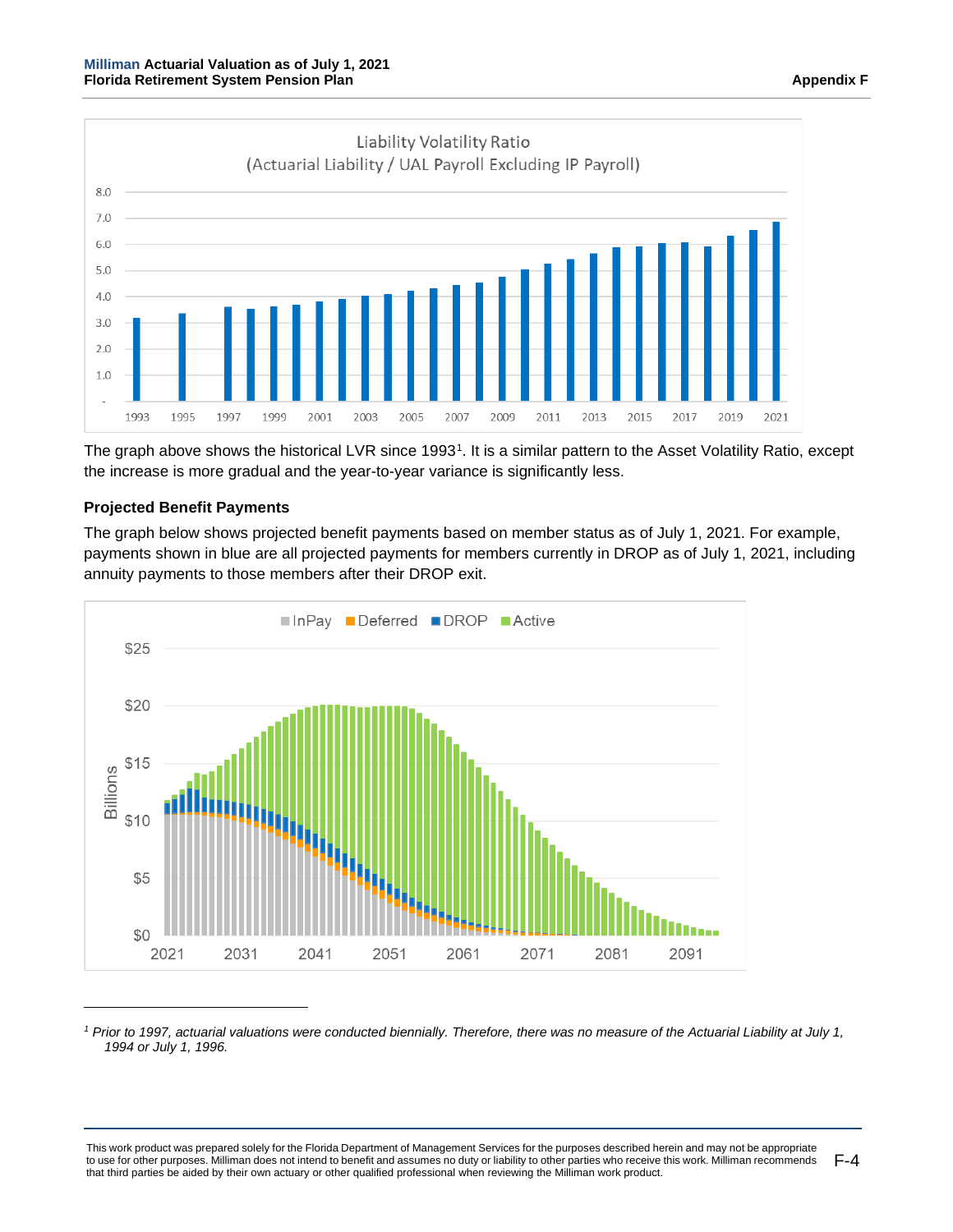



The graph above shows the historical LVR since 1993[1](#page-118-0). It is a similar pattern to the Asset Volatility Ratio, except the increase is more gradual and the year-to-year variance is significantly less.

# **Projected Benefit Payments**

8.0  $7.0$ 

The graph below shows projected benefit payments based on member status as of July 1, 2021. For example, payments shown in blue are all projected payments for members currently in DROP as of July 1, 2021, including annuity payments to those members after their DROP exit.



<span id="page-118-0"></span>*<sup>1</sup> Prior to 1997, actuarial valuations were conducted biennially. Therefore, there was no measure of the Actuarial Liability at July 1, 1994 or July 1, 1996.*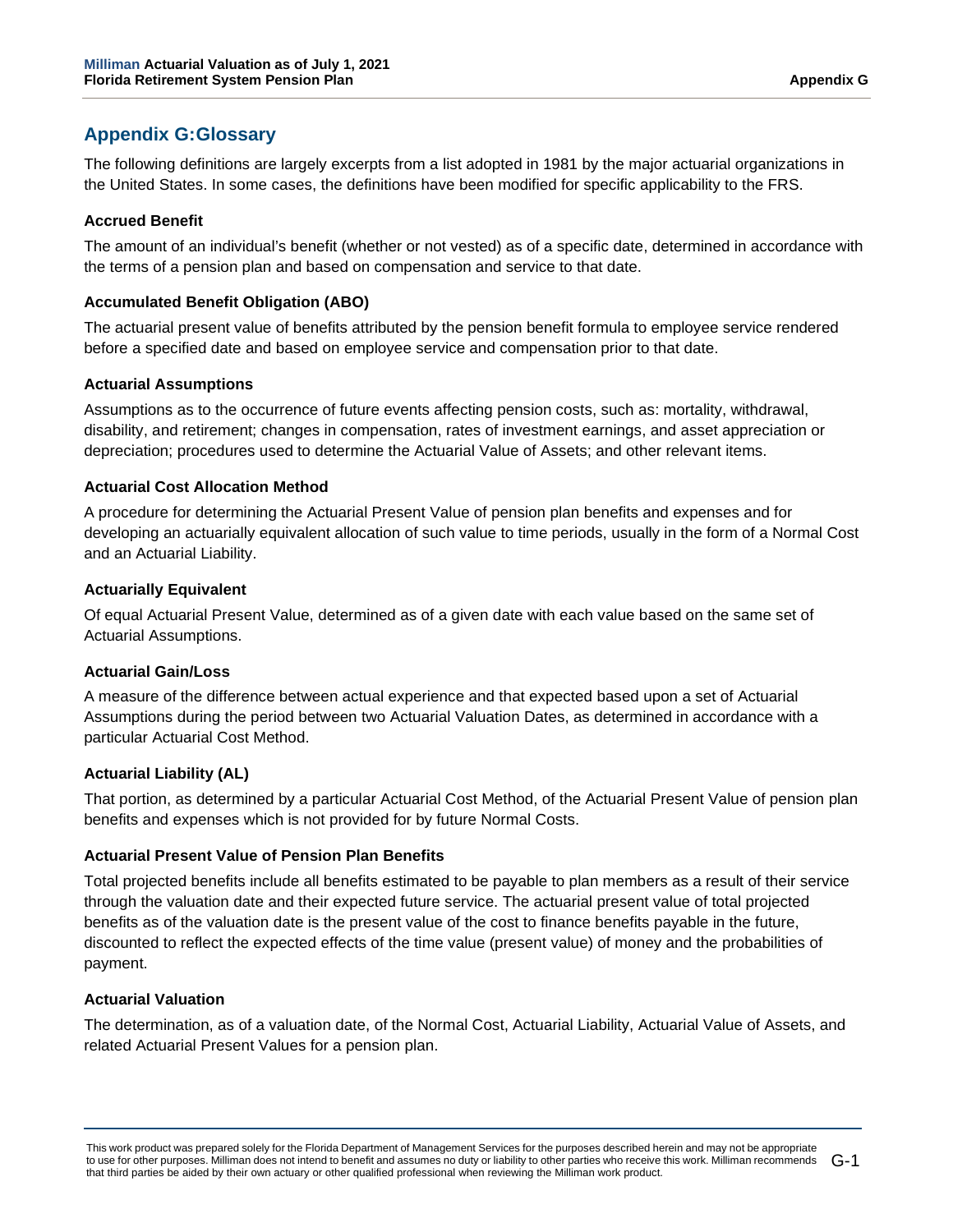# **Appendix G:Glossary**

The following definitions are largely excerpts from a list adopted in 1981 by the major actuarial organizations in the United States. In some cases, the definitions have been modified for specific applicability to the FRS.

## **Accrued Benefit**

The amount of an individual's benefit (whether or not vested) as of a specific date, determined in accordance with the terms of a pension plan and based on compensation and service to that date.

## **Accumulated Benefit Obligation (ABO)**

The actuarial present value of benefits attributed by the pension benefit formula to employee service rendered before a specified date and based on employee service and compensation prior to that date.

## **Actuarial Assumptions**

Assumptions as to the occurrence of future events affecting pension costs, such as: mortality, withdrawal, disability, and retirement; changes in compensation, rates of investment earnings, and asset appreciation or depreciation; procedures used to determine the Actuarial Value of Assets; and other relevant items.

## **Actuarial Cost Allocation Method**

A procedure for determining the Actuarial Present Value of pension plan benefits and expenses and for developing an actuarially equivalent allocation of such value to time periods, usually in the form of a Normal Cost and an Actuarial Liability.

# **Actuarially Equivalent**

Of equal Actuarial Present Value, determined as of a given date with each value based on the same set of Actuarial Assumptions.

#### **Actuarial Gain/Loss**

A measure of the difference between actual experience and that expected based upon a set of Actuarial Assumptions during the period between two Actuarial Valuation Dates, as determined in accordance with a particular Actuarial Cost Method.

# **Actuarial Liability (AL)**

That portion, as determined by a particular Actuarial Cost Method, of the Actuarial Present Value of pension plan benefits and expenses which is not provided for by future Normal Costs.

## **Actuarial Present Value of Pension Plan Benefits**

Total projected benefits include all benefits estimated to be payable to plan members as a result of their service through the valuation date and their expected future service. The actuarial present value of total projected benefits as of the valuation date is the present value of the cost to finance benefits payable in the future, discounted to reflect the expected effects of the time value (present value) of money and the probabilities of payment.

#### **Actuarial Valuation**

The determination, as of a valuation date, of the Normal Cost, Actuarial Liability, Actuarial Value of Assets, and related Actuarial Present Values for a pension plan.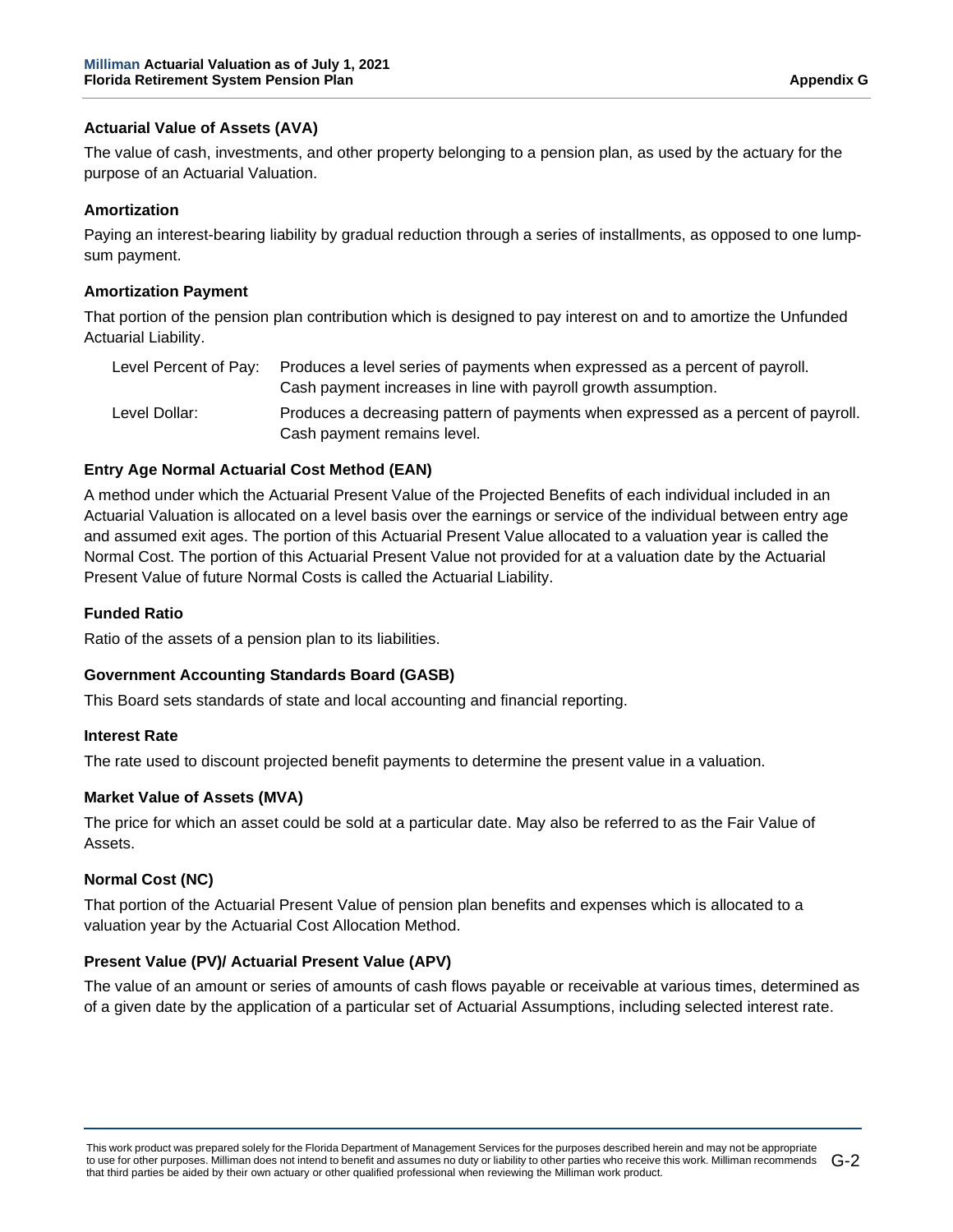# **Actuarial Value of Assets (AVA)**

The value of cash, investments, and other property belonging to a pension plan, as used by the actuary for the purpose of an Actuarial Valuation.

## **Amortization**

Paying an interest-bearing liability by gradual reduction through a series of installments, as opposed to one lumpsum payment.

### **Amortization Payment**

That portion of the pension plan contribution which is designed to pay interest on and to amortize the Unfunded Actuarial Liability.

| Level Percent of Pav: | Produces a level series of payments when expressed as a percent of payroll.<br>Cash payment increases in line with payroll growth assumption. |
|-----------------------|-----------------------------------------------------------------------------------------------------------------------------------------------|
| Level Dollar:         | Produces a decreasing pattern of payments when expressed as a percent of payroll.<br>Cash payment remains level.                              |

## **Entry Age Normal Actuarial Cost Method (EAN)**

A method under which the Actuarial Present Value of the Projected Benefits of each individual included in an Actuarial Valuation is allocated on a level basis over the earnings or service of the individual between entry age and assumed exit ages. The portion of this Actuarial Present Value allocated to a valuation year is called the Normal Cost. The portion of this Actuarial Present Value not provided for at a valuation date by the Actuarial Present Value of future Normal Costs is called the Actuarial Liability.

## **Funded Ratio**

Ratio of the assets of a pension plan to its liabilities.

#### **Government Accounting Standards Board (GASB)**

This Board sets standards of state and local accounting and financial reporting.

#### **Interest Rate**

The rate used to discount projected benefit payments to determine the present value in a valuation.

#### **Market Value of Assets (MVA)**

The price for which an asset could be sold at a particular date. May also be referred to as the Fair Value of Assets.

# **Normal Cost (NC)**

That portion of the Actuarial Present Value of pension plan benefits and expenses which is allocated to a valuation year by the Actuarial Cost Allocation Method.

#### **Present Value (PV)/ Actuarial Present Value (APV)**

The value of an amount or series of amounts of cash flows payable or receivable at various times, determined as of a given date by the application of a particular set of Actuarial Assumptions, including selected interest rate.